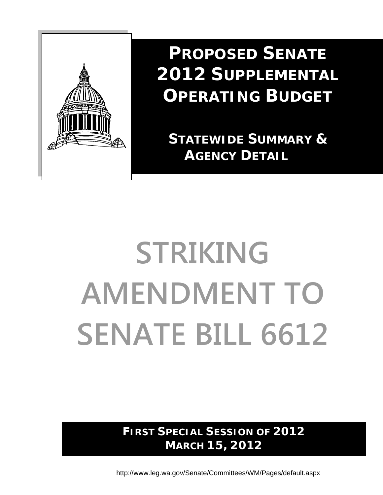

**PROPOSED SENATE 2012 SUPPLEMENTAL OPERATING BUDGET**

 **STATEWIDE SUMMARY & AGENCY DETAIL**

# **STRIKING AMENDMENT TO SENATE BILL 6612**

**FIRST SPECIAL SESSION OF 2012 MARCH 15, 2012** 

http://www.leg.wa.gov/Senate/Committees/WM/Pages/default.aspx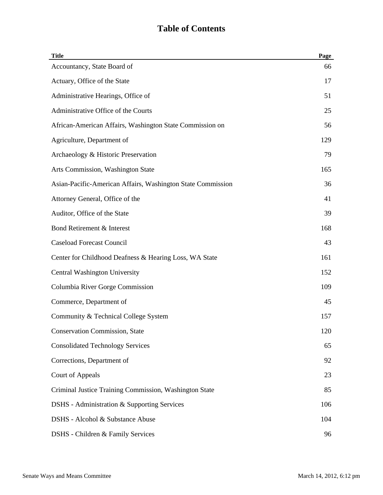| <b>Title</b>                                                | Page |
|-------------------------------------------------------------|------|
| Accountancy, State Board of                                 | 66   |
| Actuary, Office of the State                                | 17   |
| Administrative Hearings, Office of                          | 51   |
| Administrative Office of the Courts                         | 25   |
| African-American Affairs, Washington State Commission on    | 56   |
| Agriculture, Department of                                  | 129  |
| Archaeology & Historic Preservation                         | 79   |
| Arts Commission, Washington State                           | 165  |
| Asian-Pacific-American Affairs, Washington State Commission | 36   |
| Attorney General, Office of the                             | 41   |
| Auditor, Office of the State                                | 39   |
| Bond Retirement & Interest                                  | 168  |
| <b>Caseload Forecast Council</b>                            | 43   |
| Center for Childhood Deafness & Hearing Loss, WA State      | 161  |
| Central Washington University                               | 152  |
| Columbia River Gorge Commission                             | 109  |
| Commerce, Department of                                     | 45   |
| Community & Technical College System                        | 157  |
| <b>Conservation Commission, State</b>                       | 120  |
| <b>Consolidated Technology Services</b>                     | 65   |
| Corrections, Department of                                  | 92   |
| <b>Court of Appeals</b>                                     | 23   |
| Criminal Justice Training Commission, Washington State      | 85   |
| DSHS - Administration & Supporting Services                 | 106  |
| DSHS - Alcohol & Substance Abuse                            | 104  |
| DSHS - Children & Family Services                           | 96   |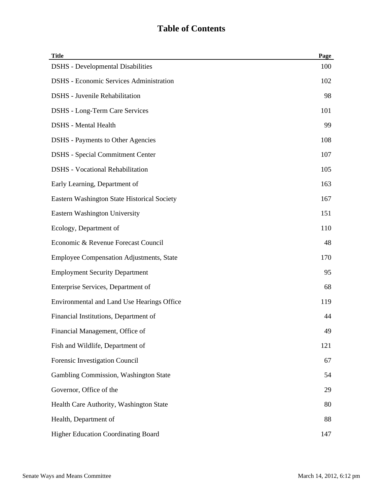| <b>Title</b>                                    | Page |
|-------------------------------------------------|------|
| <b>DSHS</b> - Developmental Disabilities        | 100  |
| <b>DSHS</b> - Economic Services Administration  | 102  |
| <b>DSHS</b> - Juvenile Rehabilitation           | 98   |
| <b>DSHS</b> - Long-Term Care Services           | 101  |
| <b>DSHS</b> - Mental Health                     | 99   |
| <b>DSHS</b> - Payments to Other Agencies        | 108  |
| <b>DSHS</b> - Special Commitment Center         | 107  |
| <b>DSHS</b> - Vocational Rehabilitation         | 105  |
| Early Learning, Department of                   | 163  |
| Eastern Washington State Historical Society     | 167  |
| <b>Eastern Washington University</b>            | 151  |
| Ecology, Department of                          | 110  |
| Economic & Revenue Forecast Council             | 48   |
| <b>Employee Compensation Adjustments, State</b> | 170  |
| <b>Employment Security Department</b>           | 95   |
| Enterprise Services, Department of              | 68   |
| Environmental and Land Use Hearings Office      | 119  |
| Financial Institutions, Department of           | 44   |
| Financial Management, Office of                 | 49   |
| Fish and Wildlife, Department of                | 121  |
| Forensic Investigation Council                  | 67   |
| Gambling Commission, Washington State           | 54   |
| Governor, Office of the                         | 29   |
| Health Care Authority, Washington State         | 80   |
| Health, Department of                           | 88   |
| <b>Higher Education Coordinating Board</b>      | 147  |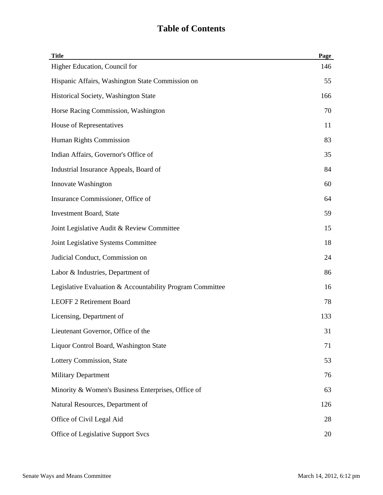| <b>Title</b>                                              | Page |
|-----------------------------------------------------------|------|
| Higher Education, Council for                             | 146  |
| Hispanic Affairs, Washington State Commission on          | 55   |
| Historical Society, Washington State                      | 166  |
| Horse Racing Commission, Washington                       | 70   |
| House of Representatives                                  | 11   |
| Human Rights Commission                                   | 83   |
| Indian Affairs, Governor's Office of                      | 35   |
| Industrial Insurance Appeals, Board of                    | 84   |
| Innovate Washington                                       | 60   |
| Insurance Commissioner, Office of                         | 64   |
| <b>Investment Board, State</b>                            | 59   |
| Joint Legislative Audit & Review Committee                | 15   |
| Joint Legislative Systems Committee                       | 18   |
| Judicial Conduct, Commission on                           | 24   |
| Labor & Industries, Department of                         | 86   |
| Legislative Evaluation & Accountability Program Committee | 16   |
| <b>LEOFF 2 Retirement Board</b>                           | 78   |
| Licensing, Department of                                  | 133  |
| Lieutenant Governor, Office of the                        | 31   |
| Liquor Control Board, Washington State                    | 71   |
| Lottery Commission, State                                 | 53   |
| <b>Military Department</b>                                | 76   |
| Minority & Women's Business Enterprises, Office of        | 63   |
| Natural Resources, Department of                          | 126  |
| Office of Civil Legal Aid                                 | 28   |
| Office of Legislative Support Svcs                        | 20   |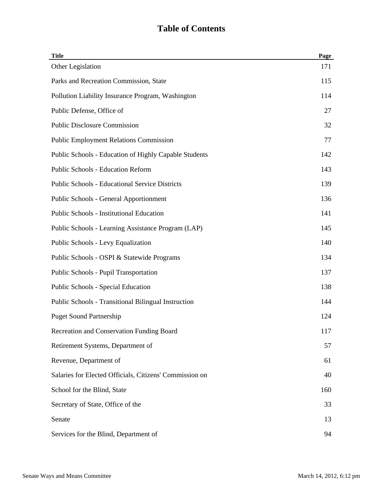| <b>Title</b>                                            | Page |
|---------------------------------------------------------|------|
| Other Legislation                                       | 171  |
| Parks and Recreation Commission, State                  | 115  |
| Pollution Liability Insurance Program, Washington       | 114  |
| Public Defense, Office of                               | 27   |
| <b>Public Disclosure Commission</b>                     | 32   |
| <b>Public Employment Relations Commission</b>           | 77   |
| Public Schools - Education of Highly Capable Students   | 142  |
| <b>Public Schools - Education Reform</b>                | 143  |
| <b>Public Schools - Educational Service Districts</b>   | 139  |
| <b>Public Schools - General Apportionment</b>           | 136  |
| <b>Public Schools - Institutional Education</b>         | 141  |
| Public Schools - Learning Assistance Program (LAP)      | 145  |
| Public Schools - Levy Equalization                      | 140  |
| Public Schools - OSPI & Statewide Programs              | 134  |
| <b>Public Schools - Pupil Transportation</b>            | 137  |
| Public Schools - Special Education                      | 138  |
| Public Schools - Transitional Bilingual Instruction     | 144  |
| <b>Puget Sound Partnership</b>                          | 124  |
| Recreation and Conservation Funding Board               | 117  |
| Retirement Systems, Department of                       | 57   |
| Revenue, Department of                                  | 61   |
| Salaries for Elected Officials, Citizens' Commission on | 40   |
| School for the Blind, State                             | 160  |
| Secretary of State, Office of the                       | 33   |
| Senate                                                  | 13   |
| Services for the Blind, Department of                   | 94   |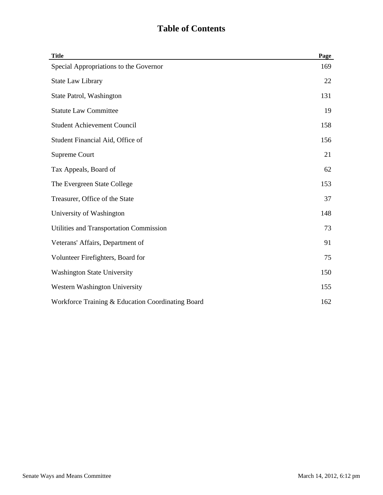| <b>Title</b>                                      | Page |
|---------------------------------------------------|------|
| Special Appropriations to the Governor            | 169  |
| <b>State Law Library</b>                          | 22   |
| State Patrol, Washington                          | 131  |
| <b>Statute Law Committee</b>                      | 19   |
| <b>Student Achievement Council</b>                | 158  |
| Student Financial Aid, Office of                  | 156  |
| Supreme Court                                     | 21   |
| Tax Appeals, Board of                             | 62   |
| The Evergreen State College                       | 153  |
| Treasurer, Office of the State                    | 37   |
| University of Washington                          | 148  |
| Utilities and Transportation Commission           | 73   |
| Veterans' Affairs, Department of                  | 91   |
| Volunteer Firefighters, Board for                 | 75   |
| <b>Washington State University</b>                | 150  |
| Western Washington University                     | 155  |
| Workforce Training & Education Coordinating Board | 162  |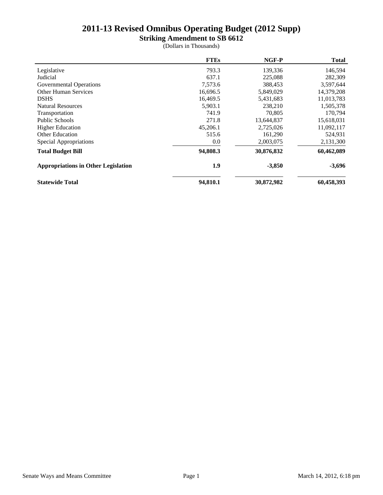**Striking Amendment to SB 6612**

|                                            | <b>FTEs</b> | NGF-P      | <b>Total</b> |
|--------------------------------------------|-------------|------------|--------------|
| Legislative                                | 793.3       | 139,336    | 146,594      |
| Judicial                                   | 637.1       | 225,088    | 282,309      |
| Governmental Operations                    | 7,573.6     | 388,453    | 3,597,644    |
| <b>Other Human Services</b>                | 16,696.5    | 5,849,029  | 14,379,208   |
| <b>DSHS</b>                                | 16,469.5    | 5,431,683  | 11,013,783   |
| <b>Natural Resources</b>                   | 5,903.1     | 238,210    | 1,505,378    |
| Transportation                             | 741.9       | 70.805     | 170,794      |
| <b>Public Schools</b>                      | 271.8       | 13,644,837 | 15,618,031   |
| <b>Higher Education</b>                    | 45,206.1    | 2,725,026  | 11,092,117   |
| <b>Other Education</b>                     | 515.6       | 161,290    | 524,931      |
| Special Appropriations                     | 0.0         | 2,003,075  | 2,131,300    |
| <b>Total Budget Bill</b>                   | 94,808.3    | 30,876,832 | 60,462,089   |
| <b>Appropriations in Other Legislation</b> | 1.9         | $-3,850$   | $-3,696$     |
| <b>Statewide Total</b>                     | 94,810.1    | 30,872,982 | 60,458,393   |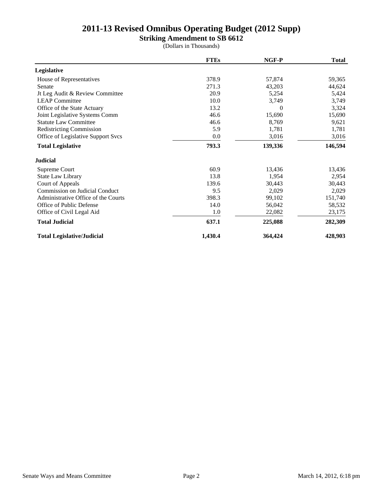**Striking Amendment to SB 6612**

|                                       | <b>FTEs</b> | NGF-P    | <b>Total</b> |
|---------------------------------------|-------------|----------|--------------|
| Legislative                           |             |          |              |
| House of Representatives              | 378.9       | 57,874   | 59,365       |
| Senate                                | 271.3       | 43,203   | 44,624       |
| Jt Leg Audit & Review Committee       | 20.9        | 5,254    | 5,424        |
| <b>LEAP Committee</b>                 | 10.0        | 3,749    | 3,749        |
| Office of the State Actuary           | 13.2        | $\Omega$ | 3,324        |
| Joint Legislative Systems Comm        | 46.6        | 15,690   | 15,690       |
| <b>Statute Law Committee</b>          | 46.6        | 8,769    | 9,621        |
| <b>Redistricting Commission</b>       | 5.9         | 1,781    | 1,781        |
| Office of Legislative Support Svcs    | 0.0         | 3,016    | 3,016        |
| <b>Total Legislative</b>              | 793.3       | 139,336  | 146,594      |
| <b>Judicial</b>                       |             |          |              |
| Supreme Court                         | 60.9        | 13,436   | 13,436       |
| State Law Library                     | 13.8        | 1,954    | 2,954        |
| Court of Appeals                      | 139.6       | 30,443   | 30,443       |
| <b>Commission on Judicial Conduct</b> | 9.5         | 2,029    | 2,029        |
| Administrative Office of the Courts   | 398.3       | 99,102   | 151,740      |
| Office of Public Defense              | 14.0        | 56,042   | 58,532       |
| Office of Civil Legal Aid             | 1.0         | 22,082   | 23,175       |
| <b>Total Judicial</b>                 | 637.1       | 225,088  | 282,309      |
| <b>Total Legislative/Judicial</b>     | 1,430.4     | 364,424  | 428,903      |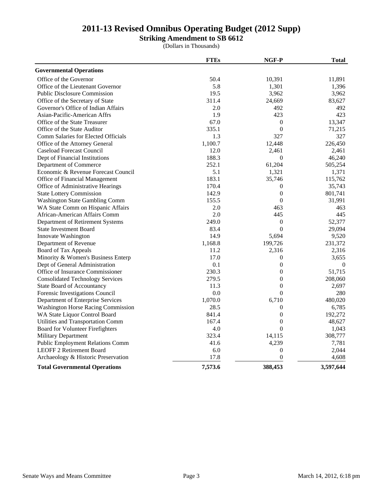**Striking Amendment to SB 6612**

|                                           | <b>FTEs</b> | NGF-P            | <b>Total</b> |
|-------------------------------------------|-------------|------------------|--------------|
| <b>Governmental Operations</b>            |             |                  |              |
| Office of the Governor                    | 50.4        | 10,391           | 11,891       |
| Office of the Lieutenant Governor         | 5.8         | 1,301            | 1,396        |
| <b>Public Disclosure Commission</b>       | 19.5        | 3,962            | 3,962        |
| Office of the Secretary of State          | 311.4       | 24,669           | 83,627       |
| Governor's Office of Indian Affairs       | 2.0         | 492              | 492          |
| Asian-Pacific-American Affrs              | 1.9         | 423              | 423          |
| Office of the State Treasurer             | 67.0        | $\overline{0}$   | 13,347       |
| Office of the State Auditor               | 335.1       | $\boldsymbol{0}$ | 71,215       |
| Comm Salaries for Elected Officials       | 1.3         | 327              | 327          |
| Office of the Attorney General            | 1,100.7     | 12,448           | 226,450      |
| <b>Caseload Forecast Council</b>          | 12.0        | 2,461            | 2,461        |
| Dept of Financial Institutions            | 188.3       | $\boldsymbol{0}$ | 46,240       |
| Department of Commerce                    | 252.1       | 61,204           | 505,254      |
| Economic & Revenue Forecast Council       | 5.1         | 1,321            | 1,371        |
| Office of Financial Management            | 183.1       | 35,746           | 115,762      |
| Office of Administrative Hearings         | 170.4       | $\boldsymbol{0}$ | 35,743       |
| <b>State Lottery Commission</b>           | 142.9       | $\boldsymbol{0}$ | 801,741      |
| <b>Washington State Gambling Comm</b>     | 155.5       | $\overline{0}$   | 31,991       |
| WA State Comm on Hispanic Affairs         | 2.0         | 463              | 463          |
| African-American Affairs Comm             | 2.0         | 445              | 445          |
| Department of Retirement Systems          | 249.0       | $\boldsymbol{0}$ | 52,377       |
| <b>State Investment Board</b>             | 83.4        | $\boldsymbol{0}$ | 29,094       |
| Innovate Washington                       | 14.9        | 5,694            | 9,520        |
| Department of Revenue                     | 1,168.8     | 199,726          | 231,372      |
| Board of Tax Appeals                      | 11.2        | 2,316            | 2,316        |
| Minority & Women's Business Enterp        | 17.0        | $\boldsymbol{0}$ | 3,655        |
| Dept of General Administration            | 0.1         | $\boldsymbol{0}$ | $\mathbf{0}$ |
| Office of Insurance Commissioner          | 230.3       | $\overline{0}$   | 51,715       |
| <b>Consolidated Technology Services</b>   | 279.5       | $\boldsymbol{0}$ | 208,060      |
| <b>State Board of Accountancy</b>         | 11.3        | $\boldsymbol{0}$ | 2,697        |
| Forensic Investigations Council           | 0.0         | $\theta$         | 280          |
| Department of Enterprise Services         | 1,070.0     | 6,710            | 480,020      |
| <b>Washington Horse Racing Commission</b> | 28.5        | $\boldsymbol{0}$ | 6,785        |
| WA State Liquor Control Board             | 841.4       | $\boldsymbol{0}$ | 192,272      |
| Utilities and Transportation Comm         | 167.4       | $\overline{0}$   | 48,627       |
| Board for Volunteer Firefighters          | 4.0         | $\theta$         | 1,043        |
| Military Department                       | 323.4       | 14,115           | 308,777      |
| <b>Public Employment Relations Comm</b>   | 41.6        | 4,239            | 7,781        |
| <b>LEOFF 2 Retirement Board</b>           | 6.0         | $\boldsymbol{0}$ | 2,044        |
| Archaeology & Historic Preservation       | 17.8        | $\overline{0}$   | 4,608        |
| <b>Total Governmental Operations</b>      | 7,573.6     | 388,453          | 3,597,644    |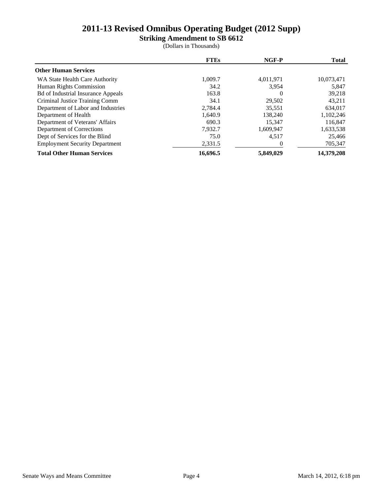**Striking Amendment to SB 6612**

|                                           | <b>FTEs</b> | NGF-P     | <b>Total</b> |
|-------------------------------------------|-------------|-----------|--------------|
| <b>Other Human Services</b>               |             |           |              |
| WA State Health Care Authority            | 1,009.7     | 4,011,971 | 10,073,471   |
| Human Rights Commission                   | 34.2        | 3.954     | 5,847        |
| <b>Bd</b> of Industrial Insurance Appeals | 163.8       | $\theta$  | 39,218       |
| Criminal Justice Training Comm            | 34.1        | 29.502    | 43,211       |
| Department of Labor and Industries        | 2,784.4     | 35.551    | 634,017      |
| Department of Health                      | 1,640.9     | 138,240   | 1,102,246    |
| Department of Veterans' Affairs           | 690.3       | 15.347    | 116,847      |
| Department of Corrections                 | 7.932.7     | 1,609,947 | 1,633,538    |
| Dept of Services for the Blind            | 75.0        | 4,517     | 25,466       |
| <b>Employment Security Department</b>     | 2,331.5     |           | 705,347      |
| <b>Total Other Human Services</b>         | 16.696.5    | 5,849,029 | 14,379,208   |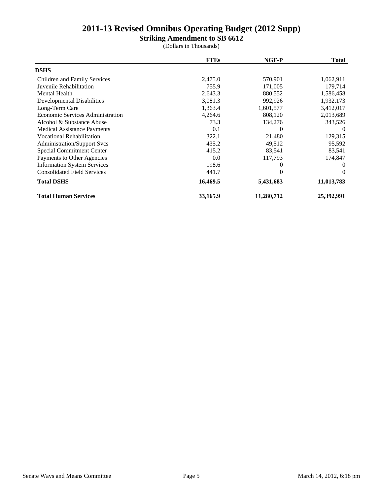**Striking Amendment to SB 6612**

|                                    | <b>FTEs</b> | NGF-P      | <b>Total</b>   |
|------------------------------------|-------------|------------|----------------|
| <b>DSHS</b>                        |             |            |                |
| Children and Family Services       | 2,475.0     | 570,901    | 1,062,911      |
| Juvenile Rehabilitation            | 755.9       | 171,005    | 179,714        |
| Mental Health                      | 2,643.3     | 880,552    | 1,586,458      |
| <b>Developmental Disabilities</b>  | 3,081.3     | 992,926    | 1,932,173      |
| Long-Term Care                     | 1,363.4     | 1,601,577  | 3,412,017      |
| Economic Services Administration   | 4,264.6     | 808,120    | 2,013,689      |
| Alcohol & Substance Abuse          | 73.3        | 134,276    | 343,526        |
| <b>Medical Assistance Payments</b> | 0.1         | $\Omega$   | 0              |
| <b>Vocational Rehabilitation</b>   | 322.1       | 21,480     | 129,315        |
| <b>Administration/Support Svcs</b> | 435.2       | 49,512     | 95,592         |
| <b>Special Commitment Center</b>   | 415.2       | 83,541     | 83,541         |
| Payments to Other Agencies         | 0.0         | 117,793    | 174,847        |
| <b>Information System Services</b> | 198.6       | 0          | $\Omega$       |
| <b>Consolidated Field Services</b> | 441.7       |            | $\overline{0}$ |
| <b>Total DSHS</b>                  | 16,469.5    | 5,431,683  | 11,013,783     |
| <b>Total Human Services</b>        | 33,165.9    | 11,280,712 | 25,392,991     |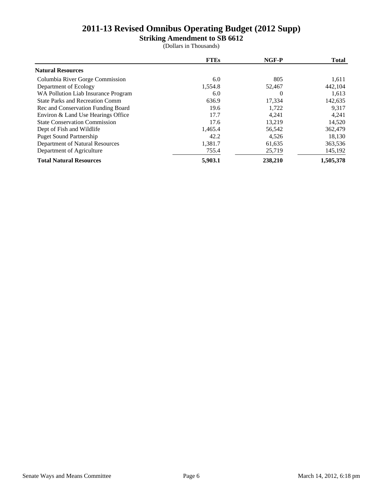**Striking Amendment to SB 6612**

|                                        | <b>FTEs</b> | NGF-P    | <b>Total</b> |
|----------------------------------------|-------------|----------|--------------|
| <b>Natural Resources</b>               |             |          |              |
| Columbia River Gorge Commission        | 6.0         | 805      | 1,611        |
| Department of Ecology                  | 1,554.8     | 52,467   | 442,104      |
| WA Pollution Liab Insurance Program    | 6.0         | $\theta$ | 1,613        |
| <b>State Parks and Recreation Comm</b> | 636.9       | 17,334   | 142,635      |
| Rec and Conservation Funding Board     | 19.6        | 1,722    | 9,317        |
| Environ & Land Use Hearings Office     | 17.7        | 4,241    | 4,241        |
| <b>State Conservation Commission</b>   | 17.6        | 13.219   | 14,520       |
| Dept of Fish and Wildlife              | 1,465.4     | 56,542   | 362,479      |
| <b>Puget Sound Partnership</b>         | 42.2        | 4.526    | 18,130       |
| Department of Natural Resources        | 1,381.7     | 61,635   | 363,536      |
| Department of Agriculture              | 755.4       | 25,719   | 145,192      |
| <b>Total Natural Resources</b>         | 5,903.1     | 238,210  | 1,505,378    |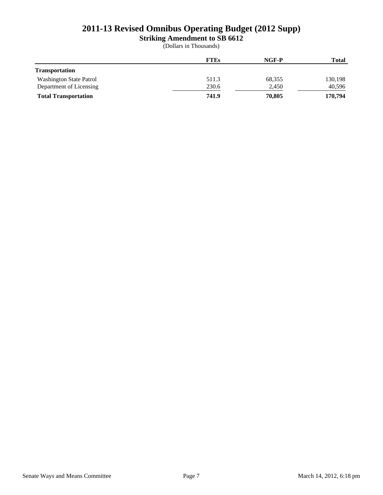**Striking Amendment to SB 6612**

|                                | <b>FTEs</b> | NGF-P  | <b>Total</b> |
|--------------------------------|-------------|--------|--------------|
| <b>Transportation</b>          |             |        |              |
| <b>Washington State Patrol</b> | 511.3       | 68,355 | 130,198      |
| Department of Licensing        | 230.6       | 2,450  | 40,596       |
| <b>Total Transportation</b>    | 741.9       | 70.805 | 170,794      |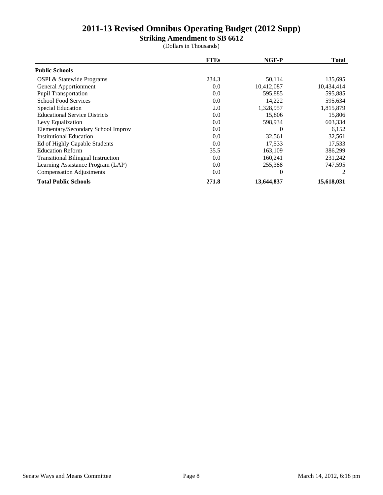**Striking Amendment to SB 6612**

|                                           | <b>FTEs</b> | NGF-P      | <b>Total</b> |
|-------------------------------------------|-------------|------------|--------------|
| <b>Public Schools</b>                     |             |            |              |
| OSPI & Statewide Programs                 | 234.3       | 50,114     | 135,695      |
| General Apportionment                     | 0.0         | 10,412,087 | 10,434,414   |
| <b>Pupil Transportation</b>               | 0.0         | 595,885    | 595,885      |
| <b>School Food Services</b>               | 0.0         | 14,222     | 595,634      |
| <b>Special Education</b>                  | 2.0         | 1,328,957  | 1,815,879    |
| <b>Educational Service Districts</b>      | 0.0         | 15,806     | 15,806       |
| Levy Equalization                         | 0.0         | 598,934    | 603,334      |
| Elementary/Secondary School Improv        | 0.0         | $\Omega$   | 6,152        |
| <b>Institutional Education</b>            | 0.0         | 32,561     | 32,561       |
| Ed of Highly Capable Students             | 0.0         | 17,533     | 17,533       |
| <b>Education Reform</b>                   | 35.5        | 163,109    | 386,299      |
| <b>Transitional Bilingual Instruction</b> | 0.0         | 160,241    | 231,242      |
| Learning Assistance Program (LAP)         | 0.0         | 255,388    | 747,595      |
| <b>Compensation Adjustments</b>           | 0.0         |            |              |
| <b>Total Public Schools</b>               | 271.8       | 13,644,837 | 15,618,031   |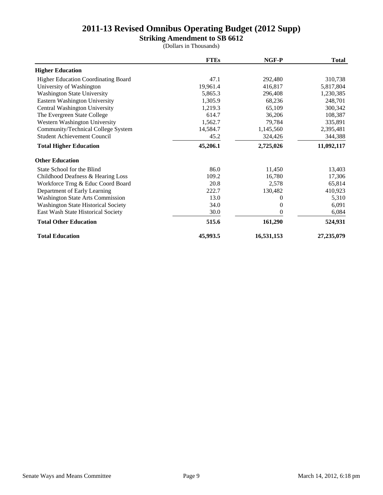## **Striking Amendment to SB 6612**

|                                            | <b>FTEs</b> | NGF-P      | <b>Total</b> |
|--------------------------------------------|-------------|------------|--------------|
| <b>Higher Education</b>                    |             |            |              |
| <b>Higher Education Coordinating Board</b> | 47.1        | 292,480    | 310,738      |
| University of Washington                   | 19,961.4    | 416,817    | 5,817,804    |
| <b>Washington State University</b>         | 5,865.3     | 296,408    | 1,230,385    |
| Eastern Washington University              | 1,305.9     | 68,236     | 248,701      |
| Central Washington University              | 1,219.3     | 65,109     | 300,342      |
| The Evergreen State College                | 614.7       | 36,206     | 108,387      |
| Western Washington University              | 1,562.7     | 79,784     | 335,891      |
| Community/Technical College System         | 14,584.7    | 1,145,560  | 2,395,481    |
| <b>Student Achievement Council</b>         | 45.2        | 324,426    | 344,388      |
| <b>Total Higher Education</b>              | 45,206.1    | 2,725,026  | 11,092,117   |
| <b>Other Education</b>                     |             |            |              |
| State School for the Blind                 | 86.0        | 11,450     | 13,403       |
| Childhood Deafness & Hearing Loss          | 109.2       | 16,780     | 17,306       |
| Workforce Trng & Educ Coord Board          | 20.8        | 2,578      | 65,814       |
| Department of Early Learning               | 222.7       | 130,482    | 410,923      |
| <b>Washington State Arts Commission</b>    | 13.0        | 0          | 5,310        |
| <b>Washington State Historical Society</b> | 34.0        | $\Omega$   | 6,091        |
| East Wash State Historical Society         | 30.0        | 0          | 6,084        |
| <b>Total Other Education</b>               | 515.6       | 161,290    | 524,931      |
| <b>Total Education</b>                     | 45,993.5    | 16,531,153 | 27,235,079   |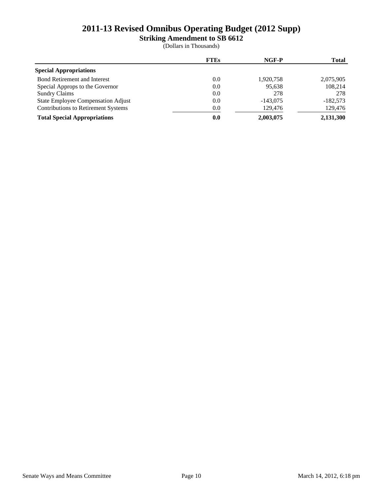**Striking Amendment to SB 6612**

|                                            | <b>FTEs</b> | NGF-P      | <b>Total</b> |
|--------------------------------------------|-------------|------------|--------------|
| <b>Special Appropriations</b>              |             |            |              |
| <b>Bond Retirement and Interest</b>        | 0.0         | 1,920,758  | 2,075,905    |
| Special Approps to the Governor            | 0.0         | 95,638     | 108,214      |
| <b>Sundry Claims</b>                       | 0.0         | 278        | 278          |
| State Employee Compensation Adjust         | 0.0         | $-143.075$ | $-182.573$   |
| <b>Contributions to Retirement Systems</b> | 0.0         | 129,476    | 129,476      |
| <b>Total Special Appropriations</b>        | 0.0         | 2,003,075  | 2,131,300    |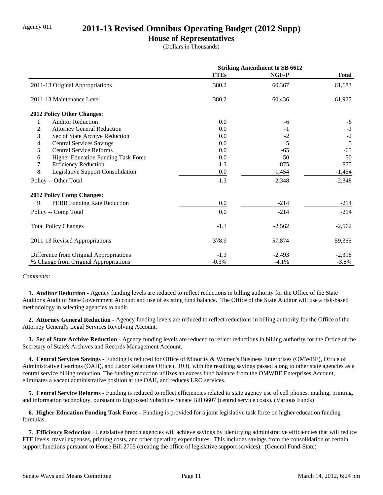## Agency 011 **2011-13 Revised Omnibus Operating Budget (2012 Supp)**

## **House of Representatives**

(Dollars in Thousands)

|                                           | <b>Striking Amendment to SB 6612</b> |          |              |
|-------------------------------------------|--------------------------------------|----------|--------------|
|                                           | <b>FTEs</b>                          | NGF-P    | <b>Total</b> |
| 2011-13 Original Appropriations           | 380.2                                | 60,367   | 61,683       |
| 2011-13 Maintenance Level                 | 380.2                                | 60,436   | 61,927       |
| <b>2012 Policy Other Changes:</b>         |                                      |          |              |
| <b>Auditor Reduction</b><br>1.            | 0.0                                  | -6       | $-6$         |
| 2.<br><b>Attorney General Reduction</b>   | 0.0                                  | $-1$     | $-1$         |
| 3.<br>Sec of State Archive Reduction      | 0.0                                  | $-2$     | $-2$         |
| 4.<br><b>Central Services Savings</b>     | 0.0                                  | 5        | 5            |
| 5.<br><b>Central Service Reforms</b>      | 0.0                                  | $-65$    | $-65$        |
| Higher Education Funding Task Force<br>6. | 0.0                                  | 50       | 50           |
| <b>Efficiency Reduction</b><br>7.         | $-1.3$                               | $-875$   | $-875$       |
| 8.<br>Legislative Support Consolidation   | 0.0                                  | $-1,454$ | $-1,454$     |
| Policy -- Other Total                     | $-1.3$                               | $-2,348$ | $-2,348$     |
| <b>2012 Policy Comp Changes:</b>          |                                      |          |              |
| 9.<br>PEBB Funding Rate Reduction         | 0.0                                  | $-214$   | $-214$       |
| Policy -- Comp Total                      | 0.0                                  | $-214$   | $-214$       |
| <b>Total Policy Changes</b>               | $-1.3$                               | $-2,562$ | $-2,562$     |
| 2011-13 Revised Appropriations            | 378.9                                | 57,874   | 59,365       |
| Difference from Original Appropriations   | $-1.3$                               | $-2,493$ | $-2,318$     |
| % Change from Original Appropriations     | $-0.3%$                              | $-4.1%$  | $-3.8\%$     |

#### *Comments:*

 **1. Auditor Reduction -** Agency funding levels are reduced to reflect reductions in billing authority for the Office of the State Auditor's Audit of State Government Account and use of existing fund balance. The Office of the State Auditor will use a risk-based methodology in selecting agencies to audit.

 **2. Attorney General Reduction -** Agency funding levels are reduced to reflect reductions in billing authority for the Office of the Attorney General's Legal Services Revolving Account.

 **3. Sec of State Archive Reduction -** Agency funding levels are reduced to reflect reductions in billing authority for the Office of the Secretary of State's Archives and Records Management Account.

 **4. Central Services Savings -** Funding is reduced for Office of Minority & Women's Business Enterprises (OMWBE), Office of Administrative Hearings (OAH), and Labor Relations Office (LRO), with the resulting savings passed along to other state agencies as a central service billing reduction. The funding reduction utilizes an excess fund balance from the OMWBE Enterprises Account, eliminates a vacant administrative position at the OAH, and reduces LRO services.

 **5. Central Service Reforms -** Funding is reduced to reflect efficiencies related to state agency use of cell phones, mailing, printing, and information technology, pursuant to Engrossed Substitute Senate Bill 6607 (central service costs). (Various Funds)

 **6. Higher Education Funding Task Force -** Funding is provided for a joint legislative task force on higher education funding formulas.

 **7. Efficiency Reduction -** Legislative branch agencies will achieve savings by identifying administrative efficiencies that will reduce FTE levels, travel expenses, printing costs, and other operating expenditures. This includes savings from the consolidation of certain support functions pursuant to House Bill 2705 (creating the office of legislative support services). (General Fund-State)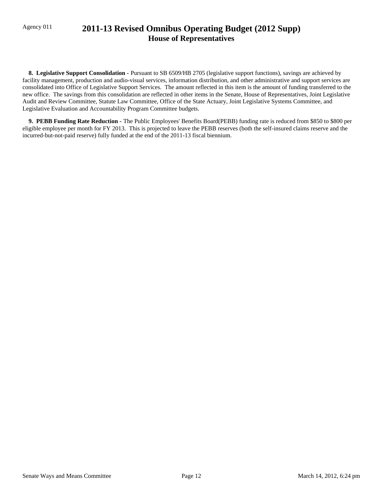## Agency 011 **2011-13 Revised Omnibus Operating Budget (2012 Supp) House of Representatives**

 **8. Legislative Support Consolidation -** Pursuant to SB 6509/HB 2705 (legislative support functions), savings are achieved by facility management, production and audio-visual services, information distribution, and other administrative and support services are consolidated into Office of Legislative Support Services. The amount reflected in this item is the amount of funding transferred to the new office. The savings from this consolidation are reflected in other items in the Senate, House of Representatives, Joint Legislative Audit and Review Committee, Statute Law Committee, Office of the State Actuary, Joint Legislative Systems Committee, and Legislative Evaluation and Accountability Program Committee budgets.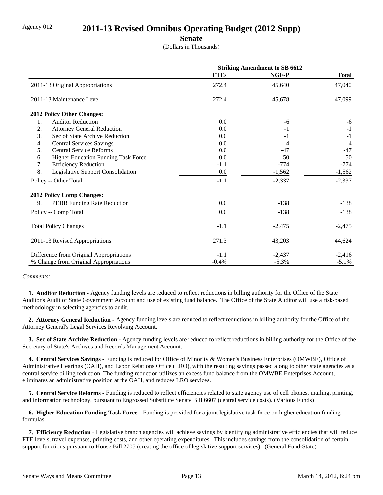## Agency 012 **2011-13 Revised Omnibus Operating Budget (2012 Supp)**

**Senate**

(Dollars in Thousands)

|                                           | <b>Striking Amendment to SB 6612</b> |          |                |
|-------------------------------------------|--------------------------------------|----------|----------------|
|                                           | <b>FTEs</b>                          | NGF-P    | <b>Total</b>   |
| 2011-13 Original Appropriations           | 272.4                                | 45,640   | 47,040         |
| 2011-13 Maintenance Level                 | 272.4                                | 45,678   | 47,099         |
| 2012 Policy Other Changes:                |                                      |          |                |
| <b>Auditor Reduction</b><br>1.            | 0.0                                  | -6       | $-6$           |
| 2.<br><b>Attorney General Reduction</b>   | 0.0                                  | $-1$     | $-1$           |
| 3.<br>Sec of State Archive Reduction      | 0.0                                  | $-1$     | $-1$           |
| <b>Central Services Savings</b><br>4.     | 0.0                                  | 4        | $\overline{4}$ |
| 5.<br><b>Central Service Reforms</b>      | 0.0                                  | $-47$    | $-47$          |
| Higher Education Funding Task Force<br>6. | 0.0                                  | 50       | 50             |
| <b>Efficiency Reduction</b><br>7.         | $-1.1$                               | $-774$   | $-774$         |
| 8.<br>Legislative Support Consolidation   | 0.0                                  | $-1,562$ | $-1,562$       |
| Policy -- Other Total                     | $-1.1$                               | $-2,337$ | $-2,337$       |
| 2012 Policy Comp Changes:                 |                                      |          |                |
| 9.<br>PEBB Funding Rate Reduction         | 0.0                                  | $-138$   | $-138$         |
| Policy -- Comp Total                      | 0.0                                  | $-138$   | $-138$         |
| <b>Total Policy Changes</b>               | $-1.1$                               | $-2,475$ | $-2,475$       |
| 2011-13 Revised Appropriations            | 271.3                                | 43,203   | 44,624         |
| Difference from Original Appropriations   | $-1.1$                               | $-2,437$ | $-2,416$       |
| % Change from Original Appropriations     | $-0.4%$                              | $-5.3%$  | $-5.1\%$       |

#### *Comments:*

 **1. Auditor Reduction -** Agency funding levels are reduced to reflect reductions in billing authority for the Office of the State Auditor's Audit of State Government Account and use of existing fund balance. The Office of the State Auditor will use a risk-based methodology in selecting agencies to audit.

 **2. Attorney General Reduction -** Agency funding levels are reduced to reflect reductions in billing authority for the Office of the Attorney General's Legal Services Revolving Account.

 **3. Sec of State Archive Reduction -** Agency funding levels are reduced to reflect reductions in billing authority for the Office of the Secretary of State's Archives and Records Management Account.

 **4. Central Services Savings -** Funding is reduced for Office of Minority & Women's Business Enterprises (OMWBE), Office of Administrative Hearings (OAH), and Labor Relations Office (LRO), with the resulting savings passed along to other state agencies as a central service billing reduction. The funding reduction utilizes an excess fund balance from the OMWBE Enterprises Account, eliminates an administrative position at the OAH, and reduces LRO services.

 **5. Central Service Reforms -** Funding is reduced to reflect efficiencies related to state agency use of cell phones, mailing, printing, and information technology, pursuant to Engrossed Substitute Senate Bill 6607 (central service costs). (Various Funds)

 **6. Higher Education Funding Task Force -** Funding is provided for a joint legislative task force on higher education funding formulas.

 **7. Efficiency Reduction -** Legislative branch agencies will achieve savings by identifying administrative efficiencies that will reduce FTE levels, travel expenses, printing costs, and other operating expenditures. This includes savings from the consolidation of certain support functions pursuant to House Bill 2705 (creating the office of legislative support services). (General Fund-State)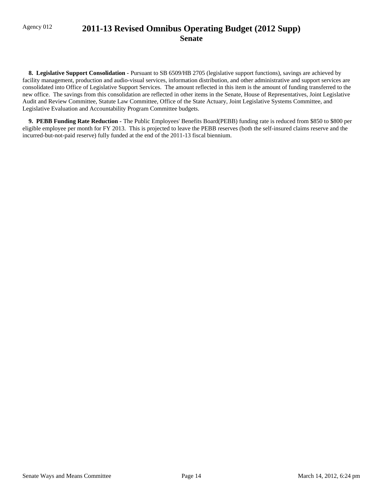## Agency 012 **2011-13 Revised Omnibus Operating Budget (2012 Supp) Senate**

 **8. Legislative Support Consolidation -** Pursuant to SB 6509/HB 2705 (legislative support functions), savings are achieved by facility management, production and audio-visual services, information distribution, and other administrative and support services are consolidated into Office of Legislative Support Services. The amount reflected in this item is the amount of funding transferred to the new office. The savings from this consolidation are reflected in other items in the Senate, House of Representatives, Joint Legislative Audit and Review Committee, Statute Law Committee, Office of the State Actuary, Joint Legislative Systems Committee, and Legislative Evaluation and Accountability Program Committee budgets.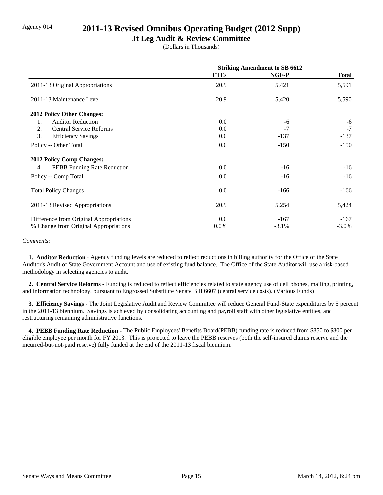## Agency 014 **2011-13 Revised Omnibus Operating Budget (2012 Supp)**

## **Jt Leg Audit & Review Committee**

(Dollars in Thousands)

|                                          | <b>Striking Amendment to SB 6612</b> |          |              |
|------------------------------------------|--------------------------------------|----------|--------------|
|                                          | <b>FTEs</b>                          | NGF-P    | <b>Total</b> |
| 2011-13 Original Appropriations          | 20.9                                 | 5,421    | 5,591        |
| 2011-13 Maintenance Level                | 20.9                                 | 5,420    | 5,590        |
| <b>2012 Policy Other Changes:</b>        |                                      |          |              |
| <b>Auditor Reduction</b><br>1.           | 0.0                                  | -6       | $-6$         |
| 2.<br><b>Central Service Reforms</b>     | 0.0                                  | $-7$     | $-7$         |
| 3.<br><b>Efficiency Savings</b>          | 0.0                                  | $-137$   | $-137$       |
| Policy -- Other Total                    | 0.0                                  | $-150$   | $-150$       |
| <b>2012 Policy Comp Changes:</b>         |                                      |          |              |
| <b>PEBB</b> Funding Rate Reduction<br>4. | 0.0                                  | $-16$    | $-16$        |
| Policy -- Comp Total                     | 0.0                                  | $-16$    | $-16$        |
| <b>Total Policy Changes</b>              | 0.0                                  | $-166$   | $-166$       |
| 2011-13 Revised Appropriations           | 20.9                                 | 5,254    | 5,424        |
| Difference from Original Appropriations  | 0.0                                  | $-167$   | $-167$       |
| % Change from Original Appropriations    | $0.0\%$                              | $-3.1\%$ | $-3.0\%$     |

#### *Comments:*

 **1. Auditor Reduction -** Agency funding levels are reduced to reflect reductions in billing authority for the Office of the State Auditor's Audit of State Government Account and use of existing fund balance. The Office of the State Auditor will use a risk-based methodology in selecting agencies to audit.

 **2. Central Service Reforms -** Funding is reduced to reflect efficiencies related to state agency use of cell phones, mailing, printing, and information technology, pursuant to Engrossed Substitute Senate Bill 6607 (central service costs). (Various Funds)

 **3. Efficiency Savings -** The Joint Legislative Audit and Review Committee will reduce General Fund-State expenditures by 5 percent in the 2011-13 biennium. Savings is achieved by consolidating accounting and payroll staff with other legislative entities, and restructuring remaining administrative functions.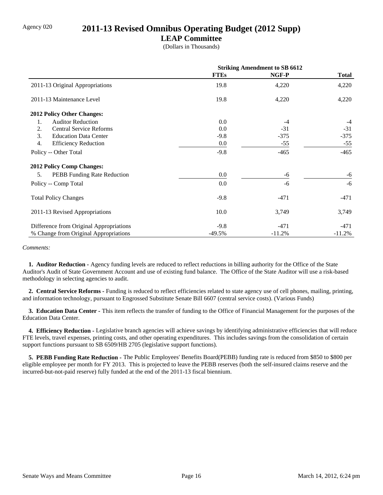## Agency 020 **2011-13 Revised Omnibus Operating Budget (2012 Supp)**

## **LEAP Committee**

(Dollars in Thousands)

|                                         | <b>Striking Amendment to SB 6612</b> |          |              |
|-----------------------------------------|--------------------------------------|----------|--------------|
|                                         | <b>FTEs</b>                          | NGF-P    | <b>Total</b> |
| 2011-13 Original Appropriations         | 19.8                                 | 4,220    | 4,220        |
| 2011-13 Maintenance Level               | 19.8                                 | 4,220    | 4,220        |
| 2012 Policy Other Changes:              |                                      |          |              |
| <b>Auditor Reduction</b><br>1.          | 0.0                                  | $-4$     | $-4$         |
| <b>Central Service Reforms</b><br>2.    | 0.0                                  | $-31$    | $-31$        |
| 3.<br><b>Education Data Center</b>      | $-9.8$                               | $-375$   | $-375$       |
| 4.<br><b>Efficiency Reduction</b>       | 0.0                                  | $-55$    | $-55$        |
| Policy -- Other Total                   | $-9.8$                               | $-465$   | $-465$       |
| 2012 Policy Comp Changes:               |                                      |          |              |
| PEBB Funding Rate Reduction<br>5.       | $0.0\,$                              | -6       | -6           |
| Policy -- Comp Total                    | 0.0                                  | -6       | $-6$         |
| <b>Total Policy Changes</b>             | $-9.8$                               | $-471$   | -471         |
| 2011-13 Revised Appropriations          | 10.0                                 | 3,749    | 3,749        |
| Difference from Original Appropriations | $-9.8$                               | $-471$   | -471         |
| % Change from Original Appropriations   | $-49.5%$                             | $-11.2%$ | $-11.2%$     |

#### *Comments:*

 **1. Auditor Reduction -** Agency funding levels are reduced to reflect reductions in billing authority for the Office of the State Auditor's Audit of State Government Account and use of existing fund balance. The Office of the State Auditor will use a risk-based methodology in selecting agencies to audit.

 **2. Central Service Reforms -** Funding is reduced to reflect efficiencies related to state agency use of cell phones, mailing, printing, and information technology, pursuant to Engrossed Substitute Senate Bill 6607 (central service costs). (Various Funds)

 **3. Education Data Center -** This item reflects the transfer of funding to the Office of Financial Management for the purposes of the Education Data Center.

 **4. Efficiency Reduction -** Legislative branch agencies will achieve savings by identifying administrative efficiencies that will reduce FTE levels, travel expenses, printing costs, and other operating expenditures. This includes savings from the consolidation of certain support functions pursuant to SB 6509/HB 2705 (legislative support functions).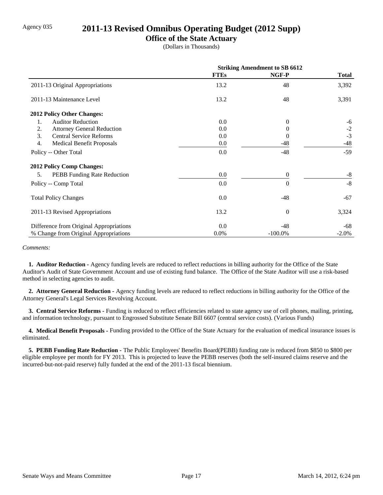## Agency 035 **2011-13 Revised Omnibus Operating Budget (2012 Supp)**

## **Office of the State Actuary**

(Dollars in Thousands)

|                                          | <b>Striking Amendment to SB 6612</b> |            |         |
|------------------------------------------|--------------------------------------|------------|---------|
|                                          | <b>FTEs</b>                          | NGF-P      | Total   |
| 2011-13 Original Appropriations          | 13.2                                 | 48         | 3,392   |
| 2011-13 Maintenance Level                | 13.2                                 | 48         | 3,391   |
| 2012 Policy Other Changes:               |                                      |            |         |
| <b>Auditor Reduction</b><br>1.           | 0.0                                  | $\Omega$   | -6      |
| <b>Attorney General Reduction</b><br>2.  | 0.0                                  | $\theta$   | $-2$    |
| 3.<br><b>Central Service Reforms</b>     | 0.0                                  | $\Omega$   | $-3$    |
| 4.<br><b>Medical Benefit Proposals</b>   | 0.0                                  | -48        | $-48$   |
| Policy -- Other Total                    | 0.0                                  | $-48$      | $-59$   |
| 2012 Policy Comp Changes:                |                                      |            |         |
| 5.<br><b>PEBB</b> Funding Rate Reduction | 0.0                                  | $\theta$   | $-8$    |
| Policy -- Comp Total                     | 0.0                                  | $\theta$   | $-8$    |
| <b>Total Policy Changes</b>              | 0.0                                  | $-48$      | $-67$   |
| 2011-13 Revised Appropriations           | 13.2                                 | $\theta$   | 3,324   |
| Difference from Original Appropriations  | 0.0                                  | -48        | -68     |
| % Change from Original Appropriations    | $0.0\%$                              | $-100.0\%$ | $-2.0%$ |

#### *Comments:*

 **1. Auditor Reduction -** Agency funding levels are reduced to reflect reductions in billing authority for the Office of the State Auditor's Audit of State Government Account and use of existing fund balance. The Office of the State Auditor will use a risk-based method in selecting agencies to audit.

 **2. Attorney General Reduction -** Agency funding levels are reduced to reflect reductions in billing authority for the Office of the Attorney General's Legal Services Revolving Account.

 **3. Central Service Reforms -** Funding is reduced to reflect efficiencies related to state agency use of cell phones, mailing, printing, and information technology, pursuant to Engrossed Substitute Senate Bill 6607 (central service costs). (Various Funds)

 **4. Medical Benefit Proposals -** Funding provided to the Office of the State Actuary for the evaluation of medical insurance issues is eliminated.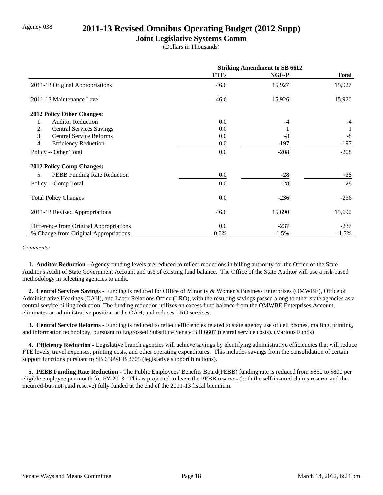## Agency 038 **2011-13 Revised Omnibus Operating Budget (2012 Supp)**

## **Joint Legislative Systems Comm**

(Dollars in Thousands)

|                                         | <b>Striking Amendment to SB 6612</b> |         |              |
|-----------------------------------------|--------------------------------------|---------|--------------|
|                                         | <b>FTEs</b>                          | NGF-P   | <b>Total</b> |
| 2011-13 Original Appropriations         | 46.6                                 | 15,927  | 15,927       |
| 2011-13 Maintenance Level               | 46.6                                 | 15,926  | 15,926       |
| 2012 Policy Other Changes:              |                                      |         |              |
| <b>Auditor Reduction</b><br>1.          | 0.0                                  | $-4$    | $-4$         |
| <b>Central Services Savings</b><br>2.   | 0.0                                  |         |              |
| 3.<br><b>Central Service Reforms</b>    | 0.0                                  | $-8$    | $-8$         |
| 4.<br><b>Efficiency Reduction</b>       | 0.0                                  | -197    | $-197$       |
| Policy -- Other Total                   | 0.0                                  | $-208$  | $-208$       |
| 2012 Policy Comp Changes:               |                                      |         |              |
| PEBB Funding Rate Reduction<br>5.       | 0.0                                  | $-28$   | $-28$        |
| Policy -- Comp Total                    | 0.0                                  | $-28$   | $-28$        |
| <b>Total Policy Changes</b>             | 0.0                                  | $-236$  | $-236$       |
| 2011-13 Revised Appropriations          | 46.6                                 | 15,690  | 15,690       |
| Difference from Original Appropriations | 0.0                                  | $-237$  | $-237$       |
| % Change from Original Appropriations   | 0.0%                                 | $-1.5%$ | $-1.5%$      |

#### *Comments:*

 **1. Auditor Reduction -** Agency funding levels are reduced to reflect reductions in billing authority for the Office of the State Auditor's Audit of State Government Account and use of existing fund balance. The Office of the State Auditor will use a risk-based methodology in selecting agencies to audit.

 **2. Central Services Savings -** Funding is reduced for Office of Minority & Women's Business Enterprises (OMWBE), Office of Administrative Hearings (OAH), and Labor Relations Office (LRO), with the resulting savings passed along to other state agencies as a central service billing reduction. The funding reduction utilizes an excess fund balance from the OMWBE Enterprises Account, eliminates an administrative position at the OAH, and reduces LRO services.

 **3. Central Service Reforms -** Funding is reduced to reflect efficiencies related to state agency use of cell phones, mailing, printing, and information technology, pursuant to Engrossed Substitute Senate Bill 6607 (central service costs). (Various Funds)

**4. Efficiency Reduction -** Legislative branch agencies will achieve savings by identifying administrative efficiencies that will reduce FTE levels, travel expenses, printing costs, and other operating expenditures. This includes savings from the consolidation of certain support functions pursuant to SB 6509/HB 2705 (legislative support functions).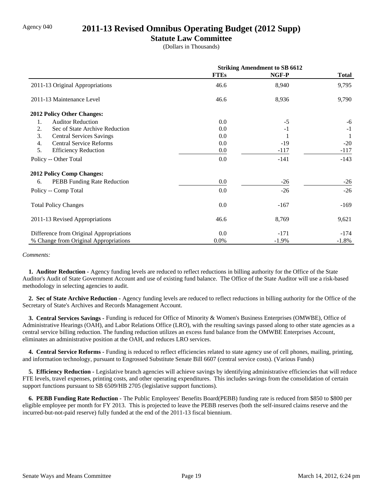## Agency 040 **2011-13 Revised Omnibus Operating Budget (2012 Supp)**

## **Statute Law Committee**

(Dollars in Thousands)

|                                         | <b>Striking Amendment to SB 6612</b> |         |              |
|-----------------------------------------|--------------------------------------|---------|--------------|
|                                         | <b>FTEs</b>                          | NGF-P   | <b>Total</b> |
| 2011-13 Original Appropriations         | 46.6                                 | 8,940   | 9,795        |
| 2011-13 Maintenance Level               | 46.6                                 | 8,936   | 9,790        |
| 2012 Policy Other Changes:              |                                      |         |              |
| <b>Auditor Reduction</b><br>1.          | 0.0                                  | $-5$    | -6           |
| Sec of State Archive Reduction<br>2.    | 0.0                                  | $-1$    | $-1$         |
| 3.<br><b>Central Services Savings</b>   | 0.0                                  |         | 1            |
| <b>Central Service Reforms</b><br>4.    | 0.0                                  | $-19$   | $-20$        |
| 5.<br><b>Efficiency Reduction</b>       | 0.0                                  | $-117$  | $-117$       |
| Policy -- Other Total                   | 0.0                                  | $-141$  | $-143$       |
| 2012 Policy Comp Changes:               |                                      |         |              |
| PEBB Funding Rate Reduction<br>6.       | 0.0                                  | $-26$   | $-26$        |
| Policy -- Comp Total                    | 0.0                                  | $-26$   | $-26$        |
| <b>Total Policy Changes</b>             | 0.0                                  | $-167$  | $-169$       |
| 2011-13 Revised Appropriations          | 46.6                                 | 8,769   | 9,621        |
| Difference from Original Appropriations | 0.0                                  | $-171$  | $-174$       |
| % Change from Original Appropriations   | 0.0%                                 | $-1.9%$ | $-1.8%$      |

#### *Comments:*

 **1. Auditor Reduction -** Agency funding levels are reduced to reflect reductions in billing authority for the Office of the State Auditor's Audit of State Government Account and use of existing fund balance. The Office of the State Auditor will use a risk-based methodology in selecting agencies to audit.

 **2. Sec of State Archive Reduction -** Agency funding levels are reduced to reflect reductions in billing authority for the Office of the Secretary of State's Archives and Records Management Account.

 **3. Central Services Savings -** Funding is reduced for Office of Minority & Women's Business Enterprises (OMWBE), Office of Administrative Hearings (OAH), and Labor Relations Office (LRO), with the resulting savings passed along to other state agencies as a central service billing reduction. The funding reduction utilizes an excess fund balance from the OMWBE Enterprises Account, eliminates an administrative position at the OAH, and reduces LRO services.

 **4. Central Service Reforms -** Funding is reduced to reflect efficiencies related to state agency use of cell phones, mailing, printing, and information technology, pursuant to Engrossed Substitute Senate Bill 6607 (central service costs). (Various Funds)

 **5. Efficiency Reduction -** Legislative branch agencies will achieve savings by identifying administrative efficiencies that will reduce FTE levels, travel expenses, printing costs, and other operating expenditures. This includes savings from the consolidation of certain support functions pursuant to SB 6509/HB 2705 (legislative support functions).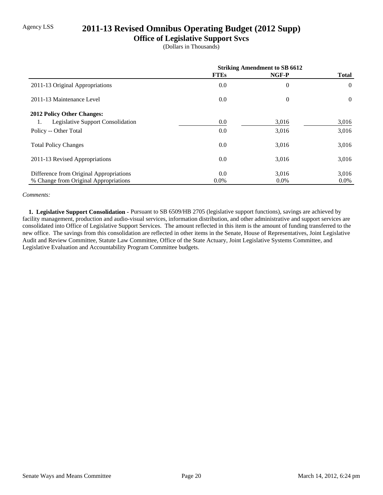## Agency LSS **2011-13 Revised Omnibus Operating Budget (2012 Supp)**

## **Office of Legislative Support Svcs**

(Dollars in Thousands)

|                                         | <b>Striking Amendment to SB 6612</b> |          |              |
|-----------------------------------------|--------------------------------------|----------|--------------|
|                                         | <b>FTEs</b>                          | NGF-P    | <b>Total</b> |
| 2011-13 Original Appropriations         | 0.0                                  | $\theta$ | $\theta$     |
| 2011-13 Maintenance Level               | 0.0                                  | $\theta$ | $\Omega$     |
| 2012 Policy Other Changes:              |                                      |          |              |
| Legislative Support Consolidation<br>1. | 0.0                                  | 3,016    | 3,016        |
| Policy -- Other Total                   | 0.0                                  | 3,016    | 3,016        |
| <b>Total Policy Changes</b>             | 0.0                                  | 3,016    | 3,016        |
| 2011-13 Revised Appropriations          | 0.0                                  | 3,016    | 3,016        |
| Difference from Original Appropriations | 0.0                                  | 3,016    | 3,016        |
| % Change from Original Appropriations   | $0.0\%$                              | $0.0\%$  | $0.0\%$      |

#### *Comments:*

 **1. Legislative Support Consolidation -** Pursuant to SB 6509/HB 2705 (legislative support functions), savings are achieved by facility management, production and audio-visual services, information distribution, and other administrative and support services are consolidated into Office of Legislative Support Services. The amount reflected in this item is the amount of funding transferred to the new office. The savings from this consolidation are reflected in other items in the Senate, House of Representatives, Joint Legislative Audit and Review Committee, Statute Law Committee, Office of the State Actuary, Joint Legislative Systems Committee, and Legislative Evaluation and Accountability Program Committee budgets.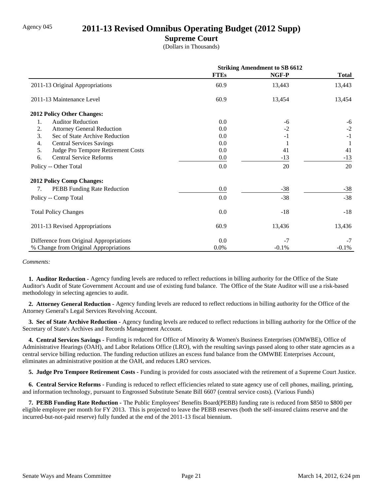## Agency 045 **2011-13 Revised Omnibus Operating Budget (2012 Supp)**

## **Supreme Court**

(Dollars in Thousands)

|                                          | <b>Striking Amendment to SB 6612</b> |         |              |
|------------------------------------------|--------------------------------------|---------|--------------|
|                                          | <b>FTEs</b>                          | NGF-P   | <b>Total</b> |
| 2011-13 Original Appropriations          | 60.9                                 | 13,443  | 13,443       |
| 2011-13 Maintenance Level                | 60.9                                 | 13,454  | 13,454       |
| <b>2012 Policy Other Changes:</b>        |                                      |         |              |
| 1.<br><b>Auditor Reduction</b>           | 0.0                                  | -6      | $-6$         |
| 2.<br><b>Attorney General Reduction</b>  | 0.0                                  | $-2$    | $-2$         |
| 3.<br>Sec of State Archive Reduction     | 0.0                                  | $-1$    | $-1$         |
| <b>Central Services Savings</b><br>4.    | 0.0                                  |         |              |
| 5.<br>Judge Pro Tempore Retirement Costs | 0.0                                  | 41      | 41           |
| <b>Central Service Reforms</b><br>6.     | 0.0                                  | $-13$   | $-13$        |
| Policy -- Other Total                    | 0.0                                  | 20      | 20           |
| <b>2012 Policy Comp Changes:</b>         |                                      |         |              |
| PEBB Funding Rate Reduction<br>7.        | 0.0                                  | $-38$   | $-38$        |
| Policy -- Comp Total                     | 0.0                                  | $-38$   | $-38$        |
| <b>Total Policy Changes</b>              | 0.0                                  | $-18$   | $-18$        |
| 2011-13 Revised Appropriations           | 60.9                                 | 13,436  | 13,436       |
| Difference from Original Appropriations  | 0.0                                  | $-7$    | $-7$         |
| % Change from Original Appropriations    | $0.0\%$                              | $-0.1%$ | $-0.1\%$     |

*Comments:*

 **1. Auditor Reduction -** Agency funding levels are reduced to reflect reductions in billing authority for the Office of the State Auditor's Audit of State Government Account and use of existing fund balance. The Office of the State Auditor will use a risk-based methodology in selecting agencies to audit.

 **2. Attorney General Reduction -** Agency funding levels are reduced to reflect reductions in billing authority for the Office of the Attorney General's Legal Services Revolving Account.

 **3. Sec of State Archive Reduction -** Agency funding levels are reduced to reflect reductions in billing authority for the Office of the Secretary of State's Archives and Records Management Account.

 **4. Central Services Savings -** Funding is reduced for Office of Minority & Women's Business Enterprises (OMWBE), Office of Administrative Hearings (OAH), and Labor Relations Office (LRO), with the resulting savings passed along to other state agencies as a central service billing reduction. The funding reduction utilizes an excess fund balance from the OMWBE Enterprises Account, eliminates an administrative position at the OAH, and reduces LRO services.

 **5. Judge Pro Tempore Retirement Costs -** Funding is provided for costs associated with the retirement of a Supreme Court Justice.

 **6. Central Service Reforms -** Funding is reduced to reflect efficiencies related to state agency use of cell phones, mailing, printing, and information technology, pursuant to Engrossed Substitute Senate Bill 6607 (central service costs). (Various Funds)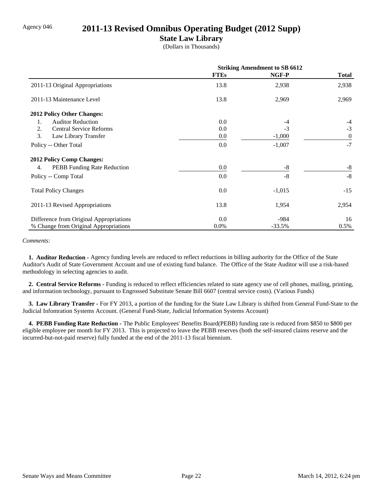## Agency 046 **2011-13 Revised Omnibus Operating Budget (2012 Supp)**

## **State Law Library**

(Dollars in Thousands)

|                                          | <b>Striking Amendment to SB 6612</b> |          |                  |
|------------------------------------------|--------------------------------------|----------|------------------|
|                                          | <b>FTEs</b>                          | NGF-P    | <b>Total</b>     |
| 2011-13 Original Appropriations          | 13.8                                 | 2,938    | 2,938            |
| 2011-13 Maintenance Level                | 13.8                                 | 2,969    | 2,969            |
| 2012 Policy Other Changes:               |                                      |          |                  |
| <b>Auditor Reduction</b><br>1.           | 0.0                                  | -4       | $-4$             |
| 2.<br><b>Central Service Reforms</b>     | 0.0                                  | $-3$     | $-3$             |
| 3.<br>Law Library Transfer               | 0.0                                  | $-1,000$ | $\boldsymbol{0}$ |
| Policy -- Other Total                    | 0.0                                  | $-1,007$ | $-7$             |
| 2012 Policy Comp Changes:                |                                      |          |                  |
| <b>PEBB</b> Funding Rate Reduction<br>4. | 0.0                                  | $-8$     | $-8$             |
| Policy -- Comp Total                     | 0.0                                  | $-8$     | $-8$             |
| <b>Total Policy Changes</b>              | 0.0                                  | $-1,015$ | $-15$            |
| 2011-13 Revised Appropriations           | 13.8                                 | 1,954    | 2,954            |
| Difference from Original Appropriations  | 0.0                                  | $-984$   | 16               |
| % Change from Original Appropriations    | 0.0%                                 | $-33.5%$ | 0.5%             |

*Comments:*

 **1. Auditor Reduction -** Agency funding levels are reduced to reflect reductions in billing authority for the Office of the State Auditor's Audit of State Government Account and use of existing fund balance. The Office of the State Auditor will use a risk-based methodology in selecting agencies to audit.

 **2. Central Service Reforms -** Funding is reduced to reflect efficiencies related to state agency use of cell phones, mailing, printing, and information technology, pursuant to Engrossed Substitute Senate Bill 6607 (central service costs). (Various Funds)

 **3. Law Library Transfer -** For FY 2013, a portion of the funding for the State Law Library is shifted from General Fund-State to the Judicial Infomration Systems Account. (General Fund-State, Judicial Information Systems Account)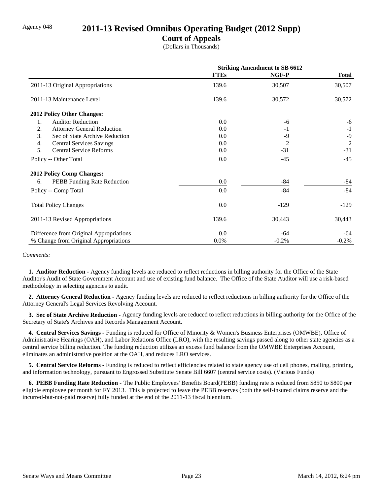## Agency 048 **2011-13 Revised Omnibus Operating Budget (2012 Supp)**

## **Court of Appeals**

(Dollars in Thousands)

|                                         | <b>Striking Amendment to SB 6612</b> |         |                |
|-----------------------------------------|--------------------------------------|---------|----------------|
|                                         | <b>FTEs</b>                          | NGF-P   | <b>Total</b>   |
| 2011-13 Original Appropriations         | 139.6                                | 30,507  | 30,507         |
| 2011-13 Maintenance Level               | 139.6                                | 30,572  | 30,572         |
| 2012 Policy Other Changes:              |                                      |         |                |
| <b>Auditor Reduction</b><br>1.          | 0.0                                  | -6      | -6             |
| 2.<br><b>Attorney General Reduction</b> | 0.0                                  | $-1$    | $-1$           |
| 3.<br>Sec of State Archive Reduction    | 0.0                                  | -9      | $-9$           |
| 4.<br><b>Central Services Savings</b>   | 0.0                                  | 2       | $\overline{2}$ |
| 5.<br><b>Central Service Reforms</b>    | 0.0                                  | $-31$   | $-31$          |
| Policy -- Other Total                   | 0.0                                  | $-45$   | $-45$          |
| <b>2012 Policy Comp Changes:</b>        |                                      |         |                |
| PEBB Funding Rate Reduction<br>6.       | 0.0                                  | $-84$   | -84            |
| Policy -- Comp Total                    | 0.0                                  | $-84$   | $-84$          |
| <b>Total Policy Changes</b>             | 0.0                                  | $-129$  | $-129$         |
| 2011-13 Revised Appropriations          | 139.6                                | 30,443  | 30,443         |
| Difference from Original Appropriations | 0.0                                  | -64     | -64            |
| % Change from Original Appropriations   | 0.0%                                 | $-0.2%$ | $-0.2%$        |

#### *Comments:*

 **1. Auditor Reduction -** Agency funding levels are reduced to reflect reductions in billing authority for the Office of the State Auditor's Audit of State Government Account and use of existing fund balance. The Office of the State Auditor will use a risk-based methodology in selecting agencies to audit.

 **2. Attorney General Reduction -** Agency funding levels are reduced to reflect reductions in billing authority for the Office of the Attorney General's Legal Services Revolving Account.

 **3. Sec of State Archive Reduction -** Agency funding levels are reduced to reflect reductions in billing authority for the Office of the Secretary of State's Archives and Records Management Account.

 **4. Central Services Savings -** Funding is reduced for Office of Minority & Women's Business Enterprises (OMWBE), Office of Administrative Hearings (OAH), and Labor Relations Office (LRO), with the resulting savings passed along to other state agencies as a central service billing reduction. The funding reduction utilizes an excess fund balance from the OMWBE Enterprises Account, eliminates an administrative position at the OAH, and reduces LRO services.

 **5. Central Service Reforms -** Funding is reduced to reflect efficiencies related to state agency use of cell phones, mailing, printing, and information technology, pursuant to Engrossed Substitute Senate Bill 6607 (central service costs). (Various Funds)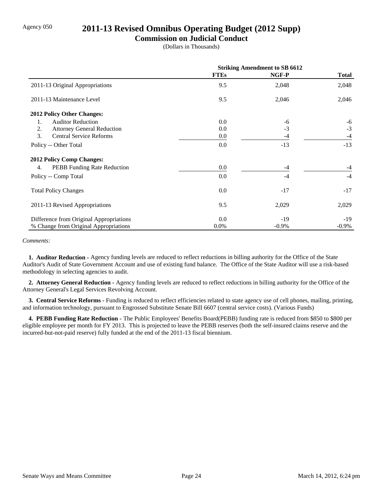## Agency 050 **2011-13 Revised Omnibus Operating Budget (2012 Supp)**

## **Commission on Judicial Conduct**

(Dollars in Thousands)

|                                         | <b>Striking Amendment to SB 6612</b> |          |              |
|-----------------------------------------|--------------------------------------|----------|--------------|
|                                         | <b>FTEs</b>                          | NGF-P    | <b>Total</b> |
| 2011-13 Original Appropriations         | 9.5                                  | 2,048    | 2,048        |
| 2011-13 Maintenance Level               | 9.5                                  | 2,046    | 2,046        |
| <b>2012 Policy Other Changes:</b>       |                                      |          |              |
| <b>Auditor Reduction</b><br>1.          | 0.0                                  | -6       | $-6$         |
| 2.<br><b>Attorney General Reduction</b> | 0.0                                  | $-3$     | $-3$         |
| 3.<br><b>Central Service Reforms</b>    | 0.0                                  | -4       | $-4$         |
| Policy -- Other Total                   | 0.0                                  | $-13$    | $-13$        |
| <b>2012 Policy Comp Changes:</b>        |                                      |          |              |
| PEBB Funding Rate Reduction<br>4.       | 0.0                                  | -4       |              |
| Policy -- Comp Total                    | 0.0                                  | $-4$     | $-4$         |
| <b>Total Policy Changes</b>             | 0.0                                  | $-17$    | $-17$        |
| 2011-13 Revised Appropriations          | 9.5                                  | 2,029    | 2,029        |
| Difference from Original Appropriations | 0.0                                  | $-19$    | $-19$        |
| % Change from Original Appropriations   | $0.0\%$                              | $-0.9\%$ | $-0.9\%$     |

*Comments:*

 **1. Auditor Reduction -** Agency funding levels are reduced to reflect reductions in billing authority for the Office of the State Auditor's Audit of State Government Account and use of existing fund balance. The Office of the State Auditor will use a risk-based methodology in selecting agencies to audit.

 **2. Attorney General Reduction -** Agency funding levels are reduced to reflect reductions in billing authority for the Office of the Attorney General's Legal Services Revolving Account.

 **3. Central Service Reforms -** Funding is reduced to reflect efficiencies related to state agency use of cell phones, mailing, printing, and information technology, pursuant to Engrossed Substitute Senate Bill 6607 (central service costs). (Various Funds)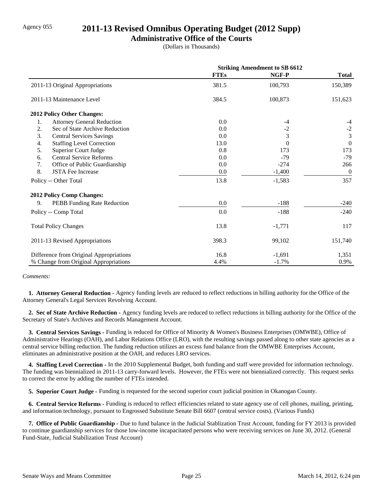## Agency 055 **2011-13 Revised Omnibus Operating Budget (2012 Supp)**

## **Administrative Office of the Courts**

(Dollars in Thousands)

|                                         | <b>Striking Amendment to SB 6612</b> |          |                |
|-----------------------------------------|--------------------------------------|----------|----------------|
|                                         | <b>FTEs</b>                          | NGF-P    | <b>Total</b>   |
| 2011-13 Original Appropriations         | 381.5                                | 100,793  | 150,389        |
| 2011-13 Maintenance Level               | 384.5                                | 100,873  | 151,623        |
| 2012 Policy Other Changes:              |                                      |          |                |
| <b>Attorney General Reduction</b><br>1. | 0.0                                  | -4       | $-4$           |
| 2.<br>Sec of State Archive Reduction    | 0.0                                  | $-2$     | $-2$           |
| 3.<br><b>Central Services Savings</b>   | 0.0                                  | 3        | $\overline{3}$ |
| 4.<br><b>Staffing Level Correction</b>  | 13.0                                 | $\Omega$ | $\Omega$       |
| 5.<br><b>Superior Court Judge</b>       | 0.8                                  | 173      | 173            |
| <b>Central Service Reforms</b><br>6.    | 0.0                                  | $-79$    | $-79$          |
| 7.<br>Office of Public Guardianship     | 0.0                                  | $-274$   | 266            |
| 8.<br><b>JSTA Fee Increase</b>          | 0.0                                  | $-1,400$ | $\overline{0}$ |
| Policy -- Other Total                   | 13.8                                 | $-1,583$ | 357            |
| <b>2012 Policy Comp Changes:</b>        |                                      |          |                |
| 9.<br>PEBB Funding Rate Reduction       | 0.0                                  | $-188$   | $-240$         |
| Policy -- Comp Total                    | 0.0                                  | $-188$   | $-240$         |
| <b>Total Policy Changes</b>             | 13.8                                 | $-1,771$ | 117            |
| 2011-13 Revised Appropriations          | 398.3                                | 99,102   | 151,740        |
| Difference from Original Appropriations | 16.8                                 | $-1,691$ | 1,351          |
| % Change from Original Appropriations   | 4.4%                                 | $-1.7%$  | 0.9%           |

#### *Comments:*

 **1. Attorney General Reduction -** Agency funding levels are reduced to reflect reductions in billing authority for the Office of the Attorney General's Legal Services Revolving Account.

 **2. Sec of State Archive Reduction -** Agency funding levels are reduced to reflect reductions in billing authority for the Office of the Secretary of State's Archives and Records Management Account.

 **3. Central Services Savings -** Funding is reduced for Office of Minority & Women's Business Enterprises (OMWBE), Office of Administrative Hearings (OAH), and Labor Relations Office (LRO), with the resulting savings passed along to other state agencies as a central service billing reduction. The funding reduction utilizes an excess fund balance from the OMWBE Enterprises Account, eliminates an administrative position at the OAH, and reduces LRO services.

 **4. Staffing Level Correction -** In the 2010 Supplemental Budget, both funding and staff were provided for information technology. The funding was biennialized in 2011-13 carry-forward levels. However, the FTEs were not biennialized correctly. This request seeks to correct the error by adding the number of FTEs intended.

 **5. Superior Court Judge -** Funding is requested for the second superior court judicial position in Okanogan County.

 **6. Central Service Reforms -** Funding is reduced to reflect efficiencies related to state agency use of cell phones, mailing, printing, and information technology, pursuant to Engrossed Substitute Senate Bill 6607 (central service costs). (Various Funds)

 **7. Office of Public Guardianship -** Due to fund balance in the Judicial Stablization Trust Account, funding for FY 2013 is provided to continue guardianship services for those low-income incapacitated persons who were receiving services on June 30, 2012. (General Fund-State, Judicial Stabilization Trust Account)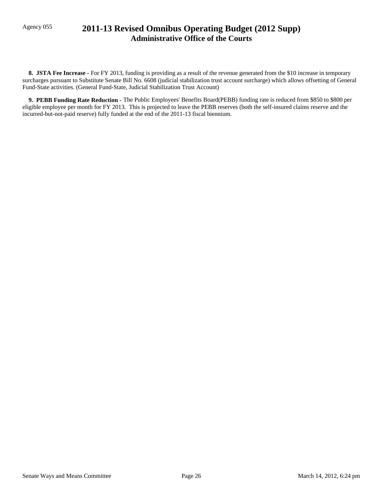## Agency 055 **2011-13 Revised Omnibus Operating Budget (2012 Supp) Administrative Office of the Courts**

**8. JSTA Fee Increase -** For FY 2013, funding is providing as a result of the revenue generated from the \$10 increase in temporary surcharges pursuant to Substitute Senate Bill No. 6608 (judicial stabilization trust account surcharge) which allows offsetting of General Fund-State activities. (General Fund-State, Judicial Stabilization Trust Account)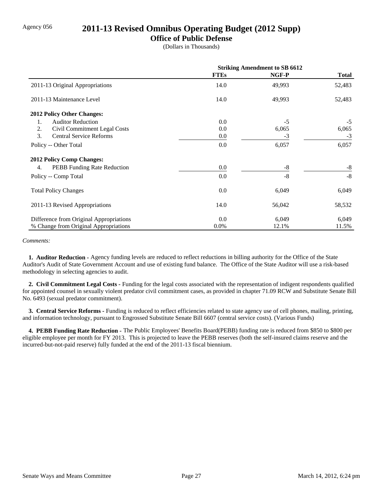## Agency 056 **2011-13 Revised Omnibus Operating Budget (2012 Supp)**

## **Office of Public Defense**

(Dollars in Thousands)

|                                         | <b>Striking Amendment to SB 6612</b> |        |              |
|-----------------------------------------|--------------------------------------|--------|--------------|
|                                         | <b>FTEs</b>                          | NGF-P  | <b>Total</b> |
| 2011-13 Original Appropriations         | 14.0                                 | 49,993 | 52,483       |
| 2011-13 Maintenance Level               | 14.0                                 | 49,993 | 52,483       |
| <b>2012 Policy Other Changes:</b>       |                                      |        |              |
| <b>Auditor Reduction</b><br>1.          | 0.0                                  | $-5$   | $-5$         |
| 2.<br>Civil Commitment Legal Costs      | 0.0                                  | 6,065  | 6,065        |
| 3.<br><b>Central Service Reforms</b>    | 0.0                                  | $-3$   | $-3$         |
| Policy -- Other Total                   | 0.0                                  | 6,057  | 6,057        |
| 2012 Policy Comp Changes:               |                                      |        |              |
| PEBB Funding Rate Reduction<br>4.       | 0.0                                  | -8     | -8           |
| Policy -- Comp Total                    | 0.0                                  | $-8$   | $-8$         |
| <b>Total Policy Changes</b>             | 0.0                                  | 6,049  | 6,049        |
| 2011-13 Revised Appropriations          | 14.0                                 | 56,042 | 58,532       |
| Difference from Original Appropriations | 0.0                                  | 6,049  | 6,049        |
| % Change from Original Appropriations   | $0.0\%$                              | 12.1%  | 11.5%        |

#### *Comments:*

 **1. Auditor Reduction -** Agency funding levels are reduced to reflect reductions in billing authority for the Office of the State Auditor's Audit of State Government Account and use of existing fund balance. The Office of the State Auditor will use a risk-based methodology in selecting agencies to audit.

 **2. Civil Commitment Legal Costs -** Funding for the legal costs associated with the representation of indigent respondents qualified for appointed counsel in sexually violent predator civil commitment cases, as provided in chapter 71.09 RCW and Substitute Senate Bill No. 6493 (sexual predator commitment).

 **3. Central Service Reforms -** Funding is reduced to reflect efficiencies related to state agency use of cell phones, mailing, printing, and information technology, pursuant to Engrossed Substitute Senate Bill 6607 (central service costs). (Various Funds)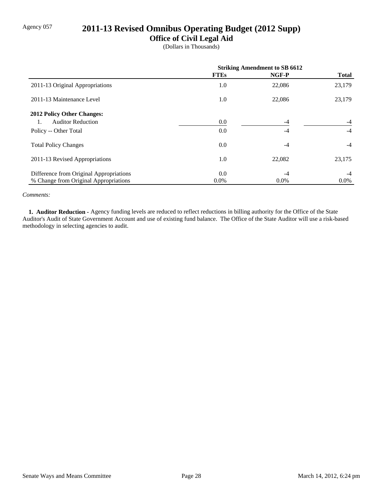# Agency 057 **2011-13 Revised Omnibus Operating Budget (2012 Supp)**

## **Office of Civil Legal Aid**

(Dollars in Thousands)

|                                         | <b>Striking Amendment to SB 6612</b> |         |              |
|-----------------------------------------|--------------------------------------|---------|--------------|
|                                         | <b>FTEs</b>                          | NGF-P   | <b>Total</b> |
| 2011-13 Original Appropriations         | 1.0                                  | 22,086  | 23,179       |
| 2011-13 Maintenance Level               | 1.0                                  | 22,086  | 23,179       |
| 2012 Policy Other Changes:              |                                      |         |              |
| <b>Auditor Reduction</b>                | 0.0                                  | $-4$    | $-4$         |
| Policy -- Other Total                   | 0.0                                  | $-4$    | $-4$         |
| <b>Total Policy Changes</b>             | 0.0                                  | $-4$    | $-4$         |
| 2011-13 Revised Appropriations          | 1.0                                  | 22,082  | 23,175       |
| Difference from Original Appropriations | 0.0                                  | $-4$    | $-4$         |
| % Change from Original Appropriations   | $0.0\%$                              | $0.0\%$ | $0.0\%$      |

#### *Comments:*

 **1. Auditor Reduction -** Agency funding levels are reduced to reflect reductions in billing authority for the Office of the State Auditor's Audit of State Government Account and use of existing fund balance. The Office of the State Auditor will use a risk-based methodology in selecting agencies to audit.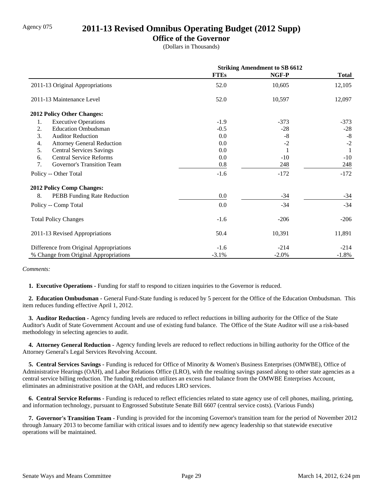## Agency 075 **2011-13 Revised Omnibus Operating Budget (2012 Supp)**

## **Office of the Governor**

(Dollars in Thousands)

|                                         | <b>Striking Amendment to SB 6612</b> |         |              |
|-----------------------------------------|--------------------------------------|---------|--------------|
|                                         | <b>FTEs</b>                          | NGF-P   | <b>Total</b> |
| 2011-13 Original Appropriations         | 52.0                                 | 10,605  | 12,105       |
| 2011-13 Maintenance Level               | 52.0                                 | 10,597  | 12,097       |
| 2012 Policy Other Changes:              |                                      |         |              |
| <b>Executive Operations</b><br>1.       | $-1.9$                               | $-373$  | $-373$       |
| <b>Education Ombudsman</b><br>2.        | $-0.5$                               | $-28$   | $-28$        |
| 3.<br><b>Auditor Reduction</b>          | 0.0                                  | $-8$    | $-8$         |
| <b>Attorney General Reduction</b><br>4. | 0.0                                  | $-2$    | $-2$         |
| 5.<br><b>Central Services Savings</b>   | 0.0                                  |         |              |
| <b>Central Service Reforms</b><br>6.    | 0.0                                  | $-10$   | $-10$        |
| 7.<br>Governor's Transition Team        | 0.8                                  | 248     | 248          |
| Policy -- Other Total                   | $-1.6$                               | $-172$  | $-172$       |
| <b>2012 Policy Comp Changes:</b>        |                                      |         |              |
| 8.<br>PEBB Funding Rate Reduction       | $0.0\,$                              | $-34$   | $-34$        |
| Policy -- Comp Total                    | 0.0                                  | $-34$   | $-34$        |
| <b>Total Policy Changes</b>             | $-1.6$                               | $-206$  | $-206$       |
| 2011-13 Revised Appropriations          | 50.4                                 | 10,391  | 11,891       |
| Difference from Original Appropriations | $-1.6$                               | $-214$  | $-214$       |
| % Change from Original Appropriations   | $-3.1%$                              | $-2.0%$ | $-1.8%$      |

*Comments:*

 **1. Executive Operations -** Funding for staff to respond to citizen inquiries to the Governor is reduced.

 **2. Education Ombudsman -** General Fund-State funding is reduced by 5 percent for the Office of the Education Ombudsman. This item reduces funding effective April 1, 2012.

 **3. Auditor Reduction -** Agency funding levels are reduced to reflect reductions in billing authority for the Office of the State Auditor's Audit of State Government Account and use of existing fund balance. The Office of the State Auditor will use a risk-based methodology in selecting agencies to audit.

 **4. Attorney General Reduction -** Agency funding levels are reduced to reflect reductions in billing authority for the Office of the Attorney General's Legal Services Revolving Account.

 **5. Central Services Savings -** Funding is reduced for Office of Minority & Women's Business Enterprises (OMWBE), Office of Administrative Hearings (OAH), and Labor Relations Office (LRO), with the resulting savings passed along to other state agencies as a central service billing reduction. The funding reduction utilizes an excess fund balance from the OMWBE Enterprises Account, eliminates an administrative position at the OAH, and reduces LRO services.

 **6. Central Service Reforms -** Funding is reduced to reflect efficiencies related to state agency use of cell phones, mailing, printing, and information technology, pursuant to Engrossed Substitute Senate Bill 6607 (central service costs). (Various Funds)

 **7. Governor's Transition Team -** Funding is provided for the incoming Governor's transition team for the period of November 2012 through January 2013 to become familiar with critical issues and to identify new agency leadership so that statewide executive operations will be maintained.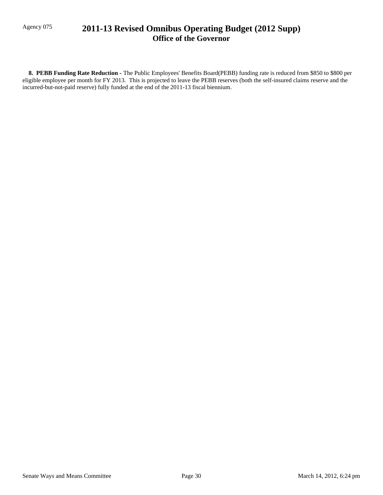## Agency 075 **2011-13 Revised Omnibus Operating Budget (2012 Supp) Office of the Governor**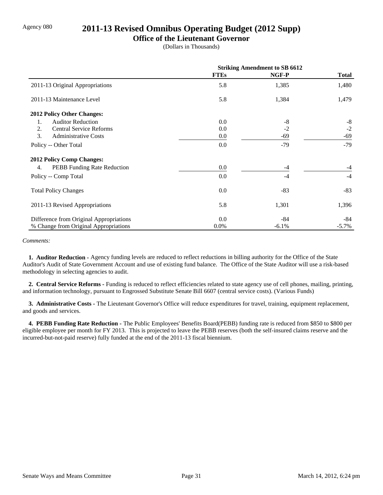## Agency 080 **2011-13 Revised Omnibus Operating Budget (2012 Supp)**

### **Office of the Lieutenant Governor**

(Dollars in Thousands)

|                                          | <b>Striking Amendment to SB 6612</b> |         |              |
|------------------------------------------|--------------------------------------|---------|--------------|
|                                          | <b>FTEs</b>                          | NGF-P   | <b>Total</b> |
| 2011-13 Original Appropriations          | 5.8                                  | 1,385   | 1,480        |
| 2011-13 Maintenance Level                | 5.8                                  | 1,384   | 1,479        |
| <b>2012 Policy Other Changes:</b>        |                                      |         |              |
| <b>Auditor Reduction</b><br>1.           | 0.0                                  | $-8$    | $-8$         |
| 2.<br><b>Central Service Reforms</b>     | 0.0                                  | $-2$    | $-2$         |
| 3.<br><b>Administrative Costs</b>        | 0.0                                  | -69     | $-69$        |
| Policy -- Other Total                    | 0.0                                  | $-79$   | $-79$        |
| 2012 Policy Comp Changes:                |                                      |         |              |
| <b>PEBB</b> Funding Rate Reduction<br>4. | 0.0                                  | $-4$    | $-4$         |
| Policy -- Comp Total                     | 0.0                                  | $-4$    | $-4$         |
| <b>Total Policy Changes</b>              | 0.0                                  | $-83$   | $-83$        |
| 2011-13 Revised Appropriations           | 5.8                                  | 1,301   | 1,396        |
| Difference from Original Appropriations  | 0.0                                  | $-84$   | -84          |
| % Change from Original Appropriations    | $0.0\%$                              | $-6.1%$ | $-5.7\%$     |

#### *Comments:*

 **1. Auditor Reduction -** Agency funding levels are reduced to reflect reductions in billing authority for the Office of the State Auditor's Audit of State Government Account and use of existing fund balance. The Office of the State Auditor will use a risk-based methodology in selecting agencies to audit.

 **2. Central Service Reforms -** Funding is reduced to reflect efficiencies related to state agency use of cell phones, mailing, printing, and information technology, pursuant to Engrossed Substitute Senate Bill 6607 (central service costs). (Various Funds)

 **3. Administrative Costs -** The Lieutenant Governor's Office will reduce expenditures for travel, training, equipment replacement, and goods and services.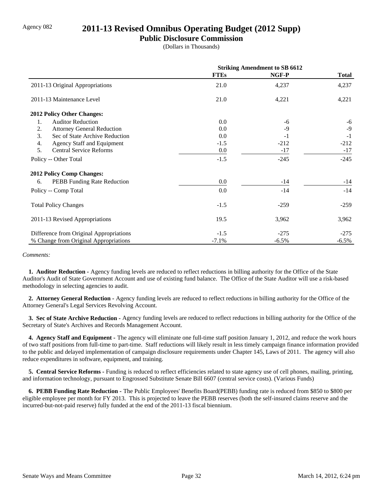## Agency 082 **2011-13 Revised Omnibus Operating Budget (2012 Supp)**

### **Public Disclosure Commission**

(Dollars in Thousands)

|                                         | <b>Striking Amendment to SB 6612</b> |          |              |
|-----------------------------------------|--------------------------------------|----------|--------------|
|                                         | <b>FTEs</b>                          | NGF-P    | <b>Total</b> |
| 2011-13 Original Appropriations         | 21.0                                 | 4,237    | 4,237        |
| 2011-13 Maintenance Level               | 21.0                                 | 4,221    | 4,221        |
| <b>2012 Policy Other Changes:</b>       |                                      |          |              |
| <b>Auditor Reduction</b><br>1.          | 0.0                                  | -6       | -6           |
| 2.<br><b>Attorney General Reduction</b> | 0.0                                  | $-9$     | $-9$         |
| 3.<br>Sec of State Archive Reduction    | 0.0                                  | $-1$     | $-1$         |
| 4.<br><b>Agency Staff and Equipment</b> | $-1.5$                               | $-212$   | $-212$       |
| 5.<br><b>Central Service Reforms</b>    | 0.0                                  | $-17$    | $-17$        |
| Policy -- Other Total                   | $-1.5$                               | $-245$   | $-245$       |
| <b>2012 Policy Comp Changes:</b>        |                                      |          |              |
| PEBB Funding Rate Reduction<br>6.       | 0.0                                  | $-14$    | $-14$        |
| Policy -- Comp Total                    | 0.0                                  | $-14$    | $-14$        |
| <b>Total Policy Changes</b>             | $-1.5$                               | $-259$   | $-259$       |
| 2011-13 Revised Appropriations          | 19.5                                 | 3,962    | 3,962        |
| Difference from Original Appropriations | $-1.5$                               | $-275$   | $-275$       |
| % Change from Original Appropriations   | $-7.1%$                              | $-6.5\%$ | $-6.5\%$     |

#### *Comments:*

 **1. Auditor Reduction -** Agency funding levels are reduced to reflect reductions in billing authority for the Office of the State Auditor's Audit of State Government Account and use of existing fund balance. The Office of the State Auditor will use a risk-based methodology in selecting agencies to audit.

 **2. Attorney General Reduction -** Agency funding levels are reduced to reflect reductions in billing authority for the Office of the Attorney General's Legal Services Revolving Account.

 **3. Sec of State Archive Reduction -** Agency funding levels are reduced to reflect reductions in billing authority for the Office of the Secretary of State's Archives and Records Management Account.

 **4. Agency Staff and Equipment -** The agency will eliminate one full-time staff position January 1, 2012, and reduce the work hours of two staff positions from full-time to part-time. Staff reductions will likely result in less timely campaign finance information provided to the public and delayed implementation of campaign disclosure requirements under Chapter 145, Laws of 2011. The agency will also reduce expenditures in software, equipment, and training.

 **5. Central Service Reforms -** Funding is reduced to reflect efficiencies related to state agency use of cell phones, mailing, printing, and information technology, pursuant to Engrossed Substitute Senate Bill 6607 (central service costs). (Various Funds)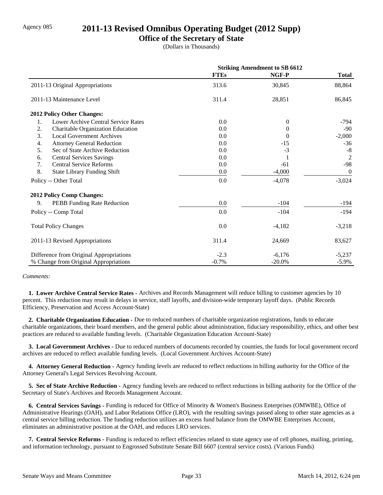## Agency 085 **2011-13 Revised Omnibus Operating Budget (2012 Supp)**

### **Office of the Secretary of State**

(Dollars in Thousands)

|                                           | <b>Striking Amendment to SB 6612</b> |           |                  |
|-------------------------------------------|--------------------------------------|-----------|------------------|
|                                           | <b>FTEs</b>                          | NGF-P     | <b>Total</b>     |
| 2011-13 Original Appropriations           | 313.6                                | 30,845    | 88,864           |
| 2011-13 Maintenance Level                 | 311.4                                | 28,851    | 86,845           |
| 2012 Policy Other Changes:                |                                      |           |                  |
| Lower Archive Central Service Rates<br>1. | 0.0                                  | $\Omega$  | $-794$           |
| 2.<br>Charitable Organization Education   | 0.0                                  | $\theta$  | $-90$            |
| 3.<br><b>Local Government Archives</b>    | 0.0                                  | $\Omega$  | $-2,000$         |
| 4.<br><b>Attorney General Reduction</b>   | 0.0                                  | $-15$     | $-36$            |
| 5.<br>Sec of State Archive Reduction      | 0.0                                  | $-3$      | $-8$             |
| <b>Central Services Savings</b><br>6.     | 0.0                                  |           | $\overline{2}$   |
| <b>Central Service Reforms</b><br>7.      | 0.0                                  | $-61$     | $-98$            |
| 8.<br><b>State Library Funding Shift</b>  | 0.0                                  | $-4,000$  | $\boldsymbol{0}$ |
| Policy -- Other Total                     | 0.0                                  | $-4,078$  | $-3,024$         |
| <b>2012 Policy Comp Changes:</b>          |                                      |           |                  |
| 9.<br>PEBB Funding Rate Reduction         | 0.0                                  | $-104$    | $-194$           |
| Policy -- Comp Total                      | 0.0                                  | $-104$    | $-194$           |
| <b>Total Policy Changes</b>               | 0.0                                  | $-4,182$  | $-3,218$         |
| 2011-13 Revised Appropriations            | 311.4                                | 24,669    | 83,627           |
| Difference from Original Appropriations   | $-2.3$                               | $-6,176$  | $-5,237$         |
| % Change from Original Appropriations     | $-0.7%$                              | $-20.0\%$ | $-5.9\%$         |

#### *Comments:*

 **1. Lower Archive Central Service Rates -** Archives and Records Management will reduce billing to customer agencies by 10 percent. This reduction may result in delays in service, staff layoffs, and division-wide temporary layoff days. (Public Records Efficiency, Preservation and Access Account-State)

 **2. Charitable Organization Education -** Due to reduced numbers of charitable organization registrations, funds to educate charitable organizations, their board members, and the general public about administration, fiduciary responsibility, ethics, and other best practices are reduced to available funding levels. (Charitable Organization Education Account-State)

 **3. Local Government Archives -** Due to reduced numbers of documents recorded by counties, the funds for local government record archives are reduced to reflect available funding levels. (Local Government Archives Account-State)

 **4. Attorney General Reduction -** Agency funding levels are reduced to reflect reductions in billing authority for the Office of the Attorney General's Legal Services Revolving Account.

 **5. Sec of State Archive Reduction -** Agency funding levels are reduced to reflect reductions in billing authority for the Office of the Secretary of State's Archives and Records Management Account.

 **6. Central Services Savings -** Funding is reduced for Office of Minority & Women's Business Enterprises (OMWBE), Office of Administrative Hearings (OAH), and Labor Relations Office (LRO), with the resulting savings passed along to other state agencies as a central service billing reduction. The funding reduction utilizes an excess fund balance from the OMWBE Enterprises Account, eliminates an administrative position at the OAH, and reduces LRO services.

 **7. Central Service Reforms -** Funding is reduced to reflect efficiencies related to state agency use of cell phones, mailing, printing, and information technology, pursuant to Engrossed Substitute Senate Bill 6607 (central service costs). (Various Funds)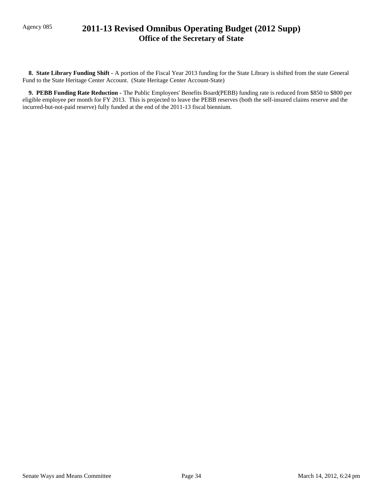## Agency 085 **2011-13 Revised Omnibus Operating Budget (2012 Supp) Office of the Secretary of State**

 **8. State Library Funding Shift -** A portion of the Fiscal Year 2013 funding for the State Library is shifted from the state General Fund to the State Heritage Center Account. (State Heritage Center Account-State)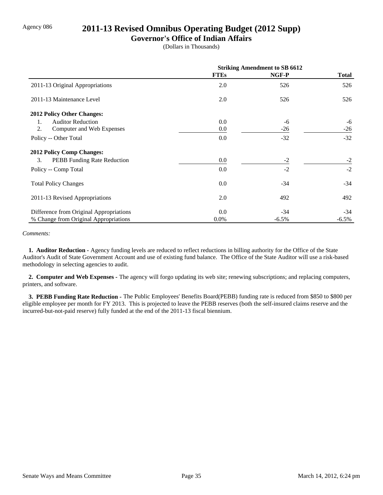## Agency 086 **2011-13 Revised Omnibus Operating Budget (2012 Supp)**

### **Governor's Office of Indian Affairs**

(Dollars in Thousands)

|                                          | <b>Striking Amendment to SB 6612</b> |          |          |
|------------------------------------------|--------------------------------------|----------|----------|
|                                          | <b>FTEs</b>                          | NGF-P    | Total    |
| 2011-13 Original Appropriations          | 2.0                                  | 526      | 526      |
| 2011-13 Maintenance Level                | 2.0                                  | 526      | 526      |
| 2012 Policy Other Changes:               |                                      |          |          |
| <b>Auditor Reduction</b><br>1.           | 0.0                                  | -6       | -6       |
| 2.<br>Computer and Web Expenses          | 0.0                                  | $-26$    | $-26$    |
| Policy -- Other Total                    | 0.0                                  | $-32$    | $-32$    |
| <b>2012 Policy Comp Changes:</b>         |                                      |          |          |
| 3.<br><b>PEBB</b> Funding Rate Reduction | 0.0                                  | $-2$     | $-2$     |
| Policy -- Comp Total                     | 0.0                                  | $-2$     | $-2$     |
| <b>Total Policy Changes</b>              | 0.0                                  | $-34$    | $-34$    |
| 2011-13 Revised Appropriations           | 2.0                                  | 492      | 492      |
| Difference from Original Appropriations  | 0.0                                  | $-34$    | $-34$    |
| % Change from Original Appropriations    | $0.0\%$                              | $-6.5\%$ | $-6.5\%$ |

#### *Comments:*

 **1. Auditor Reduction -** Agency funding levels are reduced to reflect reductions in billing authority for the Office of the State Auditor's Audit of State Government Account and use of existing fund balance. The Office of the State Auditor will use a risk-based methodology in selecting agencies to audit.

 **2. Computer and Web Expenses -** The agency will forgo updating its web site; renewing subscriptions; and replacing computers, printers, and software.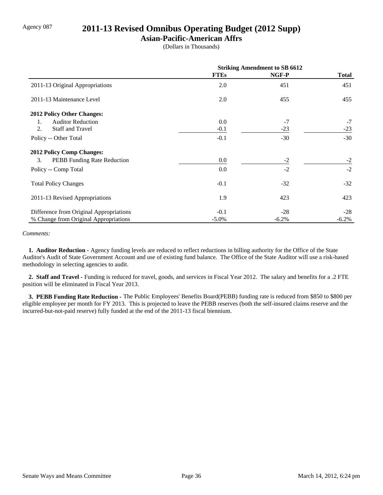## Agency 087 **2011-13 Revised Omnibus Operating Budget (2012 Supp)**

### **Asian-Pacific-American Affrs**

(Dollars in Thousands)

|                                         | <b>Striking Amendment to SB 6612</b> |          |              |
|-----------------------------------------|--------------------------------------|----------|--------------|
|                                         | <b>FTEs</b>                          | NGF-P    | <b>Total</b> |
| 2011-13 Original Appropriations         | 2.0                                  | 451      | 451          |
| 2011-13 Maintenance Level               | 2.0                                  | 455      | 455          |
| 2012 Policy Other Changes:              |                                      |          |              |
| <b>Auditor Reduction</b><br>1.          | 0.0                                  | $-7$     | $-7$         |
| 2.<br><b>Staff and Travel</b>           | $-0.1$                               | $-23$    | $-23$        |
| Policy -- Other Total                   | $-0.1$                               | $-30$    | $-30$        |
| <b>2012 Policy Comp Changes:</b>        |                                      |          |              |
| 3.<br>PEBB Funding Rate Reduction       | 0.0                                  | $-2$     | $-2$         |
| Policy -- Comp Total                    | 0.0                                  | $-2$     | $-2$         |
| <b>Total Policy Changes</b>             | $-0.1$                               | $-32$    | $-32$        |
| 2011-13 Revised Appropriations          | 1.9                                  | 423      | 423          |
| Difference from Original Appropriations | $-0.1$                               | $-28$    | $-28$        |
| % Change from Original Appropriations   | $-5.0\%$                             | $-6.2\%$ | $-6.2%$      |

#### *Comments:*

 **1. Auditor Reduction -** Agency funding levels are reduced to reflect reductions in billing authority for the Office of the State Auditor's Audit of State Government Account and use of existing fund balance. The Office of the State Auditor will use a risk-based methodology in selecting agencies to audit.

 **2. Staff and Travel -** Funding is reduced for travel, goods, and services in Fiscal Year 2012. The salary and benefits for a .2 FTE position will be eliminated in Fiscal Year 2013.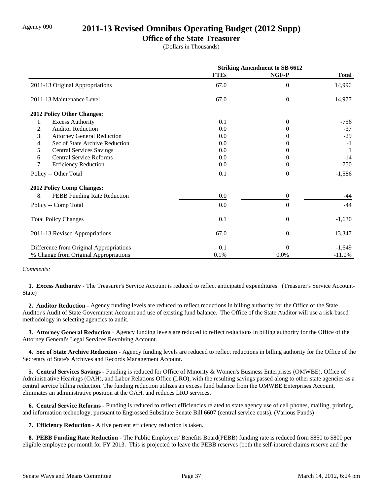## Agency 090 **2011-13 Revised Omnibus Operating Budget (2012 Supp)**

### **Office of the State Treasurer**

(Dollars in Thousands)

|                                         | <b>Striking Amendment to SB 6612</b> |                  |              |
|-----------------------------------------|--------------------------------------|------------------|--------------|
|                                         | <b>FTEs</b>                          | NGF-P            | <b>Total</b> |
| 2011-13 Original Appropriations         | 67.0                                 | $\overline{0}$   | 14,996       |
| 2011-13 Maintenance Level               | 67.0                                 | $\overline{0}$   | 14,977       |
| 2012 Policy Other Changes:              |                                      |                  |              |
| 1.<br><b>Excess Authority</b>           | 0.1                                  | $\theta$         | $-756$       |
| <b>Auditor Reduction</b><br>2.          | 0.0                                  | $\Omega$         | $-37$        |
| 3.<br><b>Attorney General Reduction</b> | 0.0                                  | $\theta$         | $-29$        |
| Sec of State Archive Reduction<br>4.    | 0.0                                  | $\Omega$         | $-1$         |
| 5.<br><b>Central Services Savings</b>   | 0.0                                  | $\Omega$         | -1           |
| <b>Central Service Reforms</b><br>6.    | 0.0                                  | 0                | $-14$        |
| 7.<br><b>Efficiency Reduction</b>       | 0.0                                  | $\boldsymbol{0}$ | $-750$       |
| Policy -- Other Total                   | 0.1                                  | $\overline{0}$   | $-1,586$     |
| <b>2012 Policy Comp Changes:</b>        |                                      |                  |              |
| 8.<br>PEBB Funding Rate Reduction       | 0.0                                  | $\boldsymbol{0}$ | -44          |
| Policy -- Comp Total                    | 0.0                                  | $\boldsymbol{0}$ | $-44$        |
| <b>Total Policy Changes</b>             | 0.1                                  | $\overline{0}$   | $-1,630$     |
| 2011-13 Revised Appropriations          | 67.0                                 | $\theta$         | 13,347       |
| Difference from Original Appropriations | 0.1                                  | $\theta$         | $-1,649$     |
| % Change from Original Appropriations   | 0.1%                                 | 0.0%             | $-11.0%$     |

#### *Comments:*

 **1. Excess Authority -** The Treasurer's Service Account is reduced to reflect anticipated expenditures. (Treasurer's Service Account-State)

 **2. Auditor Reduction -** Agency funding levels are reduced to reflect reductions in billing authority for the Office of the State Auditor's Audit of State Government Account and use of existing fund balance. The Office of the State Auditor will use a risk-based methodology in selecting agencies to audit.

 **3. Attorney General Reduction -** Agency funding levels are reduced to reflect reductions in billing authority for the Office of the Attorney General's Legal Services Revolving Account.

 **4. Sec of State Archive Reduction -** Agency funding levels are reduced to reflect reductions in billing authority for the Office of the Secretary of State's Archives and Records Management Account.

 **5. Central Services Savings -** Funding is reduced for Office of Minority & Women's Business Enterprises (OMWBE), Office of Administrative Hearings (OAH), and Labor Relations Office (LRO), with the resulting savings passed along to other state agencies as a central service billing reduction. The funding reduction utilizes an excess fund balance from the OMWBE Enterprises Account, eliminates an administrative position at the OAH, and reduces LRO services.

 **6. Central Service Reforms -** Funding is reduced to reflect efficiencies related to state agency use of cell phones, mailing, printing, and information technology, pursuant to Engrossed Substitute Senate Bill 6607 (central service costs). (Various Funds)

 **7. Efficiency Reduction -** A five percent efficiency reduction is taken.

 **8. PEBB Funding Rate Reduction -** The Public Employees' Benefits Board(PEBB) funding rate is reduced from \$850 to \$800 per eligible employee per month for FY 2013. This is projected to leave the PEBB reserves (both the self-insured claims reserve and the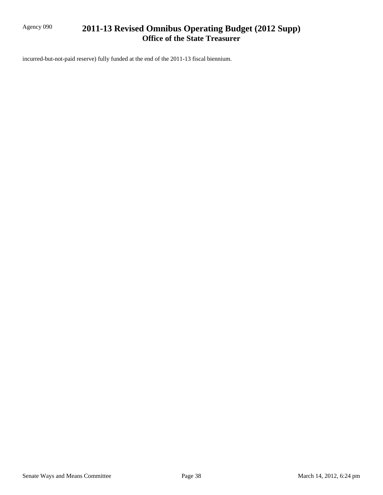## Agency 090 **2011-13 Revised Omnibus Operating Budget (2012 Supp) Office of the State Treasurer**

incurred-but-not-paid reserve) fully funded at the end of the 2011-13 fiscal biennium.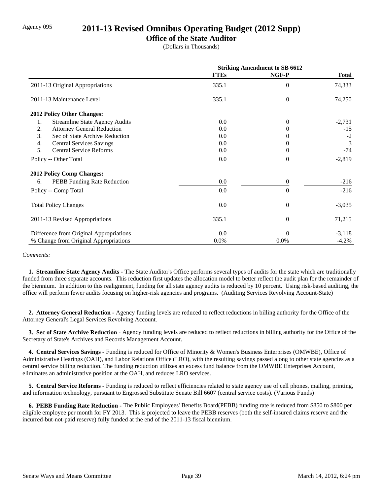## Agency 095 **2011-13 Revised Omnibus Operating Budget (2012 Supp)**

### **Office of the State Auditor**

(Dollars in Thousands)

|                                             | <b>Striking Amendment to SB 6612</b> |                  |              |
|---------------------------------------------|--------------------------------------|------------------|--------------|
|                                             | <b>FTEs</b>                          | NGF-P            | <b>Total</b> |
| 2011-13 Original Appropriations             | 335.1                                | $\theta$         | 74,333       |
| 2011-13 Maintenance Level                   | 335.1                                | $\theta$         | 74,250       |
| 2012 Policy Other Changes:                  |                                      |                  |              |
| <b>Streamline State Agency Audits</b><br>1. | 0.0                                  | $\theta$         | $-2,731$     |
| 2.<br><b>Attorney General Reduction</b>     | 0.0                                  | $^{(1)}$         | $-15$        |
| 3.<br>Sec of State Archive Reduction        | 0.0                                  | 0                | $-2$         |
| <b>Central Services Savings</b><br>4.       | 0.0                                  | $\theta$         | 3            |
| 5.<br><b>Central Service Reforms</b>        | 0.0                                  | 0                | $-74$        |
| Policy -- Other Total                       | 0.0                                  | $\theta$         | $-2,819$     |
| <b>2012 Policy Comp Changes:</b>            |                                      |                  |              |
| PEBB Funding Rate Reduction<br>6.           | 0.0                                  | $\boldsymbol{0}$ | $-216$       |
| Policy -- Comp Total                        | 0.0                                  | $\theta$         | $-216$       |
| <b>Total Policy Changes</b>                 | 0.0                                  | $\theta$         | $-3,035$     |
| 2011-13 Revised Appropriations              | 335.1                                | $\theta$         | 71,215       |
| Difference from Original Appropriations     | 0.0                                  | $\Omega$         | $-3,118$     |
| % Change from Original Appropriations       | 0.0%                                 | 0.0%             | $-4.2%$      |

#### *Comments:*

 **1. Streamline State Agency Audits -** The State Auditor's Office performs several types of audits for the state which are traditionally funded from three separate accounts. This reduction first updates the allocation model to better reflect the audit plan for the remainder of the biennium. In addition to this realignment, funding for all state agency audits is reduced by 10 percent. Using risk-based auditing, the office will perform fewer audits focusing on higher-risk agencies and programs. (Auditing Services Revolving Account-State)

 **2. Attorney General Reduction -** Agency funding levels are reduced to reflect reductions in billing authority for the Office of the Attorney General's Legal Services Revolving Account.

 **3. Sec of State Archive Reduction -** Agency funding levels are reduced to reflect reductions in billing authority for the Office of the Secretary of State's Archives and Records Management Account.

 **4. Central Services Savings -** Funding is reduced for Office of Minority & Women's Business Enterprises (OMWBE), Office of Administrative Hearings (OAH), and Labor Relations Office (LRO), with the resulting savings passed along to other state agencies as a central service billing reduction. The funding reduction utilizes an excess fund balance from the OMWBE Enterprises Account, eliminates an administrative position at the OAH, and reduces LRO services.

 **5. Central Service Reforms -** Funding is reduced to reflect efficiencies related to state agency use of cell phones, mailing, printing, and information technology, pursuant to Engrossed Substitute Senate Bill 6607 (central service costs). (Various Funds)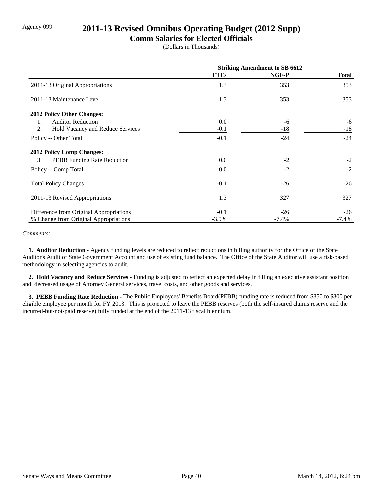## Agency 099 **2011-13 Revised Omnibus Operating Budget (2012 Supp)**

### **Comm Salaries for Elected Officials**

(Dollars in Thousands)

|                                          | <b>Striking Amendment to SB 6612</b> |         |          |
|------------------------------------------|--------------------------------------|---------|----------|
|                                          | <b>FTEs</b>                          | NGF-P   | Total    |
| 2011-13 Original Appropriations          | 1.3                                  | 353     | 353      |
| 2011-13 Maintenance Level                | 1.3                                  | 353     | 353      |
| <b>2012 Policy Other Changes:</b>        |                                      |         |          |
| <b>Auditor Reduction</b><br>1.           | 0.0                                  | -6      | -6       |
| 2.<br>Hold Vacancy and Reduce Services   | $-0.1$                               | $-18$   | $-18$    |
| Policy -- Other Total                    | $-0.1$                               | $-24$   | $-24$    |
| <b>2012 Policy Comp Changes:</b>         |                                      |         |          |
| 3.<br><b>PEBB</b> Funding Rate Reduction | $0.0\,$                              | $-2$    | $-2$     |
| Policy -- Comp Total                     | 0.0                                  | $-2$    | $-2$     |
| <b>Total Policy Changes</b>              | $-0.1$                               | $-26$   | $-26$    |
| 2011-13 Revised Appropriations           | 1.3                                  | 327     | 327      |
| Difference from Original Appropriations  | $-0.1$                               | $-26$   | $-26$    |
| % Change from Original Appropriations    | $-3.9\%$                             | $-7.4%$ | $-7.4\%$ |

#### *Comments:*

 **1. Auditor Reduction -** Agency funding levels are reduced to reflect reductions in billing authority for the Office of the State Auditor's Audit of State Government Account and use of existing fund balance. The Office of the State Auditor will use a risk-based methodology in selecting agencies to audit.

 **2. Hold Vacancy and Reduce Services -** Funding is adjusted to reflect an expected delay in filling an executive assistant position and decreased usage of Attorney General services, travel costs, and other goods and services.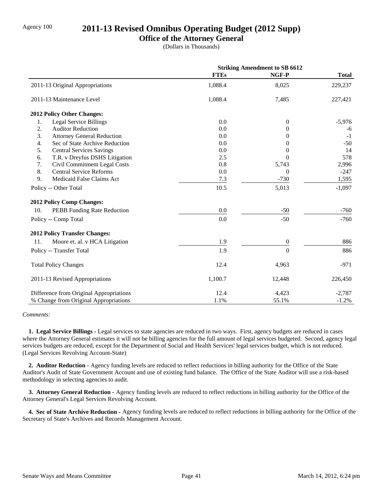### Agency 100 **2011-13 Revised Omnibus Operating Budget (2012 Supp)**

### **Office of the Attorney General**

(Dollars in Thousands)

|                                         | <b>Striking Amendment to SB 6612</b> |                  |              |
|-----------------------------------------|--------------------------------------|------------------|--------------|
|                                         | <b>FTEs</b>                          | NGF-P            | <b>Total</b> |
| 2011-13 Original Appropriations         | 1,088.4                              | 8,025            | 229,237      |
| 2011-13 Maintenance Level               | 1,088.4                              | 7,485            | 227,421      |
| 2012 Policy Other Changes:              |                                      |                  |              |
| 1.<br><b>Legal Service Billings</b>     | 0.0                                  | $\theta$         | $-5,976$     |
| 2.<br><b>Auditor Reduction</b>          | 0.0                                  | $\theta$         | -6           |
| 3.<br><b>Attorney General Reduction</b> | 0.0                                  | $\Omega$         | $-1$         |
| 4.<br>Sec of State Archive Reduction    | 0.0                                  | $\Omega$         | $-50$        |
| 5.<br><b>Central Services Savings</b>   | 0.0                                  | $\Omega$         | 14           |
| 6.<br>T.R. v Dreyfus DSHS Litigation    | 2.5                                  | $\Omega$         | 578          |
| Civil Commitment Legal Costs<br>7.      | 0.8                                  | 5,743            | 2,996        |
| 8.<br><b>Central Service Reforms</b>    | 0.0                                  | $\Omega$         | $-247$       |
| 9.<br>Medicaid False Claims Act         | 7.3                                  | $-730$           | 1,595        |
| Policy -- Other Total                   | 10.5                                 | 5,013            | $-1,097$     |
| 2012 Policy Comp Changes:               |                                      |                  |              |
| 10.<br>PEBB Funding Rate Reduction      | 0.0                                  | $-50$            | $-760$       |
| Policy -- Comp Total                    | 0.0                                  | $-50$            | $-760$       |
| <b>2012 Policy Transfer Changes:</b>    |                                      |                  |              |
| Moore et. al. v HCA Litigation<br>11.   | 1.9                                  | $\boldsymbol{0}$ | 886          |
| Policy -- Transfer Total                | 1.9                                  | $\overline{0}$   | 886          |
| <b>Total Policy Changes</b>             | 12.4                                 | 4,963            | $-971$       |
| 2011-13 Revised Appropriations          | 1,100.7                              | 12,448           | 226,450      |
| Difference from Original Appropriations | 12.4                                 | 4,423            | $-2,787$     |
| % Change from Original Appropriations   | 1.1%                                 | 55.1%            | $-1.2%$      |

#### *Comments:*

 **1. Legal Service Billings -** Legal services to state agencies are reduced in two ways. First, agency budgets are reduced in cases where the Attorney General estimates it will not be billing agencies for the full amount of legal services budgeted. Second, agency legal services budgets are reduced, except for the Department of Social and Health Services' legal services budget, which is not reduced. (Legal Services Revolving Account-State)

 **2. Auditor Reduction -** Agency funding levels are reduced to reflect reductions in billing authority for the Office of the State Auditor's Audit of State Government Account and use of existing fund balance. The Office of the State Auditor will use a risk-based methodology in selecting agencies to audit.

 **3. Attorney General Reduction -** Agency funding levels are reduced to reflect reductions in billing authority for the Office of the Attorney General's Legal Services Revolving Account.

 **4. Sec of State Archive Reduction -** Agency funding levels are reduced to reflect reductions in billing authority for the Office of the Secretary of State's Archives and Records Management Account.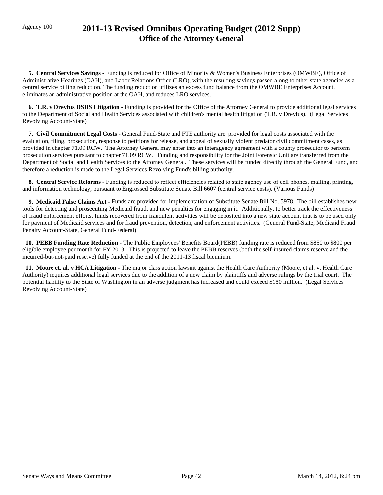## Agency 100 **2011-13 Revised Omnibus Operating Budget (2012 Supp) Office of the Attorney General**

 **5. Central Services Savings -** Funding is reduced for Office of Minority & Women's Business Enterprises (OMWBE), Office of Administrative Hearings (OAH), and Labor Relations Office (LRO), with the resulting savings passed along to other state agencies as a central service billing reduction. The funding reduction utilizes an excess fund balance from the OMWBE Enterprises Account, eliminates an administrative position at the OAH, and reduces LRO services.

 **6. T.R. v Dreyfus DSHS Litigation -** Funding is provided for the Office of the Attorney General to provide additional legal services to the Department of Social and Health Services associated with children's mental health litigation (T.R. v Dreyfus). (Legal Services Revolving Account-State)

 **7. Civil Commitment Legal Costs -** General Fund-State and FTE authority are provided for legal costs associated with the evaluation, filing, prosecution, response to petitions for release, and appeal of sexually violent predator civil commitment cases, as provided in chapter 71.09 RCW. The Attorney General may enter into an interagency agreement with a county prosecutor to perform prosecution services pursuant to chapter 71.09 RCW. Funding and responsibility for the Joint Forensic Unit are transferred from the Department of Social and Health Services to the Attorney General. These services will be funded directly through the General Fund, and therefore a reduction is made to the Legal Services Revolving Fund's billing authority.

 **8. Central Service Reforms -** Funding is reduced to reflect efficiencies related to state agency use of cell phones, mailing, printing, and information technology, pursuant to Engrossed Substitute Senate Bill 6607 (central service costs). (Various Funds)

 **9. Medicaid False Claims Act -** Funds are provided for implementation of Substitute Senate Bill No. 5978. The bill establishes new tools for detecting and prosecuting Medicaid fraud, and new penalties for engaging in it. Additionally, to better track the effectiveness of fraud enforcement efforts, funds recovered from fraudulent activities will be deposited into a new state account that is to be used only for payment of Medicaid services and for fraud prevention, detection, and enforcement activities. (General Fund-State, Medicaid Fraud Penalty Account-State, General Fund-Federal)

 **10. PEBB Funding Rate Reduction -** The Public Employees' Benefits Board(PEBB) funding rate is reduced from \$850 to \$800 per eligible employee per month for FY 2013. This is projected to leave the PEBB reserves (both the self-insured claims reserve and the incurred-but-not-paid reserve) fully funded at the end of the 2011-13 fiscal biennium.

 **11. Moore et. al. v HCA Litigation -** The major class action lawsuit against the Health Care Authority (Moore, et al. v. Health Care Authority) requires additional legal services due to the addition of a new claim by plaintiffs and adverse rulings by the trial court. The potential liability to the State of Washington in an adverse judgment has increased and could exceed \$150 million. (Legal Services Revolving Account-State)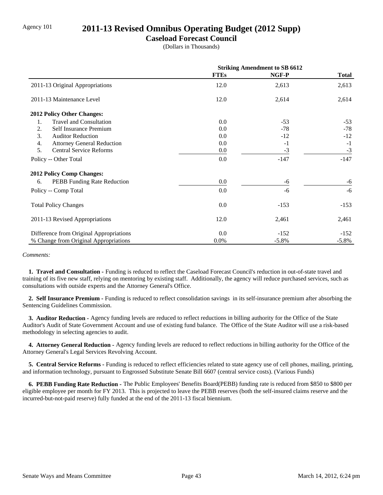## Agency 101 **2011-13 Revised Omnibus Operating Budget (2012 Supp)**

### **Caseload Forecast Council**

(Dollars in Thousands)

|                                         | <b>Striking Amendment to SB 6612</b> |          |              |
|-----------------------------------------|--------------------------------------|----------|--------------|
|                                         | <b>FTEs</b>                          | NGF-P    | <b>Total</b> |
| 2011-13 Original Appropriations         | 12.0                                 | 2,613    | 2,613        |
| 2011-13 Maintenance Level               | 12.0                                 | 2,614    | 2,614        |
| 2012 Policy Other Changes:              |                                      |          |              |
| <b>Travel and Consultation</b><br>1.    | 0.0                                  | $-53$    | $-53$        |
| 2.<br>Self Insurance Premium            | 0.0                                  | $-78$    | $-78$        |
| 3.<br><b>Auditor Reduction</b>          | 0.0                                  | $-12$    | $-12$        |
| 4.<br><b>Attorney General Reduction</b> | 0.0                                  | $-1$     | $-1$         |
| 5.<br><b>Central Service Reforms</b>    | 0.0                                  | $-3$     | $-3$         |
| Policy -- Other Total                   | 0.0                                  | $-147$   | $-147$       |
| <b>2012 Policy Comp Changes:</b>        |                                      |          |              |
| PEBB Funding Rate Reduction<br>6.       | 0.0                                  | -6       | -6           |
| Policy -- Comp Total                    | 0.0                                  | $-6$     | $-6$         |
| <b>Total Policy Changes</b>             | 0.0                                  | $-153$   | $-153$       |
| 2011-13 Revised Appropriations          | 12.0                                 | 2,461    | 2,461        |
| Difference from Original Appropriations | 0.0                                  | $-152$   | $-152$       |
| % Change from Original Appropriations   | $0.0\%$                              | $-5.8\%$ | $-5.8\%$     |

#### *Comments:*

 **1. Travel and Consultation -** Funding is reduced to reflect the Caseload Forecast Council's reduction in out-of-state travel and training of its five new staff, relying on mentoring by existing staff. Additionally, the agency will reduce purchased services, such as consultations with outside experts and the Attorney General's Office.

 **2. Self Insurance Premium -** Funding is reduced to reflect consolidation savings in its self-insurance premium after absorbing the Sentencing Guidelines Commission.

 **3. Auditor Reduction -** Agency funding levels are reduced to reflect reductions in billing authority for the Office of the State Auditor's Audit of State Government Account and use of existing fund balance. The Office of the State Auditor will use a risk-based methodology in selecting agencies to audit.

 **4. Attorney General Reduction -** Agency funding levels are reduced to reflect reductions in billing authority for the Office of the Attorney General's Legal Services Revolving Account.

 **5. Central Service Reforms -** Funding is reduced to reflect efficiencies related to state agency use of cell phones, mailing, printing, and information technology, pursuant to Engrossed Substitute Senate Bill 6607 (central service costs). (Various Funds)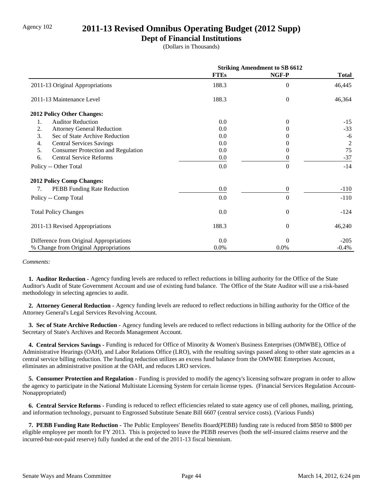## Agency 102 **2011-13 Revised Omnibus Operating Budget (2012 Supp)**

### **Dept of Financial Institutions**

(Dollars in Thousands)

|                                                 | <b>Striking Amendment to SB 6612</b> |                |                |
|-------------------------------------------------|--------------------------------------|----------------|----------------|
|                                                 | <b>FTEs</b>                          | NGF-P          | <b>Total</b>   |
| 2011-13 Original Appropriations                 | 188.3                                | $\Omega$       | 46,445         |
| 2011-13 Maintenance Level                       | 188.3                                | $\theta$       | 46,364         |
| <b>2012 Policy Other Changes:</b>               |                                      |                |                |
| 1.<br><b>Auditor Reduction</b>                  | 0.0                                  | $\Omega$       | $-15$          |
| 2.<br><b>Attorney General Reduction</b>         | 0.0                                  | $\theta$       | $-33$          |
| 3.<br>Sec of State Archive Reduction            | 0.0                                  |                | -6             |
| 4.<br><b>Central Services Savings</b>           | 0.0                                  |                | $\overline{c}$ |
| 5.<br><b>Consumer Protection and Regulation</b> | 0.0                                  | 0              | 75             |
| <b>Central Service Reforms</b><br>6.            | 0.0                                  | 0              | $-37$          |
| Policy -- Other Total                           | 0.0                                  | $\Omega$       | $-14$          |
| <b>2012 Policy Comp Changes:</b>                |                                      |                |                |
| <b>PEBB</b> Funding Rate Reduction<br>7.        | 0.0                                  | $\theta$       | $-110$         |
| Policy -- Comp Total                            | 0.0                                  | $\Omega$       | $-110$         |
| <b>Total Policy Changes</b>                     | 0.0                                  | $\overline{0}$ | $-124$         |
| 2011-13 Revised Appropriations                  | 188.3                                | $\theta$       | 46,240         |
| Difference from Original Appropriations         | 0.0                                  | $\Omega$       | $-205$         |
| % Change from Original Appropriations           | 0.0%                                 | $0.0\%$        | $-0.4%$        |

*Comments:*

 **1. Auditor Reduction -** Agency funding levels are reduced to reflect reductions in billing authority for the Office of the State Auditor's Audit of State Government Account and use of existing fund balance. The Office of the State Auditor will use a risk-based methodology in selecting agencies to audit.

 **2. Attorney General Reduction -** Agency funding levels are reduced to reflect reductions in billing authority for the Office of the Attorney General's Legal Services Revolving Account.

 **3. Sec of State Archive Reduction -** Agency funding levels are reduced to reflect reductions in billing authority for the Office of the Secretary of State's Archives and Records Management Account.

 **4. Central Services Savings -** Funding is reduced for Office of Minority & Women's Business Enterprises (OMWBE), Office of Administrative Hearings (OAH), and Labor Relations Office (LRO), with the resulting savings passed along to other state agencies as a central service billing reduction. The funding reduction utilizes an excess fund balance from the OMWBE Enterprises Account, eliminates an administrative position at the OAH, and reduces LRO services.

**5. Consumer Protection and Regulation - Funding is provided to modify the agency's licensing software program in order to allow** the agency to participate in the National Multistate Licensing System for certain license types. (Financial Services Regulation Account-Nonappropriated)

 **6. Central Service Reforms -** Funding is reduced to reflect efficiencies related to state agency use of cell phones, mailing, printing, and information technology, pursuant to Engrossed Substitute Senate Bill 6607 (central service costs). (Various Funds)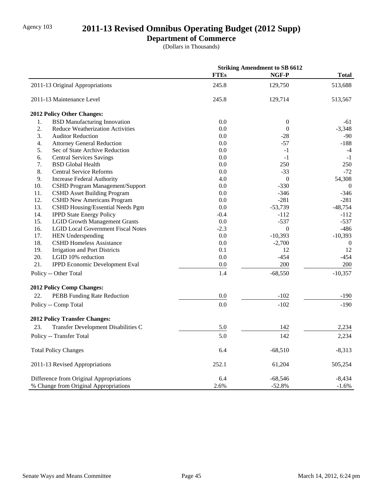# Agency 103 **2011-13 Revised Omnibus Operating Budget (2012 Supp)**

## **Department of Commerce**

(Dollars in Thousands)

|                                                  | <b>Striking Amendment to SB 6612</b> |                  |                  |
|--------------------------------------------------|--------------------------------------|------------------|------------------|
|                                                  | <b>FTEs</b>                          | NGF-P            | <b>Total</b>     |
| 2011-13 Original Appropriations                  | 245.8                                | 129,750          | 513,688          |
| 2011-13 Maintenance Level                        | 245.8                                | 129,714          | 513,567          |
| 2012 Policy Other Changes:                       |                                      |                  |                  |
| 1.<br><b>BSD Manufacturing Innovation</b>        | 0.0                                  | $\boldsymbol{0}$ | -61              |
| 2.<br><b>Reduce Weatherization Activities</b>    | 0.0                                  | $\boldsymbol{0}$ | $-3,348$         |
| 3.<br><b>Auditor Reduction</b>                   | 0.0                                  | $-28$            | $-90$            |
| 4.<br><b>Attorney General Reduction</b>          | 0.0                                  | $-57$            | $-188$           |
| 5.<br>Sec of State Archive Reduction             | 0.0                                  | $-1$             | $-4$             |
| 6.<br><b>Central Services Savings</b>            | 0.0                                  | $-1$             | $-1$             |
| 7.<br><b>BSD</b> Global Health                   | 0.0                                  | 250              | 250              |
| 8.<br><b>Central Service Reforms</b>             | 0.0                                  | $-33$            | $-72$            |
| 9.<br><b>Increase Federal Authority</b>          | 4.0                                  | $\boldsymbol{0}$ | 54,308           |
| 10.<br>CSHD Program Management/Support           | 0.0                                  | $-330$           | $\boldsymbol{0}$ |
| 11.<br><b>CSHD Asset Building Program</b>        | 0.0                                  | $-346$           | $-346$           |
| 12.<br><b>CSHD New Americans Program</b>         | 0.0                                  | $-281$           | $-281$           |
| 13.<br>CSHD Housing/Essential Needs Pgm          | 0.0                                  | $-53,739$        | $-48,754$        |
| 14.<br><b>IPPD State Energy Policy</b>           | $-0.4$                               | $-112$           | $-112$           |
| 15.<br><b>LGID Growth Management Grants</b>      | 0.0                                  | $-537$           | $-537$           |
| <b>LGID Local Government Fiscal Notes</b><br>16. | $-2.3$                               | $\theta$         | $-486$           |
| 17.<br><b>HEN Underspending</b>                  | 0.0                                  | $-10,393$        | $-10,393$        |
| 18.<br><b>CSHD Homeless Assistance</b>           | 0.0                                  | $-2,700$         | $\boldsymbol{0}$ |
| 19.<br><b>Irrigation and Port Districts</b>      | 0.1                                  | 12               | 12               |
| 20.<br>LGID 10% reduction                        | 0.0                                  | $-454$           | $-454$           |
| 21.<br><b>IPPD Economic Development Eval</b>     | 0.0                                  | 200              | 200              |
| Policy -- Other Total                            | 1.4                                  | $-68,550$        | $-10,357$        |
| 2012 Policy Comp Changes:                        |                                      |                  |                  |
| 22.<br>PEBB Funding Rate Reduction               | 0.0                                  | $-102$           | $-190$           |
| Policy -- Comp Total                             | 0.0                                  | $-102$           | $-190$           |
| <b>2012 Policy Transfer Changes:</b>             |                                      |                  |                  |
| 23.<br>Transfer Development Disabilities C       | 5.0                                  | 142              | 2,234            |
| Policy -- Transfer Total                         | 5.0                                  | 142              | 2,234            |
| <b>Total Policy Changes</b>                      | 6.4                                  | $-68,510$        | $-8,313$         |
| 2011-13 Revised Appropriations                   | 252.1                                | 61,204           | 505,254          |
| Difference from Original Appropriations          | 6.4                                  | $-68,546$        | -8,434           |
| % Change from Original Appropriations            | 2.6%                                 | $-52.8%$         | $-1.6%$          |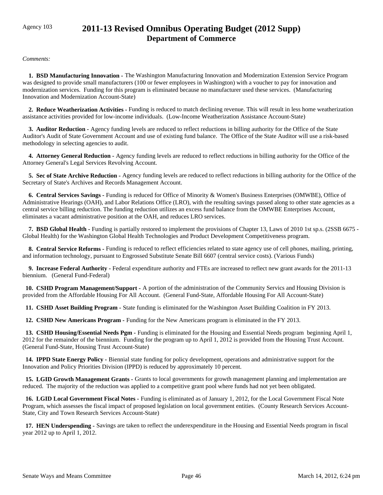## Agency 103 **2011-13 Revised Omnibus Operating Budget (2012 Supp) Department of Commerce**

*Comments:*

 **1. BSD Manufacturing Innovation -** The Washington Manufacturing Innovation and Modernization Extension Service Program was designed to provide small manufacturers (100 or fewer employees in Washington) with a voucher to pay for innovation and modernization services. Funding for this program is eliminated because no manufacturer used these services. (Manufacturing Innovation and Modernization Account-State)

 **2. Reduce Weatherization Activities -** Funding is reduced to match declining revenue. This will result in less home weatherization assistance activities provided for low-income individuals. (Low-Income Weatherization Assistance Account-State)

 **3. Auditor Reduction -** Agency funding levels are reduced to reflect reductions in billing authority for the Office of the State Auditor's Audit of State Government Account and use of existing fund balance. The Office of the State Auditor will use a risk-based methodology in selecting agencies to audit.

 **4. Attorney General Reduction -** Agency funding levels are reduced to reflect reductions in billing authority for the Office of the Attorney General's Legal Services Revolving Account.

 **5. Sec of State Archive Reduction -** Agency funding levels are reduced to reflect reductions in billing authority for the Office of the Secretary of State's Archives and Records Management Account.

 **6. Central Services Savings -** Funding is reduced for Office of Minority & Women's Business Enterprises (OMWBE), Office of Administrative Hearings (OAH), and Labor Relations Office (LRO), with the resulting savings passed along to other state agencies as a central service billing reduction. The funding reduction utilizes an excess fund balance from the OMWBE Enterprises Account, eliminates a vacant administrative position at the OAH, and reduces LRO services.

 **7. BSD Global Health -** Funding is partially restored to implement the provisions of Chapter 13, Laws of 2010 1st sp.s. (2SSB 6675 - Global Health) for the Washington Global Health Technologies and Product Development Competitiveness program.

 **8. Central Service Reforms -** Funding is reduced to reflect efficiencies related to state agency use of cell phones, mailing, printing, and information technology, pursuant to Engrossed Substitute Senate Bill 6607 (central service costs). (Various Funds)

 **9. Increase Federal Authority -** Federal expenditure authority and FTEs are increased to reflect new grant awards for the 2011-13 biennium. (General Fund-Federal)

 **10. CSHD Program Management/Support -** A portion of the administration of the Community Servics and Housing Division is provided from the Affordable Housing For All Account. (General Fund-State, Affordable Housing For All Account-State)

 **11. CSHD Asset Building Program -** State funding is eliminated for the Washington Asset Building Coalition in FY 2013.

 **12. CSHD New Americans Program -** Funding for the New Americans program is eliminated in the FY 2013.

 **13. CSHD Housing/Essential Needs Pgm -** Funding is eliminated for the Housing and Essential Needs program beginning April 1, 2012 for the remainder of the biennium. Funding for the program up to April 1, 2012 is provided from the Housing Trust Account. (General Fund-State, Housing Trust Account-State)

 **14. IPPD State Energy Policy -** Biennial state funding for policy development, operations and administrative support for the Innovation and Policy Priorities Division (IPPD) is reduced by approximately 10 percent.

 **15. LGID Growth Management Grants -** Grants to local governments for growth management planning and implementation are reduced. The majority of the reduction was applied to a competitive grant pool where funds had not yet been obligated.

 **16. LGID Local Government Fiscal Notes -** Funding is eliminated as of January 1, 2012, for the Local Government Fiscal Note Program, which assesses the fiscal impact of proposed legislation on local government entities. (County Research Services Account-State, City and Town Research Services Account-State)

 **17. HEN Underspending -** Savings are taken to reflect the underexpenditure in the Housing and Essential Needs program in fiscal year 2012 up to April 1, 2012.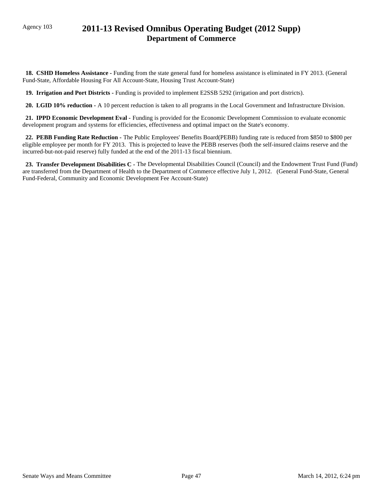## Agency 103 **2011-13 Revised Omnibus Operating Budget (2012 Supp) Department of Commerce**

 **18. CSHD Homeless Assistance -** Funding from the state general fund for homeless assistance is eliminated in FY 2013. (General Fund-State, Affordable Housing For All Account-State, Housing Trust Account-State)

 **19. Irrigation and Port Districts -** Funding is provided to implement E2SSB 5292 (irrigation and port districts).

 **20. LGID 10% reduction -** A 10 percent reduction is taken to all programs in the Local Government and Infrastructure Division.

 **21. IPPD Economic Development Eval -** Funding is provided for the Economic Development Commission to evaluate economic development program and systems for efficiencies, effectiveness and optimal impact on the State's economy.

 **22. PEBB Funding Rate Reduction -** The Public Employees' Benefits Board(PEBB) funding rate is reduced from \$850 to \$800 per eligible employee per month for FY 2013. This is projected to leave the PEBB reserves (both the self-insured claims reserve and the incurred-but-not-paid reserve) fully funded at the end of the 2011-13 fiscal biennium.

23. Transfer Development Disabilities C - The Developmental Disabilities Council (Council) and the Endowment Trust Fund (Fund) are transferred from the Department of Health to the Department of Commerce effective July 1, 2012. (General Fund-State, General Fund-Federal, Community and Economic Development Fee Account-State)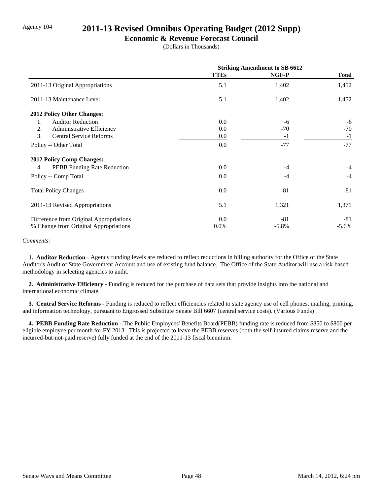## Agency 104 **2011-13 Revised Omnibus Operating Budget (2012 Supp)**

### **Economic & Revenue Forecast Council**

(Dollars in Thousands)

|                                         | <b>Striking Amendment to SB 6612</b> |          |              |
|-----------------------------------------|--------------------------------------|----------|--------------|
|                                         | <b>FTEs</b>                          | NGF-P    | <b>Total</b> |
| 2011-13 Original Appropriations         | 5.1                                  | 1,402    | 1,452        |
| 2011-13 Maintenance Level               | 5.1                                  | 1,402    | 1,452        |
| 2012 Policy Other Changes:              |                                      |          |              |
| <b>Auditor Reduction</b><br>1.          | 0.0                                  | -6       | $-6$         |
| 2.<br>Administrative Efficiency         | 0.0                                  | $-70$    | $-70$        |
| 3.<br><b>Central Service Reforms</b>    | 0.0                                  | $-1$     | $-1$         |
| Policy -- Other Total                   | 0.0                                  | $-77$    | $-77$        |
| <b>2012 Policy Comp Changes:</b>        |                                      |          |              |
| PEBB Funding Rate Reduction<br>4.       | 0.0                                  | $-4$     | $-4$         |
| Policy -- Comp Total                    | 0.0                                  | $-4$     | $-4$         |
| <b>Total Policy Changes</b>             | 0.0                                  | $-81$    | $-81$        |
| 2011-13 Revised Appropriations          | 5.1                                  | 1,321    | 1,371        |
| Difference from Original Appropriations | 0.0                                  | $-81$    | -81          |
| % Change from Original Appropriations   | $0.0\%$                              | $-5.8\%$ | $-5.6\%$     |

#### *Comments:*

 **1. Auditor Reduction -** Agency funding levels are reduced to reflect reductions in billing authority for the Office of the State Auditor's Audit of State Government Account and use of existing fund balance. The Office of the State Auditor will use a risk-based methodology in selecting agencies to audit.

 **2. Administrative Efficiency -** Funding is reduced for the purchase of data sets that provide insights into the national and international economic climate.

 **3. Central Service Reforms -** Funding is reduced to reflect efficiencies related to state agency use of cell phones, mailing, printing, and information technology, pursuant to Engrossed Substitute Senate Bill 6607 (central service costs). (Various Funds)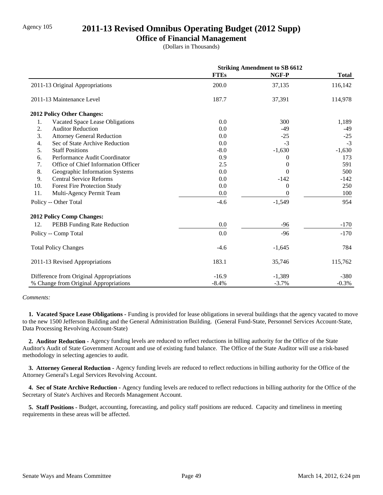## Agency 105 **2011-13 Revised Omnibus Operating Budget (2012 Supp)**

### **Office of Financial Management**

(Dollars in Thousands)

|                  |                                         |             | <b>Striking Amendment to SB 6612</b> |              |
|------------------|-----------------------------------------|-------------|--------------------------------------|--------------|
|                  |                                         | <b>FTEs</b> | NGF-P                                | <b>Total</b> |
|                  | 2011-13 Original Appropriations         | 200.0       | 37,135                               | 116,142      |
|                  | 2011-13 Maintenance Level               | 187.7       | 37,391                               | 114,978      |
|                  | 2012 Policy Other Changes:              |             |                                      |              |
| 1.               | Vacated Space Lease Obligations         | 0.0         | 300                                  | 1,189        |
| $\overline{2}$ . | <b>Auditor Reduction</b>                | 0.0         | $-49$                                | $-49$        |
| 3.               | <b>Attorney General Reduction</b>       | 0.0         | $-25$                                | $-25$        |
| 4.               | Sec of State Archive Reduction          | 0.0         | $-3$                                 | $-3$         |
| 5.               | <b>Staff Positions</b>                  | $-8.0$      | $-1,630$                             | $-1,630$     |
| 6.               | Performance Audit Coordinator           | 0.9         | $\Omega$                             | 173          |
| 7.               | Office of Chief Information Officer     | 2.5         | $\Omega$                             | 591          |
| 8.               | Geographic Information Systems          | 0.0         | $\Omega$                             | 500          |
| 9.               | <b>Central Service Reforms</b>          | 0.0         | $-142$                               | $-142$       |
| 10.              | <b>Forest Fire Protection Study</b>     | 0.0         | $\Omega$                             | 250          |
| 11.              | Multi-Agency Permit Team                | 0.0         | $\overline{0}$                       | 100          |
|                  | Policy -- Other Total                   | $-4.6$      | $-1,549$                             | 954          |
|                  | 2012 Policy Comp Changes:               |             |                                      |              |
| 12.              | PEBB Funding Rate Reduction             | 0.0         | -96                                  | $-170$       |
|                  | Policy -- Comp Total                    | 0.0         | $-96$                                | $-170$       |
|                  | <b>Total Policy Changes</b>             | $-4.6$      | $-1,645$                             | 784          |
|                  | 2011-13 Revised Appropriations          | 183.1       | 35,746                               | 115,762      |
|                  | Difference from Original Appropriations | $-16.9$     | $-1,389$                             | $-380$       |
|                  | % Change from Original Appropriations   | $-8.4%$     | $-3.7%$                              | $-0.3%$      |

#### *Comments:*

 **1. Vacated Space Lease Obligations -** Funding is provided for lease obligations in several buildings that the agency vacated to move to the new 1500 Jefferson Building and the General Administration Building. (General Fund-State, Personnel Services Account-State, Data Processing Revolving Account-State)

 **2. Auditor Reduction -** Agency funding levels are reduced to reflect reductions in billing authority for the Office of the State Auditor's Audit of State Government Account and use of existing fund balance. The Office of the State Auditor will use a risk-based methodology in selecting agencies to audit.

 **3. Attorney General Reduction -** Agency funding levels are reduced to reflect reductions in billing authority for the Office of the Attorney General's Legal Services Revolving Account.

 **4. Sec of State Archive Reduction -** Agency funding levels are reduced to reflect reductions in billing authority for the Office of the Secretary of State's Archives and Records Management Account.

 **5. Staff Positions -** Budget, accounting, forecasting, and policy staff positions are reduced. Capacity and timeliness in meeting requirements in these areas will be affected.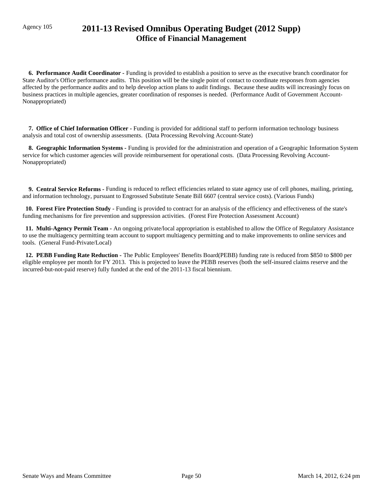## Agency 105 **2011-13 Revised Omnibus Operating Budget (2012 Supp) Office of Financial Management**

 **6. Performance Audit Coordinator -** Funding is provided to establish a position to serve as the executive branch coordinator for State Auditor's Office performance audits. This position will be the single point of contact to coordinate responses from agencies affected by the performance audits and to help develop action plans to audit findings. Because these audits will increasingly focus on business practices in multiple agencies, greater coordination of responses is needed. (Performance Audit of Government Account-Nonappropriated)

 **7. Office of Chief Information Officer -** Funding is provided for additional staff to perform information technology business analysis and total cost of ownership assessments. (Data Processing Revolving Account-State)

 **8. Geographic Information Systems -** Funding is provided for the administration and operation of a Geographic Information System service for which customer agencies will provide reimbursement for operational costs. (Data Processing Revolving Account-Nonappropriated)

 **9. Central Service Reforms -** Funding is reduced to reflect efficiencies related to state agency use of cell phones, mailing, printing, and information technology, pursuant to Engrossed Substitute Senate Bill 6607 (central service costs). (Various Funds)

 **10. Forest Fire Protection Study -** Funding is provided to contract for an analysis of the efficiency and effectiveness of the state's funding mechanisms for fire prevention and suppression activities. (Forest Fire Protection Assessment Account)

 **11. Multi-Agency Permit Team -** An ongoing private/local appropriation is established to allow the Office of Regulatory Assistance to use the multiagency permitting team account to support multiagency permitting and to make improvements to online services and tools. (General Fund-Private/Local)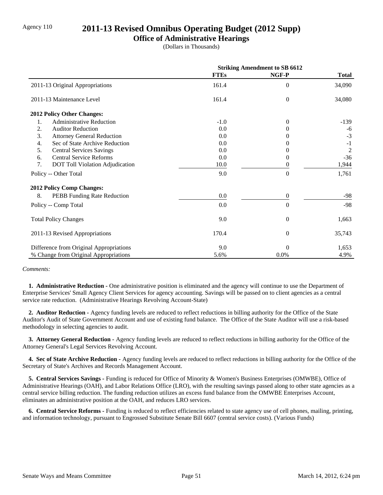## Agency 110 **2011-13 Revised Omnibus Operating Budget (2012 Supp)**

### **Office of Administrative Hearings**

(Dollars in Thousands)

|                                              | <b>Striking Amendment to SB 6612</b> |                  |                |
|----------------------------------------------|--------------------------------------|------------------|----------------|
|                                              | <b>FTEs</b>                          | NGF-P            | <b>Total</b>   |
| 2011-13 Original Appropriations              | 161.4                                | $\theta$         | 34,090         |
| 2011-13 Maintenance Level                    | 161.4                                | $\theta$         | 34,080         |
| 2012 Policy Other Changes:                   |                                      |                  |                |
| <b>Administrative Reduction</b><br>1.        | $-1.0$                               | $\theta$         | $-139$         |
| 2.<br><b>Auditor Reduction</b>               | 0.0                                  | $^{(1)}$         | -6             |
| 3.<br><b>Attorney General Reduction</b>      | 0.0                                  |                  | $-3$           |
| Sec of State Archive Reduction<br>4.         | 0.0                                  | $^{(1)}$         | $-1$           |
| 5.<br><b>Central Services Savings</b>        | 0.0                                  | 0                | $\overline{2}$ |
| <b>Central Service Reforms</b><br>6.         | 0.0                                  | 0                | $-36$          |
| 7.<br><b>DOT Toll Violation Adjudication</b> | 10.0                                 | 0                | 1,944          |
| Policy -- Other Total                        | 9.0                                  | $\theta$         | 1,761          |
| <b>2012 Policy Comp Changes:</b>             |                                      |                  |                |
| 8.<br>PEBB Funding Rate Reduction            | 0.0                                  | $\boldsymbol{0}$ | -98            |
| Policy -- Comp Total                         | 0.0                                  | $\boldsymbol{0}$ | $-98$          |
| <b>Total Policy Changes</b>                  | 9.0                                  | $\overline{0}$   | 1,663          |
| 2011-13 Revised Appropriations               | 170.4                                | $\theta$         | 35,743         |
| Difference from Original Appropriations      | 9.0                                  | $\Omega$         | 1,653          |
| % Change from Original Appropriations        | 5.6%                                 | 0.0%             | 4.9%           |

#### *Comments:*

 **1. Administrative Reduction -** One administrative position is eliminated and the agency will continue to use the Department of Enterprise Services' Small Agency Client Services for agency accounting. Savings will be passed on to client agencies as a central service rate reduction. (Administrative Hearings Revolving Account-State)

 **2. Auditor Reduction -** Agency funding levels are reduced to reflect reductions in billing authority for the Office of the State Auditor's Audit of State Government Account and use of existing fund balance. The Office of the State Auditor will use a risk-based methodology in selecting agencies to audit.

 **3. Attorney General Reduction -** Agency funding levels are reduced to reflect reductions in billing authority for the Office of the Attorney General's Legal Services Revolving Account.

 **4. Sec of State Archive Reduction -** Agency funding levels are reduced to reflect reductions in billing authority for the Office of the Secretary of State's Archives and Records Management Account.

 **5. Central Services Savings -** Funding is reduced for Office of Minority & Women's Business Enterprises (OMWBE), Office of Administrative Hearings (OAH), and Labor Relations Office (LRO), with the resulting savings passed along to other state agencies as a central service billing reduction. The funding reduction utilizes an excess fund balance from the OMWBE Enterprises Account, eliminates an administrative position at the OAH, and reduces LRO services.

 **6. Central Service Reforms -** Funding is reduced to reflect efficiencies related to state agency use of cell phones, mailing, printing, and information technology, pursuant to Engrossed Substitute Senate Bill 6607 (central service costs). (Various Funds)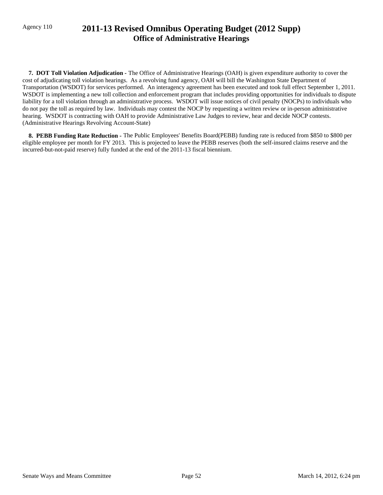## Agency 110 **2011-13 Revised Omnibus Operating Budget (2012 Supp) Office of Administrative Hearings**

 **7. DOT Toll Violation Adjudication -** The Office of Administrative Hearings (OAH) is given expenditure authority to cover the cost of adjudicating toll violation hearings. As a revolving fund agency, OAH will bill the Washington State Department of Transportation (WSDOT) for services performed. An interagency agreement has been executed and took full effect September 1, 2011. WSDOT is implementing a new toll collection and enforcement program that includes providing opportunities for individuals to dispute liability for a toll violation through an administrative process. WSDOT will issue notices of civil penalty (NOCPs) to individuals who do not pay the toll as required by law. Individuals may contest the NOCP by requesting a written review or in-person administrative hearing. WSDOT is contracting with OAH to provide Administrative Law Judges to review, hear and decide NOCP contests. (Administrative Hearings Revolving Account-State)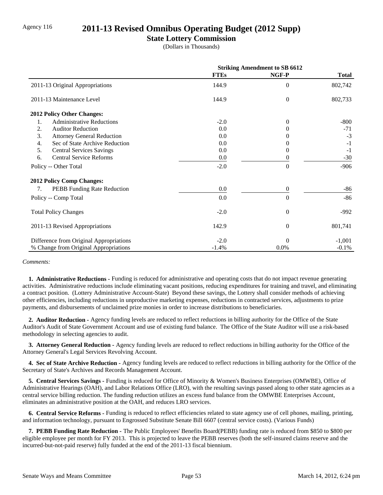## Agency 116 **2011-13 Revised Omnibus Operating Budget (2012 Supp)**

### **State Lottery Commission**

(Dollars in Thousands)

|                                         | <b>Striking Amendment to SB 6612</b> |                |              |
|-----------------------------------------|--------------------------------------|----------------|--------------|
|                                         | <b>FTEs</b>                          | NGF-P          | <b>Total</b> |
| 2011-13 Original Appropriations         | 144.9                                | $\Omega$       | 802,742      |
| 2011-13 Maintenance Level               | 144.9                                | $\overline{0}$ | 802,733      |
| <b>2012 Policy Other Changes:</b>       |                                      |                |              |
| <b>Administrative Reductions</b><br>1.  | $-2.0$                               | $\theta$       | $-800$       |
| 2.<br><b>Auditor Reduction</b>          | 0.0                                  | 0              | $-71$        |
| 3.<br><b>Attorney General Reduction</b> | 0.0                                  |                | $-3$         |
| Sec of State Archive Reduction<br>4.    | 0.0                                  |                | $-1$         |
| 5.<br><b>Central Services Savings</b>   | 0.0                                  | $\Omega$       | $-1$         |
| 6.<br><b>Central Service Reforms</b>    | 0.0                                  | 0              | $-30$        |
| Policy -- Other Total                   | $-2.0$                               | $\Omega$       | $-906$       |
| <b>2012 Policy Comp Changes:</b>        |                                      |                |              |
| PEBB Funding Rate Reduction<br>7.       | 0.0                                  | $\overline{0}$ | $-86$        |
| Policy -- Comp Total                    | 0.0                                  | $\Omega$       | $-86$        |
| <b>Total Policy Changes</b>             | $-2.0$                               | $\overline{0}$ | $-992$       |
| 2011-13 Revised Appropriations          | 142.9                                | $\theta$       | 801,741      |
| Difference from Original Appropriations | $-2.0$                               | $\theta$       | $-1,001$     |
| % Change from Original Appropriations   | $-1.4%$                              | 0.0%           | $-0.1%$      |

*Comments:*

 **1. Administrative Reductions -** Funding is reduced for administrative and operating costs that do not impact revenue generating activities. Administrative reductions include eliminating vacant positions, reducing expenditures for training and travel, and eliminating a contract position. (Lottery Administrative Account-State) Beyond these savings, the Lottery shall consider methods of achieving other efficiencies, including reductions in unproductive marketing expenses, reductions in contracted services, adjustments to prize payments, and disbursements of unclaimed prize monies in order to increase distributions to beneficiaries.

 **2. Auditor Reduction -** Agency funding levels are reduced to reflect reductions in billing authority for the Office of the State Auditor's Audit of State Government Account and use of existing fund balance. The Office of the State Auditor will use a risk-based methodology in selecting agencies to audit.

 **3. Attorney General Reduction -** Agency funding levels are reduced to reflect reductions in billing authority for the Office of the Attorney General's Legal Services Revolving Account.

 **4. Sec of State Archive Reduction -** Agency funding levels are reduced to reflect reductions in billing authority for the Office of the Secretary of State's Archives and Records Management Account.

 **5. Central Services Savings -** Funding is reduced for Office of Minority & Women's Business Enterprises (OMWBE), Office of Administrative Hearings (OAH), and Labor Relations Office (LRO), with the resulting savings passed along to other state agencies as a central service billing reduction. The funding reduction utilizes an excess fund balance from the OMWBE Enterprises Account, eliminates an administrative position at the OAH, and reduces LRO services.

 **6. Central Service Reforms -** Funding is reduced to reflect efficiencies related to state agency use of cell phones, mailing, printing, and information technology, pursuant to Engrossed Substitute Senate Bill 6607 (central service costs). (Various Funds)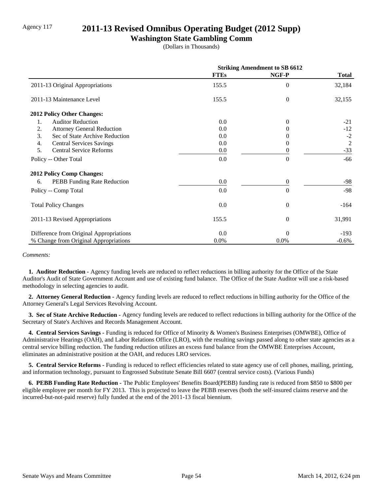## Agency 117 **2011-13 Revised Omnibus Operating Budget (2012 Supp)**

### **Washington State Gambling Comm**

(Dollars in Thousands)

|                                         | <b>Striking Amendment to SB 6612</b> |                  |                |
|-----------------------------------------|--------------------------------------|------------------|----------------|
|                                         | <b>FTEs</b>                          | NGF-P            | <b>Total</b>   |
| 2011-13 Original Appropriations         | 155.5                                | $\theta$         | 32,184         |
| 2011-13 Maintenance Level               | 155.5                                | $\theta$         | 32,155         |
| 2012 Policy Other Changes:              |                                      |                  |                |
| <b>Auditor Reduction</b><br>1.          | 0.0                                  | $\theta$         | $-21$          |
| 2.<br><b>Attorney General Reduction</b> | 0.0                                  | 0                | $-12$          |
| 3.<br>Sec of State Archive Reduction    | 0.0                                  | $\theta$         | $-2$           |
| 4.<br><b>Central Services Savings</b>   | 0.0                                  | 0                | $\overline{2}$ |
| 5.<br><b>Central Service Reforms</b>    | 0.0                                  | 0                | $-33$          |
| Policy -- Other Total                   | 0.0                                  | $\theta$         | -66            |
| <b>2012 Policy Comp Changes:</b>        |                                      |                  |                |
| 6.<br>PEBB Funding Rate Reduction       | 0.0                                  | $\mathbf{0}$     | -98            |
| Policy -- Comp Total                    | 0.0                                  | $\theta$         | $-98$          |
| <b>Total Policy Changes</b>             | 0.0                                  | $\boldsymbol{0}$ | $-164$         |
| 2011-13 Revised Appropriations          | 155.5                                | $\overline{0}$   | 31,991         |
| Difference from Original Appropriations | 0.0                                  | $\theta$         | $-193$         |
| % Change from Original Appropriations   | 0.0%                                 | 0.0%             | $-0.6%$        |

#### *Comments:*

 **1. Auditor Reduction -** Agency funding levels are reduced to reflect reductions in billing authority for the Office of the State Auditor's Audit of State Government Account and use of existing fund balance. The Office of the State Auditor will use a risk-based methodology in selecting agencies to audit.

 **2. Attorney General Reduction -** Agency funding levels are reduced to reflect reductions in billing authority for the Office of the Attorney General's Legal Services Revolving Account.

 **3. Sec of State Archive Reduction -** Agency funding levels are reduced to reflect reductions in billing authority for the Office of the Secretary of State's Archives and Records Management Account.

 **4. Central Services Savings -** Funding is reduced for Office of Minority & Women's Business Enterprises (OMWBE), Office of Administrative Hearings (OAH), and Labor Relations Office (LRO), with the resulting savings passed along to other state agencies as a central service billing reduction. The funding reduction utilizes an excess fund balance from the OMWBE Enterprises Account, eliminates an administrative position at the OAH, and reduces LRO services.

 **5. Central Service Reforms -** Funding is reduced to reflect efficiencies related to state agency use of cell phones, mailing, printing, and information technology, pursuant to Engrossed Substitute Senate Bill 6607 (central service costs). (Various Funds)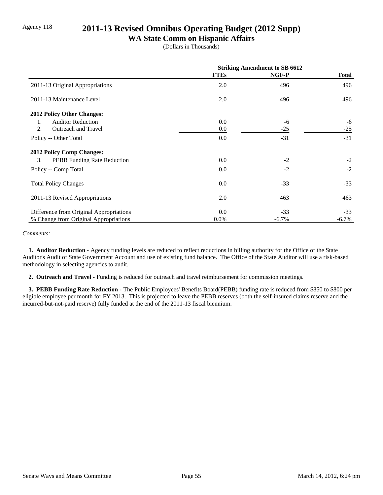## Agency 118 **2011-13 Revised Omnibus Operating Budget (2012 Supp)**

### **WA State Comm on Hispanic Affairs**

(Dollars in Thousands)

|                                         | <b>Striking Amendment to SB 6612</b> |          |          |
|-----------------------------------------|--------------------------------------|----------|----------|
|                                         | <b>FTEs</b>                          | NGF-P    | Total    |
| 2011-13 Original Appropriations         | 2.0                                  | 496      | 496      |
| 2011-13 Maintenance Level               | 2.0                                  | 496      | 496      |
| 2012 Policy Other Changes:              |                                      |          |          |
| <b>Auditor Reduction</b><br>1.          | 0.0                                  | -6       | -6       |
| Outreach and Travel<br>2.               | 0.0                                  | $-25$    | $-25$    |
| Policy -- Other Total                   | 0.0                                  | $-31$    | $-31$    |
| <b>2012 Policy Comp Changes:</b>        |                                      |          |          |
| 3.<br>PEBB Funding Rate Reduction       | 0.0                                  | $-2$     | $-2$     |
| Policy -- Comp Total                    | 0.0                                  | $-2$     | $-2$     |
| <b>Total Policy Changes</b>             | 0.0                                  | $-33$    | $-33$    |
| 2011-13 Revised Appropriations          | 2.0                                  | 463      | 463      |
| Difference from Original Appropriations | 0.0                                  | $-33$    | $-33$    |
| % Change from Original Appropriations   | $0.0\%$                              | $-6.7\%$ | $-6.7\%$ |

#### *Comments:*

 **1. Auditor Reduction -** Agency funding levels are reduced to reflect reductions in billing authority for the Office of the State Auditor's Audit of State Government Account and use of existing fund balance. The Office of the State Auditor will use a risk-based methodology in selecting agencies to audit.

 **2. Outreach and Travel -** Funding is reduced for outreach and travel reimbursement for commission meetings.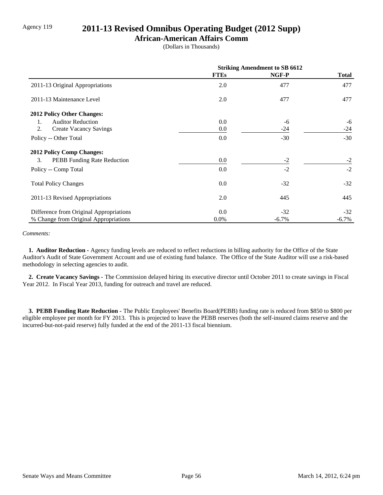## Agency 119 **2011-13 Revised Omnibus Operating Budget (2012 Supp)**

### **African-American Affairs Comm**

(Dollars in Thousands)

|                                         | <b>Striking Amendment to SB 6612</b> |         |          |
|-----------------------------------------|--------------------------------------|---------|----------|
|                                         | <b>FTEs</b>                          | NGF-P   | Total    |
| 2011-13 Original Appropriations         | 2.0                                  | 477     | 477      |
| 2011-13 Maintenance Level               | 2.0                                  | 477     | 477      |
| 2012 Policy Other Changes:              |                                      |         |          |
| <b>Auditor Reduction</b><br>1.          | 0.0                                  | -6      | -6       |
| 2.<br><b>Create Vacancy Savings</b>     | 0.0                                  | $-24$   | $-24$    |
| Policy -- Other Total                   | 0.0                                  | $-30$   | $-30$    |
| <b>2012 Policy Comp Changes:</b>        |                                      |         |          |
| 3.<br>PEBB Funding Rate Reduction       | 0.0                                  | $-2$    | $-2$     |
| Policy -- Comp Total                    | 0.0                                  | $-2$    | $-2$     |
| <b>Total Policy Changes</b>             | 0.0                                  | $-32$   | $-32$    |
| 2011-13 Revised Appropriations          | 2.0                                  | 445     | 445      |
| Difference from Original Appropriations | 0.0                                  | $-32$   | $-32$    |
| % Change from Original Appropriations   | $0.0\%$                              | $-6.7%$ | $-6.7\%$ |

#### *Comments:*

 **1. Auditor Reduction -** Agency funding levels are reduced to reflect reductions in billing authority for the Office of the State Auditor's Audit of State Government Account and use of existing fund balance. The Office of the State Auditor will use a risk-based methodology in selecting agencies to audit.

 **2. Create Vacancy Savings -** The Commission delayed hiring its executive director until October 2011 to create savings in Fiscal Year 2012. In Fiscal Year 2013, funding for outreach and travel are reduced.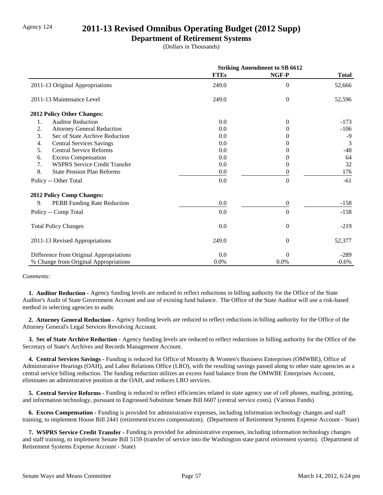## Agency 124 **2011-13 Revised Omnibus Operating Budget (2012 Supp)**

### **Department of Retirement Systems**

(Dollars in Thousands)

|                                            | <b>Striking Amendment to SB 6612</b> |                  |              |
|--------------------------------------------|--------------------------------------|------------------|--------------|
|                                            | <b>FTEs</b>                          | NGF-P            | <b>Total</b> |
| 2011-13 Original Appropriations            | 249.0                                | $\overline{0}$   | 52,666       |
| 2011-13 Maintenance Level                  | 249.0                                | $\theta$         | 52,596       |
| 2012 Policy Other Changes:                 |                                      |                  |              |
| <b>Auditor Reduction</b><br>1.             | 0.0                                  | $\overline{0}$   | $-173$       |
| 2.<br><b>Attorney General Reduction</b>    | 0.0                                  | $\Omega$         | $-106$       |
| 3.<br>Sec of State Archive Reduction       | 0.0                                  | 0                | $-9$         |
| <b>Central Services Savings</b><br>4.      | 0.0                                  | 0                | 3            |
| <b>Central Service Reforms</b><br>5.       | 0.0                                  | $\theta$         | $-48$        |
| <b>Excess Compensation</b><br>6.           | 0.0                                  | $\Omega$         | 64           |
| 7.<br><b>WSPRS Service Credit Transfer</b> | 0.0                                  | 0                | 32           |
| 8.<br><b>State Pension Plan Reforms</b>    | 0.0                                  | 0                | 176          |
| Policy -- Other Total                      | 0.0                                  | $\theta$         | $-61$        |
| 2012 Policy Comp Changes:                  |                                      |                  |              |
| 9.<br>PEBB Funding Rate Reduction          | 0.0                                  | $\boldsymbol{0}$ | $-158$       |
| Policy -- Comp Total                       | 0.0                                  | $\theta$         | $-158$       |
| <b>Total Policy Changes</b>                | 0.0                                  | $\overline{0}$   | $-219$       |
| 2011-13 Revised Appropriations             | 249.0                                | $\overline{0}$   | 52,377       |
| Difference from Original Appropriations    | 0.0                                  | $\theta$         | $-289$       |
| % Change from Original Appropriations      | 0.0%                                 | 0.0%             | $-0.6%$      |

#### *Comments:*

 **1. Auditor Reduction -** Agency funding levels are reduced to reflect reductions in billing authority for the Office of the State Auditor's Audit of State Government Account and use of existing fund balance. The Office of the State Auditor will use a risk-based method in selecting agencies to audit.

 **2. Attorney General Reduction -** Agency funding levels are reduced to reflect reductions in billing authority for the Office of the Attorney General's Legal Services Revolving Account.

 **3. Sec of State Archive Reduction -** Agency funding levels are reduced to reflect reductions in billing authority for the Office of the Secretary of State's Archives and Records Management Account.

 **4. Central Services Savings -** Funding is reduced for Office of Minority & Women's Business Enterprises (OMWBE), Office of Administrative Hearings (OAH), and Labor Relations Office (LRO), with the resulting savings passed along to other state agencies as a central service billing reduction. The funding reduction utilizes an excess fund balance from the OMWBE Enterprises Account, eliminates an administrative position at the OAH, and reduces LRO services.

 **5. Central Service Reforms -** Funding is reduced to reflect efficiencies related to state agency use of cell phones, mailing, printing, and information technology, pursuant to Engrossed Substitute Senate Bill 6607 (central service costs). (Various Funds)

 **6. Excess Compensation -** Funding is provided for administrative expenses, including information technology changes and staff training, to implement House Bill 2441 (retirement/excess compensation). (Department of Retirement Systems Expense Account - State)

 **7. WSPRS Service Credit Transfer -** Funding is provided for administrative expenses, including information technology changes and staff training, to implement Senate Bill 5159 (transfer of service into the Washington state patrol retirement system). (Department of Retirement Systems Expense Account - State)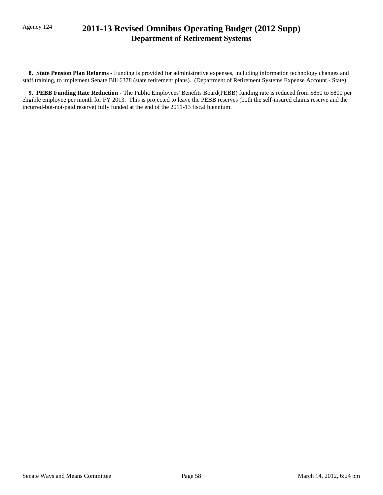## Agency 124 **2011-13 Revised Omnibus Operating Budget (2012 Supp) Department of Retirement Systems**

 **8. State Pension Plan Reforms -** Funding is provided for administrative expenses, including information technology changes and staff training, to implement Senate Bill 6378 (state retirement plans). (Department of Retirement Systems Expense Account - State)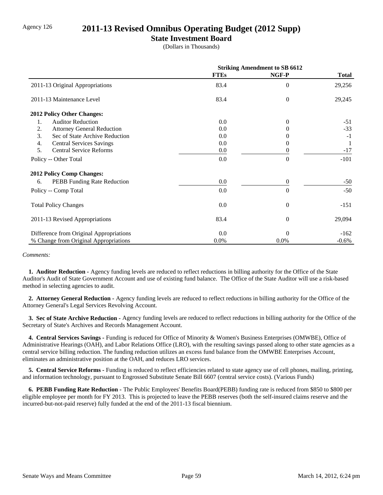## Agency 126 **2011-13 Revised Omnibus Operating Budget (2012 Supp)**

### **State Investment Board**

(Dollars in Thousands)

|                                         | <b>Striking Amendment to SB 6612</b> |                |              |
|-----------------------------------------|--------------------------------------|----------------|--------------|
|                                         | <b>FTEs</b>                          | NGF-P          | <b>Total</b> |
| 2011-13 Original Appropriations         | 83.4                                 | $\theta$       | 29,256       |
| 2011-13 Maintenance Level               | 83.4                                 | $\theta$       | 29,245       |
| 2012 Policy Other Changes:              |                                      |                |              |
| <b>Auditor Reduction</b><br>1.          | 0.0                                  | $\Omega$       | $-51$        |
| 2.<br><b>Attorney General Reduction</b> | 0.0                                  |                | $-33$        |
| 3.<br>Sec of State Archive Reduction    | 0.0                                  |                | $-1$         |
| 4.<br><b>Central Services Savings</b>   | 0.0                                  |                |              |
| 5.<br><b>Central Service Reforms</b>    | 0.0                                  |                | $-17$        |
| Policy -- Other Total                   | 0.0                                  | $\theta$       | $-101$       |
| <b>2012 Policy Comp Changes:</b>        |                                      |                |              |
| PEBB Funding Rate Reduction<br>6.       | 0.0                                  | 0              | $-50$        |
| Policy -- Comp Total                    | 0.0                                  | $\theta$       | $-50$        |
| <b>Total Policy Changes</b>             | 0.0                                  | $\overline{0}$ | $-151$       |
| 2011-13 Revised Appropriations          | 83.4                                 | $\theta$       | 29,094       |
| Difference from Original Appropriations | 0.0                                  | $\Omega$       | $-162$       |
| % Change from Original Appropriations   | 0.0%                                 | 0.0%           | $-0.6\%$     |

#### *Comments:*

 **1. Auditor Reduction -** Agency funding levels are reduced to reflect reductions in billing authority for the Office of the State Auditor's Audit of State Government Account and use of existing fund balance. The Office of the State Auditor will use a risk-based method in selecting agencies to audit.

 **2. Attorney General Reduction -** Agency funding levels are reduced to reflect reductions in billing authority for the Office of the Attorney General's Legal Services Revolving Account.

 **3. Sec of State Archive Reduction -** Agency funding levels are reduced to reflect reductions in billing authority for the Office of the Secretary of State's Archives and Records Management Account.

 **4. Central Services Savings -** Funding is reduced for Office of Minority & Women's Business Enterprises (OMWBE), Office of Administrative Hearings (OAH), and Labor Relations Office (LRO), with the resulting savings passed along to other state agencies as a central service billing reduction. The funding reduction utilizes an excess fund balance from the OMWBE Enterprises Account, eliminates an administrative position at the OAH, and reduces LRO services.

 **5. Central Service Reforms -** Funding is reduced to reflect efficiencies related to state agency use of cell phones, mailing, printing, and information technology, pursuant to Engrossed Substitute Senate Bill 6607 (central service costs). (Various Funds)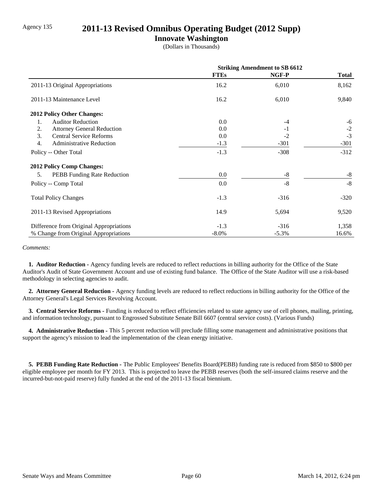### Agency 135 **2011-13 Revised Omnibus Operating Budget (2012 Supp)**

### **Innovate Washington**

(Dollars in Thousands)

|                                          | <b>Striking Amendment to SB 6612</b> |          |              |
|------------------------------------------|--------------------------------------|----------|--------------|
|                                          | <b>FTEs</b>                          | NGF-P    | <b>Total</b> |
| 2011-13 Original Appropriations          | 16.2                                 | 6,010    | 8,162        |
| 2011-13 Maintenance Level                | 16.2                                 | 6,010    | 9,840        |
| 2012 Policy Other Changes:               |                                      |          |              |
| <b>Auditor Reduction</b><br>1.           | 0.0                                  | $-4$     | -6           |
| <b>Attorney General Reduction</b><br>2.  | 0.0                                  | $-1$     | $-2$         |
| 3.<br><b>Central Service Reforms</b>     | 0.0                                  | $-2$     | $-3$         |
| 4.<br>Administrative Reduction           | $-1.3$                               | $-301$   | $-301$       |
| Policy -- Other Total                    | $-1.3$                               | $-308$   | $-312$       |
| <b>2012 Policy Comp Changes:</b>         |                                      |          |              |
| 5.<br><b>PEBB</b> Funding Rate Reduction | 0.0                                  | -8       | $-8$         |
| Policy -- Comp Total                     | 0.0                                  | $-8$     | $-8$         |
| <b>Total Policy Changes</b>              | $-1.3$                               | $-316$   | $-320$       |
| 2011-13 Revised Appropriations           | 14.9                                 | 5,694    | 9,520        |
| Difference from Original Appropriations  | $-1.3$                               | $-316$   | 1,358        |
| % Change from Original Appropriations    | $-8.0\%$                             | $-5.3\%$ | 16.6%        |

#### *Comments:*

 **1. Auditor Reduction -** Agency funding levels are reduced to reflect reductions in billing authority for the Office of the State Auditor's Audit of State Government Account and use of existing fund balance. The Office of the State Auditor will use a risk-based methodology in selecting agencies to audit.

 **2. Attorney General Reduction -** Agency funding levels are reduced to reflect reductions in billing authority for the Office of the Attorney General's Legal Services Revolving Account.

 **3. Central Service Reforms -** Funding is reduced to reflect efficiencies related to state agency use of cell phones, mailing, printing, and information technology, pursuant to Engrossed Substitute Senate Bill 6607 (central service costs). (Various Funds)

 **4. Administrative Reduction -** This 5 percent reduction will preclude filling some management and administrative positions that support the agency's mission to lead the implementation of the clean energy initiative.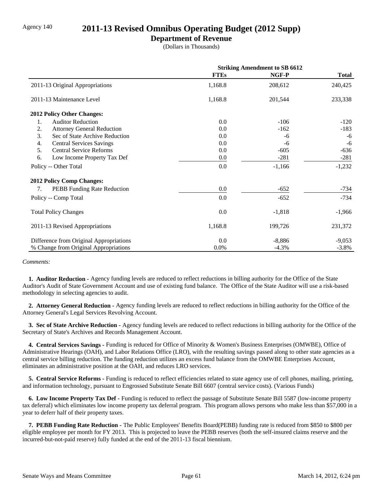### Agency 140 **2011-13 Revised Omnibus Operating Budget (2012 Supp)**

### **Department of Revenue**

(Dollars in Thousands)

|                                          | <b>Striking Amendment to SB 6612</b> |          |              |
|------------------------------------------|--------------------------------------|----------|--------------|
|                                          | <b>FTEs</b>                          | NGF-P    | <b>Total</b> |
| 2011-13 Original Appropriations          | 1,168.8                              | 208,612  | 240,425      |
| 2011-13 Maintenance Level                | 1,168.8                              | 201,544  | 233,338      |
| <b>2012 Policy Other Changes:</b>        |                                      |          |              |
| 1.<br><b>Auditor Reduction</b>           | 0.0                                  | $-106$   | $-120$       |
| 2.<br><b>Attorney General Reduction</b>  | 0.0                                  | $-162$   | $-183$       |
| 3.<br>Sec of State Archive Reduction     | 0.0                                  | -6       | -6           |
| 4.<br><b>Central Services Savings</b>    | 0.0                                  | -6       | $-6$         |
| 5.<br><b>Central Service Reforms</b>     | 0.0                                  | $-605$   | $-636$       |
| 6.<br>Low Income Property Tax Def        | 0.0                                  | $-281$   | $-281$       |
| Policy -- Other Total                    | 0.0                                  | $-1,166$ | $-1,232$     |
| <b>2012 Policy Comp Changes:</b>         |                                      |          |              |
| <b>PEBB</b> Funding Rate Reduction<br>7. | 0.0                                  | $-652$   | $-734$       |
| Policy -- Comp Total                     | 0.0                                  | $-652$   | $-734$       |
| <b>Total Policy Changes</b>              | 0.0                                  | $-1,818$ | $-1,966$     |
| 2011-13 Revised Appropriations           | 1,168.8                              | 199,726  | 231,372      |
| Difference from Original Appropriations  | 0.0                                  | $-8,886$ | $-9,053$     |
| % Change from Original Appropriations    | 0.0%                                 | $-4.3%$  | $-3.8%$      |

*Comments:*

 **1. Auditor Reduction -** Agency funding levels are reduced to reflect reductions in billing authority for the Office of the State Auditor's Audit of State Government Account and use of existing fund balance. The Office of the State Auditor will use a risk-based methodology in selecting agencies to audit.

 **2. Attorney General Reduction -** Agency funding levels are reduced to reflect reductions in billing authority for the Office of the Attorney General's Legal Services Revolving Account.

 **3. Sec of State Archive Reduction -** Agency funding levels are reduced to reflect reductions in billing authority for the Office of the Secretary of State's Archives and Records Management Account.

 **4. Central Services Savings -** Funding is reduced for Office of Minority & Women's Business Enterprises (OMWBE), Office of Administrative Hearings (OAH), and Labor Relations Office (LRO), with the resulting savings passed along to other state agencies as a central service billing reduction. The funding reduction utilizes an excess fund balance from the OMWBE Enterprises Account, eliminates an administrative position at the OAH, and reduces LRO services.

 **5. Central Service Reforms -** Funding is reduced to reflect efficiencies related to state agency use of cell phones, mailing, printing, and information technology, pursuant to Engrossed Substitute Senate Bill 6607 (central service costs). (Various Funds)

 **6. Low Income Property Tax Def -** Funding is reduced to reflect the passage of Substitute Senate Bill 5587 (low-income property tax deferral) which eliminates low income property tax deferral program. This program allows persons who make less than \$57,000 in a year to deferr half of their property taxes.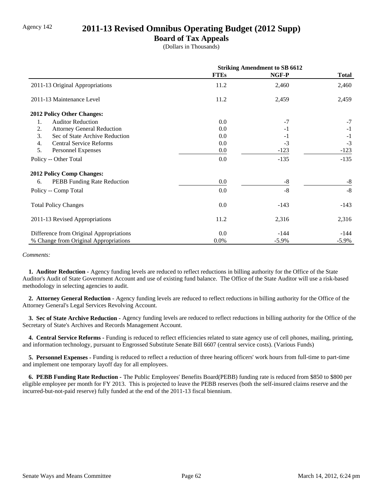## Agency 142 **2011-13 Revised Omnibus Operating Budget (2012 Supp)**

### **Board of Tax Appeals**

(Dollars in Thousands)

|                                         | <b>Striking Amendment to SB 6612</b> |          |              |
|-----------------------------------------|--------------------------------------|----------|--------------|
|                                         | <b>FTEs</b>                          | NGF-P    | <b>Total</b> |
| 2011-13 Original Appropriations         | 11.2                                 | 2,460    | 2,460        |
| 2011-13 Maintenance Level               | 11.2                                 | 2,459    | 2,459        |
| 2012 Policy Other Changes:              |                                      |          |              |
| <b>Auditor Reduction</b><br>1.          | 0.0                                  | $-7$     | $-7$         |
| 2.<br><b>Attorney General Reduction</b> | 0.0                                  | $-1$     | $-1$         |
| 3.<br>Sec of State Archive Reduction    | 0.0                                  | $-1$     | $-1$         |
| 4.<br><b>Central Service Reforms</b>    | 0.0                                  | $-3$     | $-3$         |
| 5.<br>Personnel Expenses                | 0.0                                  | $-123$   | $-123$       |
| Policy -- Other Total                   | 0.0                                  | $-135$   | $-135$       |
| <b>2012 Policy Comp Changes:</b>        |                                      |          |              |
| PEBB Funding Rate Reduction<br>6.       | 0.0                                  | $-8$     | $-8$         |
| Policy -- Comp Total                    | 0.0                                  | $-8$     | $-8$         |
| <b>Total Policy Changes</b>             | 0.0                                  | $-143$   | $-143$       |
| 2011-13 Revised Appropriations          | 11.2                                 | 2,316    | 2,316        |
| Difference from Original Appropriations | 0.0                                  | $-144$   | -144         |
| % Change from Original Appropriations   | 0.0%                                 | $-5.9\%$ | $-5.9\%$     |

#### *Comments:*

 **1. Auditor Reduction -** Agency funding levels are reduced to reflect reductions in billing authority for the Office of the State Auditor's Audit of State Government Account and use of existing fund balance. The Office of the State Auditor will use a risk-based methodology in selecting agencies to audit.

 **2. Attorney General Reduction -** Agency funding levels are reduced to reflect reductions in billing authority for the Office of the Attorney General's Legal Services Revolving Account.

 **3. Sec of State Archive Reduction -** Agency funding levels are reduced to reflect reductions in billing authority for the Office of the Secretary of State's Archives and Records Management Account.

 **4. Central Service Reforms -** Funding is reduced to reflect efficiencies related to state agency use of cell phones, mailing, printing, and information technology, pursuant to Engrossed Substitute Senate Bill 6607 (central service costs). (Various Funds)

 **5. Personnel Expenses -** Funding is reduced to reflect a reduction of three hearing officers' work hours from full-time to part-time and implement one temporary layoff day for all employees.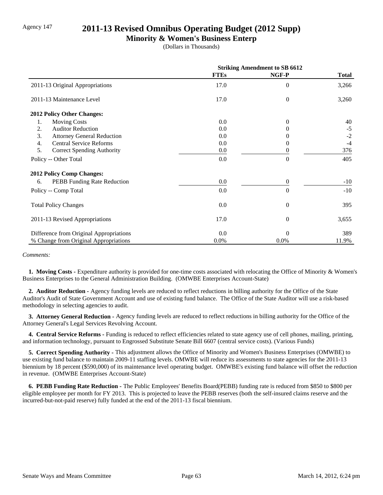## Agency 147 **2011-13 Revised Omnibus Operating Budget (2012 Supp)**

### **Minority & Women's Business Enterp**

(Dollars in Thousands)

|                                         | <b>Striking Amendment to SB 6612</b> |                  |              |
|-----------------------------------------|--------------------------------------|------------------|--------------|
|                                         | <b>FTEs</b>                          | NGF-P            | <b>Total</b> |
| 2011-13 Original Appropriations         | 17.0                                 | $\theta$         | 3,266        |
| 2011-13 Maintenance Level               | 17.0                                 | $\mathbf{0}$     | 3,260        |
| 2012 Policy Other Changes:              |                                      |                  |              |
| <b>Moving Costs</b><br>1.               | 0.0                                  | $\theta$         | 40           |
| <b>Auditor Reduction</b><br>2.          | 0.0                                  | 0                | $-5$         |
| 3.<br><b>Attorney General Reduction</b> | 0.0                                  | $\theta$         | $-2$         |
| <b>Central Service Reforms</b><br>4.    | 0.0                                  | 0                | $-4$         |
| 5.<br><b>Correct Spending Authority</b> | 0.0                                  | 0                | 376          |
| Policy -- Other Total                   | 0.0                                  | $\theta$         | 405          |
| <b>2012 Policy Comp Changes:</b>        |                                      |                  |              |
| 6.<br>PEBB Funding Rate Reduction       | 0.0                                  | $\mathbf{0}$     | $-10$        |
| Policy -- Comp Total                    | 0.0                                  | $\theta$         | $-10$        |
| <b>Total Policy Changes</b>             | 0.0                                  | $\overline{0}$   | 395          |
| 2011-13 Revised Appropriations          | 17.0                                 | $\boldsymbol{0}$ | 3,655        |
| Difference from Original Appropriations | 0.0                                  | $\Omega$         | 389          |
| % Change from Original Appropriations   | 0.0%                                 | 0.0%             | 11.9%        |

#### *Comments:*

 **1. Moving Costs -** Expenditure authority is provided for one-time costs associated with relocating the Office of Minority & Women's Business Enterprises to the General Administration Building. (OMWBE Enterprises Account-State)

 **2. Auditor Reduction -** Agency funding levels are reduced to reflect reductions in billing authority for the Office of the State Auditor's Audit of State Government Account and use of existing fund balance. The Office of the State Auditor will use a risk-based methodology in selecting agencies to audit.

 **3. Attorney General Reduction -** Agency funding levels are reduced to reflect reductions in billing authority for the Office of the Attorney General's Legal Services Revolving Account.

 **4. Central Service Reforms -** Funding is reduced to reflect efficiencies related to state agency use of cell phones, mailing, printing, and information technology, pursuant to Engrossed Substitute Senate Bill 6607 (central service costs). (Various Funds)

 **5. Correct Spending Authority -** This adjustment allows the Office of Minority and Women's Business Enterprises (OMWBE) to use existing fund balance to maintain 2009-11 staffing levels. OMWBE will reduce its assessments to state agencies for the 2011-13 biennium by 18 percent (\$590,000) of its maintenance level operating budget. OMWBE's existing fund balance will offset the reduction in revenue. (OMWBE Enterprises Account-State)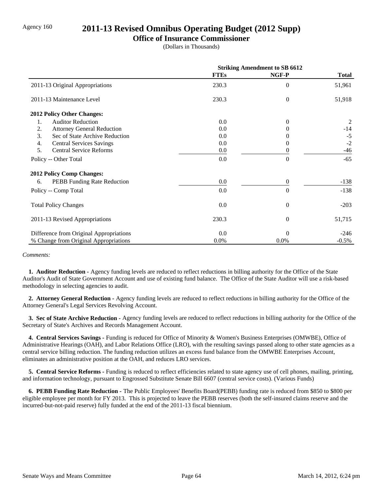## Agency 160 **2011-13 Revised Omnibus Operating Budget (2012 Supp)**

### **Office of Insurance Commissioner**

(Dollars in Thousands)

|                                         | <b>Striking Amendment to SB 6612</b> |                  |              |
|-----------------------------------------|--------------------------------------|------------------|--------------|
|                                         | <b>FTEs</b>                          | NGF-P            | <b>Total</b> |
| 2011-13 Original Appropriations         | 230.3                                | $\Omega$         | 51,961       |
| 2011-13 Maintenance Level               | 230.3                                | $\theta$         | 51,918       |
| <b>2012 Policy Other Changes:</b>       |                                      |                  |              |
| <b>Auditor Reduction</b><br>1.          | 0.0                                  | $\Omega$         | 2            |
| 2.<br><b>Attorney General Reduction</b> | 0.0                                  |                  | $-14$        |
| 3.<br>Sec of State Archive Reduction    | 0.0                                  |                  | $-5$         |
| <b>Central Services Savings</b><br>4.   | 0.0                                  | 0                | $-2$         |
| 5.<br><b>Central Service Reforms</b>    | $0.0\,$                              |                  | $-46$        |
| Policy -- Other Total                   | 0.0                                  | $\theta$         | $-65$        |
| <b>2012 Policy Comp Changes:</b>        |                                      |                  |              |
| PEBB Funding Rate Reduction<br>6.       | 0.0                                  | $\boldsymbol{0}$ | $-138$       |
| Policy -- Comp Total                    | 0.0                                  | $\theta$         | $-138$       |
| <b>Total Policy Changes</b>             | 0.0                                  | $\overline{0}$   | $-203$       |
| 2011-13 Revised Appropriations          | 230.3                                | $\theta$         | 51,715       |
| Difference from Original Appropriations | 0.0                                  | $\Omega$         | $-246$       |
| % Change from Original Appropriations   | 0.0%                                 | 0.0%             | $-0.5\%$     |

#### *Comments:*

 **1. Auditor Reduction -** Agency funding levels are reduced to reflect reductions in billing authority for the Office of the State Auditor's Audit of State Government Account and use of existing fund balance. The Office of the State Auditor will use a risk-based methodology in selecting agencies to audit.

 **2. Attorney General Reduction -** Agency funding levels are reduced to reflect reductions in billing authority for the Office of the Attorney General's Legal Services Revolving Account.

 **3. Sec of State Archive Reduction -** Agency funding levels are reduced to reflect reductions in billing authority for the Office of the Secretary of State's Archives and Records Management Account.

 **4. Central Services Savings -** Funding is reduced for Office of Minority & Women's Business Enterprises (OMWBE), Office of Administrative Hearings (OAH), and Labor Relations Office (LRO), with the resulting savings passed along to other state agencies as a central service billing reduction. The funding reduction utilizes an excess fund balance from the OMWBE Enterprises Account, eliminates an administrative position at the OAH, and reduces LRO services.

 **5. Central Service Reforms -** Funding is reduced to reflect efficiencies related to state agency use of cell phones, mailing, printing, and information technology, pursuant to Engrossed Substitute Senate Bill 6607 (central service costs). (Various Funds)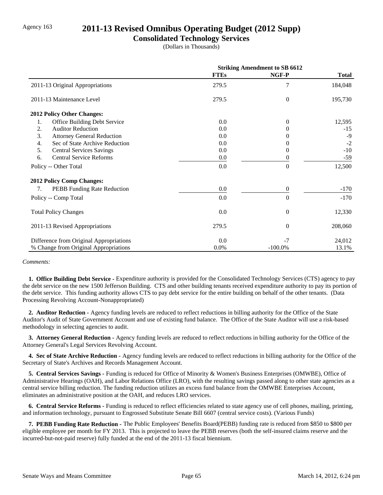## Agency 163 **2011-13 Revised Omnibus Operating Budget (2012 Supp)**

### **Consolidated Technology Services**

(Dollars in Thousands)

|                                                    | <b>Striking Amendment to SB 6612</b> |                |              |
|----------------------------------------------------|--------------------------------------|----------------|--------------|
|                                                    | <b>FTEs</b>                          | NGF-P          | <b>Total</b> |
| 2011-13 Original Appropriations                    | 279.5                                | 7              | 184,048      |
| 2011-13 Maintenance Level                          | 279.5                                | $\overline{0}$ | 195,730      |
| 2012 Policy Other Changes:                         |                                      |                |              |
| Office Building Debt Service<br>1.                 | 0.0                                  | $\theta$       | 12,595       |
| 2.<br><b>Auditor Reduction</b>                     | 0.0                                  | 0              | $-15$        |
| 3.<br><b>Attorney General Reduction</b>            | 0.0                                  | 0              | $-9$         |
| Sec of State Archive Reduction<br>$\overline{4}$ . | 0.0                                  | 0              | $-2$         |
| 5.<br><b>Central Services Savings</b>              | 0.0                                  | $\Omega$       | $-10$        |
| <b>Central Service Reforms</b><br>6.               | 0.0                                  | $\theta$       | $-59$        |
| Policy -- Other Total                              | 0.0                                  | $\overline{0}$ | 12,500       |
| <b>2012 Policy Comp Changes:</b>                   |                                      |                |              |
| PEBB Funding Rate Reduction<br>7.                  | 0.0                                  | $\overline{0}$ | $-170$       |
| Policy -- Comp Total                               | 0.0                                  | $\overline{0}$ | $-170$       |
| <b>Total Policy Changes</b>                        | 0.0                                  | $\overline{0}$ | 12,330       |
| 2011-13 Revised Appropriations                     | 279.5                                | $\overline{0}$ | 208,060      |
| Difference from Original Appropriations            | 0.0                                  | $-7$           | 24,012       |
| % Change from Original Appropriations              | 0.0%                                 | $-100.0\%$     | 13.1%        |

#### *Comments:*

 **1. Office Building Debt Service -** Expenditure authority is provided for the Consolidated Technology Services (CTS) agency to pay the debt service on the new 1500 Jefferson Building. CTS and other building tenants received expenditure authority to pay its portion of the debt service. This funding authority allows CTS to pay debt service for the entire building on behalf of the other tenants. (Data Processing Revolving Account-Nonappropriated)

 **2. Auditor Reduction -** Agency funding levels are reduced to reflect reductions in billing authority for the Office of the State Auditor's Audit of State Government Account and use of existing fund balance. The Office of the State Auditor will use a risk-based methodology in selecting agencies to audit.

 **3. Attorney General Reduction -** Agency funding levels are reduced to reflect reductions in billing authority for the Office of the Attorney General's Legal Services Revolving Account.

 **4. Sec of State Archive Reduction -** Agency funding levels are reduced to reflect reductions in billing authority for the Office of the Secretary of State's Archives and Records Management Account.

 **5. Central Services Savings -** Funding is reduced for Office of Minority & Women's Business Enterprises (OMWBE), Office of Administrative Hearings (OAH), and Labor Relations Office (LRO), with the resulting savings passed along to other state agencies as a central service billing reduction. The funding reduction utilizes an excess fund balance from the OMWBE Enterprises Account, eliminates an administrative position at the OAH, and reduces LRO services.

 **6. Central Service Reforms -** Funding is reduced to reflect efficiencies related to state agency use of cell phones, mailing, printing, and information technology, pursuant to Engrossed Substitute Senate Bill 6607 (central service costs). (Various Funds)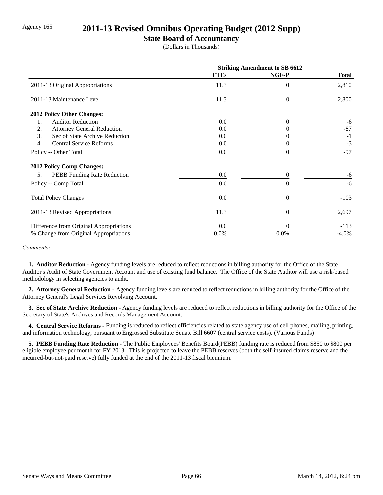### Agency 165 **2011-13 Revised Omnibus Operating Budget (2012 Supp)**

### **State Board of Accountancy**

(Dollars in Thousands)

|                                          | <b>Striking Amendment to SB 6612</b> |          |          |
|------------------------------------------|--------------------------------------|----------|----------|
|                                          | <b>FTEs</b>                          | NGF-P    | Total    |
| 2011-13 Original Appropriations          | 11.3                                 | $\Omega$ | 2,810    |
| 2011-13 Maintenance Level                | 11.3                                 | $\theta$ | 2,800    |
| 2012 Policy Other Changes:               |                                      |          |          |
| <b>Auditor Reduction</b><br>1.           | 0.0                                  | $\Omega$ | -6       |
| <b>Attorney General Reduction</b><br>2.  | 0.0                                  |          | $-87$    |
| 3.<br>Sec of State Archive Reduction     | 0.0                                  |          | $-1$     |
| 4.<br><b>Central Service Reforms</b>     | 0.0                                  | 0        | $-3$     |
| Policy -- Other Total                    | 0.0                                  | $\theta$ | $-97$    |
| 2012 Policy Comp Changes:                |                                      |          |          |
| <b>PEBB</b> Funding Rate Reduction<br>5. | 0.0                                  | $\theta$ | -6       |
| Policy -- Comp Total                     | 0.0                                  | $\theta$ | $-6$     |
| <b>Total Policy Changes</b>              | 0.0                                  | $\theta$ | $-103$   |
| 2011-13 Revised Appropriations           | 11.3                                 | $\theta$ | 2,697    |
| Difference from Original Appropriations  | 0.0                                  | $\theta$ | $-113$   |
| % Change from Original Appropriations    | 0.0%                                 | $0.0\%$  | $-4.0\%$ |

#### *Comments:*

 **1. Auditor Reduction -** Agency funding levels are reduced to reflect reductions in billing authority for the Office of the State Auditor's Audit of State Government Account and use of existing fund balance. The Office of the State Auditor will use a risk-based methodology in selecting agencies to audit.

 **2. Attorney General Reduction -** Agency funding levels are reduced to reflect reductions in billing authority for the Office of the Attorney General's Legal Services Revolving Account.

 **3. Sec of State Archive Reduction -** Agency funding levels are reduced to reflect reductions in billing authority for the Office of the Secretary of State's Archives and Records Management Account.

 **4. Central Service Reforms -** Funding is reduced to reflect efficiencies related to state agency use of cell phones, mailing, printing, and information technology, pursuant to Engrossed Substitute Senate Bill 6607 (central service costs). (Various Funds)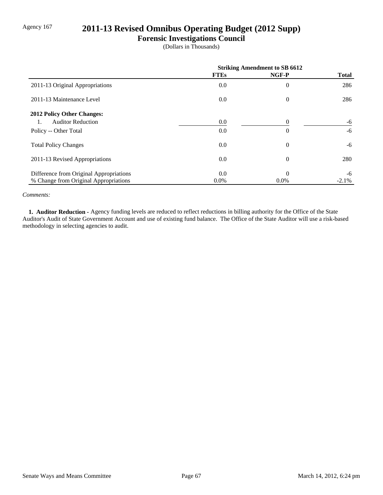# Agency 167 **2011-13 Revised Omnibus Operating Budget (2012 Supp)**

### **Forensic Investigations Council**

(Dollars in Thousands)

|                                         | <b>Striking Amendment to SB 6612</b> |          |              |
|-----------------------------------------|--------------------------------------|----------|--------------|
|                                         | <b>FTEs</b>                          | NGF-P    | <b>Total</b> |
| 2011-13 Original Appropriations         | 0.0                                  | $\theta$ | 286          |
| 2011-13 Maintenance Level               | 0.0                                  | $\theta$ | 286          |
| 2012 Policy Other Changes:              |                                      |          |              |
| <b>Auditor Reduction</b><br>1.          | 0.0                                  | $\Omega$ | -6           |
| Policy -- Other Total                   | 0.0                                  | $\theta$ | $-6$         |
| <b>Total Policy Changes</b>             | 0.0                                  | $\theta$ | -6           |
| 2011-13 Revised Appropriations          | 0.0                                  | $\theta$ | 280          |
| Difference from Original Appropriations | 0.0                                  | $\theta$ | -6           |
| % Change from Original Appropriations   | 0.0%                                 | $0.0\%$  | $-2.1%$      |

#### *Comments:*

 **1. Auditor Reduction -** Agency funding levels are reduced to reflect reductions in billing authority for the Office of the State Auditor's Audit of State Government Account and use of existing fund balance. The Office of the State Auditor will use a risk-based methodology in selecting agencies to audit.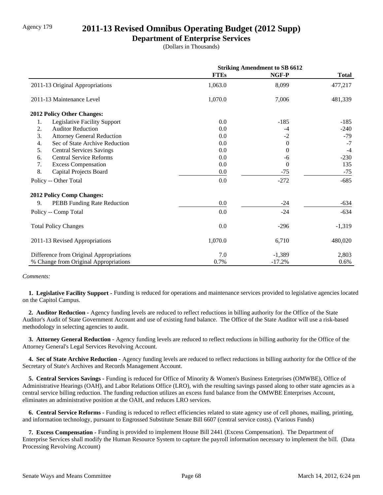# Agency 179 **2011-13 Revised Omnibus Operating Budget (2012 Supp)**

### **Department of Enterprise Services**

(Dollars in Thousands)

|                                         | <b>Striking Amendment to SB 6612</b> |                |              |
|-----------------------------------------|--------------------------------------|----------------|--------------|
|                                         | <b>FTEs</b>                          | NGF-P          | <b>Total</b> |
| 2011-13 Original Appropriations         | 1,063.0                              | 8,099          | 477,217      |
| 2011-13 Maintenance Level               | 1,070.0                              | 7,006          | 481,339      |
| 2012 Policy Other Changes:              |                                      |                |              |
| Legislative Facility Support<br>1.      | 0.0                                  | $-185$         | $-185$       |
| 2.<br><b>Auditor Reduction</b>          | 0.0                                  | $-4$           | $-240$       |
| 3.<br><b>Attorney General Reduction</b> | 0.0                                  | $-2$           | $-79$        |
| Sec of State Archive Reduction<br>4.    | 0.0                                  | $\Omega$       | $-7$         |
| 5.<br><b>Central Services Savings</b>   | 0.0                                  | $\overline{0}$ | $-4$         |
| <b>Central Service Reforms</b><br>6.    | 0.0                                  | -6             | $-230$       |
| 7.<br><b>Excess Compensation</b>        | 0.0                                  | $\overline{0}$ | 135          |
| 8.<br>Capital Projects Board            | 0.0                                  | $-75$          | $-75$        |
| Policy -- Other Total                   | 0.0                                  | $-272$         | $-685$       |
| <b>2012 Policy Comp Changes:</b>        |                                      |                |              |
| 9.<br>PEBB Funding Rate Reduction       | 0.0                                  | $-24$          | $-634$       |
| Policy -- Comp Total                    | 0.0                                  | $-24$          | $-634$       |
| <b>Total Policy Changes</b>             | 0.0                                  | $-296$         | $-1,319$     |
| 2011-13 Revised Appropriations          | 1,070.0                              | 6,710          | 480,020      |
| Difference from Original Appropriations | 7.0                                  | $-1,389$       | 2,803        |
| % Change from Original Appropriations   | 0.7%                                 | $-17.2%$       | 0.6%         |

#### *Comments:*

 **1. Legislative Facility Support -** Funding is reduced for operations and maintenance services provided to legislative agencies located on the Capitol Campus.

 **2. Auditor Reduction -** Agency funding levels are reduced to reflect reductions in billing authority for the Office of the State Auditor's Audit of State Government Account and use of existing fund balance. The Office of the State Auditor will use a risk-based methodology in selecting agencies to audit.

 **3. Attorney General Reduction -** Agency funding levels are reduced to reflect reductions in billing authority for the Office of the Attorney General's Legal Services Revolving Account.

 **4. Sec of State Archive Reduction -** Agency funding levels are reduced to reflect reductions in billing authority for the Office of the Secretary of State's Archives and Records Management Account.

 **5. Central Services Savings -** Funding is reduced for Office of Minority & Women's Business Enterprises (OMWBE), Office of Administrative Hearings (OAH), and Labor Relations Office (LRO), with the resulting savings passed along to other state agencies as a central service billing reduction. The funding reduction utilizes an excess fund balance from the OMWBE Enterprises Account, eliminates an administrative position at the OAH, and reduces LRO services.

 **6. Central Service Reforms -** Funding is reduced to reflect efficiencies related to state agency use of cell phones, mailing, printing, and information technology, pursuant to Engrossed Substitute Senate Bill 6607 (central service costs). (Various Funds)

 **7. Excess Compensation -** Funding is provided to implement House Bill 2441 (Excess Compensation). The Department of Enterprise Services shall modify the Human Resource System to capture the payroll information necessary to implement the bill. (Data Processing Revolving Account)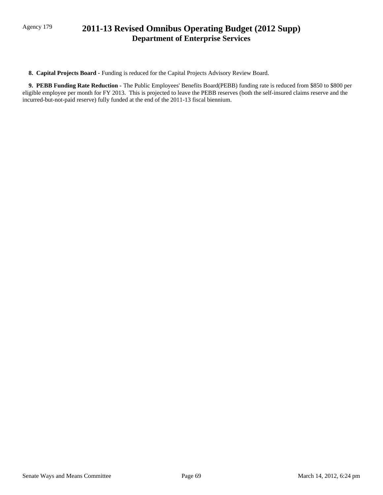# Agency 179 **2011-13 Revised Omnibus Operating Budget (2012 Supp) Department of Enterprise Services**

 **8. Capital Projects Board -** Funding is reduced for the Capital Projects Advisory Review Board.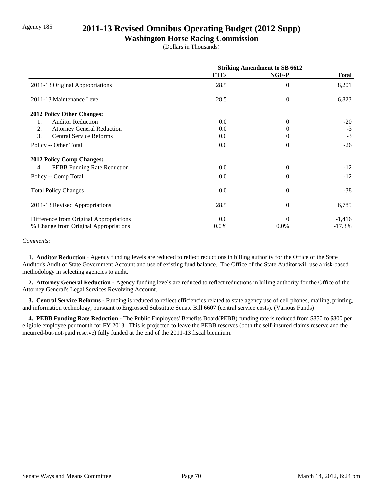### Agency 185 **2011-13 Revised Omnibus Operating Budget (2012 Supp)**

### **Washington Horse Racing Commission**

(Dollars in Thousands)

|                                         | <b>Striking Amendment to SB 6612</b> |                |              |
|-----------------------------------------|--------------------------------------|----------------|--------------|
|                                         | <b>FTEs</b>                          | NGF-P          | <b>Total</b> |
| 2011-13 Original Appropriations         | 28.5                                 | $\overline{0}$ | 8,201        |
| 2011-13 Maintenance Level               | 28.5                                 | $\overline{0}$ | 6,823        |
| 2012 Policy Other Changes:              |                                      |                |              |
| <b>Auditor Reduction</b><br>1.          | 0.0                                  | $\Omega$       | $-20$        |
| 2.<br><b>Attorney General Reduction</b> | 0.0                                  | $\Omega$       | $-3$         |
| 3.<br><b>Central Service Reforms</b>    | 0.0                                  | 0              | $-3$         |
| Policy -- Other Total                   | 0.0                                  | $\theta$       | $-26$        |
| <b>2012 Policy Comp Changes:</b>        |                                      |                |              |
| PEBB Funding Rate Reduction<br>4.       | 0.0                                  | $\theta$       | $-12$        |
| Policy -- Comp Total                    | 0.0                                  | $\Omega$       | $-12$        |
| <b>Total Policy Changes</b>             | 0.0                                  | $\theta$       | $-38$        |
| 2011-13 Revised Appropriations          | 28.5                                 | $\theta$       | 6,785        |
| Difference from Original Appropriations | 0.0                                  | $\Omega$       | $-1,416$     |
| % Change from Original Appropriations   | $0.0\%$                              | 0.0%           | $-17.3%$     |

*Comments:*

 **1. Auditor Reduction -** Agency funding levels are reduced to reflect reductions in billing authority for the Office of the State Auditor's Audit of State Government Account and use of existing fund balance. The Office of the State Auditor will use a risk-based methodology in selecting agencies to audit.

 **2. Attorney General Reduction -** Agency funding levels are reduced to reflect reductions in billing authority for the Office of the Attorney General's Legal Services Revolving Account.

 **3. Central Service Reforms -** Funding is reduced to reflect efficiencies related to state agency use of cell phones, mailing, printing, and information technology, pursuant to Engrossed Substitute Senate Bill 6607 (central service costs). (Various Funds)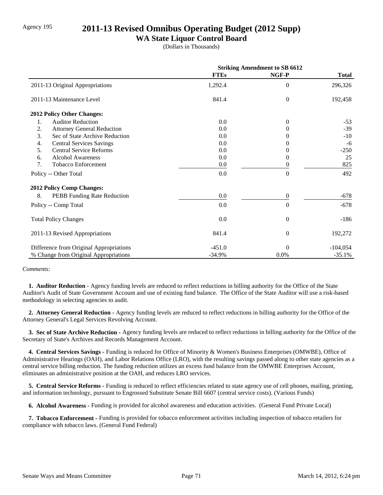# Agency 195 **2011-13 Revised Omnibus Operating Budget (2012 Supp)**

### **WA State Liquor Control Board**

(Dollars in Thousands)

|                                         | <b>Striking Amendment to SB 6612</b> |                  |              |
|-----------------------------------------|--------------------------------------|------------------|--------------|
|                                         | <b>FTEs</b>                          | NGF-P            | <b>Total</b> |
| 2011-13 Original Appropriations         | 1,292.4                              | $\overline{0}$   | 296,326      |
| 2011-13 Maintenance Level               | 841.4                                | $\theta$         | 192,458      |
| 2012 Policy Other Changes:              |                                      |                  |              |
| <b>Auditor Reduction</b><br>1.          | 0.0                                  | $\theta$         | $-53$        |
| 2.<br><b>Attorney General Reduction</b> | 0.0                                  | $\theta$         | $-39$        |
| 3.<br>Sec of State Archive Reduction    | 0.0                                  |                  | $-10$        |
| 4.<br><b>Central Services Savings</b>   | 0.0                                  | $\mathbf{0}$     | -6           |
| 5.<br><b>Central Service Reforms</b>    | 0.0                                  | 0                | $-250$       |
| <b>Alcohol Awareness</b><br>6.          | 0.0                                  | 0                | 25           |
| 7.<br><b>Tobacco Enforcement</b>        | 0.0                                  | 0                | 825          |
| Policy -- Other Total                   | 0.0                                  | $\overline{0}$   | 492          |
| 2012 Policy Comp Changes:               |                                      |                  |              |
| 8.<br>PEBB Funding Rate Reduction       | $0.0\,$                              | $\boldsymbol{0}$ | -678         |
| Policy -- Comp Total                    | 0.0                                  | $\Omega$         | $-678$       |
| <b>Total Policy Changes</b>             | 0.0                                  | $\overline{0}$   | $-186$       |
| 2011-13 Revised Appropriations          | 841.4                                | $\overline{0}$   | 192,272      |
| Difference from Original Appropriations | $-451.0$                             | $\Omega$         | $-104,054$   |
| % Change from Original Appropriations   | $-34.9%$                             | 0.0%             | $-35.1%$     |

#### *Comments:*

 **1. Auditor Reduction -** Agency funding levels are reduced to reflect reductions in billing authority for the Office of the State Auditor's Audit of State Government Account and use of existing fund balance. The Office of the State Auditor will use a risk-based methodology in selecting agencies to audit.

 **2. Attorney General Reduction -** Agency funding levels are reduced to reflect reductions in billing authority for the Office of the Attorney General's Legal Services Revolving Account.

 **3. Sec of State Archive Reduction -** Agency funding levels are reduced to reflect reductions in billing authority for the Office of the Secretary of State's Archives and Records Management Account.

 **4. Central Services Savings -** Funding is reduced for Office of Minority & Women's Business Enterprises (OMWBE), Office of Administrative Hearings (OAH), and Labor Relations Office (LRO), with the resulting savings passed along to other state agencies as a central service billing reduction. The funding reduction utilizes an excess fund balance from the OMWBE Enterprises Account, eliminates an administrative position at the OAH, and reduces LRO services.

 **5. Central Service Reforms -** Funding is reduced to reflect efficiencies related to state agency use of cell phones, mailing, printing, and information technology, pursuant to Engrossed Substitute Senate Bill 6607 (central service costs). (Various Funds)

 **6. Alcohol Awareness -** Funding is provided for alcohol awareness and education activities. (General Fund Private Local)

 **7. Tobacco Enforcement -** Funding is provided for tobacco enforcement activities including inspection of tobacco retailers for compliance with tobacco laws. (General Fund Federal)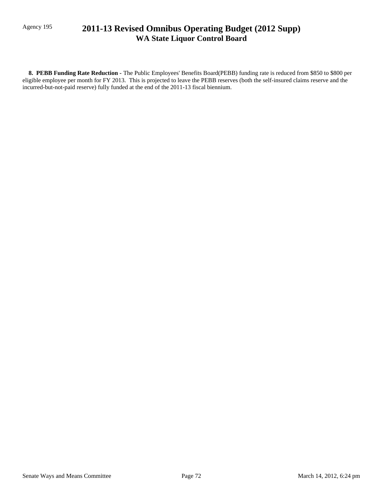# Agency 195 **2011-13 Revised Omnibus Operating Budget (2012 Supp) WA State Liquor Control Board**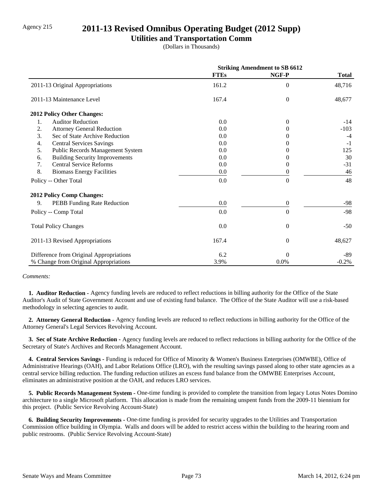# Agency 215 **2011-13 Revised Omnibus Operating Budget (2012 Supp)**

### **Utilities and Transportation Comm**

(Dollars in Thousands)

|                                             | <b>Striking Amendment to SB 6612</b> |                |              |
|---------------------------------------------|--------------------------------------|----------------|--------------|
|                                             | <b>FTEs</b>                          | NGF-P          | <b>Total</b> |
| 2011-13 Original Appropriations             | 161.2                                | $\overline{0}$ | 48,716       |
| 2011-13 Maintenance Level                   | 167.4                                | $\Omega$       | 48,677       |
| 2012 Policy Other Changes:                  |                                      |                |              |
| <b>Auditor Reduction</b><br>1.              | 0.0                                  | $\Omega$       | $-14$        |
| 2.<br><b>Attorney General Reduction</b>     | 0.0                                  | $\Omega$       | $-103$       |
| 3.<br>Sec of State Archive Reduction        | 0.0                                  |                | $-4$         |
| <b>Central Services Savings</b><br>4.       | 0.0                                  |                | $-1$         |
| 5.<br>Public Records Management System      | 0.0                                  |                | 125          |
| <b>Building Security Improvements</b><br>6. | 0.0                                  |                | 30           |
| <b>Central Service Reforms</b><br>7.        | 0.0                                  | $\Omega$       | $-31$        |
| 8.<br><b>Biomass Energy Facilities</b>      | 0.0                                  | 0              | 46           |
| Policy -- Other Total                       | 0.0                                  | $\theta$       | 48           |
| <b>2012 Policy Comp Changes:</b>            |                                      |                |              |
| 9.<br>PEBB Funding Rate Reduction           | 0.0                                  | $\Omega$       | $-98$        |
| Policy -- Comp Total                        | 0.0                                  | $\Omega$       | $-98$        |
| <b>Total Policy Changes</b>                 | 0.0                                  | $\theta$       | $-50$        |
| 2011-13 Revised Appropriations              | 167.4                                | $\theta$       | 48,627       |
| Difference from Original Appropriations     | 6.2                                  | $\Omega$       | -89          |
| % Change from Original Appropriations       | 3.9%                                 | 0.0%           | $-0.2%$      |

#### *Comments:*

 **1. Auditor Reduction -** Agency funding levels are reduced to reflect reductions in billing authority for the Office of the State Auditor's Audit of State Government Account and use of existing fund balance. The Office of the State Auditor will use a risk-based methodology in selecting agencies to audit.

 **2. Attorney General Reduction -** Agency funding levels are reduced to reflect reductions in billing authority for the Office of the Attorney General's Legal Services Revolving Account.

 **3. Sec of State Archive Reduction -** Agency funding levels are reduced to reflect reductions in billing authority for the Office of the Secretary of State's Archives and Records Management Account.

 **4. Central Services Savings -** Funding is reduced for Office of Minority & Women's Business Enterprises (OMWBE), Office of Administrative Hearings (OAH), and Labor Relations Office (LRO), with the resulting savings passed along to other state agencies as a central service billing reduction. The funding reduction utilizes an excess fund balance from the OMWBE Enterprises Account, eliminates an administrative position at the OAH, and reduces LRO services.

 **5. Public Records Management System -** One-time funding is provided to complete the transition from legacy Lotus Notes Domino architecture to a single Microsoft platform. This allocation is made from the remaining unspent funds from the 2009-11 biennium for this project. (Public Service Revolving Account-State)

 **6. Building Security Improvements -** One-time funding is provided for security upgrades to the Utilities and Transportation Commission office building in Olympia. Walls and doors will be added to restrict access within the building to the hearing room and public restrooms. (Public Service Revolving Account-State)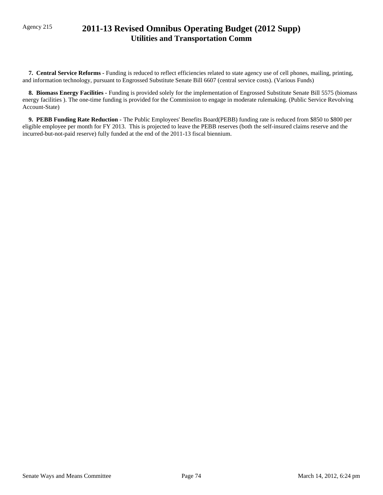# Agency 215 **2011-13 Revised Omnibus Operating Budget (2012 Supp) Utilities and Transportation Comm**

 **7. Central Service Reforms -** Funding is reduced to reflect efficiencies related to state agency use of cell phones, mailing, printing, and information technology, pursuant to Engrossed Substitute Senate Bill 6607 (central service costs). (Various Funds)

 **8. Biomass Energy Facilities -** Funding is provided solely for the implementation of Engrossed Substitute Senate Bill 5575 (biomass energy facilities ). The one-time funding is provided for the Commission to engage in moderate rulemaking. (Public Service Revolving Account-State)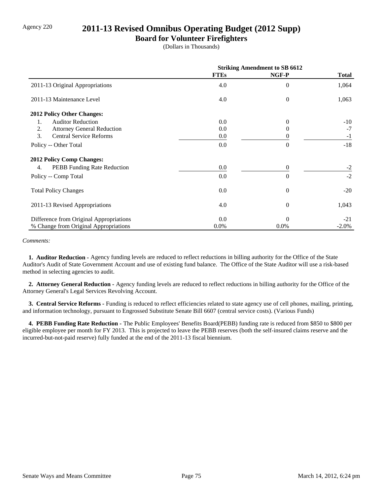### Agency 220 **2011-13 Revised Omnibus Operating Budget (2012 Supp)**

### **Board for Volunteer Firefighters**

(Dollars in Thousands)

|                                         | <b>Striking Amendment to SB 6612</b> |                |              |
|-----------------------------------------|--------------------------------------|----------------|--------------|
|                                         | <b>FTEs</b>                          | NGF-P          | <b>Total</b> |
| 2011-13 Original Appropriations         | 4.0                                  | $\theta$       | 1,064        |
| 2011-13 Maintenance Level               | 4.0                                  | $\overline{0}$ | 1,063        |
| 2012 Policy Other Changes:              |                                      |                |              |
| <b>Auditor Reduction</b><br>1.          | 0.0                                  | $\Omega$       | $-10$        |
| 2.<br><b>Attorney General Reduction</b> | 0.0                                  | $_{0}$         | $-7$         |
| 3.<br><b>Central Service Reforms</b>    | 0.0                                  | 0              | $-1$         |
| Policy -- Other Total                   | 0.0                                  | $\theta$       | $-18$        |
| <b>2012 Policy Comp Changes:</b>        |                                      |                |              |
| PEBB Funding Rate Reduction<br>4.       | 0.0                                  | $\theta$       | $-2$         |
| Policy -- Comp Total                    | 0.0                                  | $\Omega$       | $-2$         |
| <b>Total Policy Changes</b>             | 0.0                                  | $\theta$       | $-20$        |
| 2011-13 Revised Appropriations          | 4.0                                  | $\theta$       | 1,043        |
| Difference from Original Appropriations | 0.0                                  | $\Omega$       | $-21$        |
| % Change from Original Appropriations   | $0.0\%$                              | 0.0%           | $-2.0\%$     |

#### *Comments:*

 **1. Auditor Reduction -** Agency funding levels are reduced to reflect reductions in billing authority for the Office of the State Auditor's Audit of State Government Account and use of existing fund balance. The Office of the State Auditor will use a risk-based method in selecting agencies to audit.

 **2. Attorney General Reduction -** Agency funding levels are reduced to reflect reductions in billing authority for the Office of the Attorney General's Legal Services Revolving Account.

 **3. Central Service Reforms -** Funding is reduced to reflect efficiencies related to state agency use of cell phones, mailing, printing, and information technology, pursuant to Engrossed Substitute Senate Bill 6607 (central service costs). (Various Funds)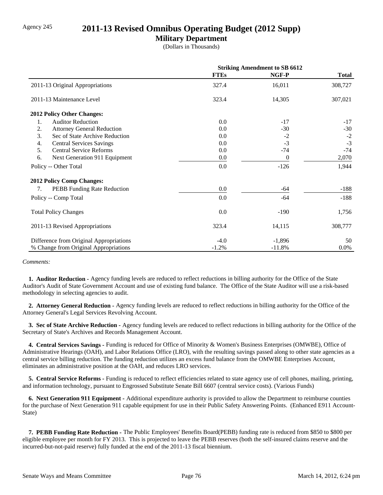### Agency 245 **2011-13 Revised Omnibus Operating Budget (2012 Supp)**

### **Military Department**

(Dollars in Thousands)

|                                         | <b>Striking Amendment to SB 6612</b> |          |              |
|-----------------------------------------|--------------------------------------|----------|--------------|
|                                         | <b>FTEs</b>                          | NGF-P    | <b>Total</b> |
| 2011-13 Original Appropriations         | 327.4                                | 16,011   | 308,727      |
| 2011-13 Maintenance Level               | 323.4                                | 14,305   | 307,021      |
| 2012 Policy Other Changes:              |                                      |          |              |
| 1.<br><b>Auditor Reduction</b>          | 0.0                                  | $-17$    | $-17$        |
| 2.<br><b>Attorney General Reduction</b> | 0.0                                  | $-30$    | $-30$        |
| 3.<br>Sec of State Archive Reduction    | 0.0                                  | $-2$     | $-2$         |
| <b>Central Services Savings</b><br>4.   | 0.0                                  | $-3$     | $-3$         |
| 5.<br><b>Central Service Reforms</b>    | 0.0                                  | $-74$    | $-74$        |
| 6.<br>Next Generation 911 Equipment     | 0.0                                  | $\theta$ | 2,070        |
| Policy -- Other Total                   | 0.0                                  | $-126$   | 1,944        |
| <b>2012 Policy Comp Changes:</b>        |                                      |          |              |
| PEBB Funding Rate Reduction<br>7.       | 0.0                                  | $-64$    | $-188$       |
| Policy -- Comp Total                    | 0.0                                  | $-64$    | $-188$       |
| <b>Total Policy Changes</b>             | 0.0                                  | -190     | 1,756        |
| 2011-13 Revised Appropriations          | 323.4                                | 14,115   | 308,777      |
| Difference from Original Appropriations | $-4.0$                               | $-1,896$ | 50           |
| % Change from Original Appropriations   | $-1.2%$                              | $-11.8%$ | 0.0%         |

*Comments:*

 **1. Auditor Reduction -** Agency funding levels are reduced to reflect reductions in billing authority for the Office of the State Auditor's Audit of State Government Account and use of existing fund balance. The Office of the State Auditor will use a risk-based methodology in selecting agencies to audit.

 **2. Attorney General Reduction -** Agency funding levels are reduced to reflect reductions in billing authority for the Office of the Attorney General's Legal Services Revolving Account.

 **3. Sec of State Archive Reduction -** Agency funding levels are reduced to reflect reductions in billing authority for the Office of the Secretary of State's Archives and Records Management Account.

 **4. Central Services Savings -** Funding is reduced for Office of Minority & Women's Business Enterprises (OMWBE), Office of Administrative Hearings (OAH), and Labor Relations Office (LRO), with the resulting savings passed along to other state agencies as a central service billing reduction. The funding reduction utilizes an excess fund balance from the OMWBE Enterprises Account, eliminates an administrative position at the OAH, and reduces LRO services.

 **5. Central Service Reforms -** Funding is reduced to reflect efficiencies related to state agency use of cell phones, mailing, printing, and information technology, pursuant to Engrossed Substitute Senate Bill 6607 (central service costs). (Various Funds)

 **6. Next Generation 911 Equipment -** Additional expenditure authority is provided to allow the Department to reimburse counties for the purchase of Next Generation 911 capable equipment for use in their Public Safety Answering Points. (Enhanced E911 Account-State)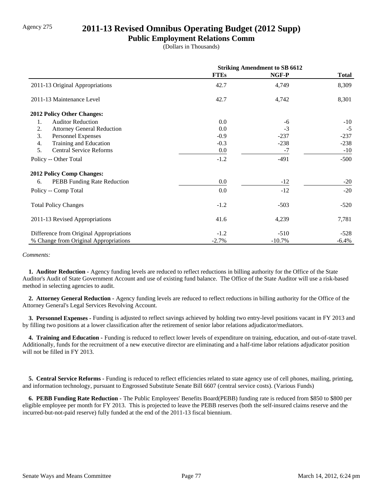# Agency 275 **2011-13 Revised Omnibus Operating Budget (2012 Supp)**

**Public Employment Relations Comm**

(Dollars in Thousands)

|                                         | <b>Striking Amendment to SB 6612</b> |           |              |
|-----------------------------------------|--------------------------------------|-----------|--------------|
|                                         | <b>FTEs</b>                          | NGF-P     | <b>Total</b> |
| 2011-13 Original Appropriations         | 42.7                                 | 4,749     | 8,309        |
| 2011-13 Maintenance Level               | 42.7                                 | 4,742     | 8,301        |
| <b>2012 Policy Other Changes:</b>       |                                      |           |              |
| <b>Auditor Reduction</b><br>1.          | 0.0                                  | $-6$      | $-10$        |
| 2.<br><b>Attorney General Reduction</b> | 0.0                                  | $-3$      | $-5$         |
| 3.<br>Personnel Expenses                | $-0.9$                               | $-237$    | $-237$       |
| Training and Education<br>4.            | $-0.3$                               | $-238$    | $-238$       |
| 5.<br><b>Central Service Reforms</b>    | 0.0                                  | $-7$      | $-10$        |
| Policy -- Other Total                   | $-1.2$                               | $-491$    | $-500$       |
| <b>2012 Policy Comp Changes:</b>        |                                      |           |              |
| PEBB Funding Rate Reduction<br>6.       | 0.0                                  | $-12$     | $-20$        |
| Policy -- Comp Total                    | 0.0                                  | $-12$     | $-20$        |
| <b>Total Policy Changes</b>             | $-1.2$                               | $-503$    | $-520$       |
| 2011-13 Revised Appropriations          | 41.6                                 | 4,239     | 7,781        |
| Difference from Original Appropriations | $-1.2$                               | $-510$    | $-528$       |
| % Change from Original Appropriations   | $-2.7%$                              | $-10.7\%$ | $-6.4%$      |

#### *Comments:*

 **1. Auditor Reduction -** Agency funding levels are reduced to reflect reductions in billing authority for the Office of the State Auditor's Audit of State Government Account and use of existing fund balance. The Office of the State Auditor will use a risk-based method in selecting agencies to audit.

 **2. Attorney General Reduction -** Agency funding levels are reduced to reflect reductions in billing authority for the Office of the Attorney General's Legal Services Revolving Account.

 **3. Personnel Expenses -** Funding is adjusted to reflect savings achieved by holding two entry-level positions vacant in FY 2013 and by filling two positions at a lower classification after the retirement of senior labor relations adjudicator/mediators.

 **4. Training and Education -** Funding is reduced to reflect lower levels of expenditure on training, education, and out-of-state travel. Additionally, funds for the recruitment of a new executive director are eliminating and a half-time labor relations adjudicator position will not be filled in FY 2013.

 **5. Central Service Reforms -** Funding is reduced to reflect efficiencies related to state agency use of cell phones, mailing, printing, and information technology, pursuant to Engrossed Substitute Senate Bill 6607 (central service costs). (Various Funds)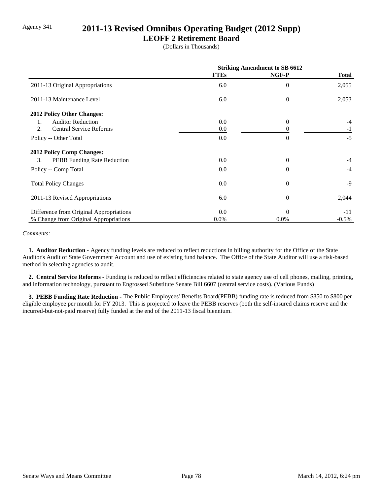# Agency 341 **2011-13 Revised Omnibus Operating Budget (2012 Supp)**

### **LEOFF 2 Retirement Board**

(Dollars in Thousands)

|                                         | <b>Striking Amendment to SB 6612</b> |                |              |
|-----------------------------------------|--------------------------------------|----------------|--------------|
|                                         | <b>FTEs</b>                          | NGF-P          | <b>Total</b> |
| 2011-13 Original Appropriations         | 6.0                                  | $\overline{0}$ | 2,055        |
| 2011-13 Maintenance Level               | 6.0                                  | $\overline{0}$ | 2,053        |
| 2012 Policy Other Changes:              |                                      |                |              |
| <b>Auditor Reduction</b><br>1.          | 0.0                                  | $\Omega$       |              |
| <b>Central Service Reforms</b><br>2.    | 0.0                                  | $\Omega$       | $-1$         |
| Policy -- Other Total                   | 0.0                                  | $\Omega$       | $-5$         |
| <b>2012 Policy Comp Changes:</b>        |                                      |                |              |
| 3.<br>PEBB Funding Rate Reduction       | 0.0                                  | $\Omega$       | $-4$         |
| Policy -- Comp Total                    | 0.0                                  | $\Omega$       | $-4$         |
| <b>Total Policy Changes</b>             | 0.0                                  | $\overline{0}$ | $-9$         |
| 2011-13 Revised Appropriations          | 6.0                                  | $\Omega$       | 2,044        |
| Difference from Original Appropriations | 0.0                                  | $\Omega$       | $-11$        |
| % Change from Original Appropriations   | $0.0\%$                              | $0.0\%$        | $-0.5\%$     |

#### *Comments:*

 **1. Auditor Reduction -** Agency funding levels are reduced to reflect reductions in billing authority for the Office of the State Auditor's Audit of State Government Account and use of existing fund balance. The Office of the State Auditor will use a risk-based method in selecting agencies to audit.

 **2. Central Service Reforms -** Funding is reduced to reflect efficiencies related to state agency use of cell phones, mailing, printing, and information technology, pursuant to Engrossed Substitute Senate Bill 6607 (central service costs). (Various Funds)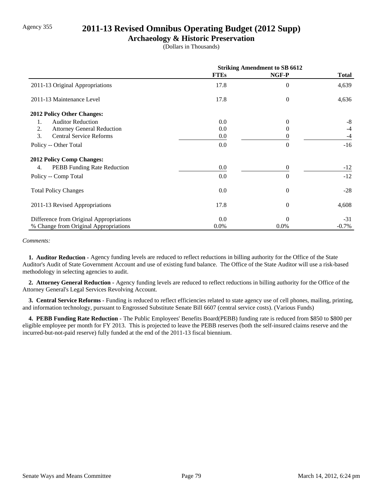### Agency 355 **2011-13 Revised Omnibus Operating Budget (2012 Supp)**

### **Archaeology & Historic Preservation**

(Dollars in Thousands)

|                                         | <b>Striking Amendment to SB 6612</b> |                  |              |
|-----------------------------------------|--------------------------------------|------------------|--------------|
|                                         | <b>FTEs</b>                          | NGF-P            | <b>Total</b> |
| 2011-13 Original Appropriations         | 17.8                                 | $\theta$         | 4,639        |
| 2011-13 Maintenance Level               | 17.8                                 | $\boldsymbol{0}$ | 4,636        |
| 2012 Policy Other Changes:              |                                      |                  |              |
| <b>Auditor Reduction</b><br>1.          | 0.0                                  | $\Omega$         | $-8$         |
| 2.<br><b>Attorney General Reduction</b> | 0.0                                  | $\theta$         | $-4$         |
| 3.<br><b>Central Service Reforms</b>    | 0.0                                  |                  | $-4$         |
| Policy -- Other Total                   | 0.0                                  | $\Omega$         | $-16$        |
| <b>2012 Policy Comp Changes:</b>        |                                      |                  |              |
| PEBB Funding Rate Reduction<br>4.       | 0.0                                  | $\theta$         | $-12$        |
| Policy -- Comp Total                    | 0.0                                  | $\Omega$         | $-12$        |
| <b>Total Policy Changes</b>             | 0.0                                  | $\theta$         | $-28$        |
| 2011-13 Revised Appropriations          | 17.8                                 | $\boldsymbol{0}$ | 4,608        |
| Difference from Original Appropriations | 0.0                                  | $\Omega$         | $-31$        |
| % Change from Original Appropriations   | 0.0%                                 | 0.0%             | $-0.7\%$     |

*Comments:*

 **1. Auditor Reduction -** Agency funding levels are reduced to reflect reductions in billing authority for the Office of the State Auditor's Audit of State Government Account and use of existing fund balance. The Office of the State Auditor will use a risk-based methodology in selecting agencies to audit.

 **2. Attorney General Reduction -** Agency funding levels are reduced to reflect reductions in billing authority for the Office of the Attorney General's Legal Services Revolving Account.

 **3. Central Service Reforms -** Funding is reduced to reflect efficiencies related to state agency use of cell phones, mailing, printing, and information technology, pursuant to Engrossed Substitute Senate Bill 6607 (central service costs). (Various Funds)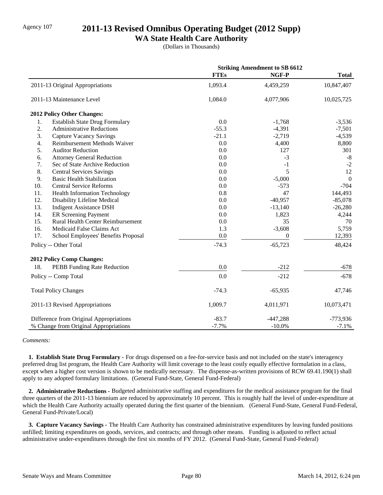## Agency 107 **2011-13 Revised Omnibus Operating Budget (2012 Supp)**

### **WA State Health Care Authority**

(Dollars in Thousands)

|     |                                         |             | <b>Striking Amendment to SB 6612</b> |                |
|-----|-----------------------------------------|-------------|--------------------------------------|----------------|
|     |                                         | <b>FTEs</b> | NGF-P                                | <b>Total</b>   |
|     | 2011-13 Original Appropriations         | 1,093.4     | 4,459,259                            | 10,847,407     |
|     | 2011-13 Maintenance Level               | 1,084.0     | 4,077,906                            | 10,025,725     |
|     | 2012 Policy Other Changes:              |             |                                      |                |
| 1.  | <b>Establish State Drug Formulary</b>   | 0.0         | $-1,768$                             | $-3,536$       |
| 2.  | <b>Administrative Reductions</b>        | $-55.3$     | $-4,391$                             | $-7,501$       |
| 3.  | <b>Capture Vacancy Savings</b>          | $-21.1$     | $-2,719$                             | $-4,539$       |
| 4.  | Reimbursement Methods Waiver            | 0.0         | 4,400                                | 8,800          |
| 5.  | <b>Auditor Reduction</b>                | 0.0         | 127                                  | 301            |
| 6.  | <b>Attorney General Reduction</b>       | 0.0         | $-3$                                 | $\mbox{-}8$    |
| 7.  | Sec of State Archive Reduction          | 0.0         | $-1$                                 | $-2$           |
| 8.  | <b>Central Services Savings</b>         | 0.0         | 5                                    | 12             |
| 9.  | <b>Basic Health Stabilization</b>       | 0.0         | $-5,000$                             | $\overline{0}$ |
| 10. | <b>Central Service Reforms</b>          | 0.0         | $-573$                               | $-704$         |
| 11. | <b>Health Information Technology</b>    | 0.8         | 47                                   | 144,493        |
| 12. | Disability Lifeline Medical             | 0.0         | $-40,957$                            | $-85,078$      |
| 13. | <b>Indigent Assistance DSH</b>          | 0.0         | $-13,140$                            | $-26,280$      |
| 14. | ER Screening Payment                    | 0.0         | 1,823                                | 4,244          |
| 15. | Rural Health Center Reimbursement       | 0.0         | 35                                   | 70             |
| 16. | Medicaid False Claims Act               | 1.3         | $-3,608$                             | 5,759          |
| 17. | School Employees' Benefits Proposal     | 0.0         | $\boldsymbol{0}$                     | 12,393         |
|     | Policy -- Other Total                   | $-74.3$     | $-65,723$                            | 48,424         |
|     | <b>2012 Policy Comp Changes:</b>        |             |                                      |                |
| 18. | PEBB Funding Rate Reduction             | 0.0         | $-212$                               | $-678$         |
|     | Policy -- Comp Total                    | 0.0         | $-212$                               | $-678$         |
|     | <b>Total Policy Changes</b>             | $-74.3$     | $-65,935$                            | 47,746         |
|     | 2011-13 Revised Appropriations          | 1,009.7     | 4,011,971                            | 10,073,471     |
|     | Difference from Original Appropriations | $-83.7$     | $-447,288$                           | $-773,936$     |
|     | % Change from Original Appropriations   | $-7.7%$     | $-10.0\%$                            | $-7.1%$        |

#### *Comments:*

 **1. Establish State Drug Formulary -** For drugs dispensed on a fee-for-service basis and not included on the state's interagency preferred drug list program, the Health Care Authority will limit coverage to the least costly equally effective formulation in a class, except when a higher cost version is shown to be medically necessary. The dispense-as-written provisions of RCW 69.41.190(1) shall apply to any adopted formulary limitations. (General Fund-State, General Fund-Federal)

 **2. Administrative Reductions -** Budgeted administrative staffing and expenditures for the medical assistance program for the final three quarters of the 2011-13 biennium are reduced by approximately 10 percent. This is roughly half the level of under-expenditure at which the Health Care Authority actually operated during the first quarter of the biennium. (General Fund-State, General Fund-Federal, General Fund-Private/Local)

 **3. Capture Vacancy Savings -** The Health Care Authority has constrained administrative expenditures by leaving funded positions unfilled; limiting expenditures on goods, services, and contracts; and through other means. Funding is adjusted to reflect actual administrative under-expenditures through the first six months of FY 2012. (General Fund-State, General Fund-Federal)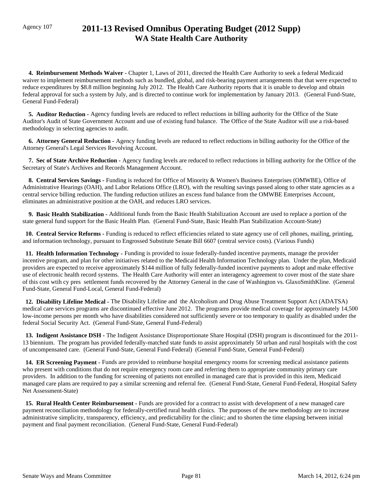# Agency 107 **2011-13 Revised Omnibus Operating Budget (2012 Supp) WA State Health Care Authority**

 **4. Reimbursement Methods Waiver -** Chapter 1, Laws of 2011, directed the Health Care Authority to seek a federal Medicaid waiver to implement reimbursement methods such as bundled, global, and risk-bearing payment arrangements that that were expected to reduce expenditures by \$8.8 million beginning July 2012. The Health Care Authority reports that it is unable to develop and obtain federal approval for such a system by July, and is directed to continue work for implementation by January 2013. (General Fund-State, General Fund-Federal)

 **5. Auditor Reduction -** Agency funding levels are reduced to reflect reductions in billing authority for the Office of the State Auditor's Audit of State Government Account and use of existing fund balance. The Office of the State Auditor will use a risk-based methodology in selecting agencies to audit.

 **6. Attorney General Reduction -** Agency funding levels are reduced to reflect reductions in billing authority for the Office of the Attorney General's Legal Services Revolving Account.

 **7. Sec of State Archive Reduction -** Agency funding levels are reduced to reflect reductions in billing authority for the Office of the Secretary of State's Archives and Records Management Account.

 **8. Central Services Savings -** Funding is reduced for Office of Minority & Women's Business Enterprises (OMWBE), Office of Administrative Hearings (OAH), and Labor Relations Office (LRO), with the resulting savings passed along to other state agencies as a central service billing reduction. The funding reduction utilizes an excess fund balance from the OMWBE Enterprises Account, eliminates an administrative position at the OAH, and reduces LRO services.

 **9. Basic Health Stabilization -** Additional funds from the Basic Health Stabilization Account are used to replace a portion of the state general fund support for the Basic Health Plan. (General Fund-State, Basic Health Plan Stabilization Account-State)

 **10. Central Service Reforms -** Funding is reduced to reflect efficiencies related to state agency use of cell phones, mailing, printing, and information technology, pursuant to Engrossed Substitute Senate Bill 6607 (central service costs). (Various Funds)

11. Health Information Technology - Funding is provided to issue federally-funded incentive payments, manage the provider incentive program, and plan for other initiatives related to the Medicaid Health Information Technology plan. Under the plan, Medicaid providers are expected to receive approximately \$144 million of fully federally-funded incentive payments to adopt and make effective use of electronic health record systems. The Health Care Authority will enter an interagency agreement to cover most of the state share of this cost wtih cy pres settlement funds recovered by the Attorney General in the case of Washington vs. GlaxoSmithKline. (General Fund-State, General Fund-Local, General Fund-Federal)

 **12. Disability Lifeline Medical -** The Disability Lifeline and the Alcoholism and Drug Abuse Treatment Support Act (ADATSA) medical care services programs are discontinued effective June 2012. The programs provide medical coverage for approximately 14,500 low-income persons per month who have disabilities considered not sufficiently severe or too temporary to qualify as disabled under the federal Social Security Act. (General Fund-State, General Fund-Federal)

 **13. Indigent Assistance DSH -** The Indigent Assistance Disproportionate Share Hospital (DSH) program is discontinued for the 2011- 13 biennium. The program has provided federally-matched state funds to assist approximately 50 urban and rural hospitals with the cost of uncompensated care. (General Fund-State, General Fund-Federal) (General Fund-State, General Fund-Federal)

 **14. ER Screening Payment -** Funds are provided to reimburse hospital emergency rooms for screening medical assistance patients who present with conditions that do not require emergency room care and referring them to appropriate community primary care providers. In addition to the funding for screening of patients not enrolled in managed care that is provided in this item, Medicaid managed care plans are required to pay a similar screening and referral fee. (General Fund-State, General Fund-Federal, Hospital Safety Net Assessment-State)

15. Rural Health Center Reimbursement - Funds are provided for a contract to assist with development of a new managed care payment reconciliation methodology for federally-certified rural health clinics. The purposes of the new methodology are to increase administrative simplicity, transparency, efficiency, and predictability for the clinic; and to shorten the time elapsing between initial payment and final payment reconciliation. (General Fund-State, General Fund-Federal)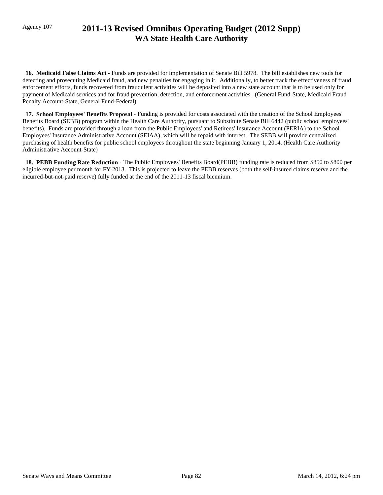# Agency 107 **2011-13 Revised Omnibus Operating Budget (2012 Supp) WA State Health Care Authority**

 **16. Medicaid False Claims Act -** Funds are provided for implementation of Senate Bill 5978. The bill establishes new tools for detecting and prosecuting Medicaid fraud, and new penalties for engaging in it. Additionally, to better track the effectiveness of fraud enforcement efforts, funds recovered from fraudulent activities will be deposited into a new state account that is to be used only for payment of Medicaid services and for fraud prevention, detection, and enforcement activities. (General Fund-State, Medicaid Fraud Penalty Account-State, General Fund-Federal)

 **17. School Employees' Benefits Proposal -** Funding is provided for costs associated with the creation of the School Employees' Benefits Board (SEBB) program within the Health Care Authority, pursuant to Substitute Senate Bill 6442 (public school employees' benefits). Funds are provided through a loan from the Public Employees' and Retirees' Insurance Account (PERIA) to the School Employees' Insurance Administrative Account (SEIAA), which will be repaid with interest. The SEBB will provide centralized purchasing of health benefits for public school employees throughout the state beginning January 1, 2014. (Health Care Authority Administrative Account-State)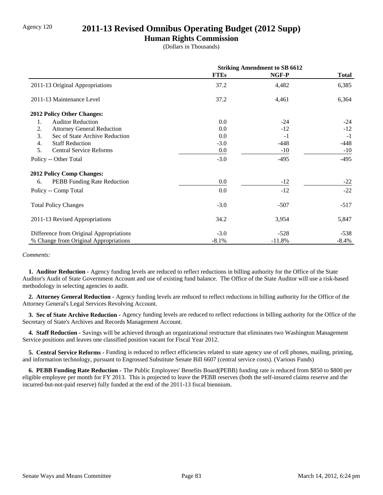### Agency 120 **2011-13 Revised Omnibus Operating Budget (2012 Supp)**

### **Human Rights Commission**

(Dollars in Thousands)

|                                         | <b>Striking Amendment to SB 6612</b> |          |              |
|-----------------------------------------|--------------------------------------|----------|--------------|
|                                         | <b>FTEs</b>                          | NGF-P    | <b>Total</b> |
| 2011-13 Original Appropriations         | 37.2                                 | 4,482    | 6,385        |
| 2011-13 Maintenance Level               | 37.2                                 | 4,461    | 6,364        |
| <b>2012 Policy Other Changes:</b>       |                                      |          |              |
| <b>Auditor Reduction</b><br>1.          | 0.0                                  | $-24$    | $-24$        |
| 2.<br><b>Attorney General Reduction</b> | 0.0                                  | $-12$    | $-12$        |
| 3.<br>Sec of State Archive Reduction    | $0.0\,$                              | $-1$     | $-1$         |
| <b>Staff Reduction</b><br>4.            | $-3.0$                               | -448     | -448         |
| 5.<br><b>Central Service Reforms</b>    | 0.0                                  | $-10$    | $-10$        |
| Policy -- Other Total                   | $-3.0$                               | $-495$   | $-495$       |
| <b>2012 Policy Comp Changes:</b>        |                                      |          |              |
| PEBB Funding Rate Reduction<br>6.       | 0.0                                  | $-12$    | $-22$        |
| Policy -- Comp Total                    | 0.0                                  | $-12$    | $-22$        |
| <b>Total Policy Changes</b>             | $-3.0$                               | $-507$   | $-517$       |
| 2011-13 Revised Appropriations          | 34.2                                 | 3,954    | 5,847        |
| Difference from Original Appropriations | $-3.0$                               | $-528$   | $-538$       |
| % Change from Original Appropriations   | $-8.1\%$                             | $-11.8%$ | $-8.4\%$     |

#### *Comments:*

 **1. Auditor Reduction -** Agency funding levels are reduced to reflect reductions in billing authority for the Office of the State Auditor's Audit of State Government Account and use of existing fund balance. The Office of the State Auditor will use a risk-based methodology in selecting agencies to audit.

 **2. Attorney General Reduction -** Agency funding levels are reduced to reflect reductions in billing authority for the Office of the Attorney General's Legal Services Revolving Account.

 **3. Sec of State Archive Reduction -** Agency funding levels are reduced to reflect reductions in billing authority for the Office of the Secretary of State's Archives and Records Management Account.

 **4. Staff Reduction -** Savings will be achieved through an organizational restructure that eliminates two Washington Management Service positions and leaves one classified position vacant for Fiscal Year 2012.

 **5. Central Service Reforms -** Funding is reduced to reflect efficiencies related to state agency use of cell phones, mailing, printing, and information technology, pursuant to Engrossed Substitute Senate Bill 6607 (central service costs). (Various Funds)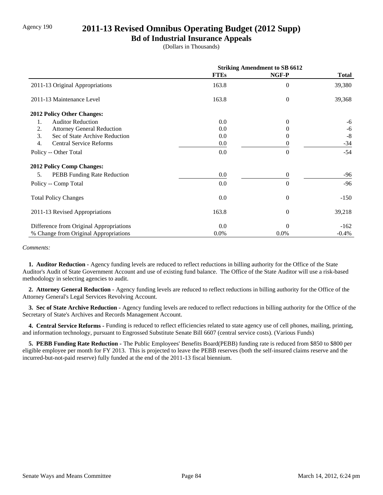## Agency 190 **2011-13 Revised Omnibus Operating Budget (2012 Supp)**

### **Bd of Industrial Insurance Appeals**

(Dollars in Thousands)

|                                             | <b>Striking Amendment to SB 6612</b> |                |              |
|---------------------------------------------|--------------------------------------|----------------|--------------|
|                                             | <b>FTEs</b>                          | NGF-P          | <b>Total</b> |
| 2011-13 Original Appropriations             | 163.8                                | $\Omega$       | 39,380       |
| 2011-13 Maintenance Level                   | 163.8                                | $\theta$       | 39,368       |
| 2012 Policy Other Changes:                  |                                      |                |              |
| <b>Auditor Reduction</b><br>1.              | 0.0                                  | $\Omega$       | $-6$         |
| <b>Attorney General Reduction</b><br>2.     | 0.0                                  |                | -6           |
| 3.<br>Sec of State Archive Reduction        | 0.0                                  | 0              | $-8$         |
| $\overline{4}$ .<br>Central Service Reforms | $0.0\,$                              | 0              | $-34$        |
| Policy -- Other Total                       | 0.0                                  | $\theta$       | $-54$        |
| 2012 Policy Comp Changes:                   |                                      |                |              |
| <b>PEBB</b> Funding Rate Reduction<br>5.    | $0.0\,$                              | $\theta$       | $-96$        |
| Policy -- Comp Total                        | 0.0                                  | $\Omega$       | $-96$        |
| <b>Total Policy Changes</b>                 | 0.0                                  | $\overline{0}$ | $-150$       |
| 2011-13 Revised Appropriations              | 163.8                                | $\overline{0}$ | 39,218       |
| Difference from Original Appropriations     | $0.0\,$                              | $\Omega$       | $-162$       |
| % Change from Original Appropriations       | 0.0%                                 | 0.0%           | $-0.4%$      |

#### *Comments:*

 **1. Auditor Reduction -** Agency funding levels are reduced to reflect reductions in billing authority for the Office of the State Auditor's Audit of State Government Account and use of existing fund balance. The Office of the State Auditor will use a risk-based methodology in selecting agencies to audit.

 **2. Attorney General Reduction -** Agency funding levels are reduced to reflect reductions in billing authority for the Office of the Attorney General's Legal Services Revolving Account.

 **3. Sec of State Archive Reduction -** Agency funding levels are reduced to reflect reductions in billing authority for the Office of the Secretary of State's Archives and Records Management Account.

 **4. Central Service Reforms -** Funding is reduced to reflect efficiencies related to state agency use of cell phones, mailing, printing, and information technology, pursuant to Engrossed Substitute Senate Bill 6607 (central service costs). (Various Funds)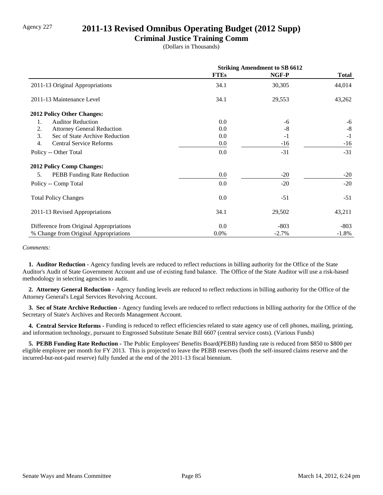### Agency 227 **2011-13 Revised Omnibus Operating Budget (2012 Supp)**

### **Criminal Justice Training Comm**

(Dollars in Thousands)

|                                         | <b>Striking Amendment to SB 6612</b> |         |              |
|-----------------------------------------|--------------------------------------|---------|--------------|
|                                         | <b>FTEs</b>                          | NGF-P   | <b>Total</b> |
| 2011-13 Original Appropriations         | 34.1                                 | 30,305  | 44,014       |
| 2011-13 Maintenance Level               | 34.1                                 | 29,553  | 43,262       |
| 2012 Policy Other Changes:              |                                      |         |              |
| <b>Auditor Reduction</b><br>1.          | $0.0\,$                              | -6      | $-6$         |
| 2.<br><b>Attorney General Reduction</b> | $0.0\,$                              | $-8$    | $-8$         |
| 3.<br>Sec of State Archive Reduction    | 0.0                                  | $-1$    | $-1$         |
| 4.<br><b>Central Service Reforms</b>    | $0.0\,$                              | -16     | $-16$        |
| Policy -- Other Total                   | 0.0                                  | $-31$   | $-31$        |
| 2012 Policy Comp Changes:               |                                      |         |              |
| PEBB Funding Rate Reduction<br>5.       | $0.0\,$                              | $-20$   | $-20$        |
| Policy -- Comp Total                    | $0.0\,$                              | $-20$   | $-20$        |
| <b>Total Policy Changes</b>             | $0.0\,$                              | $-51$   | $-51$        |
| 2011-13 Revised Appropriations          | 34.1                                 | 29,502  | 43,211       |
| Difference from Original Appropriations | $0.0\,$                              | $-803$  | $-803$       |
| % Change from Original Appropriations   | 0.0%                                 | $-2.7%$ | $-1.8\%$     |

#### *Comments:*

 **1. Auditor Reduction -** Agency funding levels are reduced to reflect reductions in billing authority for the Office of the State Auditor's Audit of State Government Account and use of existing fund balance. The Office of the State Auditor will use a risk-based methodology in selecting agencies to audit.

 **2. Attorney General Reduction -** Agency funding levels are reduced to reflect reductions in billing authority for the Office of the Attorney General's Legal Services Revolving Account.

 **3. Sec of State Archive Reduction -** Agency funding levels are reduced to reflect reductions in billing authority for the Office of the Secretary of State's Archives and Records Management Account.

 **4. Central Service Reforms -** Funding is reduced to reflect efficiencies related to state agency use of cell phones, mailing, printing, and information technology, pursuant to Engrossed Substitute Senate Bill 6607 (central service costs). (Various Funds)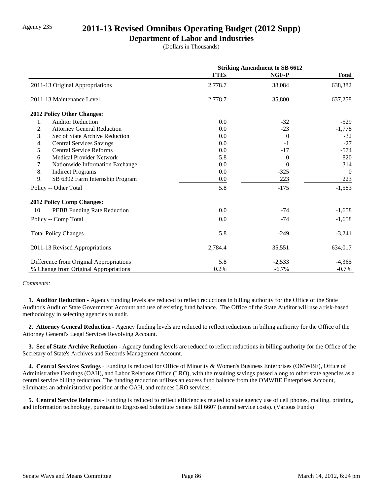### Agency 235 **2011-13 Revised Omnibus Operating Budget (2012 Supp)**

### **Department of Labor and Industries**

(Dollars in Thousands)

|                                         | <b>Striking Amendment to SB 6612</b> |                |                |
|-----------------------------------------|--------------------------------------|----------------|----------------|
|                                         | <b>FTEs</b>                          | NGF-P          | <b>Total</b>   |
| 2011-13 Original Appropriations         | 2,778.7                              | 38,084         | 638,382        |
| 2011-13 Maintenance Level               | 2,778.7                              | 35,800         | 637,258        |
| <b>2012 Policy Other Changes:</b>       |                                      |                |                |
| 1.<br><b>Auditor Reduction</b>          | 0.0                                  | $-32$          | $-529$         |
| 2.<br><b>Attorney General Reduction</b> | 0.0                                  | $-23$          | $-1,778$       |
| 3.<br>Sec of State Archive Reduction    | 0.0                                  | $\theta$       | $-32$          |
| <b>Central Services Savings</b><br>4.   | 0.0                                  | $-1$           | $-27$          |
| 5.<br><b>Central Service Reforms</b>    | 0.0                                  | $-17$          | $-574$         |
| <b>Medical Provider Network</b><br>6.   | 5.8                                  | $\Omega$       | 820            |
| 7.<br>Nationwide Information Exchange   | 0.0                                  | $\overline{0}$ | 314            |
| 8.<br><b>Indirect Programs</b>          | 0.0                                  | $-325$         | $\overline{0}$ |
| 9.<br>SB 6392 Farm Internship Program   | 0.0                                  | 223            | 223            |
| Policy -- Other Total                   | 5.8                                  | $-175$         | $-1,583$       |
| <b>2012 Policy Comp Changes:</b>        |                                      |                |                |
| 10.<br>PEBB Funding Rate Reduction      | 0.0                                  | $-74$          | $-1,658$       |
| Policy -- Comp Total                    | 0.0                                  | $-74$          | $-1,658$       |
| <b>Total Policy Changes</b>             | 5.8                                  | $-249$         | $-3,241$       |
| 2011-13 Revised Appropriations          | 2,784.4                              | 35,551         | 634,017        |
| Difference from Original Appropriations | 5.8                                  | $-2,533$       | $-4,365$       |
| % Change from Original Appropriations   | 0.2%                                 | $-6.7%$        | $-0.7%$        |

*Comments:*

 **1. Auditor Reduction -** Agency funding levels are reduced to reflect reductions in billing authority for the Office of the State Auditor's Audit of State Government Account and use of existing fund balance. The Office of the State Auditor will use a risk-based methodology in selecting agencies to audit.

 **2. Attorney General Reduction -** Agency funding levels are reduced to reflect reductions in billing authority for the Office of the Attorney General's Legal Services Revolving Account.

 **3. Sec of State Archive Reduction -** Agency funding levels are reduced to reflect reductions in billing authority for the Office of the Secretary of State's Archives and Records Management Account.

 **4. Central Services Savings -** Funding is reduced for Office of Minority & Women's Business Enterprises (OMWBE), Office of Administrative Hearings (OAH), and Labor Relations Office (LRO), with the resulting savings passed along to other state agencies as a central service billing reduction. The funding reduction utilizes an excess fund balance from the OMWBE Enterprises Account, eliminates an administrative position at the OAH, and reduces LRO services.

 **5. Central Service Reforms -** Funding is reduced to reflect efficiencies related to state agency use of cell phones, mailing, printing, and information technology, pursuant to Engrossed Substitute Senate Bill 6607 (central service costs). (Various Funds)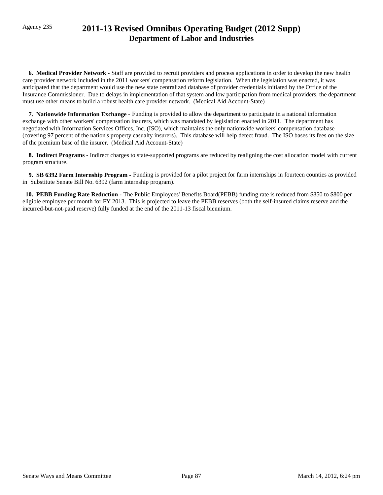# Agency 235 **2011-13 Revised Omnibus Operating Budget (2012 Supp) Department of Labor and Industries**

 **6. Medical Provider Network -** Staff are provided to recruit providers and process applications in order to develop the new health care provider network included in the 2011 workers' compensation reform legislation. When the legislation was enacted, it was anticipated that the department would use the new state centralized database of provider credentials initiated by the Office of the Insurance Commissioner. Due to delays in implementation of that system and low participation from medical providers, the department must use other means to build a robust health care provider network. (Medical Aid Account-State)

 **7. Nationwide Information Exchange -** Funding is provided to allow the department to participate in a national information exchange with other workers' compensation insurers, which was mandated by legislation enacted in 2011. The department has negotiated with Information Services Offices, Inc. (ISO), which maintains the only nationwide workers' compensation database (covering 97 percent of the nation's property casualty insurers). This database will help detect fraud. The ISO bases its fees on the size of the premium base of the insurer. (Medical Aid Account-State)

 **8. Indirect Programs -** Indirect charges to state-supported programs are reduced by realigning the cost allocation model with current program structure.

 **9. SB 6392 Farm Internship Program -** Funding is provided for a pilot project for farm internships in fourteen counties as provided in Substitute Senate Bill No. 6392 (farm internship program).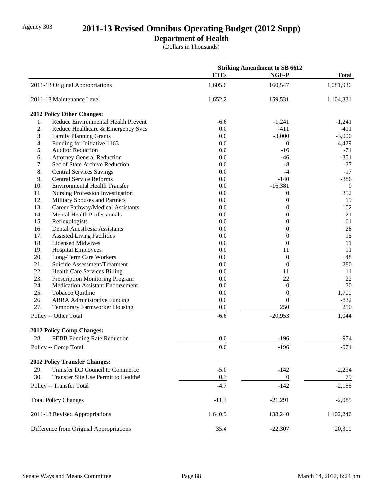# Agency 303 **2011-13 Revised Omnibus Operating Budget (2012 Supp)**

### **Department of Health**

(Dollars in Thousands)

|                                          |                                        |             | <b>Striking Amendment to SB 6612</b> |                |
|------------------------------------------|----------------------------------------|-------------|--------------------------------------|----------------|
|                                          |                                        | <b>FTEs</b> | NGF-P                                | <b>Total</b>   |
| 2011-13 Original Appropriations          |                                        | 1,605.6     | 160,547                              | 1,081,936      |
| 2011-13 Maintenance Level                |                                        | 1,652.2     | 159,531                              | 1,104,331      |
| 2012 Policy Other Changes:               |                                        |             |                                      |                |
| 1.                                       | Reduce Environmental Health Prevent    | $-6.6$      | $-1,241$                             | $-1,241$       |
| 2.                                       | Reduce Healthcare & Emergency Svcs     | 0.0         | $-411$                               | $-411$         |
| 3.<br><b>Family Planning Grants</b>      |                                        | 0.0         | $-3,000$                             | $-3,000$       |
| 4.                                       | Funding for Initiative 1163            | 0.0         | $\boldsymbol{0}$                     | 4,429          |
| 5.<br><b>Auditor Reduction</b>           |                                        | 0.0         | $-16$                                | $-71$          |
| 6.                                       | <b>Attorney General Reduction</b>      | 0.0         | $-46$                                | $-351$         |
| 7.                                       | Sec of State Archive Reduction         | 0.0         | $-8$                                 | $-37$          |
| 8.<br><b>Central Services Savings</b>    |                                        | 0.0         | $-4$                                 | $-17$          |
| 9.<br><b>Central Service Reforms</b>     |                                        | 0.0         | $-140$                               | $-386$         |
| 10.                                      | <b>Environmental Health Transfer</b>   | 0.0         | $-16,381$                            | $\overline{0}$ |
| 11.                                      | Nursing Profession Investigation       | 0.0         | $\boldsymbol{0}$                     | 352            |
| 12.                                      | Military Spouses and Partners          | 0.0         | $\overline{0}$                       | 19             |
| 13.                                      | Career Pathway/Medical Assistants      | 0.0         | $\boldsymbol{0}$                     | 102            |
| 14.                                      | <b>Mental Health Professionals</b>     | 0.0         | $\overline{0}$                       | 21             |
| 15.<br>Reflexologists                    |                                        | 0.0         | $\boldsymbol{0}$                     | 61             |
| 16.                                      | Dental Anesthesia Assistants           | 0.0         | $\overline{0}$                       | $28\,$         |
| 17.<br><b>Assisted Living Facilities</b> |                                        | 0.0         | $\boldsymbol{0}$                     | 15             |
| 18.<br><b>Licensed Midwives</b>          |                                        | 0.0         | $\theta$                             | 11             |
| 19.<br><b>Hospital Employees</b>         |                                        | 0.0         | 11                                   | 11             |
| 20.<br>Long-Term Care Workers            |                                        | 0.0         | $\boldsymbol{0}$                     | 48             |
| 21.                                      | Suicide Assessment/Treatment           | 0.0         | $\boldsymbol{0}$                     | 280            |
| 22.                                      | <b>Health Care Services Billing</b>    | 0.0         | 11                                   | 11             |
| 23.                                      | Prescription Monitoring Program        | 0.0         | 22                                   | 22             |
| 24.                                      | Medication Assistant Endorsement       | 0.0         | $\boldsymbol{0}$                     | 30             |
| 25.<br>Tobacco Quitline                  |                                        | 0.0         | $\boldsymbol{0}$                     | 1,700          |
| 26.                                      | <b>ARRA Administrative Funding</b>     | 0.0         | $\theta$                             | $-832$         |
| 27.                                      | Temporary Farmworker Housing           | 0.0         | 250                                  | 250            |
| Policy -- Other Total                    |                                        | $-6.6$      | $-20,953$                            | 1,044          |
| 2012 Policy Comp Changes:                |                                        |             |                                      |                |
| 28.                                      | PEBB Funding Rate Reduction            | 0.0         | $-196$                               | $-974$         |
| Policy -- Comp Total                     |                                        | 0.0         | $-196$                               | $-974$         |
| <b>2012 Policy Transfer Changes:</b>     |                                        |             |                                      |                |
| 29.                                      | <b>Transfer DD Council to Commerce</b> | $-5.0$      | $-142$                               | $-2,234$       |
| 30.                                      | Transfer Site Use Permit to Health#    | 0.3         | $\boldsymbol{0}$                     | 79             |
| Policy -- Transfer Total                 |                                        | $-4.7$      | $-142$                               | $-2,155$       |
| <b>Total Policy Changes</b>              |                                        | $-11.3$     | $-21,291$                            | $-2,085$       |
| 2011-13 Revised Appropriations           |                                        | 1,640.9     | 138,240                              | 1,102,246      |
|                                          |                                        |             |                                      |                |
| Difference from Original Appropriations  |                                        | 35.4        | $-22,307$                            | 20,310         |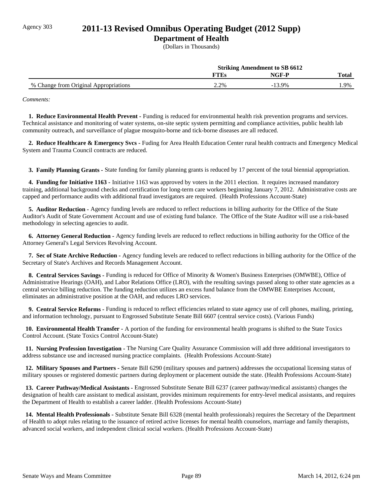# Agency 303 **2011-13 Revised Omnibus Operating Budget (2012 Supp)**

### **Department of Health**

(Dollars in Thousands)

|                                       | <b>Striking Amendment to SB 6612</b> |          |              |
|---------------------------------------|--------------------------------------|----------|--------------|
|                                       | FTEs                                 | NGF-P    | <b>Total</b> |
| % Change from Original Appropriations | 2.2%                                 | $-13.9%$ | .9%          |

*Comments:*

 **1. Reduce Environmental Health Prevent -** Funding is reduced for environmental health risk prevention programs and services. Technical assistance and monitoring of water systems, on-site septic system permitting and compliance activities, public health lab community outreach, and surveillance of plague mosquito-borne and tick-borne diseases are all reduced.

 **2. Reduce Healthcare & Emergency Svcs -** Fuding for Area Health Education Center rural health contracts and Emergency Medical System and Trauma Council contracts are reduced.

 **3. Family Planning Grants -** State funding for family planning grants is reduced by 17 percent of the total biennial appropriation.

 **4. Funding for Initiative 1163 -** Initiative 1163 was approved by voters in the 2011 election. It requires increased mandatory training, additional background checks and certification for long-term care workers beginning January 7, 2012. Administrative costs are capped and performance audits with additional fraud investigators are required. (Health Professions Account-State)

 **5. Auditor Reduction -** Agency funding levels are reduced to reflect reductions in billing authority for the Office of the State Auditor's Audit of State Government Account and use of existing fund balance. The Office of the State Auditor will use a risk-based methodology in selecting agencies to audit.

 **6. Attorney General Reduction -** Agency funding levels are reduced to reflect reductions in billing authority for the Office of the Attorney General's Legal Services Revolving Account.

 **7. Sec of State Archive Reduction -** Agency funding levels are reduced to reflect reductions in billing authority for the Office of the Secretary of State's Archives and Records Management Account.

 **8. Central Services Savings -** Funding is reduced for Office of Minority & Women's Business Enterprises (OMWBE), Office of Administrative Hearings (OAH), and Labor Relations Office (LRO), with the resulting savings passed along to other state agencies as a central service billing reduction. The funding reduction utilizes an excess fund balance from the OMWBE Enterprises Account, eliminates an administrative position at the OAH, and reduces LRO services.

 **9. Central Service Reforms -** Funding is reduced to reflect efficiencies related to state agency use of cell phones, mailing, printing, and information technology, pursuant to Engrossed Substitute Senate Bill 6607 (central service costs). (Various Funds)

 **10. Environmental Health Transfer -** A portion of the funding for environmental health programs is shifted to the State Toxics Control Account. (State Toxics Control Account-State)

 **11. Nursing Profession Investigation -** The Nursing Care Quality Assurance Commission will add three additional investigators to address substance use and increased nursing practice complaints. (Health Professions Account-State)

 **12. Military Spouses and Partners -** Senate Bill 6290 (military spouses and partners) addresses the occupational licensing status of military spouses or registered domestic partners during deployment or placement outside the state. (Health Professions Account-State)

 **13. Career Pathway/Medical Assistants -** Engrossed Substitute Senate Bill 6237 (career pathway/medical assistants) changes the designation of health care assistant to medical assistant, provides minimum requirements for entry-level medical assistants, and requires the Department of Health to establish a career ladder. (Health Professions Account-State)

 **14. Mental Health Professionals -** Substitute Senate Bill 6328 (mental health professionals) requires the Secretary of the Department of Health to adopt rules relating to the issuance of retired active licenses for mental health counselors, marriage and family therapists, advanced social workers, and independent clinical social workers. (Health Professions Account-State)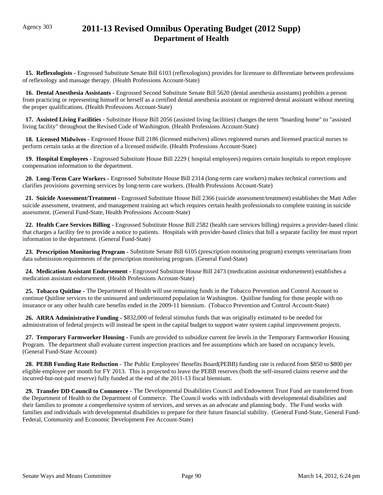# Agency 303 **2011-13 Revised Omnibus Operating Budget (2012 Supp) Department of Health**

 **15. Reflexologists -** Engrossed Substitute Senate Bill 6103 (reflexologists) provides for licensure to differentiate between professions of reflexology and massage therapy. (Health Professions Account-State)

 **16. Dental Anesthesia Assistants -** Engrossed Second Substitute Senate Bill 5620 (dental anesthesia assistants) prohibits a person from practicing or representing himself or herself as a certified dental anesthesia assistant or registered dental assistant without meeting the proper qualifications. (Health Professions Account-State)

 **17. Assisted Living Facilities -** Substitute House Bill 2056 (assisted living facilities) changes the term "boarding home" to "assisted living facility" throughout the Revised Code of Washington. (Health Professions Account-State)

 **18. Licensed Midwives -** Engrossed House Bill 2186 (licensed midwives) allows registered nurses and licensed practical nurses to perform certain tasks at the direction of a licensed midwife. (Health Professions Account-State)

 **19. Hospital Employees -** Engrossed Substitute House Bill 2229 ( hospital employees) requires certain hospitals to report employee compensation information to the department.

 **20. Long-Term Care Workers -** Engrossed Substitute House Bill 2314 (long-term care workers) makes technical corrections and clarifies provisions governing services by long-term care workers. (Health Professions Account-State)

 **21. Suicide Assessment/Treatment -** Engrossed Substitute House Bill 2366 (suicide assessment/treatment) establishes the Matt Adler suicide assessment, treatment, and management training act which requires certain health professionals to complete training in suicide assessment. (General Fund-State, Health Professions Account-State)

 **22. Health Care Services Billing -** Engrossed Substitute House Bill 2582 (health care services billing) requires a provider-based clinic that charges a facility fee to provide a notice to patients. Hospitals with provider-based clinics that bill a separate facility fee must report information to the department. (General Fund-State)

 **23. Prescription Monitoring Program -** Substitute Senate Bill 6105 (prescription monitoring program) exempts veterinarians from data submission requirements of the prescription monitoring program. (General Fund-State)

 **24. Medication Assistant Endorsement -** Engrossed Substitute House Bill 2473 (medication assistnat endorsement) establishes a medication assistant endorsement. (Health Professions Account-State)

 **25. Tobacco Quitline -** The Department of Health will use remaining funds in the Tobacco Prevention and Control Account to continue Quitline services to the uninsured and underinsured population in Washington. Quitline funding for those people with no insurance or any other health care benefits ended in the 2009-11 biennium. (Tobacco Prevention and Control Account-State)

 **26. ARRA Administrative Funding -** \$832,000 of federal stimulus funds that was originally estimated to be needed for administration of federal projects will instead be spent in the capital budget to support water system capital improvement projects.

 **27. Temporary Farmworker Housing -** Funds are provided to subsidize current fee levels in the Temporary Farmworker Housing Program. The department shall evaluate current inspection practices and fee assumptions which are based on occupancy levels. (General Fund-State Account)

 **28. PEBB Funding Rate Reduction -** The Public Employees' Benefits Board(PEBB) funding rate is reduced from \$850 to \$800 per eligible employee per month for FY 2013. This is projected to leave the PEBB reserves (both the self-insured claims reserve and the incurred-but-not-paid reserve) fully funded at the end of the 2011-13 fiscal biennium.

 **29. Transfer DD Council to Commerce -** The Developmental Disabilities Council and Endowment Trust Fund are transferred from the Department of Health to the Department of Commerce. The Council works with individuals with developmental disabilities and their families to promote a comprehensive system of services, and serves as an advocate and planning body. The Fund works with families and individuals with developmental disabilities to prepare for their future financial stability. (General Fund-State, General Fund-Federal, Community and Economic Development Fee Account-State)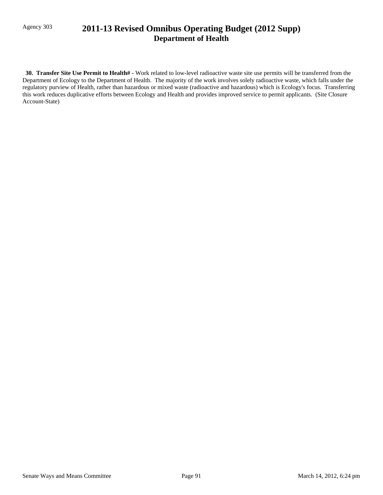# Agency 303 **2011-13 Revised Omnibus Operating Budget (2012 Supp) Department of Health**

 **30. Transfer Site Use Permit to Health# -** Work related to low-level radioactive waste site use permits will be transferred from the Department of Ecology to the Department of Health. The majority of the work involves solely radioactive waste, which falls under the regulatory purview of Health, rather than hazardous or mixed waste (radioactive and hazardous) which is Ecology's focus. Transferring this work reduces duplicative efforts between Ecology and Health and provides improved service to permit applicants. (Site Closure Account-State)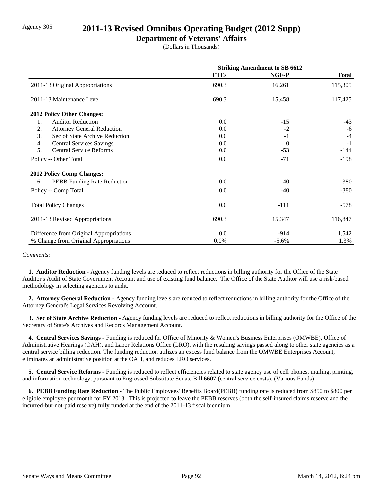## Agency 305 **2011-13 Revised Omnibus Operating Budget (2012 Supp)**

### **Department of Veterans' Affairs**

(Dollars in Thousands)

|                                          | <b>Striking Amendment to SB 6612</b> |          |              |
|------------------------------------------|--------------------------------------|----------|--------------|
|                                          | <b>FTEs</b>                          | NGF-P    | <b>Total</b> |
| 2011-13 Original Appropriations          | 690.3                                | 16,261   | 115,305      |
| 2011-13 Maintenance Level                | 690.3                                | 15,458   | 117,425      |
| <b>2012 Policy Other Changes:</b>        |                                      |          |              |
| <b>Auditor Reduction</b><br>1.           | 0.0                                  | $-15$    | $-43$        |
| 2.<br><b>Attorney General Reduction</b>  | 0.0                                  | $-2$     | $-6$         |
| 3.<br>Sec of State Archive Reduction     | 0.0                                  | $-1$     | $-4$         |
| 4.<br><b>Central Services Savings</b>    | 0.0                                  | $\theta$ | $-1$         |
| 5.<br><b>Central Service Reforms</b>     | 0.0                                  | $-53$    | -144         |
| Policy -- Other Total                    | 0.0                                  | $-71$    | $-198$       |
| <b>2012 Policy Comp Changes:</b>         |                                      |          |              |
| <b>PEBB</b> Funding Rate Reduction<br>6. | 0.0                                  | $-40$    | $-380$       |
| Policy -- Comp Total                     | 0.0                                  | $-40$    | $-380$       |
| <b>Total Policy Changes</b>              | 0.0                                  | $-111$   | $-578$       |
| 2011-13 Revised Appropriations           | 690.3                                | 15,347   | 116,847      |
| Difference from Original Appropriations  | 0.0                                  | $-914$   | 1,542        |
| % Change from Original Appropriations    | 0.0%                                 | $-5.6%$  | 1.3%         |

#### *Comments:*

 **1. Auditor Reduction -** Agency funding levels are reduced to reflect reductions in billing authority for the Office of the State Auditor's Audit of State Government Account and use of existing fund balance. The Office of the State Auditor will use a risk-based methodology in selecting agencies to audit.

 **2. Attorney General Reduction -** Agency funding levels are reduced to reflect reductions in billing authority for the Office of the Attorney General's Legal Services Revolving Account.

 **3. Sec of State Archive Reduction -** Agency funding levels are reduced to reflect reductions in billing authority for the Office of the Secretary of State's Archives and Records Management Account.

 **4. Central Services Savings -** Funding is reduced for Office of Minority & Women's Business Enterprises (OMWBE), Office of Administrative Hearings (OAH), and Labor Relations Office (LRO), with the resulting savings passed along to other state agencies as a central service billing reduction. The funding reduction utilizes an excess fund balance from the OMWBE Enterprises Account, eliminates an administrative position at the OAH, and reduces LRO services.

 **5. Central Service Reforms -** Funding is reduced to reflect efficiencies related to state agency use of cell phones, mailing, printing, and information technology, pursuant to Engrossed Substitute Senate Bill 6607 (central service costs). (Various Funds)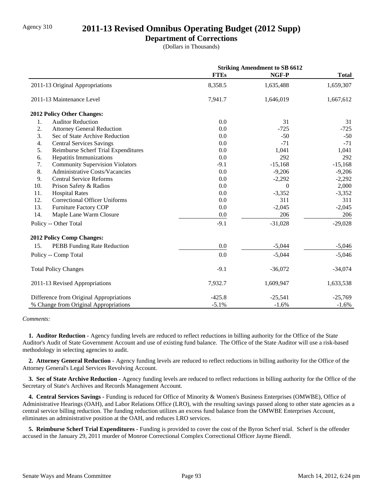### Agency 310 **2011-13 Revised Omnibus Operating Budget (2012 Supp)**

### **Department of Corrections**

(Dollars in Thousands)

|                                              | <b>Striking Amendment to SB 6612</b> |           |              |
|----------------------------------------------|--------------------------------------|-----------|--------------|
|                                              | <b>FTEs</b>                          | NGF-P     | <b>Total</b> |
| 2011-13 Original Appropriations              | 8,358.5                              | 1,635,488 | 1,659,307    |
| 2011-13 Maintenance Level                    | 7,941.7                              | 1,646,019 | 1,667,612    |
| 2012 Policy Other Changes:                   |                                      |           |              |
| <b>Auditor Reduction</b><br>1.               | 0.0                                  | 31        | 31           |
| 2.<br><b>Attorney General Reduction</b>      | 0.0                                  | $-725$    | $-725$       |
| 3.<br>Sec of State Archive Reduction         | 0.0                                  | $-50$     | $-50$        |
| <b>Central Services Savings</b><br>4.        | 0.0                                  | $-71$     | $-71$        |
| 5.<br>Reimburse Scherf Trial Expenditures    | 0.0                                  | 1,041     | 1,041        |
| Hepatitis Immunizations<br>6.                | 0.0                                  | 292       | 292          |
| 7.<br><b>Community Supervision Violators</b> | $-9.1$                               | $-15,168$ | $-15,168$    |
| 8.<br>Administrative Costs/Vacancies         | 0.0                                  | $-9,206$  | $-9,206$     |
| 9.<br><b>Central Service Reforms</b>         | 0.0                                  | $-2,292$  | $-2,292$     |
| 10.<br>Prison Safety & Radios                | 0.0                                  | $\Omega$  | 2,000        |
| 11.<br><b>Hospital Rates</b>                 | 0.0                                  | $-3,352$  | $-3,352$     |
| 12.<br><b>Correctional Officer Uniforms</b>  | 0.0                                  | 311       | 311          |
| 13.<br>Furniture Factory COP                 | 0.0                                  | $-2,045$  | $-2,045$     |
| 14.<br>Maple Lane Warm Closure               | 0.0                                  | 206       | 206          |
| Policy -- Other Total                        | $-9.1$                               | $-31,028$ | $-29,028$    |
| <b>2012 Policy Comp Changes:</b>             |                                      |           |              |
| PEBB Funding Rate Reduction<br>15.           | 0.0                                  | $-5,044$  | $-5,046$     |
| Policy -- Comp Total                         | 0.0                                  | $-5,044$  | $-5,046$     |
| <b>Total Policy Changes</b>                  | $-9.1$                               | $-36,072$ | $-34,074$    |
| 2011-13 Revised Appropriations               | 7,932.7                              | 1,609,947 | 1,633,538    |
| Difference from Original Appropriations      | $-425.8$                             | $-25,541$ | $-25,769$    |
| % Change from Original Appropriations        | $-5.1%$                              | $-1.6%$   | $-1.6%$      |

#### *Comments:*

 **1. Auditor Reduction -** Agency funding levels are reduced to reflect reductions in billing authority for the Office of the State Auditor's Audit of State Government Account and use of existing fund balance. The Office of the State Auditor will use a risk-based methodology in selecting agencies to audit.

 **2. Attorney General Reduction -** Agency funding levels are reduced to reflect reductions in billing authority for the Office of the Attorney General's Legal Services Revolving Account.

 **3. Sec of State Archive Reduction -** Agency funding levels are reduced to reflect reductions in billing authority for the Office of the Secretary of State's Archives and Records Management Account.

 **4. Central Services Savings -** Funding is reduced for Office of Minority & Women's Business Enterprises (OMWBE), Office of Administrative Hearings (OAH), and Labor Relations Office (LRO), with the resulting savings passed along to other state agencies as a central service billing reduction. The funding reduction utilizes an excess fund balance from the OMWBE Enterprises Account, eliminates an administrative position at the OAH, and reduces LRO services.

 **5. Reimburse Scherf Trial Expenditures -** Funding is provided to cover the cost of the Byron Scherf trial. Scherf is the offender accused in the January 29, 2011 murder of Monroe Correctional Complex Correctional Officer Jayme Biendl.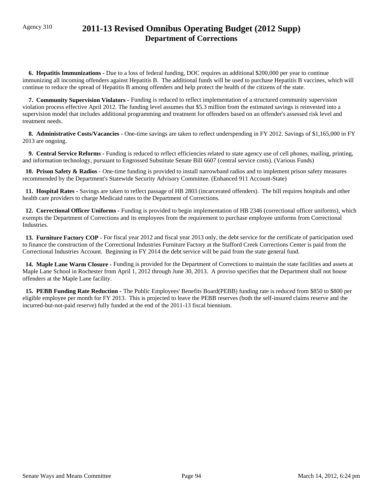# Agency 310 **2011-13 Revised Omnibus Operating Budget (2012 Supp) Department of Corrections**

 **6. Hepatitis Immunizations -** Due to a loss of federal funding, DOC requires an additional \$200,000 per year to continue immunizing all incoming offenders against Hepatitis B. The additional funds will be used to purchase Hepatitis B vaccines, which will continue to reduce the spread of Hepatitis B among offenders and help protect the health of the citizens of the state.

 **7. Community Supervision Violators -** Funding is reduced to reflect implementation of a structured community supervision violation process effective April 2012. The funding level assumes that \$5.3 million from the estimated savings is reinvested into a supervision model that includes additional programming and treatment for offenders based on an offender's assessed risk level and treatment needs.

 **8. Administrative Costs/Vacancies -** One-time savings are taken to reflect underspending in FY 2012. Savings of \$1,165,000 in FY 2013 are ongoing.

 **9. Central Service Reforms -** Funding is reduced to reflect efficiencies related to state agency use of cell phones, mailing, printing, and information technology, pursuant to Engrossed Substitute Senate Bill 6607 (central service costs). (Various Funds)

 **10. Prison Safety & Radios -** One-time funding is provided to install narrowband radios and to implement prison safety measures recommended by the Department's Statewide Security Advisory Committee. (Enhanced 911 Account-State)

 **11. Hospital Rates -** Savings are taken to reflect passage of HB 2803 (incarcerated offenders). The bill requires hospitals and other health care providers to charge Medicaid rates to the Department of Corrections.

 **12. Correctional Officer Uniforms -** Funding is provided to begin implementation of HB 2346 (correctional officer uniforms), which exempts the Department of Corrections and its employees from the requirement to purchase employee uniforms from Correctional Industries.

 **13. Furniture Factory COP -** For fiscal year 2012 and fiscal year 2013 only, the debt service for the certificate of participation used to finance the construction of the Correctional Industries Furniture Factory at the Stafford Creek Corrections Center is paid from the Correctional Industries Account. Beginning in FY 2014 the debt service will be paid from the state general fund.

 **14. Maple Lane Warm Closure -** Funding is provided for the Department of Corrections to maintain the state facilities and assets at Maple Lane School in Rochester from April 1, 2012 through June 30, 2013. A proviso specifies that the Department shall not house offenders at the Maple Lane facility.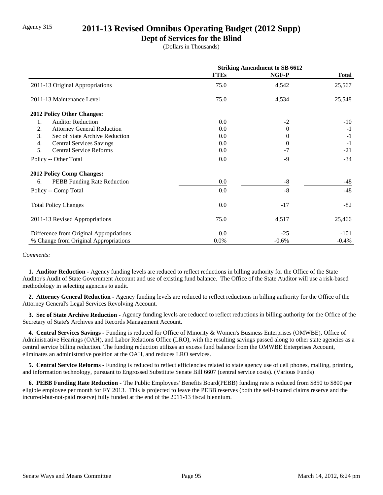### Agency 315 **2011-13 Revised Omnibus Operating Budget (2012 Supp)**

### **Dept of Services for the Blind**

(Dollars in Thousands)

|                                         | <b>Striking Amendment to SB 6612</b> |          |              |
|-----------------------------------------|--------------------------------------|----------|--------------|
|                                         | <b>FTEs</b>                          | NGF-P    | <b>Total</b> |
| 2011-13 Original Appropriations         | 75.0                                 | 4,542    | 25,567       |
| 2011-13 Maintenance Level               | 75.0                                 | 4,534    | 25,548       |
| <b>2012 Policy Other Changes:</b>       |                                      |          |              |
| <b>Auditor Reduction</b><br>1.          | 0.0                                  | $-2$     | $-10$        |
| 2.<br><b>Attorney General Reduction</b> | 0.0                                  | $\Omega$ | $-1$         |
| 3.<br>Sec of State Archive Reduction    | 0.0                                  | 0        | $-1$         |
| 4.<br><b>Central Services Savings</b>   | 0.0                                  | 0        | $-1$         |
| 5.<br><b>Central Service Reforms</b>    | $0.0\,$                              | $-7$     | $-21$        |
| Policy -- Other Total                   | 0.0                                  | $-9$     | $-34$        |
| <b>2012 Policy Comp Changes:</b>        |                                      |          |              |
| PEBB Funding Rate Reduction<br>6.       | 0.0                                  | -8       | $-48$        |
| Policy -- Comp Total                    | 0.0                                  | $-8$     | $-48$        |
| <b>Total Policy Changes</b>             | 0.0                                  | $-17$    | $-82$        |
| 2011-13 Revised Appropriations          | 75.0                                 | 4,517    | 25,466       |
| Difference from Original Appropriations | 0.0                                  | $-25$    | $-101$       |
| % Change from Original Appropriations   | 0.0%                                 | $-0.6%$  | $-0.4%$      |

#### *Comments:*

 **1. Auditor Reduction -** Agency funding levels are reduced to reflect reductions in billing authority for the Office of the State Auditor's Audit of State Government Account and use of existing fund balance. The Office of the State Auditor will use a risk-based methodology in selecting agencies to audit.

 **2. Attorney General Reduction -** Agency funding levels are reduced to reflect reductions in billing authority for the Office of the Attorney General's Legal Services Revolving Account.

 **3. Sec of State Archive Reduction -** Agency funding levels are reduced to reflect reductions in billing authority for the Office of the Secretary of State's Archives and Records Management Account.

 **4. Central Services Savings -** Funding is reduced for Office of Minority & Women's Business Enterprises (OMWBE), Office of Administrative Hearings (OAH), and Labor Relations Office (LRO), with the resulting savings passed along to other state agencies as a central service billing reduction. The funding reduction utilizes an excess fund balance from the OMWBE Enterprises Account, eliminates an administrative position at the OAH, and reduces LRO services.

 **5. Central Service Reforms -** Funding is reduced to reflect efficiencies related to state agency use of cell phones, mailing, printing, and information technology, pursuant to Engrossed Substitute Senate Bill 6607 (central service costs). (Various Funds)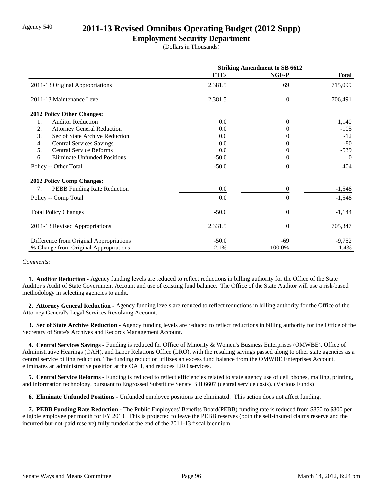### Agency 540 **2011-13 Revised Omnibus Operating Budget (2012 Supp)**

### **Employment Security Department**

(Dollars in Thousands)

|                                           | <b>Striking Amendment to SB 6612</b> |                |                |
|-------------------------------------------|--------------------------------------|----------------|----------------|
|                                           | <b>FTEs</b>                          | NGF-P          | <b>Total</b>   |
| 2011-13 Original Appropriations           | 2,381.5                              | 69             | 715,099        |
| 2011-13 Maintenance Level                 | 2,381.5                              | $\overline{0}$ | 706,491        |
| <b>2012 Policy Other Changes:</b>         |                                      |                |                |
| 1.<br><b>Auditor Reduction</b>            | 0.0                                  | $\Omega$       | 1,140          |
| 2.<br><b>Attorney General Reduction</b>   | 0.0                                  | $\Omega$       | $-105$         |
| 3.<br>Sec of State Archive Reduction      | 0.0                                  |                | $-12$          |
| 4.<br><b>Central Services Savings</b>     | 0.0                                  |                | $-80$          |
| 5.<br><b>Central Service Reforms</b>      | 0.0                                  | $\theta$       | $-539$         |
| <b>Eliminate Unfunded Positions</b><br>6. | $-50.0$                              | $\theta$       | $\overline{0}$ |
| Policy -- Other Total                     | $-50.0$                              | $\theta$       | 404            |
| 2012 Policy Comp Changes:                 |                                      |                |                |
| PEBB Funding Rate Reduction<br>7.         | 0.0                                  | $\theta$       | $-1,548$       |
| Policy -- Comp Total                      | 0.0                                  | $\Omega$       | $-1,548$       |
| <b>Total Policy Changes</b>               | $-50.0$                              | $\overline{0}$ | $-1,144$       |
| 2011-13 Revised Appropriations            | 2,331.5                              | $\theta$       | 705,347        |
| Difference from Original Appropriations   | $-50.0$                              | -69            | $-9,752$       |
| % Change from Original Appropriations     | $-2.1%$                              | $-100.0\%$     | $-1.4%$        |

*Comments:*

 **1. Auditor Reduction -** Agency funding levels are reduced to reflect reductions in billing authority for the Office of the State Auditor's Audit of State Government Account and use of existing fund balance. The Office of the State Auditor will use a risk-based methodology in selecting agencies to audit.

 **2. Attorney General Reduction -** Agency funding levels are reduced to reflect reductions in billing authority for the Office of the Attorney General's Legal Services Revolving Account.

 **3. Sec of State Archive Reduction -** Agency funding levels are reduced to reflect reductions in billing authority for the Office of the Secretary of State's Archives and Records Management Account.

 **4. Central Services Savings -** Funding is reduced for Office of Minority & Women's Business Enterprises (OMWBE), Office of Administrative Hearings (OAH), and Labor Relations Office (LRO), with the resulting savings passed along to other state agencies as a central service billing reduction. The funding reduction utilizes an excess fund balance from the OMWBE Enterprises Account, eliminates an administrative position at the OAH, and reduces LRO services.

 **5. Central Service Reforms -** Funding is reduced to reflect efficiencies related to state agency use of cell phones, mailing, printing, and information technology, pursuant to Engrossed Substitute Senate Bill 6607 (central service costs). (Various Funds)

 **6. Eliminate Unfunded Positions -** Unfunded employee positions are eliminated. This action does not affect funding.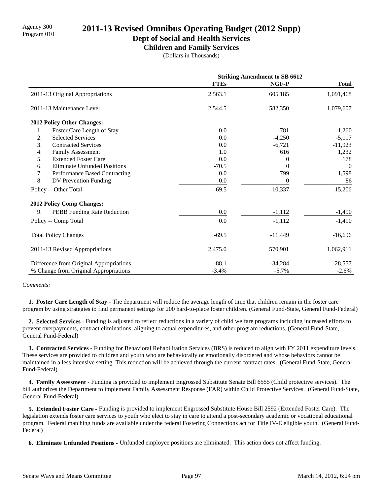# Agency 300 **2011-13 Revised Omnibus Operating Budget (2012 Supp)**<br>Program 010

**Dept of Social and Health Services**

**Children and Family Services**

(Dollars in Thousands)

|                                           | <b>Striking Amendment to SB 6612</b> |           |                |
|-------------------------------------------|--------------------------------------|-----------|----------------|
|                                           | <b>FTEs</b>                          | NGF-P     | <b>Total</b>   |
| 2011-13 Original Appropriations           | 2,563.1                              | 605,185   | 1,091,468      |
| 2011-13 Maintenance Level                 | 2,544.5                              | 582,350   | 1,079,607      |
| 2012 Policy Other Changes:                |                                      |           |                |
| Foster Care Length of Stay<br>1.          | 0.0                                  | $-781$    | $-1,260$       |
| 2.<br><b>Selected Services</b>            | 0.0                                  | $-4,250$  | $-5,117$       |
| 3.<br><b>Contracted Services</b>          | 0.0                                  | $-6,721$  | $-11,923$      |
| 4.<br>Family Assessment                   | 1.0                                  | 616       | 1,232          |
| 5.<br><b>Extended Foster Care</b>         | 0.0                                  | $\Omega$  | 178            |
| <b>Eliminate Unfunded Positions</b><br>6. | $-70.5$                              | $\Omega$  | $\overline{0}$ |
| Performance Based Contracting<br>7.       | 0.0                                  | 799       | 1,598          |
| 8.<br>DV Prevention Funding               | 0.0                                  | 0         | 86             |
| Policy -- Other Total                     | $-69.5$                              | $-10,337$ | $-15,206$      |
| <b>2012 Policy Comp Changes:</b>          |                                      |           |                |
| PEBB Funding Rate Reduction<br>9.         | 0.0                                  | $-1,112$  | $-1,490$       |
| Policy -- Comp Total                      | 0.0                                  | $-1,112$  | $-1,490$       |
| <b>Total Policy Changes</b>               | $-69.5$                              | $-11,449$ | $-16,696$      |
| 2011-13 Revised Appropriations            | 2,475.0                              | 570,901   | 1,062,911      |
| Difference from Original Appropriations   | $-88.1$                              | $-34,284$ | $-28,557$      |
| % Change from Original Appropriations     | $-3.4%$                              | $-5.7%$   | $-2.6%$        |

*Comments:*

**1. Foster Care Length of Stay -** The department will reduce the average length of time that children remain in the foster care program by using strategies to find permanent settings for 200 hard-to-place foster children. (General Fund-State, General Fund-Federal)

 **2. Selected Services -** Funding is adjusted to reflect reductions in a variety of child welfare programs including increased efforts to prevent overpayments, contract eliminations, aligning to actual expenditures, and other program reductions. (General Fund-State, General Fund-Federal)

 **3. Contracted Services -** Funding for Behavioral Rehabilitation Services (BRS) is reduced to align with FY 2011 expenditure levels. These services are provided to children and youth who are behaviorally or emotionally disordered and whose behaviors cannot be maintained in a less intensive setting. This reduction will be achieved through the current contract rates. (General Fund-State, General Fund-Federal)

 **4. Family Assessment -** Funding is provided to implement Engrossed Substitute Senate Bill 6555 (Child protective services). The bill authorizes the Department to implement Family Assessment Response (FAR) within Child Protective Services. (General Fund-State, General Fund-Federal)

 **5. Extended Foster Care -** Funding is provided to implement Engrossed Substitute House Bill 2592 (Extended Foster Care). The legislation extends foster care services to youth who elect to stay in care to attend a post-secondary academic or vocational educational program. Federal matching funds are available under the federal Fostering Connections act for Title IV-E eligible youth. (General Fund-Federal)

 **6. Eliminate Unfunded Positions -** Unfunded employee positions are eliminated. This action does not affect funding.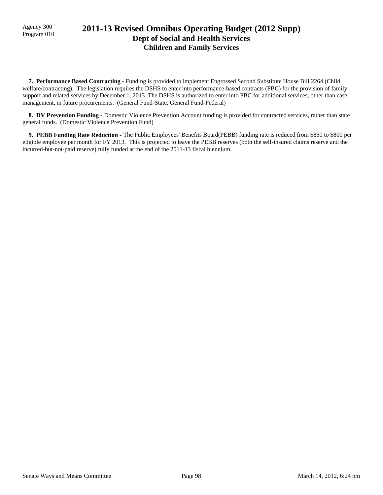## Agency 300 **2011-13 Revised Omnibus Operating Budget (2012 Supp)**<br>Program 010 **Dept of Social and Health Services Children and Family Services**

 **7. Performance Based Contracting -** Funding is provided to implement Engrossed Second Substitute House Bill 2264 (Child welfare/contracting). The legislation requires the DSHS to enter into performance-based contracts (PBC) for the provision of family support and related services by December 1, 2013. The DSHS is authorized to enter into PBC for additional services, other than case management, in future procurements. (General Fund-State, General Fund-Federal)

 **8. DV Prevention Funding -** Domestic Violence Prevention Account funding is provided for contracted services, rather than state general funds. (Domestic Violence Prevention Fund)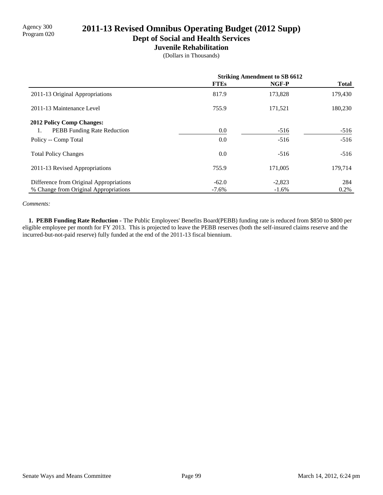# Agency 300<br>Program 020 **2011-13 Revised Omnibus Operating Budget (2012 Supp)**

**Dept of Social and Health Services**

#### **Juvenile Rehabilitation**

(Dollars in Thousands)

|                                          | <b>Striking Amendment to SB 6612</b> |          |              |
|------------------------------------------|--------------------------------------|----------|--------------|
|                                          | <b>FTEs</b>                          | NGF-P    | <b>Total</b> |
| 2011-13 Original Appropriations          | 817.9                                | 173,828  | 179,430      |
| 2011-13 Maintenance Level                | 755.9                                | 171,521  | 180,230      |
| <b>2012 Policy Comp Changes:</b>         |                                      |          |              |
| <b>PEBB</b> Funding Rate Reduction<br>1. | 0.0                                  | $-516$   | $-516$       |
| Policy -- Comp Total                     | 0.0                                  | $-516$   | $-516$       |
| <b>Total Policy Changes</b>              | 0.0                                  | $-516$   | $-516$       |
| 2011-13 Revised Appropriations           | 755.9                                | 171,005  | 179,714      |
| Difference from Original Appropriations  | $-62.0$                              | $-2,823$ | 284          |
| % Change from Original Appropriations    | $-7.6\%$                             | $-1.6%$  | 0.2%         |

#### *Comments:*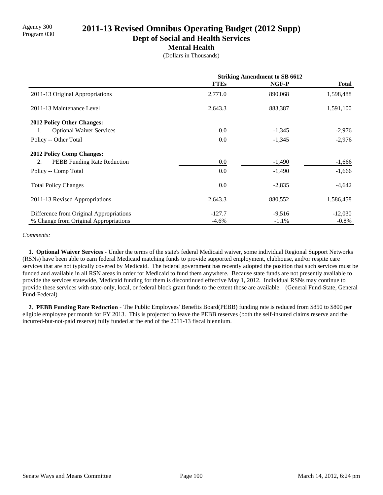# Program 030 **2011-13 Revised Omnibus Operating Budget (2012 Supp)**

**Dept of Social and Health Services**

#### **Mental Health**

(Dollars in Thousands)

|                                         | <b>Striking Amendment to SB 6612</b> |          |              |
|-----------------------------------------|--------------------------------------|----------|--------------|
|                                         | <b>FTEs</b>                          | NGF-P    | <b>Total</b> |
| 2011-13 Original Appropriations         | 2,771.0                              | 890,068  | 1,598,488    |
| 2011-13 Maintenance Level               | 2,643.3                              | 883,387  | 1,591,100    |
| 2012 Policy Other Changes:              |                                      |          |              |
| <b>Optional Waiver Services</b><br>1.   | 0.0                                  | $-1,345$ | $-2,976$     |
| Policy -- Other Total                   | 0.0                                  | $-1,345$ | $-2,976$     |
| <b>2012 Policy Comp Changes:</b>        |                                      |          |              |
| PEBB Funding Rate Reduction<br>2.       | 0.0                                  | $-1,490$ | $-1,666$     |
| Policy -- Comp Total                    | 0.0                                  | $-1,490$ | $-1,666$     |
| <b>Total Policy Changes</b>             | 0.0                                  | $-2,835$ | $-4,642$     |
| 2011-13 Revised Appropriations          | 2,643.3                              | 880,552  | 1,586,458    |
| Difference from Original Appropriations | $-127.7$                             | $-9,516$ | $-12,030$    |
| % Change from Original Appropriations   | $-4.6%$                              | $-1.1%$  | $-0.8\%$     |

#### *Comments:*

 **1. Optional Waiver Services -** Under the terms of the state's federal Medicaid waiver, some individual Regional Support Networks (RSNs) have been able to earn federal Medicaid matching funds to provide supported employment, clubhouse, and/or respite care services that are not typically covered by Medicaid. The federal government has recently adopted the position that such services must be funded and available in all RSN areas in order for Medicaid to fund them anywhere. Because state funds are not presently available to provide the services statewide, Medicaid funding for them is discontinued effective May 1, 2012. Individual RSNs may continue to provide these services with state-only, local, or federal block grant funds to the extent those are available. (General Fund-State, General Fund-Federal)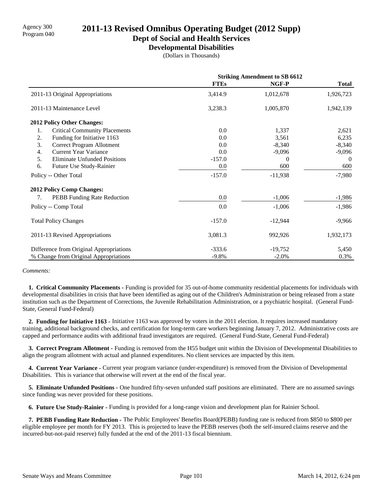# Agency 300 **2011-13 Revised Omnibus Operating Budget (2012 Supp)**<br>Program 040

**Dept of Social and Health Services**

**Developmental Disabilities**

(Dollars in Thousands)

|                                            | <b>Striking Amendment to SB 6612</b> |           |              |
|--------------------------------------------|--------------------------------------|-----------|--------------|
|                                            | <b>FTEs</b>                          | NGF-P     | <b>Total</b> |
| 2011-13 Original Appropriations            | 3,414.9                              | 1,012,678 | 1,926,723    |
| 2011-13 Maintenance Level                  | 3,238.3                              | 1,005,870 | 1,942,139    |
| 2012 Policy Other Changes:                 |                                      |           |              |
| 1.<br><b>Critical Community Placements</b> | 0.0                                  | 1,337     | 2,621        |
| 2.<br>Funding for Initiative 1163          | 0.0                                  | 3,561     | 6,235        |
| 3.<br>Correct Program Allotment            | 0.0                                  | $-8,340$  | $-8,340$     |
| <b>Current Year Variance</b><br>4.         | 0.0                                  | $-9,096$  | $-9,096$     |
| 5.<br><b>Eliminate Unfunded Positions</b>  | $-157.0$                             | $\Omega$  | $\theta$     |
| 6.<br>Future Use Study-Rainier             | 0.0                                  | 600       | 600          |
| Policy -- Other Total                      | $-157.0$                             | $-11,938$ | $-7,980$     |
| <b>2012 Policy Comp Changes:</b>           |                                      |           |              |
| PEBB Funding Rate Reduction<br>7.          | 0.0                                  | $-1,006$  | $-1,986$     |
| Policy -- Comp Total                       | 0.0                                  | $-1,006$  | $-1,986$     |
| <b>Total Policy Changes</b>                | $-157.0$                             | $-12,944$ | $-9,966$     |
| 2011-13 Revised Appropriations             | 3,081.3                              | 992,926   | 1,932,173    |
| Difference from Original Appropriations    | $-333.6$                             | $-19,752$ | 5,450        |
| % Change from Original Appropriations      | $-9.8\%$                             | $-2.0%$   | 0.3%         |

#### *Comments:*

 **1. Critical Community Placements -** Funding is provided for 35 out-of-home community residential placements for individuals with developmental disabilities in crisis that have been identified as aging out of the Children's Administration or being released from a state institution such as the Department of Corrections, the Juvenile Rehabilitation Administration, or a psychiatric hospital. (General Fund-State, General Fund-Federal)

 **2. Funding for Initiative 1163 -** Initiative 1163 was approved by voters in the 2011 election. It requires increased mandatory training, additional background checks, and certification for long-term care workers beginning January 7, 2012. Administrative costs are capped and performance audits with additional fraud investigators are required. (General Fund-State, General Fund-Federal)

 **3. Correct Program Allotment -** Funding is removed from the H55 budget unit within the Division of Developmental Disabilities to align the program allotment with actual and planned expenditures. No client services are impacted by this item.

 **4. Current Year Variance -** Current year program variance (under-expenditure) is removed from the Division of Developmental Disabilities. This is variance that otherwise will revert at the end of the fiscal year.

 **5. Eliminate Unfunded Positions -** One hundred fifty-seven unfunded staff positions are eliminated. There are no assumed savings since funding was never provided for these positions.

 **6. Future Use Study-Rainier -** Funding is provided for a long-range vision and development plan for Rainier School.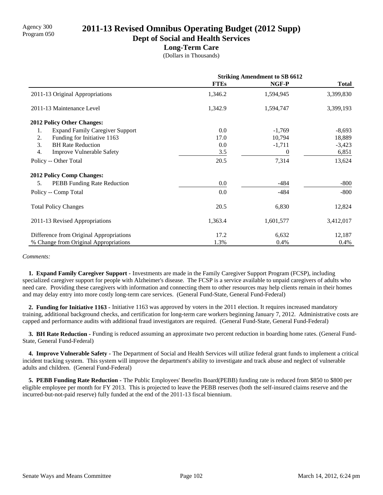# Program 050 **2011-13 Revised Omnibus Operating Budget (2012 Supp)**

**Dept of Social and Health Services**

### **Long-Term Care**

(Dollars in Thousands)

|                                              | <b>Striking Amendment to SB 6612</b> |           |              |
|----------------------------------------------|--------------------------------------|-----------|--------------|
|                                              | <b>FTEs</b>                          | NGF-P     | <b>Total</b> |
| 2011-13 Original Appropriations              | 1,346.2                              | 1,594,945 | 3,399,830    |
| 2011-13 Maintenance Level                    | 1,342.9                              | 1,594,747 | 3,399,193    |
| <b>2012 Policy Other Changes:</b>            |                                      |           |              |
| <b>Expand Family Caregiver Support</b><br>1. | 0.0                                  | $-1,769$  | $-8,693$     |
| 2.<br>Funding for Initiative 1163            | 17.0                                 | 10,794    | 18,889       |
| 3.<br><b>BH Rate Reduction</b>               | 0.0                                  | $-1,711$  | $-3,423$     |
| 4.<br>Improve Vulnerable Safety              | 3.5                                  | 0         | 6,851        |
| Policy -- Other Total                        | 20.5                                 | 7,314     | 13,624       |
| <b>2012 Policy Comp Changes:</b>             |                                      |           |              |
| PEBB Funding Rate Reduction<br>5.            | 0.0                                  | $-484$    | $-800$       |
| Policy -- Comp Total                         | 0.0                                  | $-484$    | $-800$       |
| <b>Total Policy Changes</b>                  | 20.5                                 | 6,830     | 12,824       |
| 2011-13 Revised Appropriations               | 1,363.4                              | 1,601,577 | 3,412,017    |
| Difference from Original Appropriations      | 17.2                                 | 6,632     | 12,187       |
| % Change from Original Appropriations        | 1.3%                                 | 0.4%      | 0.4%         |

#### *Comments:*

 **1. Expand Family Caregiver Support -** Investments are made in the Family Caregiver Support Program (FCSP), including specialized caregiver support for people with Alzheimer's disease. The FCSP is a service available to unpaid caregivers of adults who need care. Providing these caregivers with information and connecting them to other resources may help clients remain in their homes and may delay entry into more costly long-term care services. (General Fund-State, General Fund-Federal)

 **2. Funding for Initiative 1163 -** Initiative 1163 was approved by voters in the 2011 election. It requires increased mandatory training, additional background checks, and certification for long-term care workers beginning January 7, 2012. Administrative costs are capped and performance audits with additional fraud investigators are required. (General Fund-State, General Fund-Federal)

**3. BH Rate Reduction - Funding is reduced assuming an approximate two percent reduction in boarding home rates. (General Fund-**State, General Fund-Federal)

 **4. Improve Vulnerable Safety -** The Department of Social and Health Services will utilize federal grant funds to implement a critical incident tracking system. This system will improve the department's ability to investigate and track abuse and neglect of vulnerable adults and children. (General Fund-Federal)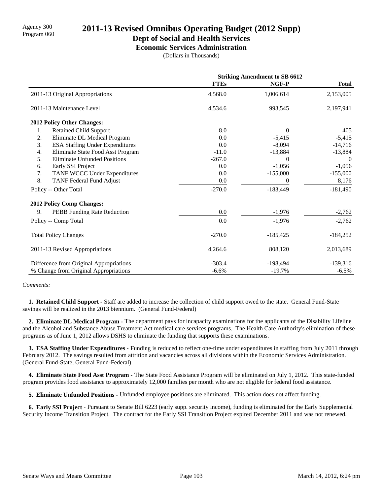### **Dept of Social and Health Services**

**Economic Services Administration**

(Dollars in Thousands)

|                                              | <b>Striking Amendment to SB 6612</b> |                  |              |
|----------------------------------------------|--------------------------------------|------------------|--------------|
|                                              | <b>FTEs</b>                          | NGF-P            | <b>Total</b> |
| 2011-13 Original Appropriations              | 4,568.0                              | 1,006,614        | 2,153,005    |
| 2011-13 Maintenance Level                    | 4,534.6                              | 993,545          | 2,197,941    |
| <b>2012 Policy Other Changes:</b>            |                                      |                  |              |
| <b>Retained Child Support</b><br>1.          | 8.0                                  | $\Omega$         | 405          |
| 2.<br>Eliminate DL Medical Program           | 0.0                                  | $-5,415$         | $-5,415$     |
| 3.<br><b>ESA Staffing Under Expenditures</b> | 0.0                                  | $-8.094$         | $-14,716$    |
| 4.<br>Eliminate State Food Asst Program      | $-11.0$                              | $-13,884$        | $-13,884$    |
| 5.<br><b>Eliminate Unfunded Positions</b>    | $-267.0$                             | $\Omega$         | $\theta$     |
| Early SSI Project<br>6.                      | 0.0                                  | $-1,056$         | $-1,056$     |
| TANF WCCC Under Expenditures<br>7.           | 0.0                                  | $-155,000$       | $-155,000$   |
| 8.<br><b>TANF Federal Fund Adjust</b>        | 0.0                                  | $\boldsymbol{0}$ | 8,176        |
| Policy -- Other Total                        | $-270.0$                             | $-183,449$       | $-181,490$   |
| 2012 Policy Comp Changes:                    |                                      |                  |              |
| PEBB Funding Rate Reduction<br>9.            | 0.0                                  | $-1,976$         | $-2,762$     |
| Policy -- Comp Total                         | 0.0                                  | $-1,976$         | $-2,762$     |
| <b>Total Policy Changes</b>                  | $-270.0$                             | $-185,425$       | $-184,252$   |
| 2011-13 Revised Appropriations               | 4,264.6                              | 808,120          | 2,013,689    |
| Difference from Original Appropriations      | $-303.4$                             | $-198,494$       | $-139,316$   |
| % Change from Original Appropriations        | $-6.6%$                              | $-19.7%$         | $-6.5\%$     |

#### *Comments:*

 **1. Retained Child Support -** Staff are added to increase the collection of child support owed to the state. General Fund-State savings will be realized in the 2013 biennium. (General Fund-Federal)

 **2. Eliminate DL Medical Program -** The department pays for incapacity examinations for the applicants of the Disability Lifeline and the Alcohol and Substance Abuse Treatment Act medical care services programs. The Health Care Authority's elimination of these programs as of June 1, 2012 allows DSHS to eliminate the funding that supports these examinations.

 **3. ESA Staffing Under Expenditures -** Funding is reduced to reflect one-time under expenditures in staffing from July 2011 through February 2012. The savings resulted from attrition and vacancies across all divisions within the Economic Services Administration. (General Fund-State, General Fund-Federal)

 **4. Eliminate State Food Asst Program -** The State Food Assistance Program will be eliminated on July 1, 2012. This state-funded program provides food assistance to approximately 12,000 families per month who are not eligible for federal food assistance.

 **5. Eliminate Unfunded Positions -** Unfunded employee positions are eliminated. This action does not affect funding.

 **6. Early SSI Project -** Pursuant to Senate Bill 6223 (early supp. security income), funding is eliminated for the Early Supplemental Security Income Transition Project. The contract for the Early SSI Transition Project expired December 2011 and was not renewed.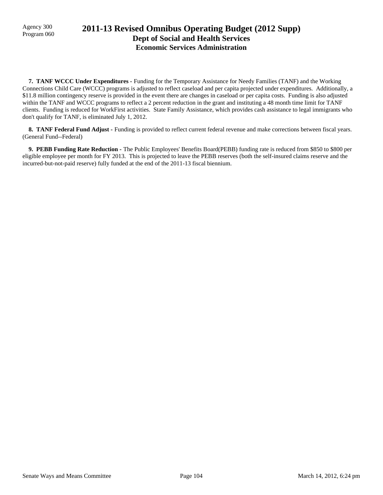## Agency 300 **2011-13 Revised Omnibus Operating Budget (2012 Supp)**<br>Program 060 **Dept of Social and Health Services Economic Services Administration**

 **7. TANF WCCC Under Expenditures -** Funding for the Temporary Assistance for Needy Families (TANF) and the Working Connections Child Care (WCCC) programs is adjusted to reflect caseload and per capita projected under expenditures. Additionally, a \$11.8 million contingency reserve is provided in the event there are changes in caseload or per capita costs. Funding is also adjusted within the TANF and WCCC programs to reflect a 2 percent reduction in the grant and instituting a 48 month time limit for TANF clients. Funding is reduced for WorkFirst activities. State Family Assistance, which provides cash assistance to legal immigrants who don't qualify for TANF, is eliminated July 1, 2012.

**8. TANF Federal Fund Adjust - Funding is provided to reflect current federal revenue and make corrections between fiscal years.** (General Fund--Federal)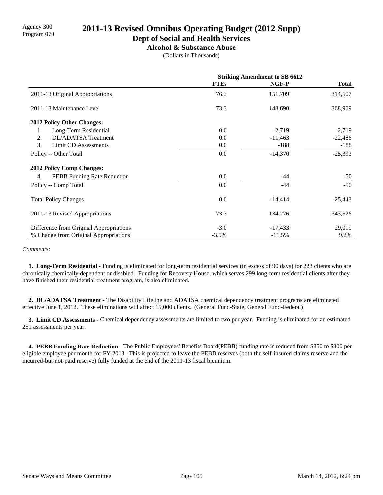**Dept of Social and Health Services**

**Alcohol & Substance Abuse**

(Dollars in Thousands)

|                                         |             | <b>Striking Amendment to SB 6612</b> |              |
|-----------------------------------------|-------------|--------------------------------------|--------------|
|                                         | <b>FTEs</b> | NGF-P                                | <b>Total</b> |
| 2011-13 Original Appropriations         | 76.3        | 151,709                              | 314,507      |
| 2011-13 Maintenance Level               | 73.3        | 148,690                              | 368,969      |
| <b>2012 Policy Other Changes:</b>       |             |                                      |              |
| Long-Term Residential<br>1.             | 0.0         | $-2,719$                             | $-2,719$     |
| 2.<br>DL/ADATSA Treatment               | 0.0         | $-11,463$                            | $-22,486$    |
| 3.<br><b>Limit CD Assessments</b>       | $0.0\,$     | $-188$                               | $-188$       |
| Policy -- Other Total                   | 0.0         | $-14,370$                            | $-25,393$    |
| <b>2012 Policy Comp Changes:</b>        |             |                                      |              |
| PEBB Funding Rate Reduction<br>4.       | 0.0         | -44                                  | $-50$        |
| Policy -- Comp Total                    | 0.0         | $-44$                                | $-50$        |
| <b>Total Policy Changes</b>             | 0.0         | $-14,414$                            | $-25,443$    |
| 2011-13 Revised Appropriations          | 73.3        | 134,276                              | 343,526      |
| Difference from Original Appropriations | $-3.0$      | $-17,433$                            | 29,019       |
| % Change from Original Appropriations   | $-3.9%$     | $-11.5%$                             | 9.2%         |

#### *Comments:*

 **1. Long-Term Residential -** Funding is eliminated for long-term residential services (in excess of 90 days) for 223 clients who are chronically chemically dependent or disabled. Funding for Recovery House, which serves 299 long-term residential clients after they have finished their residential treatment program, is also eliminated.

 **2. DL/ADATSA Treatment -** The Disability Lifeline and ADATSA chemical dependency treatment programs are eliminated effective June 1, 2012. These eliminations will affect 15,000 clients. (General Fund-State, General Fund-Federal)

**3. Limit CD Assessments - Chemical dependency assessments are limited to two per year. Funding is eliminated for an estimated** 251 assessments per year.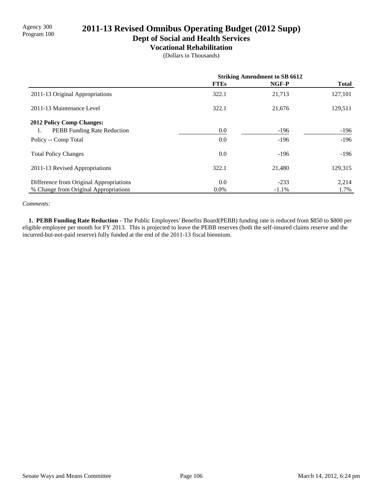**Dept of Social and Health Services**

### **Vocational Rehabilitation**

(Dollars in Thousands)

|                                          | <b>Striking Amendment to SB 6612</b> |         |              |
|------------------------------------------|--------------------------------------|---------|--------------|
|                                          | <b>FTEs</b>                          | NGF-P   | <b>Total</b> |
| 2011-13 Original Appropriations          | 322.1                                | 21,713  | 127,101      |
| 2011-13 Maintenance Level                | 322.1                                | 21,676  | 129,511      |
| <b>2012 Policy Comp Changes:</b>         |                                      |         |              |
| <b>PEBB</b> Funding Rate Reduction<br>1. | 0.0                                  | $-196$  | -196         |
| Policy -- Comp Total                     | 0.0                                  | $-196$  | $-196$       |
| <b>Total Policy Changes</b>              | 0.0                                  | $-196$  | $-196$       |
| 2011-13 Revised Appropriations           | 322.1                                | 21,480  | 129,315      |
| Difference from Original Appropriations  | 0.0                                  | $-233$  | 2,214        |
| % Change from Original Appropriations    | $0.0\%$                              | $-1.1%$ | 1.7%         |

#### *Comments:*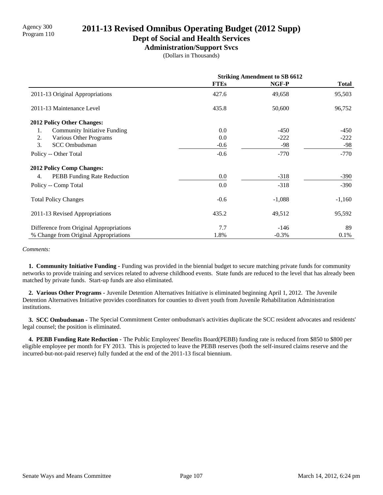#### **Dept of Social and Health Services**

**Administration/Support Svcs**

(Dollars in Thousands)

|                                           | <b>Striking Amendment to SB 6612</b> |          |              |
|-------------------------------------------|--------------------------------------|----------|--------------|
|                                           | <b>FTEs</b>                          | NGF-P    | <b>Total</b> |
| 2011-13 Original Appropriations           | 427.6                                | 49,658   | 95,503       |
| 2011-13 Maintenance Level                 | 435.8                                | 50,600   | 96,752       |
| <b>2012 Policy Other Changes:</b>         |                                      |          |              |
| <b>Community Initiative Funding</b><br>1. | 0.0                                  | $-450$   | -450         |
| 2.<br>Various Other Programs              | 0.0                                  | $-222$   | $-222$       |
| 3.<br><b>SCC</b> Ombudsman                | $-0.6$                               | $-98$    | $-98$        |
| Policy -- Other Total                     | $-0.6$                               | $-770$   | $-770$       |
| <b>2012 Policy Comp Changes:</b>          |                                      |          |              |
| PEBB Funding Rate Reduction<br>4.         | 0.0                                  | $-318$   | $-390$       |
| Policy -- Comp Total                      | 0.0                                  | $-318$   | $-390$       |
| <b>Total Policy Changes</b>               | $-0.6$                               | $-1,088$ | $-1,160$     |
| 2011-13 Revised Appropriations            | 435.2                                | 49,512   | 95,592       |
| Difference from Original Appropriations   | 7.7                                  | $-146$   | 89           |
| % Change from Original Appropriations     | 1.8%                                 | $-0.3%$  | 0.1%         |

#### *Comments:*

 **1. Community Initiative Funding -** Funding was provided in the biennial budget to secure matching private funds for community networks to provide training and services related to adverse childhood events. State funds are reduced to the level that has already been matched by private funds. Start-up funds are also eliminated.

 **2. Various Other Programs -** Juvenile Detention Alternatives Initiative is eliminated beginning April 1, 2012. The Juvenile Detention Alternatives Initiative provides coordinators for counties to divert youth from Juvenile Rehabilitation Administration institutions.

 **3. SCC Ombudsman -** The Special Commitment Center ombudsman's activities duplicate the SCC resident advocates and residents' legal counsel; the position is eliminated.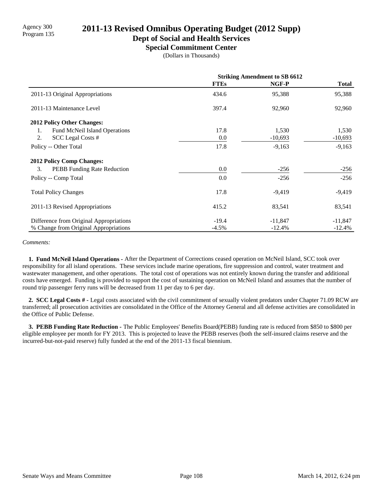# Program 135 **2011-13 Revised Omnibus Operating Budget (2012 Supp)**

**Dept of Social and Health Services**

**Special Commitment Center**

(Dollars in Thousands)

|                                          | <b>Striking Amendment to SB 6612</b> |           |              |
|------------------------------------------|--------------------------------------|-----------|--------------|
|                                          | <b>FTEs</b>                          | NGF-P     | <b>Total</b> |
| 2011-13 Original Appropriations          | 434.6                                | 95,388    | 95,388       |
| 2011-13 Maintenance Level                | 397.4                                | 92,960    | 92,960       |
| 2012 Policy Other Changes:               |                                      |           |              |
| Fund McNeil Island Operations<br>1.      | 17.8                                 | 1,530     | 1,530        |
| 2.<br>SCC Legal Costs #                  | 0.0                                  | $-10,693$ | $-10,693$    |
| Policy -- Other Total                    | 17.8                                 | $-9,163$  | $-9,163$     |
| <b>2012 Policy Comp Changes:</b>         |                                      |           |              |
| 3.<br><b>PEBB</b> Funding Rate Reduction | 0.0                                  | $-256$    | $-256$       |
| Policy -- Comp Total                     | 0.0                                  | $-256$    | $-256$       |
| <b>Total Policy Changes</b>              | 17.8                                 | $-9,419$  | $-9,419$     |
| 2011-13 Revised Appropriations           | 415.2                                | 83,541    | 83,541       |
| Difference from Original Appropriations  | $-19.4$                              | $-11,847$ | $-11,847$    |
| % Change from Original Appropriations    | $-4.5%$                              | $-12.4%$  | $-12.4%$     |

*Comments:*

 **1. Fund McNeil Island Operations -** After the Department of Corrections ceased operation on McNeil Island, SCC took over responsibility for all island operations. These services include marine operations, fire suppression and control, water treatment and wastewater management, and other operations. The total cost of operations was not entirely known during the transfer and additional costs have emerged. Funding is provided to support the cost of sustaining operation on McNeil Island and assumes that the number of round trip passenger ferry runs will be decreased from 11 per day to 6 per day.

 **2. SCC Legal Costs # -** Legal costs associated with the civil commitment of sexually violent predators under Chapter 71.09 RCW are transferred; all prosecution activities are consolidated in the Office of the Attorney General and all defense activities are consolidated in the Office of Public Defense.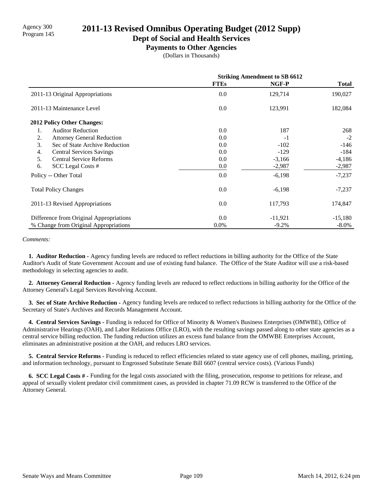# Agency 300<br>Program 145 **2011-13 Revised Omnibus Operating Budget (2012 Supp)**

**Dept of Social and Health Services**

#### **Payments to Other Agencies**

(Dollars in Thousands)

|                                         | <b>Striking Amendment to SB 6612</b> |           |              |
|-----------------------------------------|--------------------------------------|-----------|--------------|
|                                         | <b>FTEs</b>                          | NGF-P     | <b>Total</b> |
| 2011-13 Original Appropriations         | 0.0                                  | 129,714   | 190,027      |
| 2011-13 Maintenance Level               | 0.0                                  | 123,991   | 182,084      |
| <b>2012 Policy Other Changes:</b>       |                                      |           |              |
| <b>Auditor Reduction</b><br>1.          | 0.0                                  | 187       | 268          |
| 2.<br><b>Attorney General Reduction</b> | 0.0                                  | $-1$      | $-2$         |
| 3.<br>Sec of State Archive Reduction    | 0.0                                  | $-102$    | $-146$       |
| 4.<br><b>Central Services Savings</b>   | 0.0                                  | $-129$    | -184         |
| 5.<br><b>Central Service Reforms</b>    | 0.0                                  | $-3,166$  | $-4,186$     |
| 6.<br>SCC Legal Costs #                 | 0.0                                  | $-2,987$  | $-2,987$     |
| Policy -- Other Total                   | 0.0                                  | $-6,198$  | $-7,237$     |
| <b>Total Policy Changes</b>             | 0.0                                  | $-6,198$  | $-7,237$     |
| 2011-13 Revised Appropriations          | 0.0                                  | 117,793   | 174,847      |
| Difference from Original Appropriations | 0.0                                  | $-11,921$ | $-15,180$    |
| % Change from Original Appropriations   | $0.0\%$                              | $-9.2%$   | $-8.0\%$     |

#### *Comments:*

 **1. Auditor Reduction -** Agency funding levels are reduced to reflect reductions in billing authority for the Office of the State Auditor's Audit of State Government Account and use of existing fund balance. The Office of the State Auditor will use a risk-based methodology in selecting agencies to audit.

 **2. Attorney General Reduction -** Agency funding levels are reduced to reflect reductions in billing authority for the Office of the Attorney General's Legal Services Revolving Account.

 **3. Sec of State Archive Reduction -** Agency funding levels are reduced to reflect reductions in billing authority for the Office of the Secretary of State's Archives and Records Management Account.

 **4. Central Services Savings -** Funding is reduced for Office of Minority & Women's Business Enterprises (OMWBE), Office of Administrative Hearings (OAH), and Labor Relations Office (LRO), with the resulting savings passed along to other state agencies as a central service billing reduction. The funding reduction utilizes an excess fund balance from the OMWBE Enterprises Account, eliminates an administrative position at the OAH, and reduces LRO services.

 **5. Central Service Reforms -** Funding is reduced to reflect efficiencies related to state agency use of cell phones, mailing, printing, and information technology, pursuant to Engrossed Substitute Senate Bill 6607 (central service costs). (Various Funds)

 **6. SCC Legal Costs # -** Funding for the legal costs associated with the filing, prosecution, response to petitions for release, and appeal of sexually violent predator civil commitment cases, as provided in chapter 71.09 RCW is transferred to the Office of the Attorney General.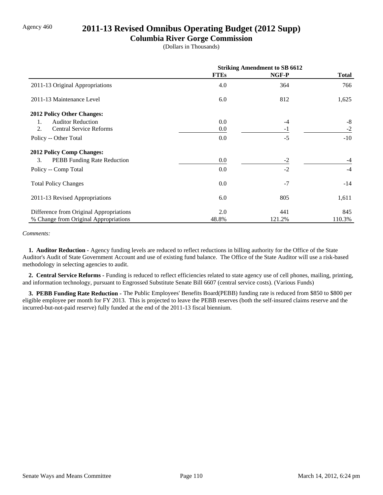## Agency 460 **2011-13 Revised Omnibus Operating Budget (2012 Supp)**

### **Columbia River Gorge Commission**

(Dollars in Thousands)

|                                          | <b>Striking Amendment to SB 6612</b> |        |              |
|------------------------------------------|--------------------------------------|--------|--------------|
|                                          | <b>FTEs</b>                          | NGF-P  | <b>Total</b> |
| 2011-13 Original Appropriations          | 4.0                                  | 364    | 766          |
| 2011-13 Maintenance Level                | 6.0                                  | 812    | 1,625        |
| 2012 Policy Other Changes:               |                                      |        |              |
| <b>Auditor Reduction</b><br>1.           | 0.0                                  | -4     | -8           |
| 2.<br><b>Central Service Reforms</b>     | 0.0                                  | $-1$   | $-2$         |
| Policy -- Other Total                    | 0.0                                  | $-5$   | $-10$        |
| <b>2012 Policy Comp Changes:</b>         |                                      |        |              |
| 3.<br><b>PEBB</b> Funding Rate Reduction | 0.0                                  | $-2$   | $-4$         |
| Policy -- Comp Total                     | 0.0                                  | $-2$   | $-4$         |
| <b>Total Policy Changes</b>              | 0.0                                  | $-7$   | $-14$        |
| 2011-13 Revised Appropriations           | 6.0                                  | 805    | 1,611        |
| Difference from Original Appropriations  | 2.0                                  | 441    | 845          |
| % Change from Original Appropriations    | 48.8%                                | 121.2% | 110.3%       |

#### *Comments:*

 **1. Auditor Reduction -** Agency funding levels are reduced to reflect reductions in billing authority for the Office of the State Auditor's Audit of State Government Account and use of existing fund balance. The Office of the State Auditor will use a risk-based methodology in selecting agencies to audit.

 **2. Central Service Reforms -** Funding is reduced to reflect efficiencies related to state agency use of cell phones, mailing, printing, and information technology, pursuant to Engrossed Substitute Senate Bill 6607 (central service costs). (Various Funds)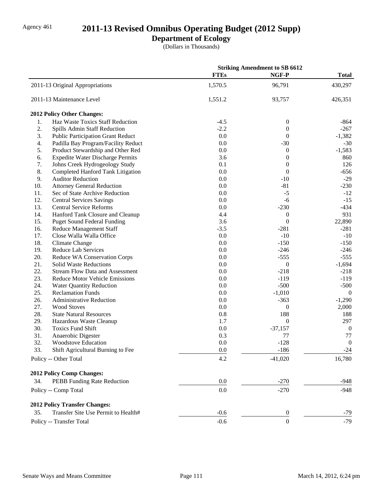# Agency 461 **2011-13 Revised Omnibus Operating Budget (2012 Supp)**

### **Department of Ecology**

(Dollars in Thousands)

| <b>FTEs</b><br>NGF-P<br><b>Total</b><br>1,570.5<br>430,297<br>2011-13 Original Appropriations<br>96,791<br>2011-13 Maintenance Level<br>1,551.2<br>426,351<br>93,757<br>2012 Policy Other Changes:<br>Haz Waste Toxics Staff Reduction<br>1.<br>$-4.5$<br>$\boldsymbol{0}$<br>$-864$<br>$-2.2$<br>2.<br>Spills Admin Staff Reduction<br>$-267$<br>$\boldsymbol{0}$<br>3.<br>0.0<br>$\mathbf{0}$<br><b>Public Participation Grant Reduct</b><br>$-1,382$<br>0.0<br>$-30$<br>4.<br>Padilla Bay Program/Facility Reduct<br>$-30$<br>0.0<br>$-1,583$<br>5.<br>Product Stewardship and Other Red<br>$\boldsymbol{0}$<br>3.6<br>860<br><b>Expedite Water Discharge Permits</b><br>$\theta$<br>6.<br>7.<br>0.1<br>Johns Creek Hydrogeology Study<br>$\boldsymbol{0}$<br>126<br>8.<br>$\boldsymbol{0}$<br>Completed Hanford Tank Litigation<br>0.0<br>$-656$<br>9.<br>$-10$<br>$-29$<br><b>Auditor Reduction</b><br>0.0<br>10.<br>$-81$<br>$-230$<br><b>Attorney General Reduction</b><br>0.0<br>11.<br>0.0<br>$-5$<br>Sec of State Archive Reduction<br>$-12$<br>12.<br>0.0<br>$-15$<br><b>Central Services Savings</b><br>$-6$<br>13.<br>$-434$<br><b>Central Service Reforms</b><br>0.0<br>$-230$<br>14.<br>931<br>Hanford Tank Closure and Cleanup<br>4.4<br>$\boldsymbol{0}$<br>15.<br>3.6<br>$\boldsymbol{0}$<br>22,890<br><b>Puget Sound Federal Funding</b><br>$-3.5$<br>16.<br><b>Reduce Management Staff</b><br>$-281$<br>$-281$<br>17.<br>0.0<br>$-10$<br>Close Walla Walla Office<br>$-10$<br>18.<br>Climate Change<br>0.0<br>$-150$<br>$-150$<br>19.<br>$-246$<br>Reduce Lab Services<br>0.0<br>$-246$<br>20.<br>$-555$<br>$-555$<br>Reduce WA Conservation Corps<br>0.0<br>21.<br>0.0<br>$\boldsymbol{0}$<br><b>Solid Waste Reductions</b><br>$-1,694$<br>22.<br><b>Stream Flow Data and Assessment</b><br>0.0<br>$-218$<br>$-218$<br>23.<br>$-119$<br>Reduce Motor Vehicle Emissions<br>0.0<br>$-119$<br>24.<br>$-500$<br>0.0<br>$-500$<br><b>Water Quantity Reduction</b><br>25.<br><b>Reclamation Funds</b><br>$-1,010$<br>0.0<br>$\overline{0}$<br>26.<br><b>Administrative Reduction</b><br>0.0<br>$-363$<br>$-1,290$<br>27.<br><b>Wood Stoves</b><br>2,000<br>0.0<br>$\boldsymbol{0}$<br>28.<br>188<br><b>State Natural Resources</b><br>0.8<br>188<br>29.<br>$\boldsymbol{0}$<br>297<br>1.7<br>Hazardous Waste Cleanup<br>30.<br>0.0<br><b>Toxics Fund Shift</b><br>$-37,157$<br>$\boldsymbol{0}$<br>31.<br>0.3<br>77<br>$77\,$<br>Anaerobic Digester<br>32.<br>0.0<br>$-128$<br>$\boldsymbol{0}$<br><b>Woodstove Education</b><br>Shift Agricultural Burning to Fee<br>33.<br>0.0<br>$-186$<br>$-24$<br>Policy -- Other Total<br>4.2<br>$-41,020$<br>16,780<br>2012 Policy Comp Changes:<br>PEBB Funding Rate Reduction<br>34.<br>0.0<br>$-270$<br>$-948$<br>$-270$<br>$-948$<br>0.0<br>Policy -- Comp Total<br><b>2012 Policy Transfer Changes:</b><br>Transfer Site Use Permit to Health#<br>35.<br>$-0.6$<br>$\boldsymbol{0}$<br>$-79$<br>$\boldsymbol{0}$<br>$-79$<br>Policy -- Transfer Total<br>$-0.6$ |  | <b>Striking Amendment to SB 6612</b> |  |
|----------------------------------------------------------------------------------------------------------------------------------------------------------------------------------------------------------------------------------------------------------------------------------------------------------------------------------------------------------------------------------------------------------------------------------------------------------------------------------------------------------------------------------------------------------------------------------------------------------------------------------------------------------------------------------------------------------------------------------------------------------------------------------------------------------------------------------------------------------------------------------------------------------------------------------------------------------------------------------------------------------------------------------------------------------------------------------------------------------------------------------------------------------------------------------------------------------------------------------------------------------------------------------------------------------------------------------------------------------------------------------------------------------------------------------------------------------------------------------------------------------------------------------------------------------------------------------------------------------------------------------------------------------------------------------------------------------------------------------------------------------------------------------------------------------------------------------------------------------------------------------------------------------------------------------------------------------------------------------------------------------------------------------------------------------------------------------------------------------------------------------------------------------------------------------------------------------------------------------------------------------------------------------------------------------------------------------------------------------------------------------------------------------------------------------------------------------------------------------------------------------------------------------------------------------------------------------------------------------------------------------------------------------------------------------------------------------------------------------------------------------------------------------------------------------------------------------------------------------------------------------------------------------------------------------------------------------------------------------------------------------------------------|--|--------------------------------------|--|
|                                                                                                                                                                                                                                                                                                                                                                                                                                                                                                                                                                                                                                                                                                                                                                                                                                                                                                                                                                                                                                                                                                                                                                                                                                                                                                                                                                                                                                                                                                                                                                                                                                                                                                                                                                                                                                                                                                                                                                                                                                                                                                                                                                                                                                                                                                                                                                                                                                                                                                                                                                                                                                                                                                                                                                                                                                                                                                                                                                                                                            |  |                                      |  |
|                                                                                                                                                                                                                                                                                                                                                                                                                                                                                                                                                                                                                                                                                                                                                                                                                                                                                                                                                                                                                                                                                                                                                                                                                                                                                                                                                                                                                                                                                                                                                                                                                                                                                                                                                                                                                                                                                                                                                                                                                                                                                                                                                                                                                                                                                                                                                                                                                                                                                                                                                                                                                                                                                                                                                                                                                                                                                                                                                                                                                            |  |                                      |  |
|                                                                                                                                                                                                                                                                                                                                                                                                                                                                                                                                                                                                                                                                                                                                                                                                                                                                                                                                                                                                                                                                                                                                                                                                                                                                                                                                                                                                                                                                                                                                                                                                                                                                                                                                                                                                                                                                                                                                                                                                                                                                                                                                                                                                                                                                                                                                                                                                                                                                                                                                                                                                                                                                                                                                                                                                                                                                                                                                                                                                                            |  |                                      |  |
|                                                                                                                                                                                                                                                                                                                                                                                                                                                                                                                                                                                                                                                                                                                                                                                                                                                                                                                                                                                                                                                                                                                                                                                                                                                                                                                                                                                                                                                                                                                                                                                                                                                                                                                                                                                                                                                                                                                                                                                                                                                                                                                                                                                                                                                                                                                                                                                                                                                                                                                                                                                                                                                                                                                                                                                                                                                                                                                                                                                                                            |  |                                      |  |
|                                                                                                                                                                                                                                                                                                                                                                                                                                                                                                                                                                                                                                                                                                                                                                                                                                                                                                                                                                                                                                                                                                                                                                                                                                                                                                                                                                                                                                                                                                                                                                                                                                                                                                                                                                                                                                                                                                                                                                                                                                                                                                                                                                                                                                                                                                                                                                                                                                                                                                                                                                                                                                                                                                                                                                                                                                                                                                                                                                                                                            |  |                                      |  |
|                                                                                                                                                                                                                                                                                                                                                                                                                                                                                                                                                                                                                                                                                                                                                                                                                                                                                                                                                                                                                                                                                                                                                                                                                                                                                                                                                                                                                                                                                                                                                                                                                                                                                                                                                                                                                                                                                                                                                                                                                                                                                                                                                                                                                                                                                                                                                                                                                                                                                                                                                                                                                                                                                                                                                                                                                                                                                                                                                                                                                            |  |                                      |  |
|                                                                                                                                                                                                                                                                                                                                                                                                                                                                                                                                                                                                                                                                                                                                                                                                                                                                                                                                                                                                                                                                                                                                                                                                                                                                                                                                                                                                                                                                                                                                                                                                                                                                                                                                                                                                                                                                                                                                                                                                                                                                                                                                                                                                                                                                                                                                                                                                                                                                                                                                                                                                                                                                                                                                                                                                                                                                                                                                                                                                                            |  |                                      |  |
|                                                                                                                                                                                                                                                                                                                                                                                                                                                                                                                                                                                                                                                                                                                                                                                                                                                                                                                                                                                                                                                                                                                                                                                                                                                                                                                                                                                                                                                                                                                                                                                                                                                                                                                                                                                                                                                                                                                                                                                                                                                                                                                                                                                                                                                                                                                                                                                                                                                                                                                                                                                                                                                                                                                                                                                                                                                                                                                                                                                                                            |  |                                      |  |
|                                                                                                                                                                                                                                                                                                                                                                                                                                                                                                                                                                                                                                                                                                                                                                                                                                                                                                                                                                                                                                                                                                                                                                                                                                                                                                                                                                                                                                                                                                                                                                                                                                                                                                                                                                                                                                                                                                                                                                                                                                                                                                                                                                                                                                                                                                                                                                                                                                                                                                                                                                                                                                                                                                                                                                                                                                                                                                                                                                                                                            |  |                                      |  |
|                                                                                                                                                                                                                                                                                                                                                                                                                                                                                                                                                                                                                                                                                                                                                                                                                                                                                                                                                                                                                                                                                                                                                                                                                                                                                                                                                                                                                                                                                                                                                                                                                                                                                                                                                                                                                                                                                                                                                                                                                                                                                                                                                                                                                                                                                                                                                                                                                                                                                                                                                                                                                                                                                                                                                                                                                                                                                                                                                                                                                            |  |                                      |  |
|                                                                                                                                                                                                                                                                                                                                                                                                                                                                                                                                                                                                                                                                                                                                                                                                                                                                                                                                                                                                                                                                                                                                                                                                                                                                                                                                                                                                                                                                                                                                                                                                                                                                                                                                                                                                                                                                                                                                                                                                                                                                                                                                                                                                                                                                                                                                                                                                                                                                                                                                                                                                                                                                                                                                                                                                                                                                                                                                                                                                                            |  |                                      |  |
|                                                                                                                                                                                                                                                                                                                                                                                                                                                                                                                                                                                                                                                                                                                                                                                                                                                                                                                                                                                                                                                                                                                                                                                                                                                                                                                                                                                                                                                                                                                                                                                                                                                                                                                                                                                                                                                                                                                                                                                                                                                                                                                                                                                                                                                                                                                                                                                                                                                                                                                                                                                                                                                                                                                                                                                                                                                                                                                                                                                                                            |  |                                      |  |
|                                                                                                                                                                                                                                                                                                                                                                                                                                                                                                                                                                                                                                                                                                                                                                                                                                                                                                                                                                                                                                                                                                                                                                                                                                                                                                                                                                                                                                                                                                                                                                                                                                                                                                                                                                                                                                                                                                                                                                                                                                                                                                                                                                                                                                                                                                                                                                                                                                                                                                                                                                                                                                                                                                                                                                                                                                                                                                                                                                                                                            |  |                                      |  |
|                                                                                                                                                                                                                                                                                                                                                                                                                                                                                                                                                                                                                                                                                                                                                                                                                                                                                                                                                                                                                                                                                                                                                                                                                                                                                                                                                                                                                                                                                                                                                                                                                                                                                                                                                                                                                                                                                                                                                                                                                                                                                                                                                                                                                                                                                                                                                                                                                                                                                                                                                                                                                                                                                                                                                                                                                                                                                                                                                                                                                            |  |                                      |  |
|                                                                                                                                                                                                                                                                                                                                                                                                                                                                                                                                                                                                                                                                                                                                                                                                                                                                                                                                                                                                                                                                                                                                                                                                                                                                                                                                                                                                                                                                                                                                                                                                                                                                                                                                                                                                                                                                                                                                                                                                                                                                                                                                                                                                                                                                                                                                                                                                                                                                                                                                                                                                                                                                                                                                                                                                                                                                                                                                                                                                                            |  |                                      |  |
|                                                                                                                                                                                                                                                                                                                                                                                                                                                                                                                                                                                                                                                                                                                                                                                                                                                                                                                                                                                                                                                                                                                                                                                                                                                                                                                                                                                                                                                                                                                                                                                                                                                                                                                                                                                                                                                                                                                                                                                                                                                                                                                                                                                                                                                                                                                                                                                                                                                                                                                                                                                                                                                                                                                                                                                                                                                                                                                                                                                                                            |  |                                      |  |
|                                                                                                                                                                                                                                                                                                                                                                                                                                                                                                                                                                                                                                                                                                                                                                                                                                                                                                                                                                                                                                                                                                                                                                                                                                                                                                                                                                                                                                                                                                                                                                                                                                                                                                                                                                                                                                                                                                                                                                                                                                                                                                                                                                                                                                                                                                                                                                                                                                                                                                                                                                                                                                                                                                                                                                                                                                                                                                                                                                                                                            |  |                                      |  |
|                                                                                                                                                                                                                                                                                                                                                                                                                                                                                                                                                                                                                                                                                                                                                                                                                                                                                                                                                                                                                                                                                                                                                                                                                                                                                                                                                                                                                                                                                                                                                                                                                                                                                                                                                                                                                                                                                                                                                                                                                                                                                                                                                                                                                                                                                                                                                                                                                                                                                                                                                                                                                                                                                                                                                                                                                                                                                                                                                                                                                            |  |                                      |  |
|                                                                                                                                                                                                                                                                                                                                                                                                                                                                                                                                                                                                                                                                                                                                                                                                                                                                                                                                                                                                                                                                                                                                                                                                                                                                                                                                                                                                                                                                                                                                                                                                                                                                                                                                                                                                                                                                                                                                                                                                                                                                                                                                                                                                                                                                                                                                                                                                                                                                                                                                                                                                                                                                                                                                                                                                                                                                                                                                                                                                                            |  |                                      |  |
|                                                                                                                                                                                                                                                                                                                                                                                                                                                                                                                                                                                                                                                                                                                                                                                                                                                                                                                                                                                                                                                                                                                                                                                                                                                                                                                                                                                                                                                                                                                                                                                                                                                                                                                                                                                                                                                                                                                                                                                                                                                                                                                                                                                                                                                                                                                                                                                                                                                                                                                                                                                                                                                                                                                                                                                                                                                                                                                                                                                                                            |  |                                      |  |
|                                                                                                                                                                                                                                                                                                                                                                                                                                                                                                                                                                                                                                                                                                                                                                                                                                                                                                                                                                                                                                                                                                                                                                                                                                                                                                                                                                                                                                                                                                                                                                                                                                                                                                                                                                                                                                                                                                                                                                                                                                                                                                                                                                                                                                                                                                                                                                                                                                                                                                                                                                                                                                                                                                                                                                                                                                                                                                                                                                                                                            |  |                                      |  |
|                                                                                                                                                                                                                                                                                                                                                                                                                                                                                                                                                                                                                                                                                                                                                                                                                                                                                                                                                                                                                                                                                                                                                                                                                                                                                                                                                                                                                                                                                                                                                                                                                                                                                                                                                                                                                                                                                                                                                                                                                                                                                                                                                                                                                                                                                                                                                                                                                                                                                                                                                                                                                                                                                                                                                                                                                                                                                                                                                                                                                            |  |                                      |  |
|                                                                                                                                                                                                                                                                                                                                                                                                                                                                                                                                                                                                                                                                                                                                                                                                                                                                                                                                                                                                                                                                                                                                                                                                                                                                                                                                                                                                                                                                                                                                                                                                                                                                                                                                                                                                                                                                                                                                                                                                                                                                                                                                                                                                                                                                                                                                                                                                                                                                                                                                                                                                                                                                                                                                                                                                                                                                                                                                                                                                                            |  |                                      |  |
|                                                                                                                                                                                                                                                                                                                                                                                                                                                                                                                                                                                                                                                                                                                                                                                                                                                                                                                                                                                                                                                                                                                                                                                                                                                                                                                                                                                                                                                                                                                                                                                                                                                                                                                                                                                                                                                                                                                                                                                                                                                                                                                                                                                                                                                                                                                                                                                                                                                                                                                                                                                                                                                                                                                                                                                                                                                                                                                                                                                                                            |  |                                      |  |
|                                                                                                                                                                                                                                                                                                                                                                                                                                                                                                                                                                                                                                                                                                                                                                                                                                                                                                                                                                                                                                                                                                                                                                                                                                                                                                                                                                                                                                                                                                                                                                                                                                                                                                                                                                                                                                                                                                                                                                                                                                                                                                                                                                                                                                                                                                                                                                                                                                                                                                                                                                                                                                                                                                                                                                                                                                                                                                                                                                                                                            |  |                                      |  |
|                                                                                                                                                                                                                                                                                                                                                                                                                                                                                                                                                                                                                                                                                                                                                                                                                                                                                                                                                                                                                                                                                                                                                                                                                                                                                                                                                                                                                                                                                                                                                                                                                                                                                                                                                                                                                                                                                                                                                                                                                                                                                                                                                                                                                                                                                                                                                                                                                                                                                                                                                                                                                                                                                                                                                                                                                                                                                                                                                                                                                            |  |                                      |  |
|                                                                                                                                                                                                                                                                                                                                                                                                                                                                                                                                                                                                                                                                                                                                                                                                                                                                                                                                                                                                                                                                                                                                                                                                                                                                                                                                                                                                                                                                                                                                                                                                                                                                                                                                                                                                                                                                                                                                                                                                                                                                                                                                                                                                                                                                                                                                                                                                                                                                                                                                                                                                                                                                                                                                                                                                                                                                                                                                                                                                                            |  |                                      |  |
|                                                                                                                                                                                                                                                                                                                                                                                                                                                                                                                                                                                                                                                                                                                                                                                                                                                                                                                                                                                                                                                                                                                                                                                                                                                                                                                                                                                                                                                                                                                                                                                                                                                                                                                                                                                                                                                                                                                                                                                                                                                                                                                                                                                                                                                                                                                                                                                                                                                                                                                                                                                                                                                                                                                                                                                                                                                                                                                                                                                                                            |  |                                      |  |
|                                                                                                                                                                                                                                                                                                                                                                                                                                                                                                                                                                                                                                                                                                                                                                                                                                                                                                                                                                                                                                                                                                                                                                                                                                                                                                                                                                                                                                                                                                                                                                                                                                                                                                                                                                                                                                                                                                                                                                                                                                                                                                                                                                                                                                                                                                                                                                                                                                                                                                                                                                                                                                                                                                                                                                                                                                                                                                                                                                                                                            |  |                                      |  |
|                                                                                                                                                                                                                                                                                                                                                                                                                                                                                                                                                                                                                                                                                                                                                                                                                                                                                                                                                                                                                                                                                                                                                                                                                                                                                                                                                                                                                                                                                                                                                                                                                                                                                                                                                                                                                                                                                                                                                                                                                                                                                                                                                                                                                                                                                                                                                                                                                                                                                                                                                                                                                                                                                                                                                                                                                                                                                                                                                                                                                            |  |                                      |  |
|                                                                                                                                                                                                                                                                                                                                                                                                                                                                                                                                                                                                                                                                                                                                                                                                                                                                                                                                                                                                                                                                                                                                                                                                                                                                                                                                                                                                                                                                                                                                                                                                                                                                                                                                                                                                                                                                                                                                                                                                                                                                                                                                                                                                                                                                                                                                                                                                                                                                                                                                                                                                                                                                                                                                                                                                                                                                                                                                                                                                                            |  |                                      |  |
|                                                                                                                                                                                                                                                                                                                                                                                                                                                                                                                                                                                                                                                                                                                                                                                                                                                                                                                                                                                                                                                                                                                                                                                                                                                                                                                                                                                                                                                                                                                                                                                                                                                                                                                                                                                                                                                                                                                                                                                                                                                                                                                                                                                                                                                                                                                                                                                                                                                                                                                                                                                                                                                                                                                                                                                                                                                                                                                                                                                                                            |  |                                      |  |
|                                                                                                                                                                                                                                                                                                                                                                                                                                                                                                                                                                                                                                                                                                                                                                                                                                                                                                                                                                                                                                                                                                                                                                                                                                                                                                                                                                                                                                                                                                                                                                                                                                                                                                                                                                                                                                                                                                                                                                                                                                                                                                                                                                                                                                                                                                                                                                                                                                                                                                                                                                                                                                                                                                                                                                                                                                                                                                                                                                                                                            |  |                                      |  |
|                                                                                                                                                                                                                                                                                                                                                                                                                                                                                                                                                                                                                                                                                                                                                                                                                                                                                                                                                                                                                                                                                                                                                                                                                                                                                                                                                                                                                                                                                                                                                                                                                                                                                                                                                                                                                                                                                                                                                                                                                                                                                                                                                                                                                                                                                                                                                                                                                                                                                                                                                                                                                                                                                                                                                                                                                                                                                                                                                                                                                            |  |                                      |  |
|                                                                                                                                                                                                                                                                                                                                                                                                                                                                                                                                                                                                                                                                                                                                                                                                                                                                                                                                                                                                                                                                                                                                                                                                                                                                                                                                                                                                                                                                                                                                                                                                                                                                                                                                                                                                                                                                                                                                                                                                                                                                                                                                                                                                                                                                                                                                                                                                                                                                                                                                                                                                                                                                                                                                                                                                                                                                                                                                                                                                                            |  |                                      |  |
|                                                                                                                                                                                                                                                                                                                                                                                                                                                                                                                                                                                                                                                                                                                                                                                                                                                                                                                                                                                                                                                                                                                                                                                                                                                                                                                                                                                                                                                                                                                                                                                                                                                                                                                                                                                                                                                                                                                                                                                                                                                                                                                                                                                                                                                                                                                                                                                                                                                                                                                                                                                                                                                                                                                                                                                                                                                                                                                                                                                                                            |  |                                      |  |
|                                                                                                                                                                                                                                                                                                                                                                                                                                                                                                                                                                                                                                                                                                                                                                                                                                                                                                                                                                                                                                                                                                                                                                                                                                                                                                                                                                                                                                                                                                                                                                                                                                                                                                                                                                                                                                                                                                                                                                                                                                                                                                                                                                                                                                                                                                                                                                                                                                                                                                                                                                                                                                                                                                                                                                                                                                                                                                                                                                                                                            |  |                                      |  |
|                                                                                                                                                                                                                                                                                                                                                                                                                                                                                                                                                                                                                                                                                                                                                                                                                                                                                                                                                                                                                                                                                                                                                                                                                                                                                                                                                                                                                                                                                                                                                                                                                                                                                                                                                                                                                                                                                                                                                                                                                                                                                                                                                                                                                                                                                                                                                                                                                                                                                                                                                                                                                                                                                                                                                                                                                                                                                                                                                                                                                            |  |                                      |  |
|                                                                                                                                                                                                                                                                                                                                                                                                                                                                                                                                                                                                                                                                                                                                                                                                                                                                                                                                                                                                                                                                                                                                                                                                                                                                                                                                                                                                                                                                                                                                                                                                                                                                                                                                                                                                                                                                                                                                                                                                                                                                                                                                                                                                                                                                                                                                                                                                                                                                                                                                                                                                                                                                                                                                                                                                                                                                                                                                                                                                                            |  |                                      |  |
|                                                                                                                                                                                                                                                                                                                                                                                                                                                                                                                                                                                                                                                                                                                                                                                                                                                                                                                                                                                                                                                                                                                                                                                                                                                                                                                                                                                                                                                                                                                                                                                                                                                                                                                                                                                                                                                                                                                                                                                                                                                                                                                                                                                                                                                                                                                                                                                                                                                                                                                                                                                                                                                                                                                                                                                                                                                                                                                                                                                                                            |  |                                      |  |
|                                                                                                                                                                                                                                                                                                                                                                                                                                                                                                                                                                                                                                                                                                                                                                                                                                                                                                                                                                                                                                                                                                                                                                                                                                                                                                                                                                                                                                                                                                                                                                                                                                                                                                                                                                                                                                                                                                                                                                                                                                                                                                                                                                                                                                                                                                                                                                                                                                                                                                                                                                                                                                                                                                                                                                                                                                                                                                                                                                                                                            |  |                                      |  |
|                                                                                                                                                                                                                                                                                                                                                                                                                                                                                                                                                                                                                                                                                                                                                                                                                                                                                                                                                                                                                                                                                                                                                                                                                                                                                                                                                                                                                                                                                                                                                                                                                                                                                                                                                                                                                                                                                                                                                                                                                                                                                                                                                                                                                                                                                                                                                                                                                                                                                                                                                                                                                                                                                                                                                                                                                                                                                                                                                                                                                            |  |                                      |  |
|                                                                                                                                                                                                                                                                                                                                                                                                                                                                                                                                                                                                                                                                                                                                                                                                                                                                                                                                                                                                                                                                                                                                                                                                                                                                                                                                                                                                                                                                                                                                                                                                                                                                                                                                                                                                                                                                                                                                                                                                                                                                                                                                                                                                                                                                                                                                                                                                                                                                                                                                                                                                                                                                                                                                                                                                                                                                                                                                                                                                                            |  |                                      |  |
|                                                                                                                                                                                                                                                                                                                                                                                                                                                                                                                                                                                                                                                                                                                                                                                                                                                                                                                                                                                                                                                                                                                                                                                                                                                                                                                                                                                                                                                                                                                                                                                                                                                                                                                                                                                                                                                                                                                                                                                                                                                                                                                                                                                                                                                                                                                                                                                                                                                                                                                                                                                                                                                                                                                                                                                                                                                                                                                                                                                                                            |  |                                      |  |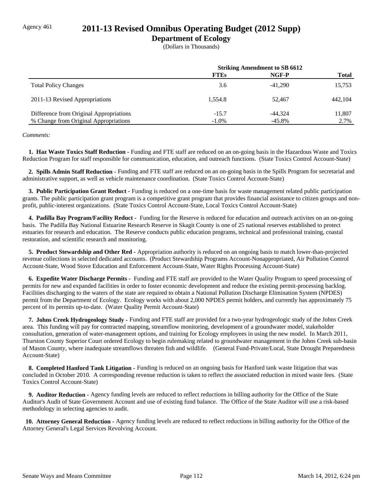### Agency 461 **2011-13 Revised Omnibus Operating Budget (2012 Supp)**

### **Department of Ecology**

(Dollars in Thousands)

|                                                                                  | <b>Striking Amendment to SB 6612</b> |                       |                |
|----------------------------------------------------------------------------------|--------------------------------------|-----------------------|----------------|
|                                                                                  | <b>FTEs</b>                          | NGF-P                 | <b>Total</b>   |
| <b>Total Policy Changes</b>                                                      | 3.6                                  | $-41.290$             | 15,753         |
| 2011-13 Revised Appropriations                                                   | 1.554.8                              | 52.467                | 442,104        |
| Difference from Original Appropriations<br>% Change from Original Appropriations | $-15.7$<br>$-1.0\%$                  | $-44.324$<br>$-45.8%$ | 11,807<br>2.7% |

#### *Comments:*

 **1. Haz Waste Toxics Staff Reduction -** Funding and FTE staff are reduced on an on-going basis in the Hazardous Waste and Toxics Reduction Program for staff responsible for communication, education, and outreach functions. (State Toxics Control Account-State)

 **2. Spills Admin Staff Reduction -** Funding and FTE staff are reduced on an on-going basis in the Spills Program for secretarial and administrative support, as well as vehicle maintenance coordination. (State Toxics Control Account-State)

 **3. Public Participation Grant Reduct -** Funding is reduced on a one-time basis for waste management related public participation grants. The public participation grant program is a competitive grant program that provides financial assistance to citizen groups and nonprofit, public-interest organizations. (State Toxics Control Account-State, Local Toxics Control Account-State)

 **4. Padilla Bay Program/Facility Reduct -** Funding for the Reserve is reduced for education and outreach activites on an on-going basis. The Padilla Bay National Estuarine Research Reserve in Skagit County is one of 25 national reserves established to protect estuaries for research and education. The Reserve conducts public education programs, technical and professional training, coastal restoration, and scientific research and monitoring.

 **5. Product Stewardship and Other Red -** Appropriation authority is reduced on an ongoing basis to match lower-than-projected revenue collections in selected dedicated accounts. (Product Stewardship Programs Account-Nonappropriated, Air Pollution Control Account-State, Wood Stove Education and Enforcement Account-State, Water Rights Processing Account-State)

 **6. Expedite Water Discharge Permits -** Funding and FTE staff are provided to the Water Quality Program to speed processing of permits for new and expanded facilities in order to foster economic development and reduce the existing permit-processing backlog. Facilities discharging to the waters of the state are required to obtain a National Pollution Discharge Elimination System (NPDES) permit from the Department of Ecology. Ecology works with about 2,000 NPDES permit holders, and currently has approximately 75 percent of its permits up-to-date. (Water Quality Permit Account-State)

 **7. Johns Creek Hydrogeology Study -** Funding and FTE staff are provided for a two-year hydrogeologic study of the Johns Creek area. This funding will pay for contracted mapping, streamflow monitoring, development of a groundwater model, stakeholder consultation, generation of water-management options, and training for Ecology employees in using the new model. In March 2011, Thurston County Superior Court ordered Ecology to begin rulemaking related to groundwater management in the Johns Creek sub-basin of Mason County, where inadequate streamflows threaten fish and wildlife. (General Fund-Private/Local, State Drought Preparedness Account-State)

 **8. Completed Hanford Tank Litigation -** Funding is reduced on an ongoing basis for Hanford tank waste litigation that was concluded in October 2010. A corresponding revenue reduction is taken to reflect the associated reduction in mixed waste fees. (State Toxics Control Account-State)

 **9. Auditor Reduction -** Agency funding levels are reduced to reflect reductions in billing authority for the Office of the State Auditor's Audit of State Government Account and use of existing fund balance. The Office of the State Auditor will use a risk-based methodology in selecting agencies to audit.

 **10. Attorney General Reduction -** Agency funding levels are reduced to reflect reductions in billing authority for the Office of the Attorney General's Legal Services Revolving Account.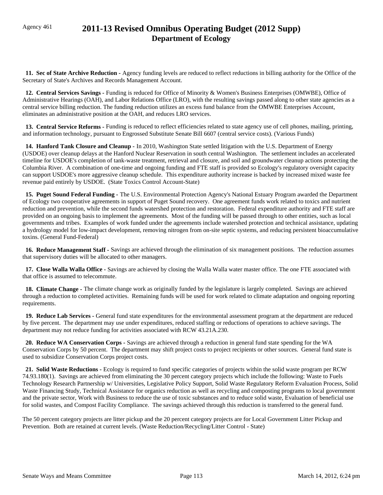# Agency 461 **2011-13 Revised Omnibus Operating Budget (2012 Supp) Department of Ecology**

 **11. Sec of State Archive Reduction -** Agency funding levels are reduced to reflect reductions in billing authority for the Office of the Secretary of State's Archives and Records Management Account.

 **12. Central Services Savings -** Funding is reduced for Office of Minority & Women's Business Enterprises (OMWBE), Office of Administrative Hearings (OAH), and Labor Relations Office (LRO), with the resulting savings passed along to other state agencies as a central service billing reduction. The funding reduction utilizes an excess fund balance from the OMWBE Enterprises Account, eliminates an administrative position at the OAH, and reduces LRO services.

 **13. Central Service Reforms -** Funding is reduced to reflect efficiencies related to state agency use of cell phones, mailing, printing, and information technology, pursuant to Engrossed Substitute Senate Bill 6607 (central service costs). (Various Funds)

 **14. Hanford Tank Closure and Cleanup -** In 2010, Washington State settled litigation with the U.S. Department of Energy (USDOE) over cleanup delays at the Hanford Nuclear Reservation in south central Washington. The settlement includes an accelerated timeline for USDOE's completion of tank-waste treatment, retrieval and closure, and soil and groundwater cleanup actions protecting the Columbia River. A combination of one-time and ongoing funding and FTE staff is provided so Ecology's regulatory oversight capacity can support USDOE's more aggressive cleanup schedule. This expenditure authority increase is backed by increased mixed waste fee revenue paid entirely by USDOE. (State Toxics Control Account-State)

 **15. Puget Sound Federal Funding -** The U.S. Environmental Protection Agency's National Estuary Program awarded the Department of Ecology two cooperative agreements in support of Puget Sound recovery. One agreement funds work related to toxics and nutrient reduction and prevention, while the second funds watershed protection and restoration. Federal expenditure authority and FTE staff are provided on an ongoing basis to implement the agreements. Most of the funding will be passed through to other entities, such as local governments and tribes. Examples of work funded under the agreements include watershed protection and technical assistance, updating a hydrology model for low-impact development, removing nitrogen from on-site septic systems, and reducing persistent bioaccumulative toxins. (General Fund-Federal)

 **16. Reduce Management Staff -** Savings are achieved through the elimination of six management positions. The reduction assumes that supervisory duties will be allocated to other managers.

 **17. Close Walla Walla Office -** Savings are achieved by closing the Walla Walla water master office. The one FTE associated with that office is assumed to telecommute.

 **18. Climate Change -** The climate change work as originally funded by the legislature is largely completed. Savings are achieved through a reduction to completed activities. Remaining funds will be used for work related to climate adaptation and ongoing reporting requirements.

 **19. Reduce Lab Services -** General fund state expenditures for the environmental assessment program at the department are reduced by five percent. The department may use under expenditures, reduced staffing or reductions of operations to achieve savings. The department may not reduce funding for activities associated with RCW 43.21A.230.

 **20. Reduce WA Conservation Corps -** Savings are achieved through a reduction in general fund state spending for the WA Conservation Corps by 50 percent. The department may shift project costs to project recipients or other sources. General fund state is used to subsidize Conservation Corps project costs.

 **21. Solid Waste Reductions -** Ecology is required to fund specific categories of projects within the solid waste program per RCW 74.93.180(1). Savings are achieved from eliminating the 30 percent category projects which include the following: Waste to Fuels Technology Research Partnership w/ Universities, Legislative Policy Support, Solid Waste Regulatory Reform Evaluation Process, Solid Waste Financing Study, Technical Assistance for organics reduction as well as recycling and composting programs to local government and the private sector, Work with Business to reduce the use of toxic substances and to reduce solid waste, Evaluation of beneficial use for solid wastes, and Compost Facility Compliance. The savings achieved through this reduction is transferred to the general fund.

The 50 percent category projects are litter pickup and the 20 percent category projects are for Local Government Litter Pickup and Prevention. Both are retained at current levels. (Waste Reduction/Recycling/Litter Control - State)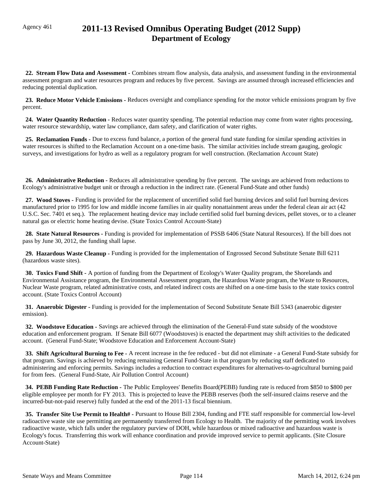# Agency 461 **2011-13 Revised Omnibus Operating Budget (2012 Supp) Department of Ecology**

 **22. Stream Flow Data and Assessment -** Combines stream flow analysis, data analysis, and assessment funding in the environmental assessment program and water resources program and reduces by five percent. Savings are assumed through increased efficiencies and reducing potential duplication.

 **23. Reduce Motor Vehicle Emissions -** Reduces oversight and compliance spending for the motor vehicle emissions program by five percent.

 **24. Water Quantity Reduction -** Reduces water quantity spending. The potential reduction may come from water rights processing, water resource stewardship, water law compliance, dam safety, and clarification of water rights.

 **25. Reclamation Funds -** Due to excess fund balance, a portion of the general fund state funding for similar spending activities in water resources is shifted to the Reclamation Account on a one-time basis. The similar activities include stream gauging, geologic surveys, and investigations for hydro as well as a regulatory program for well construction. (Reclamation Account State)

 **26. Administrative Reduction -** Reduces all administrative spending by five percent. The savings are achieved from reductions to Ecology's administrative budget unit or through a reduction in the indirect rate. (General Fund-State and other funds)

 **27. Wood Stoves -** Funding is provided for the replacement of uncertified solid fuel burning devices and solid fuel burning devices manufactured prior to 1995 for low and middle income families in air quality nonattainment areas under the federal clean air act (42 U.S.C. Sec. 7401 et seq.). The replacement heating device may include certified solid fuel burning devices, pellet stoves, or to a cleaner natural gas or electric home heating devise. (State Toxics Control Account-State)

 **28. State Natural Resources -** Funding is provided for implementation of PSSB 6406 (State Natural Resources). If the bill does not pass by June 30, 2012, the funding shall lapse.

 **29. Hazardous Waste Cleanup -** Funding is provided for the implementation of Engrossed Second Substitute Senate Bill 6211 (hazardous waste sites).

 **30. Toxics Fund Shift -** A portion of funding from the Department of Ecology's Water Quality program, the Shorelands and Environmental Assistance program, the Environmental Assessment program, the Hazardous Waste program, the Waste to Resources, Nuclear Waste program, related administrative costs, and related indirect costs are shifted on a one-time basis to the state toxics control account. (State Toxics Control Account)

 **31. Anaerobic Digester -** Funding is provided for the implementation of Second Substitute Senate Bill 5343 (anaerobic digester emission).

 **32. Woodstove Education -** Savings are achieved through the elimination of the General-Fund state subsidy of the woodstove education and enforcement program. If Senate Bill 6077 (Woodstoves) is enacted the department may shift activities to the dedicated account. (General Fund-State; Woodstove Education and Enforcement Account-State)

 **33. Shift Agricultural Burning to Fee -** A recent increase in the fee reduced - but did not eliminate - a General Fund-State subsidy for that program. Savings is achieved by reducing remaining General Fund-State in that program by reducing staff dedicated to administering and enforcing permits. Savings includes a reduction to contract expenditures for alternatives-to-agricultural burning paid for from fees. (General Fund-State, Air Pollution Control Account)

 **34. PEBB Funding Rate Reduction -** The Public Employees' Benefits Board(PEBB) funding rate is reduced from \$850 to \$800 per eligible employee per month for FY 2013. This is projected to leave the PEBB reserves (both the self-insured claims reserve and the incurred-but-not-paid reserve) fully funded at the end of the 2011-13 fiscal biennium.

 **35. Transfer Site Use Permit to Health# -** Pursuant to House Bill 2304, funding and FTE staff responsible for commercial low-level radioactive waste site use permitting are permanently transferred from Ecology to Health. The majority of the permitting work involves radioactive waste, which falls under the regulatory purview of DOH, while hazardous or mixed radioactive and hazardous waste is Ecology's focus. Transferring this work will enhance coordination and provide improved service to permit applicants. (Site Closure Account-State)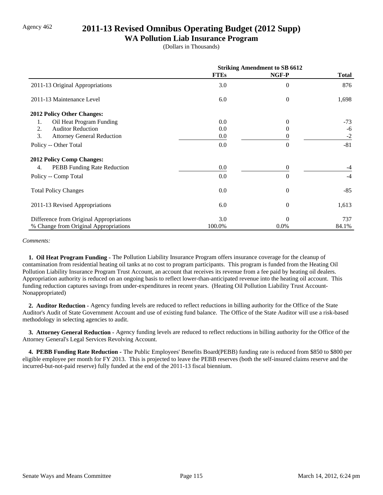## Agency 462 **2011-13 Revised Omnibus Operating Budget (2012 Supp)**

#### **WA Pollution Liab Insurance Program**

(Dollars in Thousands)

|                                         | <b>Striking Amendment to SB 6612</b> |                  |              |
|-----------------------------------------|--------------------------------------|------------------|--------------|
|                                         | <b>FTEs</b>                          | NGF-P            | <b>Total</b> |
| 2011-13 Original Appropriations         | 3.0                                  | $\overline{0}$   | 876          |
| 2011-13 Maintenance Level               | 6.0                                  | $\boldsymbol{0}$ | 1,698        |
| 2012 Policy Other Changes:              |                                      |                  |              |
| Oil Heat Program Funding<br>1.          | 0.0                                  | $\Omega$         | $-73$        |
| 2.<br><b>Auditor Reduction</b>          | 0.0                                  | $\Omega$         | -6           |
| 3.<br><b>Attorney General Reduction</b> | $0.0\,$                              | $\theta$         | $-2$         |
| Policy -- Other Total                   | 0.0                                  | $\Omega$         | $-81$        |
| 2012 Policy Comp Changes:               |                                      |                  |              |
| PEBB Funding Rate Reduction<br>4.       | 0.0                                  | $\boldsymbol{0}$ | -4           |
| Policy -- Comp Total                    | 0.0                                  | $\Omega$         | $-4$         |
| <b>Total Policy Changes</b>             | 0.0                                  | $\theta$         | $-85$        |
| 2011-13 Revised Appropriations          | 6.0                                  | $\theta$         | 1,613        |
| Difference from Original Appropriations | 3.0                                  | $\Omega$         | 737          |
| % Change from Original Appropriations   | 100.0%                               | 0.0%             | 84.1%        |

*Comments:*

 **1. Oil Heat Program Funding -** The Pollution Liability Insurance Program offers insurance coverage for the cleanup of contamination from residential heating oil tanks at no cost to program participants. This program is funded from the Heating Oil Pollution Liability Insurance Program Trust Account, an account that receives its revenue from a fee paid by heating oil dealers. Appropriation authority is reduced on an ongoing basis to reflect lower-than-anticipated revenue into the heating oil account. This funding reduction captures savings from under-expenditures in recent years. (Heating Oil Pollution Liability Trust Account-Nonappropriated)

 **2. Auditor Reduction -** Agency funding levels are reduced to reflect reductions in billing authority for the Office of the State Auditor's Audit of State Government Account and use of existing fund balance. The Office of the State Auditor will use a risk-based methodology in selecting agencies to audit.

 **3. Attorney General Reduction -** Agency funding levels are reduced to reflect reductions in billing authority for the Office of the Attorney General's Legal Services Revolving Account.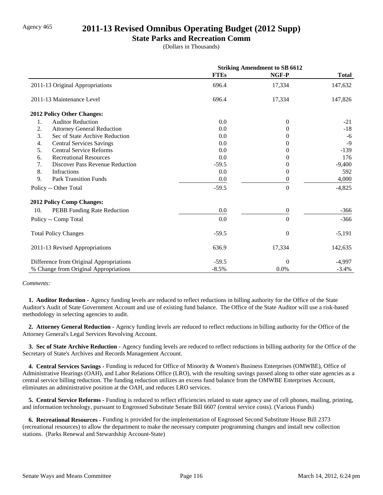### Agency 465 **2011-13 Revised Omnibus Operating Budget (2012 Supp)**

#### **State Parks and Recreation Comm**

(Dollars in Thousands)

|                                              | <b>Striking Amendment to SB 6612</b> |                  |              |
|----------------------------------------------|--------------------------------------|------------------|--------------|
|                                              | <b>FTEs</b>                          | NGF-P            | <b>Total</b> |
| 2011-13 Original Appropriations              | 696.4                                | 17,334           | 147,632      |
| 2011-13 Maintenance Level                    | 696.4                                | 17,334           | 147,826      |
| 2012 Policy Other Changes:                   |                                      |                  |              |
| <b>Auditor Reduction</b><br>1.               | 0.0                                  | $\Omega$         | $-21$        |
| 2.<br><b>Attorney General Reduction</b>      | 0.0                                  | $\theta$         | $-18$        |
| 3.<br>Sec of State Archive Reduction         | 0.0                                  | 0                | $-6$         |
| <b>Central Services Savings</b><br>4.        | 0.0                                  | 0                | $-9$         |
| 5.<br><b>Central Service Reforms</b>         | 0.0                                  | $^{(1)}$         | $-139$       |
| <b>Recreational Resources</b><br>6.          | 0.0                                  | 0                | 176          |
| 7.<br><b>Discover Pass Revenue Reduction</b> | $-59.5$                              | 0                | $-9,400$     |
| 8.<br>Infractions                            | 0.0                                  | $\Omega$         | 592          |
| 9.<br><b>Park Transition Funds</b>           | 0.0                                  | $\boldsymbol{0}$ | 4,000        |
| Policy -- Other Total                        | $-59.5$                              | $\theta$         | $-4,825$     |
| 2012 Policy Comp Changes:                    |                                      |                  |              |
| 10.<br>PEBB Funding Rate Reduction           | 0.0                                  | $\boldsymbol{0}$ | $-366$       |
| Policy -- Comp Total                         | 0.0                                  | $\Omega$         | $-366$       |
| <b>Total Policy Changes</b>                  | $-59.5$                              | $\theta$         | $-5,191$     |
| 2011-13 Revised Appropriations               | 636.9                                | 17,334           | 142,635      |
| Difference from Original Appropriations      | $-59.5$                              | $\Omega$         | $-4,997$     |
| % Change from Original Appropriations        | $-8.5%$                              | 0.0%             | $-3.4%$      |

#### *Comments:*

 **1. Auditor Reduction -** Agency funding levels are reduced to reflect reductions in billing authority for the Office of the State Auditor's Audit of State Government Account and use of existing fund balance. The Office of the State Auditor will use a risk-based methodology in selecting agencies to audit.

 **2. Attorney General Reduction -** Agency funding levels are reduced to reflect reductions in billing authority for the Office of the Attorney General's Legal Services Revolving Account.

 **3. Sec of State Archive Reduction -** Agency funding levels are reduced to reflect reductions in billing authority for the Office of the Secretary of State's Archives and Records Management Account.

 **4. Central Services Savings -** Funding is reduced for Office of Minority & Women's Business Enterprises (OMWBE), Office of Administrative Hearings (OAH), and Labor Relations Office (LRO), with the resulting savings passed along to other state agencies as a central service billing reduction. The funding reduction utilizes an excess fund balance from the OMWBE Enterprises Account, eliminates an administrative position at the OAH, and reduces LRO services.

 **5. Central Service Reforms -** Funding is reduced to reflect efficiencies related to state agency use of cell phones, mailing, printing, and information technology, pursuant to Engrossed Substitute Senate Bill 6607 (central service costs). (Various Funds)

 **6. Recreational Resources -** Funding is provided for the implementation of Engrossed Second Substitute House Bill 2373 (recreational resources) to allow the department to make the necessary computer programming changes and install new collection stations. (Parks Renewal and Stewardship Account-State)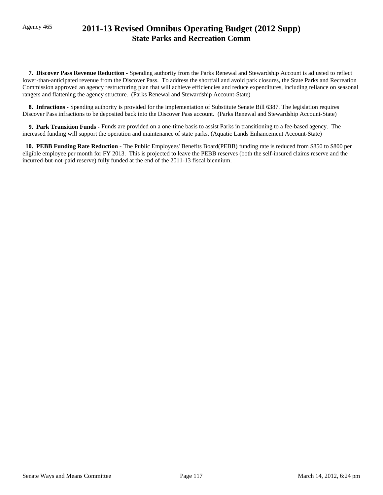# Agency 465 **2011-13 Revised Omnibus Operating Budget (2012 Supp) State Parks and Recreation Comm**

 **7. Discover Pass Revenue Reduction -** Spending authority from the Parks Renewal and Stewardship Account is adjusted to reflect lower-than-anticipated revenue from the Discover Pass. To address the shortfall and avoid park closures, the State Parks and Recreation Commission approved an agency restructuring plan that will achieve efficiencies and reduce expenditures, including reliance on seasonal rangers and flattening the agency structure. (Parks Renewal and Stewardship Account-State)

 **8. Infractions -** Spending authority is provided for the implementation of Substitute Senate Bill 6387. The legislation requires Discover Pass infractions to be deposited back into the Discover Pass account. (Parks Renewal and Stewardship Account-State)

 **9. Park Transition Funds -** Funds are provided on a one-time basis to assist Parks in transitioning to a fee-based agency. The increased funding will support the operation and maintenance of state parks. (Aquatic Lands Enhancement Account-State)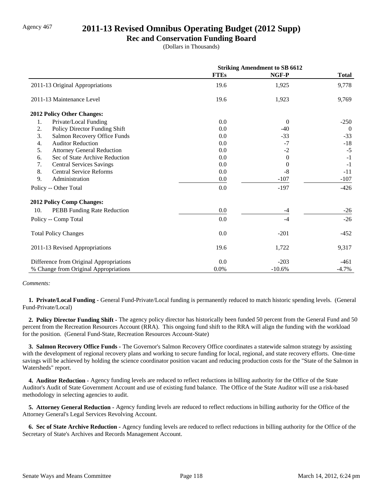## Agency 467 **2011-13 Revised Omnibus Operating Budget (2012 Supp)**

#### **Rec and Conservation Funding Board**

(Dollars in Thousands)

|                                         | <b>Striking Amendment to SB 6612</b> |          |              |
|-----------------------------------------|--------------------------------------|----------|--------------|
|                                         | <b>FTEs</b>                          | NGF-P    | <b>Total</b> |
| 2011-13 Original Appropriations         | 19.6                                 | 1,925    | 9,778        |
| 2011-13 Maintenance Level               | 19.6                                 | 1,923    | 9,769        |
| 2012 Policy Other Changes:              |                                      |          |              |
| Private/Local Funding<br>1.             | 0.0                                  | $\Omega$ | $-250$       |
| 2.<br>Policy Director Funding Shift     | 0.0                                  | $-40$    | $\theta$     |
| 3.<br>Salmon Recovery Office Funds      | 0.0                                  | $-33$    | $-33$        |
| <b>Auditor Reduction</b><br>4.          | 0.0                                  | $-7$     | $-18$        |
| 5.<br><b>Attorney General Reduction</b> | 0.0                                  | $-2$     | $-5$         |
| Sec of State Archive Reduction<br>6.    | 0.0                                  | $\Omega$ | $-1$         |
| 7.<br><b>Central Services Savings</b>   | 0.0                                  | $\theta$ | $-1$         |
| 8.<br><b>Central Service Reforms</b>    | 0.0                                  | $-8$     | $-11$        |
| 9.<br>Administration                    | 0.0                                  | $-107$   | $-107$       |
| Policy -- Other Total                   | 0.0                                  | $-197$   | $-426$       |
| <b>2012 Policy Comp Changes:</b>        |                                      |          |              |
| 10.<br>PEBB Funding Rate Reduction      | 0.0                                  | $-4$     | $-26$        |
| Policy -- Comp Total                    | 0.0                                  | $-4$     | $-26$        |
| <b>Total Policy Changes</b>             | 0.0                                  | $-201$   | $-452$       |
| 2011-13 Revised Appropriations          | 19.6                                 | 1,722    | 9,317        |
| Difference from Original Appropriations | 0.0                                  | $-203$   | $-461$       |
| % Change from Original Appropriations   | 0.0%                                 | $-10.6%$ | $-4.7%$      |

#### *Comments:*

**1. Private/Local Funding -** General Fund-Private/Local funding is permanently reduced to match historic spending levels. (General Fund-Private/Local)

 **2. Policy Director Funding Shift -** The agency policy director has historically been funded 50 percent from the General Fund and 50 percent from the Recreation Resources Account (RRA). This ongoing fund shift to the RRA will align the funding with the workload for the position. (General Fund-State, Recreation Resources Account-State)

 **3. Salmon Recovery Office Funds -** The Governor's Salmon Recovery Office coordinates a statewide salmon strategy by assisting with the development of regional recovery plans and working to secure funding for local, regional, and state recovery efforts. One-time savings will be achieved by holding the science coordinator position vacant and reducing production costs for the "State of the Salmon in Watersheds" report.

 **4. Auditor Reduction -** Agency funding levels are reduced to reflect reductions in billing authority for the Office of the State Auditor's Audit of State Government Account and use of existing fund balance. The Office of the State Auditor will use a risk-based methodology in selecting agencies to audit.

 **5. Attorney General Reduction -** Agency funding levels are reduced to reflect reductions in billing authority for the Office of the Attorney General's Legal Services Revolving Account.

 **6. Sec of State Archive Reduction -** Agency funding levels are reduced to reflect reductions in billing authority for the Office of the Secretary of State's Archives and Records Management Account.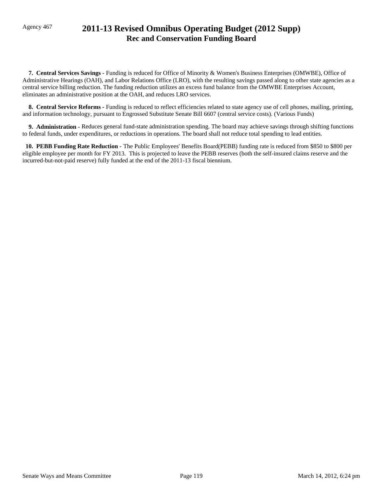# Agency 467 **2011-13 Revised Omnibus Operating Budget (2012 Supp) Rec and Conservation Funding Board**

 **7. Central Services Savings -** Funding is reduced for Office of Minority & Women's Business Enterprises (OMWBE), Office of Administrative Hearings (OAH), and Labor Relations Office (LRO), with the resulting savings passed along to other state agencies as a central service billing reduction. The funding reduction utilizes an excess fund balance from the OMWBE Enterprises Account, eliminates an administrative position at the OAH, and reduces LRO services.

 **8. Central Service Reforms -** Funding is reduced to reflect efficiencies related to state agency use of cell phones, mailing, printing, and information technology, pursuant to Engrossed Substitute Senate Bill 6607 (central service costs). (Various Funds)

**9. Administration - Reduces general fund-state administration spending. The board may achieve savings through shifting functions** to federal funds, under expenditures, or reductions in operations. The board shall not reduce total spending to lead entities.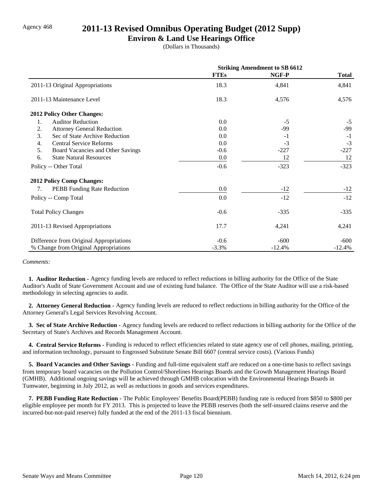### Agency 468 **2011-13 Revised Omnibus Operating Budget (2012 Supp)**

#### **Environ & Land Use Hearings Office**

(Dollars in Thousands)

|                                         | <b>Striking Amendment to SB 6612</b> |          |              |
|-----------------------------------------|--------------------------------------|----------|--------------|
|                                         | <b>FTEs</b>                          | NGF-P    | <b>Total</b> |
| 2011-13 Original Appropriations         | 18.3                                 | 4,841    | 4,841        |
| 2011-13 Maintenance Level               | 18.3                                 | 4,576    | 4,576        |
| 2012 Policy Other Changes:              |                                      |          |              |
| 1.<br><b>Auditor Reduction</b>          | 0.0                                  | $-5$     | $-5$         |
| 2.<br><b>Attorney General Reduction</b> | 0.0                                  | -99      | $-99$        |
| 3.<br>Sec of State Archive Reduction    | 0.0                                  | $-1$     | $-1$         |
| <b>Central Service Reforms</b><br>4.    | 0.0                                  | $-3$     | $-3$         |
| 5.<br>Board Vacancies and Other Savings | $-0.6$                               | $-227$   | $-227$       |
| 6.<br><b>State Natural Resources</b>    | 0.0                                  | 12       | 12           |
| Policy -- Other Total                   | $-0.6$                               | $-323$   | $-323$       |
| <b>2012 Policy Comp Changes:</b>        |                                      |          |              |
| PEBB Funding Rate Reduction<br>7.       | 0.0                                  | $-12$    | $-12$        |
| Policy -- Comp Total                    | 0.0                                  | $-12$    | $-12$        |
| <b>Total Policy Changes</b>             | $-0.6$                               | $-335$   | $-335$       |
| 2011-13 Revised Appropriations          | 17.7                                 | 4,241    | 4,241        |
| Difference from Original Appropriations | $-0.6$                               | $-600$   | $-600$       |
| % Change from Original Appropriations   | $-3.3%$                              | $-12.4%$ | $-12.4%$     |

*Comments:*

 **1. Auditor Reduction -** Agency funding levels are reduced to reflect reductions in billing authority for the Office of the State Auditor's Audit of State Government Account and use of existing fund balance. The Office of the State Auditor will use a risk-based methodology in selecting agencies to audit.

 **2. Attorney General Reduction -** Agency funding levels are reduced to reflect reductions in billing authority for the Office of the Attorney General's Legal Services Revolving Account.

 **3. Sec of State Archive Reduction -** Agency funding levels are reduced to reflect reductions in billing authority for the Office of the Secretary of State's Archives and Records Management Account.

 **4. Central Service Reforms -** Funding is reduced to reflect efficiencies related to state agency use of cell phones, mailing, printing, and information technology, pursuant to Engrossed Substitute Senate Bill 6607 (central service costs). (Various Funds)

 **5. Board Vacancies and Other Savings -** Funding and full-time equivalent staff are reduced on a one-time basis to reflect savings from temporary board vacancies on the Pollution Control/Shorelines Hearings Boards and the Growth Management Hearings Board (GMHB). Additional ongoing savings will be achieved through GMHB colocation with the Environmental Hearings Boards in Tumwater, beginning in July 2012, as well as reductions in goods and services expenditures.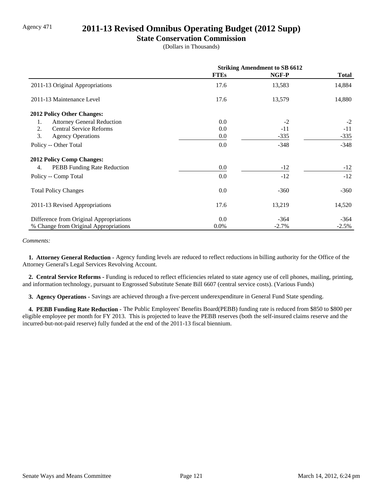## Agency 471 **2011-13 Revised Omnibus Operating Budget (2012 Supp)**

#### **State Conservation Commission**

(Dollars in Thousands)

|                                         | <b>Striking Amendment to SB 6612</b> |         |         |
|-----------------------------------------|--------------------------------------|---------|---------|
|                                         | <b>FTEs</b>                          | NGF-P   | Total   |
| 2011-13 Original Appropriations         | 17.6                                 | 13,583  | 14,884  |
| 2011-13 Maintenance Level               | 17.6                                 | 13,579  | 14,880  |
| 2012 Policy Other Changes:              |                                      |         |         |
| <b>Attorney General Reduction</b><br>1. | 0.0                                  | $-2$    | $-2$    |
| 2.<br><b>Central Service Reforms</b>    | 0.0                                  | $-11$   | $-11$   |
| 3.<br><b>Agency Operations</b>          | $0.0\,$                              | $-335$  | $-335$  |
| Policy -- Other Total                   | 0.0                                  | $-348$  | $-348$  |
| <b>2012 Policy Comp Changes:</b>        |                                      |         |         |
| PEBB Funding Rate Reduction<br>4.       | 0.0                                  | $-12$   | $-12$   |
| Policy -- Comp Total                    | 0.0                                  | $-12$   | $-12$   |
| <b>Total Policy Changes</b>             | 0.0                                  | $-360$  | $-360$  |
| 2011-13 Revised Appropriations          | 17.6                                 | 13,219  | 14,520  |
| Difference from Original Appropriations | 0.0                                  | $-364$  | $-364$  |
| % Change from Original Appropriations   | $0.0\%$                              | $-2.7%$ | $-2.5%$ |

*Comments:*

 **1. Attorney General Reduction -** Agency funding levels are reduced to reflect reductions in billing authority for the Office of the Attorney General's Legal Services Revolving Account.

 **2. Central Service Reforms -** Funding is reduced to reflect efficiencies related to state agency use of cell phones, mailing, printing, and information technology, pursuant to Engrossed Substitute Senate Bill 6607 (central service costs). (Various Funds)

 **3. Agency Operations -** Savings are achieved through a five-percent underexpenditure in General Fund State spending.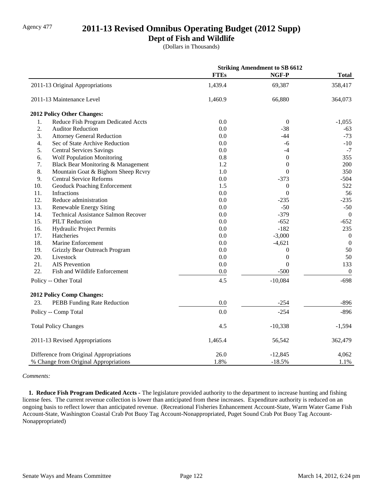# Agency 477 **2011-13 Revised Omnibus Operating Budget (2012 Supp)**

### **Dept of Fish and Wildlife**

(Dollars in Thousands)

|     |                                            | <b>Striking Amendment to SB 6612</b> |                  |                  |
|-----|--------------------------------------------|--------------------------------------|------------------|------------------|
|     |                                            | <b>FTEs</b>                          | NGF-P            | <b>Total</b>     |
|     | 2011-13 Original Appropriations            | 1,439.4                              | 69,387           | 358,417          |
|     | 2011-13 Maintenance Level                  | 1,460.9                              | 66,880           | 364,073          |
|     | 2012 Policy Other Changes:                 |                                      |                  |                  |
| 1.  | Reduce Fish Program Dedicated Accts        | 0.0                                  | $\theta$         | $-1,055$         |
| 2.  | <b>Auditor Reduction</b>                   | 0.0                                  | $-38$            | $-63$            |
| 3.  | <b>Attorney General Reduction</b>          | 0.0                                  | $-44$            | $-73$            |
| 4.  | Sec of State Archive Reduction             | 0.0                                  | -6               | $-10$            |
| 5.  | <b>Central Services Savings</b>            | 0.0                                  | $-4$             | $-7$             |
| 6.  | <b>Wolf Population Monitoring</b>          | 0.8                                  | $\boldsymbol{0}$ | 355              |
| 7.  | Black Bear Monitoring & Management         | 1.2                                  | $\boldsymbol{0}$ | 200              |
| 8.  | Mountain Goat & Bighorn Sheep Rcvry        | 1.0                                  | $\overline{0}$   | 350              |
| 9.  | <b>Central Service Reforms</b>             | 0.0                                  | $-373$           | $-504$           |
| 10. | <b>Geoduck Poaching Enforcement</b>        | 1.5                                  | $\theta$         | 522              |
| 11. | Infractions                                | 0.0                                  | $\Omega$         | 56               |
| 12. | Reduce administration                      | 0.0                                  | $-235$           | $-235$           |
| 13. | <b>Renewable Energy Siting</b>             | 0.0                                  | $-50$            | $-50$            |
| 14. | <b>Technical Assistance Salmon Recover</b> | 0.0                                  | $-379$           | $\overline{0}$   |
| 15. | <b>PILT Reduction</b>                      | 0.0                                  | $-652$           | $-652$           |
| 16. | Hydraulic Project Permits                  | 0.0                                  | $-182$           | 235              |
| 17. | Hatcheries                                 | 0.0                                  | $-3,000$         | $\mathbf{0}$     |
| 18. | Marine Enforcement                         | 0.0                                  | $-4,621$         | $\theta$         |
| 19. | Grizzly Bear Outreach Program              | 0.0                                  | $\theta$         | 50               |
| 20. | Livestock                                  | 0.0                                  | $\theta$         | 50               |
| 21. | <b>AIS</b> Prevention                      | 0.0                                  | $\Omega$         | 133              |
| 22. | Fish and Wildlife Enforcement              | 0.0                                  | $-500$           | $\boldsymbol{0}$ |
|     | Policy -- Other Total                      | 4.5                                  | $-10,084$        | $-698$           |
|     | 2012 Policy Comp Changes:                  |                                      |                  |                  |
| 23. | PEBB Funding Rate Reduction                | 0.0                                  | $-254$           | $-896$           |
|     | Policy -- Comp Total                       | 0.0                                  | $-254$           | $-896$           |
|     | <b>Total Policy Changes</b>                | 4.5                                  | $-10,338$        | $-1,594$         |
|     | 2011-13 Revised Appropriations             | 1,465.4                              | 56,542           | 362,479          |
|     | Difference from Original Appropriations    | 26.0                                 | $-12,845$        | 4,062            |
|     | % Change from Original Appropriations      | 1.8%                                 | $-18.5%$         | 1.1%             |

*Comments:*

 **1. Reduce Fish Program Dedicated Accts -** The legislature provided authority to the department to increase hunting and fishing license fees. The current revenue collection is lower than anticipated from these increases. Expenditure authority is reduced on an ongoing basis to reflect lower than anticipated revenue. (Recreational Fisheries Enhancement Account-State, Warm Water Game Fish Account-State, Washington Coastal Crab Pot Buoy Tag Account-Nonappropriated, Puget Sound Crab Pot Buoy Tag Account-Nonappropriated)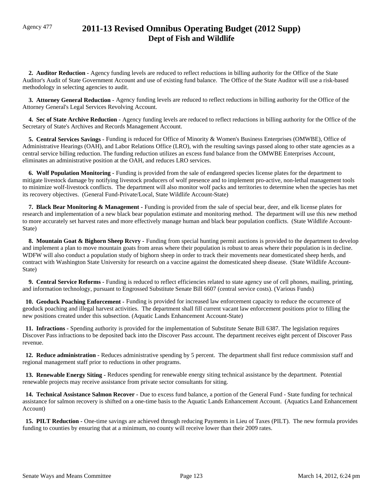## Agency 477 **2011-13 Revised Omnibus Operating Budget (2012 Supp) Dept of Fish and Wildlife**

 **2. Auditor Reduction -** Agency funding levels are reduced to reflect reductions in billing authority for the Office of the State Auditor's Audit of State Government Account and use of existing fund balance. The Office of the State Auditor will use a risk-based methodology in selecting agencies to audit.

 **3. Attorney General Reduction -** Agency funding levels are reduced to reflect reductions in billing authority for the Office of the Attorney General's Legal Services Revolving Account.

 **4. Sec of State Archive Reduction -** Agency funding levels are reduced to reflect reductions in billing authority for the Office of the Secretary of State's Archives and Records Management Account.

 **5. Central Services Savings -** Funding is reduced for Office of Minority & Women's Business Enterprises (OMWBE), Office of Administrative Hearings (OAH), and Labor Relations Office (LRO), with the resulting savings passed along to other state agencies as a central service billing reduction. The funding reduction utilizes an excess fund balance from the OMWBE Enterprises Account, eliminates an administrative position at the OAH, and reduces LRO services.

 **6. Wolf Population Monitoring -** Funding is provided from the sale of endangered species license plates for the department to mitigate livestock damage by notifying livestock producers of wolf presence and to implement pro-active, non-lethal management tools to minimize wolf-livestock conflicts. The department will also monitor wolf packs and territories to determine when the species has met its recovery objectives. (General Fund-Private/Local, State Wildlife Account-State)

 **7. Black Bear Monitoring & Management -** Funding is provided from the sale of special bear, deer, and elk license plates for research and implementation of a new black bear population estimate and monitoring method. The department will use this new method to more accurately set harvest rates and more effectively manage human and black bear population conflicts. (State Wildlife Account-State)

**8. Mountain Goat & Bighorn Sheep Rcvry - Funding from special hunting permit auctions is provided to the department to develop** and implement a plan to move mountain goats from areas where their population is robust to areas where their population is in decline. WDFW will also conduct a population study of bighorn sheep in order to track their movements near domesticated sheep herds, and contract with Washington State University for research on a vaccine against the domesticated sheep disease. (State Wildlife Account-State)

 **9. Central Service Reforms -** Funding is reduced to reflect efficiencies related to state agency use of cell phones, mailing, printing, and information technology, pursuant to Engrossed Substitute Senate Bill 6607 (central service costs). (Various Funds)

 **10. Geoduck Poaching Enforcement -** Funding is provided for increased law enforcement capacity to reduce the occurrence of geoduck poaching and illegal harvest activities. The department shall fill current vacant law enforcement positions prior to filling the new positions created under this subsection. (Aquatic Lands Enhancement Account-State)

 **11. Infractions -** Spending authority is provided for the implementation of Substitute Senate Bill 6387. The legislation requires Discover Pass infractions to be deposited back into the Discover Pass account. The department receives eight percent of Discover Pass revenue.

 **12. Reduce administration -** Reduces administrative spending by 5 percent. The department shall first reduce commission staff and regional management staff prior to reductions in other programs.

 **13. Renewable Energy Siting -** Reduces spending for renewable energy siting technical assistance by the department. Potential renewable projects may receive assistance from private sector consultants for siting.

 **14. Technical Assistance Salmon Recover -** Due to excess fund balance, a portion of the General Fund - State funding for technical assistance for salmon recovery is shifted on a one-time basis to the Aquatic Lands Enhancement Account. (Aquatics Land Enhancement Account)

**15. PILT Reduction -** One-time savings are achieved through reducing Payments in Lieu of Taxes (PILT). The new formula provides funding to counties by ensuring that at a minimum, no county will receive lower than their 2009 rates.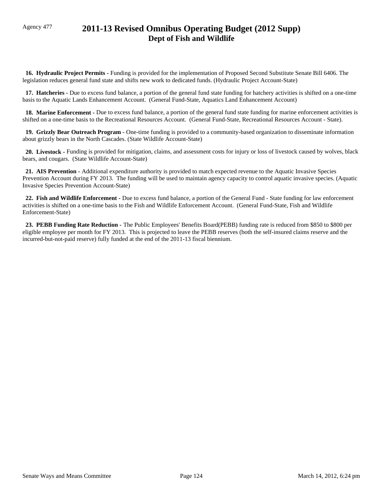# Agency 477 **2011-13 Revised Omnibus Operating Budget (2012 Supp) Dept of Fish and Wildlife**

 **16. Hydraulic Project Permits -** Funding is provided for the implementation of Proposed Second Substitute Senate Bill 6406. The legislation reduces general fund state and shifts new work to dedicated funds. (Hydraulic Project Account-State)

 **17. Hatcheries -** Due to excess fund balance, a portion of the general fund state funding for hatchery activities is shifted on a one-time basis to the Aquatic Lands Enhancement Account. (General Fund-State, Aquatics Land Enhancement Account)

 **18. Marine Enforcement -** Due to excess fund balance, a portion of the general fund state funding for marine enforcement activities is shifted on a one-time basis to the Recreational Resources Account. (General Fund-State, Recreational Resources Account - State).

 **19. Grizzly Bear Outreach Program -** One-time funding is provided to a community-based organization to disseminate information about grizzly bears in the North Cascades. (State Wildlife Account-State)

 **20. Livestock -** Funding is provided for mitigation, claims, and assessment costs for injury or loss of livestock caused by wolves, black bears, and cougars. (State Wildlife Account-State)

 **21. AIS Prevention -** Additional expenditure authority is provided to match expected revenue to the Aquatic Invasive Species Prevention Account during FY 2013. The funding will be used to maintain agency capacity to control aquatic invasive species. (Aquatic Invasive Species Prevention Account-State)

 **22. Fish and Wildlife Enforcement -** Due to excess fund balance, a portion of the General Fund - State funding for law enforcement activities is shifted on a one-time basis to the Fish and Wildlife Enforcement Account. (General Fund-State, Fish and Wildlife Enforcement-State)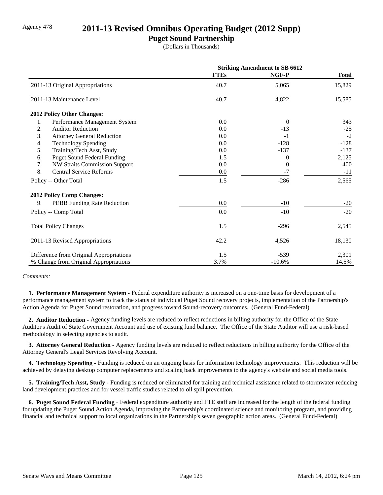### Agency 478 **2011-13 Revised Omnibus Operating Budget (2012 Supp)**

### **Puget Sound Partnership**

(Dollars in Thousands)

|                                            | <b>Striking Amendment to SB 6612</b> |          |              |
|--------------------------------------------|--------------------------------------|----------|--------------|
|                                            | <b>FTEs</b>                          | NGF-P    | <b>Total</b> |
| 2011-13 Original Appropriations            | 40.7                                 | 5,065    | 15,829       |
| 2011-13 Maintenance Level                  | 40.7                                 | 4,822    | 15,585       |
| <b>2012 Policy Other Changes:</b>          |                                      |          |              |
| Performance Management System<br>1.        | 0.0                                  | $\Omega$ | 343          |
| 2.<br><b>Auditor Reduction</b>             | 0.0                                  | $-13$    | $-25$        |
| 3.<br><b>Attorney General Reduction</b>    | 0.0                                  | $-1$     | $-2$         |
| <b>Technology Spending</b><br>4.           | 0.0                                  | $-128$   | $-128$       |
| Training/Tech Asst, Study<br>5.            | 0.0                                  | $-137$   | $-137$       |
| <b>Puget Sound Federal Funding</b><br>6.   | 1.5                                  | $\Omega$ | 2,125        |
| <b>NW Straits Commission Support</b><br>7. | 0.0                                  | $\Omega$ | 400          |
| 8.<br><b>Central Service Reforms</b>       | 0.0                                  | -7       | $-11$        |
| Policy -- Other Total                      | 1.5                                  | $-286$   | 2,565        |
| <b>2012 Policy Comp Changes:</b>           |                                      |          |              |
| 9.<br>PEBB Funding Rate Reduction          | 0.0                                  | $-10$    | $-20$        |
| Policy -- Comp Total                       | 0.0                                  | $-10$    | $-20$        |
| <b>Total Policy Changes</b>                | 1.5                                  | $-296$   | 2,545        |
| 2011-13 Revised Appropriations             | 42.2                                 | 4,526    | 18,130       |
| Difference from Original Appropriations    | 1.5                                  | $-539$   | 2,301        |
| % Change from Original Appropriations      | 3.7%                                 | $-10.6%$ | 14.5%        |

#### *Comments:*

 **1. Performance Management System -** Federal expenditure authority is increased on a one-time basis for development of a performance management system to track the status of individual Puget Sound recovery projects, implementation of the Partnership's Action Agenda for Puget Sound restoration, and progress toward Sound-recovery outcomes. (General Fund-Federal)

 **2. Auditor Reduction -** Agency funding levels are reduced to reflect reductions in billing authority for the Office of the State Auditor's Audit of State Government Account and use of existing fund balance. The Office of the State Auditor will use a risk-based methodology in selecting agencies to audit.

 **3. Attorney General Reduction -** Agency funding levels are reduced to reflect reductions in billing authority for the Office of the Attorney General's Legal Services Revolving Account.

 **4. Technology Spending -** Funding is reduced on an ongoing basis for information technology improvements. This reduction will be achieved by delaying desktop computer replacements and scaling back improvements to the agency's website and social media tools.

**5. Training/Tech Asst, Study - Funding is reduced or eliminated for training and technical assistance related to stormwater-reducing** land development practices and for vessel traffic studies related to oil spill prevention.

 **6. Puget Sound Federal Funding -** Federal expenditure authority and FTE staff are increased for the length of the federal funding for updating the Puget Sound Action Agenda, improving the Partnership's coordinated science and monitoring program, and providing financial and technical support to local organizations in the Partnership's seven geographic action areas. (General Fund-Federal)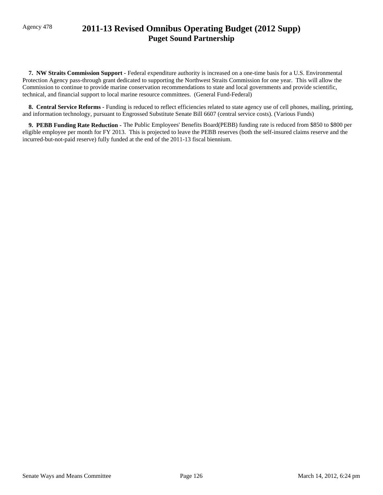# Agency 478 **2011-13 Revised Omnibus Operating Budget (2012 Supp) Puget Sound Partnership**

 **7. NW Straits Commission Support -** Federal expenditure authority is increased on a one-time basis for a U.S. Environmental Protection Agency pass-through grant dedicated to supporting the Northwest Straits Commission for one year. This will allow the Commission to continue to provide marine conservation recommendations to state and local governments and provide scientific, technical, and financial support to local marine resource committees. (General Fund-Federal)

 **8. Central Service Reforms -** Funding is reduced to reflect efficiencies related to state agency use of cell phones, mailing, printing, and information technology, pursuant to Engrossed Substitute Senate Bill 6607 (central service costs). (Various Funds)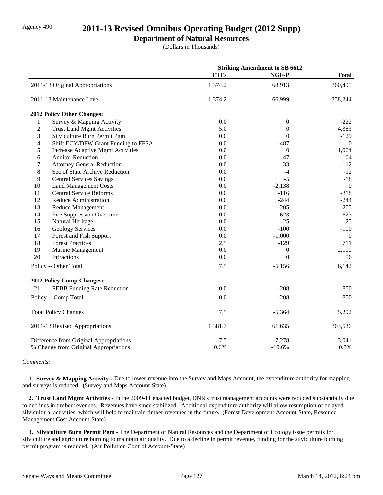### Agency 490 **2011-13 Revised Omnibus Operating Budget (2012 Supp)**

#### **Department of Natural Resources**

(Dollars in Thousands)

|     |                                          | <b>Striking Amendment to SB 6612</b> |                  |                  |
|-----|------------------------------------------|--------------------------------------|------------------|------------------|
|     |                                          | <b>FTEs</b>                          | NGF-P            | <b>Total</b>     |
|     | 2011-13 Original Appropriations          | 1,374.2                              | 68,913           | 360,495          |
|     | 2011-13 Maintenance Level                | 1,374.2                              | 66,999           | 358,244          |
|     | 2012 Policy Other Changes:               |                                      |                  |                  |
| 1.  | Survey & Mapping Activity                | 0.0                                  | $\boldsymbol{0}$ | $-222$           |
| 2.  | <b>Trust Land Mgmt Activities</b>        | 5.0                                  | $\boldsymbol{0}$ | 4,383            |
| 3.  | Silviculture Burn Permit Pgm             | 0.0                                  | $\Omega$         | $-129$           |
| 4.  | Shift ECY/DFW Grant Funding to FFSA      | 0.0                                  | $-487$           | $\mathbf{0}$     |
| 5.  | <b>Increase Adaptive Mgmt Activities</b> | 0.0                                  | $\mathbf{0}$     | 1,064            |
| 6.  | <b>Auditor Reduction</b>                 | 0.0                                  | $-47$            | $-164$           |
| 7.  | <b>Attorney General Reduction</b>        | 0.0                                  | $-33$            | $-112$           |
| 8.  | Sec of State Archive Reduction           | 0.0                                  | $-4$             | $-12$            |
| 9.  | <b>Central Services Savings</b>          | 0.0                                  | $-5$             | $-18$            |
| 10. | <b>Land Management Costs</b>             | 0.0                                  | $-2,138$         | $\mathbf{0}$     |
| 11. | <b>Central Service Reforms</b>           | 0.0                                  | $-116$           | $-318$           |
| 12. | Reduce Administration                    | 0.0                                  | $-244$           | $-244$           |
| 13. | <b>Reduce Management</b>                 | 0.0                                  | $-205$           | $-205$           |
| 14. | Fire Suppression Overtime                | 0.0                                  | $-623$           | $-623$           |
| 15. | Natural Heritage                         | 0.0                                  | $-25$            | $-25$            |
| 16. | <b>Geology Services</b>                  | 0.0                                  | $-100$           | $-100$           |
| 17. | Forest and Fish Support                  | 0.0                                  | $-1,000$         | $\boldsymbol{0}$ |
| 18. | <b>Forest Practices</b>                  | 2.5                                  | $-129$           | 711              |
| 19. | Marine Management                        | 0.0                                  | $\boldsymbol{0}$ | 2,100            |
| 20. | Infractions                              | 0.0                                  | $\overline{0}$   | 56               |
|     | Policy -- Other Total                    | 7.5                                  | $-5,156$         | 6,142            |
|     | 2012 Policy Comp Changes:                |                                      |                  |                  |
| 21. | PEBB Funding Rate Reduction              | 0.0                                  | $-208$           | $-850$           |
|     | Policy -- Comp Total                     | 0.0                                  | $-208$           | $-850$           |
|     | <b>Total Policy Changes</b>              | 7.5                                  | $-5,364$         | 5,292            |
|     | 2011-13 Revised Appropriations           | 1,381.7                              | 61,635           | 363,536          |
|     | Difference from Original Appropriations  | 7.5                                  | $-7,278$         | 3,041            |
|     | % Change from Original Appropriations    | 0.6%                                 | $-10.6%$         | 0.8%             |

#### *Comments:*

**1. Survey & Mapping Activity -** Due to lower revenue into the Survey and Maps Account, the expenditure authority for mapping and surveys is reduced. (Survey and Maps Account-State)

 **2. Trust Land Mgmt Activities -** In the 2009-11 enacted budget, DNR's trust management accounts were reduced substantially due to declines in timber revenues. Revenues have since stabilized. Additional expenditure authority will allow resumption of delayed silvicultural activities, which will help to maintain timber revenues in the future. (Forest Development Account-State, Resource Management Cost Account-State)

 **3. Silviculture Burn Permit Pgm -** The Department of Natural Resources and the Department of Ecology issue permits for silviculture and agriculture burning to maintain air quality. Due to a decline in permit revenue, funding for the silviculture burning permit program is reduced. (Air Pollution Control Account-State)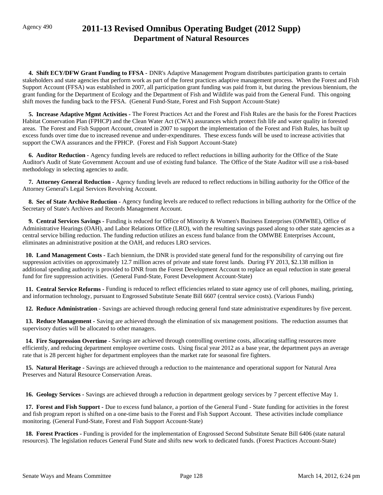# Agency 490 **2011-13 Revised Omnibus Operating Budget (2012 Supp) Department of Natural Resources**

 **4. Shift ECY/DFW Grant Funding to FFSA -** DNR's Adaptive Management Program distributes participation grants to certain stakeholders and state agencies that perform work as part of the forest practices adaptive management process. When the Forest and Fish Support Account (FFSA) was established in 2007, all participation grant funding was paid from it, but during the previous biennium, the grant funding for the Department of Ecology and the Department of Fish and Wildlife was paid from the General Fund. This ongoing shift moves the funding back to the FFSA. (General Fund-State, Forest and Fish Support Account-State)

 **5. Increase Adaptive Mgmt Activities -** The Forest Practices Act and the Forest and Fish Rules are the basis for the Forest Practices Habitat Conservation Plan (FPHCP) and the Clean Water Act (CWA) assurances which protect fish life and water quality in forested areas. The Forest and Fish Support Account, created in 2007 to support the implementation of the Forest and Fish Rules, has built up excess funds over time due to increased revenue and under-expenditures. These excess funds will be used to increase activities that support the CWA assurances and the FPHCP. (Forest and Fish Support Account-State)

 **6. Auditor Reduction -** Agency funding levels are reduced to reflect reductions in billing authority for the Office of the State Auditor's Audit of State Government Account and use of existing fund balance. The Office of the State Auditor will use a risk-based methodology in selecting agencies to audit.

 **7. Attorney General Reduction -** Agency funding levels are reduced to reflect reductions in billing authority for the Office of the Attorney General's Legal Services Revolving Account.

 **8. Sec of State Archive Reduction -** Agency funding levels are reduced to reflect reductions in billing authority for the Office of the Secretary of State's Archives and Records Management Account.

 **9. Central Services Savings -** Funding is reduced for Office of Minority & Women's Business Enterprises (OMWBE), Office of Administrative Hearings (OAH), and Labor Relations Office (LRO), with the resulting savings passed along to other state agencies as a central service billing reduction. The funding reduction utilizes an excess fund balance from the OMWBE Enterprises Account, eliminates an administrative position at the OAH, and reduces LRO services.

 **10. Land Management Costs -** Each biennium, the DNR is provided state general fund for the responsibility of carrying out fire suppression activities on approximately 12.7 million acres of private and state forest lands. During FY 2013, \$2.138 million in additional spending authority is provided to DNR from the Forest Development Account to replace an equal reduction in state general fund for fire suppression activities. (General Fund-State, Forest Development Account-State)

 **11. Central Service Reforms -** Funding is reduced to reflect efficiencies related to state agency use of cell phones, mailing, printing, and information technology, pursuant to Engrossed Substitute Senate Bill 6607 (central service costs). (Various Funds)

 **12. Reduce Administration -** Savings are achieved through reducing general fund state administrative expenditures by five percent.

 **13. Reduce Management -** Saving are achieved through the elimination of six management positions. The reduction assumes that supervisory duties will be allocated to other managers.

 **14. Fire Suppression Overtime -** Savings are achieved through controlling overtime costs, allocating staffing resources more efficiently, and reducing department employee overtime costs. Using fiscal year 2012 as a base year, the department pays an average rate that is 28 percent higher for department employees than the market rate for seasonal fire fighters.

 **15. Natural Heritage -** Savings are achieved through a reduction to the maintenance and operational support for Natural Area Preserves and Natural Resource Conservation Areas.

 **16. Geology Services -** Savings are achieved through a reduction in department geology services by 7 percent effective May 1.

 **17. Forest and Fish Support -** Due to excess fund balance, a portion of the General Fund - State funding for activities in the forest and fish program report is shifted on a one-time basis to the Forest and Fish Support Account. These activities include compliance monitoring. (General Fund-State, Forest and Fish Support Account-State)

 **18. Forest Practices -** Funding is provided for the implementation of Engrossed Second Substitute Senate Bill 6406 (state natural resources). The legislation reduces General Fund State and shifts new work to dedicated funds. (Forest Practices Account-State)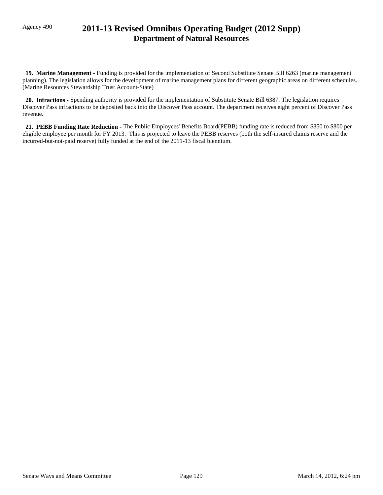# Agency 490 **2011-13 Revised Omnibus Operating Budget (2012 Supp) Department of Natural Resources**

 **19. Marine Management -** Funding is provided for the implementation of Second Substitute Senate Bill 6263 (marine management planning). The legislation allows for the development of marine management plans for different geographic areas on different schedules. (Marine Resources Stewardship Trust Account-State)

 **20. Infractions -** Spending authority is provided for the implementation of Substitute Senate Bill 6387. The legislation requires Discover Pass infractions to be deposited back into the Discover Pass account. The department receives eight percent of Discover Pass revenue.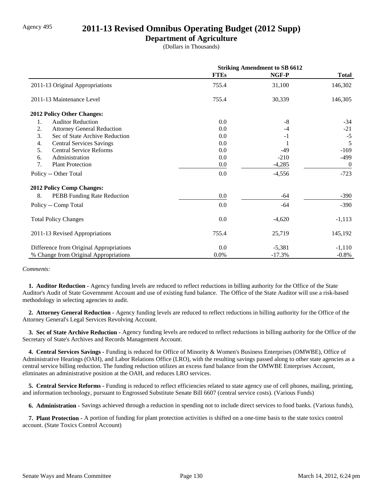### Agency 495 **2011-13 Revised Omnibus Operating Budget (2012 Supp)**

### **Department of Agriculture**

(Dollars in Thousands)

|                                          | <b>Striking Amendment to SB 6612</b> |          |                |
|------------------------------------------|--------------------------------------|----------|----------------|
|                                          | <b>FTEs</b>                          | NGF-P    | <b>Total</b>   |
| 2011-13 Original Appropriations          | 755.4                                | 31,100   | 146,302        |
| 2011-13 Maintenance Level                | 755.4                                | 30,339   | 146,305        |
| <b>2012 Policy Other Changes:</b>        |                                      |          |                |
| <b>Auditor Reduction</b><br>1.           | $0.0\,$                              | -8       | $-34$          |
| 2.<br><b>Attorney General Reduction</b>  | 0.0                                  | $-4$     | $-21$          |
| 3.<br>Sec of State Archive Reduction     | 0.0                                  | $-1$     | $-5$           |
| <b>Central Services Savings</b><br>4.    | 0.0                                  |          | 5              |
| 5.<br><b>Central Service Reforms</b>     | $0.0\,$                              | $-49$    | $-169$         |
| Administration<br>6.                     | 0.0                                  | $-210$   | -499           |
| 7.<br><b>Plant Protection</b>            | $0.0\,$                              | $-4,285$ | $\overline{0}$ |
| Policy -- Other Total                    | $0.0\,$                              | $-4,556$ | $-723$         |
| <b>2012 Policy Comp Changes:</b>         |                                      |          |                |
| 8.<br><b>PEBB</b> Funding Rate Reduction | $0.0\,$                              | -64      | $-390$         |
| Policy -- Comp Total                     | $0.0\,$                              | -64      | $-390$         |
| <b>Total Policy Changes</b>              | 0.0                                  | $-4,620$ | $-1,113$       |
| 2011-13 Revised Appropriations           | 755.4                                | 25,719   | 145,192        |
| Difference from Original Appropriations  | $0.0\,$                              | $-5,381$ | $-1,110$       |
| % Change from Original Appropriations    | 0.0%                                 | $-17.3%$ | $-0.8\%$       |

#### *Comments:*

 **1. Auditor Reduction -** Agency funding levels are reduced to reflect reductions in billing authority for the Office of the State Auditor's Audit of State Government Account and use of existing fund balance. The Office of the State Auditor will use a risk-based methodology in selecting agencies to audit.

 **2. Attorney General Reduction -** Agency funding levels are reduced to reflect reductions in billing authority for the Office of the Attorney General's Legal Services Revolving Account.

 **3. Sec of State Archive Reduction -** Agency funding levels are reduced to reflect reductions in billing authority for the Office of the Secretary of State's Archives and Records Management Account.

 **4. Central Services Savings -** Funding is reduced for Office of Minority & Women's Business Enterprises (OMWBE), Office of Administrative Hearings (OAH), and Labor Relations Office (LRO), with the resulting savings passed along to other state agencies as a central service billing reduction. The funding reduction utilizes an excess fund balance from the OMWBE Enterprises Account, eliminates an administrative position at the OAH, and reduces LRO services.

 **5. Central Service Reforms -** Funding is reduced to reflect efficiencies related to state agency use of cell phones, mailing, printing, and information technology, pursuant to Engrossed Substitute Senate Bill 6607 (central service costs). (Various Funds)

 **6. Administration -** Savings achieved through a reduction in spending not to include direct services to food banks. (Various funds),

 **7. Plant Protection -** A portion of funding for plant protection activities is shifted on a one-time basis to the state toxics control account. (State Toxics Control Account)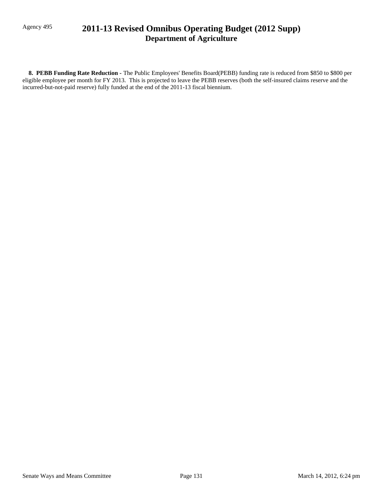# Agency 495 **2011-13 Revised Omnibus Operating Budget (2012 Supp) Department of Agriculture**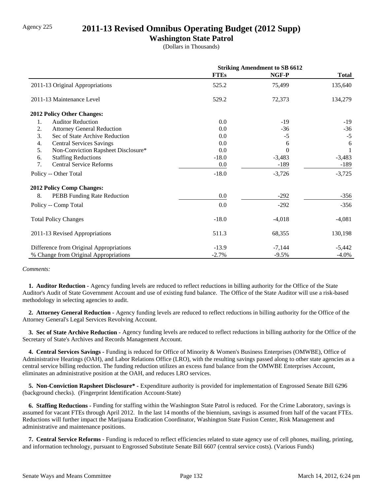### Agency 225 **2011-13 Revised Omnibus Operating Budget (2012 Supp)**

### **Washington State Patrol**

(Dollars in Thousands)

|                                           | <b>Striking Amendment to SB 6612</b> |          |              |
|-------------------------------------------|--------------------------------------|----------|--------------|
|                                           | <b>FTEs</b>                          | NGF-P    | <b>Total</b> |
| 2011-13 Original Appropriations           | 525.2                                | 75,499   | 135,640      |
| 2011-13 Maintenance Level                 | 529.2                                | 72,373   | 134,279      |
| <b>2012 Policy Other Changes:</b>         |                                      |          |              |
| 1.<br><b>Auditor Reduction</b>            | 0.0                                  | $-19$    | $-19$        |
| 2.<br><b>Attorney General Reduction</b>   | 0.0                                  | $-36$    | $-36$        |
| 3.<br>Sec of State Archive Reduction      | 0.0                                  | $-5$     | $-5$         |
| <b>Central Services Savings</b><br>4.     | 0.0                                  | 6        | 6            |
| 5.<br>Non-Conviction Rapsheet Disclosure* | 0.0                                  | $\Omega$ |              |
| <b>Staffing Reductions</b><br>6.          | $-18.0$                              | $-3,483$ | $-3,483$     |
| 7.<br><b>Central Service Reforms</b>      | 0.0                                  | -189     | -189         |
| Policy -- Other Total                     | $-18.0$                              | $-3,726$ | $-3,725$     |
| <b>2012 Policy Comp Changes:</b>          |                                      |          |              |
| 8.<br>PEBB Funding Rate Reduction         | $0.0\,$                              | $-292$   | $-356$       |
| Policy -- Comp Total                      | 0.0                                  | $-292$   | $-356$       |
| <b>Total Policy Changes</b>               | $-18.0$                              | $-4,018$ | $-4,081$     |
| 2011-13 Revised Appropriations            | 511.3                                | 68,355   | 130,198      |
| Difference from Original Appropriations   | $-13.9$                              | $-7,144$ | $-5,442$     |
| % Change from Original Appropriations     | $-2.7%$                              | $-9.5%$  | $-4.0\%$     |

#### *Comments:*

 **1. Auditor Reduction -** Agency funding levels are reduced to reflect reductions in billing authority for the Office of the State Auditor's Audit of State Government Account and use of existing fund balance. The Office of the State Auditor will use a risk-based methodology in selecting agencies to audit.

 **2. Attorney General Reduction -** Agency funding levels are reduced to reflect reductions in billing authority for the Office of the Attorney General's Legal Services Revolving Account.

 **3. Sec of State Archive Reduction -** Agency funding levels are reduced to reflect reductions in billing authority for the Office of the Secretary of State's Archives and Records Management Account.

 **4. Central Services Savings -** Funding is reduced for Office of Minority & Women's Business Enterprises (OMWBE), Office of Administrative Hearings (OAH), and Labor Relations Office (LRO), with the resulting savings passed along to other state agencies as a central service billing reduction. The funding reduction utilizes an excess fund balance from the OMWBE Enterprises Account, eliminates an administrative position at the OAH, and reduces LRO services.

 **5. Non-Conviction Rapsheet Disclosure\* -** Expenditure authority is provided for implementation of Engrossed Senate Bill 6296 (background checks). (Fingerprint Identification Account-State)

 **6. Staffing Reductions -** Funding for staffing within the Washington State Patrol is reduced. For the Crime Laboratory, savings is assumed for vacant FTEs through April 2012. In the last 14 months of the biennium, savings is assumed from half of the vacant FTEs. Reductions will further impact the Marijuana Eradication Coordinator, Washington State Fusion Center, Risk Management and administrative and maintenance positions.

 **7. Central Service Reforms -** Funding is reduced to reflect efficiencies related to state agency use of cell phones, mailing, printing, and information technology, pursuant to Engrossed Substitute Senate Bill 6607 (central service costs). (Various Funds)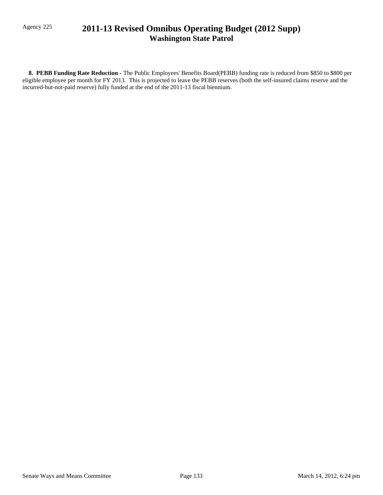## Agency 225 **2011-13 Revised Omnibus Operating Budget (2012 Supp) Washington State Patrol**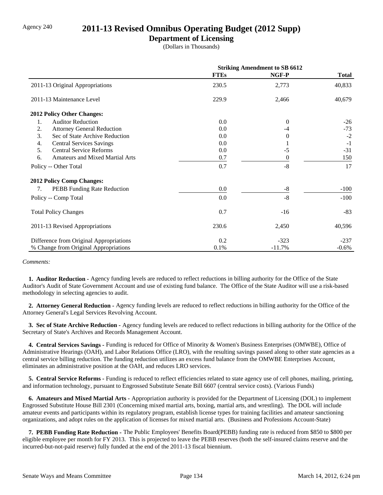### Agency 240 **2011-13 Revised Omnibus Operating Budget (2012 Supp)**

### **Department of Licensing**

(Dollars in Thousands)

|                                              | <b>Striking Amendment to SB 6612</b> |          |              |
|----------------------------------------------|--------------------------------------|----------|--------------|
|                                              | <b>FTEs</b>                          | NGF-P    | <b>Total</b> |
| 2011-13 Original Appropriations              | 230.5                                | 2,773    | 40,833       |
| 2011-13 Maintenance Level                    | 229.9                                | 2,466    | 40,679       |
| <b>2012 Policy Other Changes:</b>            |                                      |          |              |
| 1.<br><b>Auditor Reduction</b>               | 0.0                                  | $\theta$ | $-26$        |
| 2.<br><b>Attorney General Reduction</b>      | 0.0                                  | -4       | $-73$        |
| 3.<br>Sec of State Archive Reduction         | 0.0                                  | $\Omega$ | $-2$         |
| <b>Central Services Savings</b><br>4.        | 0.0                                  |          | $-1$         |
| 5.<br><b>Central Service Reforms</b>         | 0.0                                  | $-5$     | $-31$        |
| <b>Amateurs and Mixed Martial Arts</b><br>6. | 0.7                                  | $\theta$ | 150          |
| Policy -- Other Total                        | 0.7                                  | $-8$     | 17           |
| <b>2012 Policy Comp Changes:</b>             |                                      |          |              |
| PEBB Funding Rate Reduction<br>7.            | 0.0                                  | $-8$     | $-100$       |
| Policy -- Comp Total                         | 0.0                                  | $-8$     | $-100$       |
| <b>Total Policy Changes</b>                  | 0.7                                  | $-16$    | $-83$        |
| 2011-13 Revised Appropriations               | 230.6                                | 2,450    | 40,596       |
| Difference from Original Appropriations      | 0.2                                  | $-323$   | $-237$       |
| % Change from Original Appropriations        | 0.1%                                 | $-11.7%$ | $-0.6\%$     |

*Comments:*

 **1. Auditor Reduction -** Agency funding levels are reduced to reflect reductions in billing authority for the Office of the State Auditor's Audit of State Government Account and use of existing fund balance. The Office of the State Auditor will use a risk-based methodology in selecting agencies to audit.

 **2. Attorney General Reduction -** Agency funding levels are reduced to reflect reductions in billing authority for the Office of the Attorney General's Legal Services Revolving Account.

 **3. Sec of State Archive Reduction -** Agency funding levels are reduced to reflect reductions in billing authority for the Office of the Secretary of State's Archives and Records Management Account.

 **4. Central Services Savings -** Funding is reduced for Office of Minority & Women's Business Enterprises (OMWBE), Office of Administrative Hearings (OAH), and Labor Relations Office (LRO), with the resulting savings passed along to other state agencies as a central service billing reduction. The funding reduction utilizes an excess fund balance from the OMWBE Enterprises Account, eliminates an administrative position at the OAH, and reduces LRO services.

 **5. Central Service Reforms -** Funding is reduced to reflect efficiencies related to state agency use of cell phones, mailing, printing, and information technology, pursuant to Engrossed Substitute Senate Bill 6607 (central service costs). (Various Funds)

 **6. Amateurs and Mixed Martial Arts -** Appropriation authority is provided for the Department of Licensing (DOL) to implement Engrossed Substitute House Bill 2301 (Concerning mixed martial arts, boxing, martial arts, and wrestling). The DOL will include amateur events and participants within its regulatory program, establish license types for training facilities and amateur sanctioning organizations, and adopt rules on the application of licenses for mixed martial arts. (Business and Professions Account-State)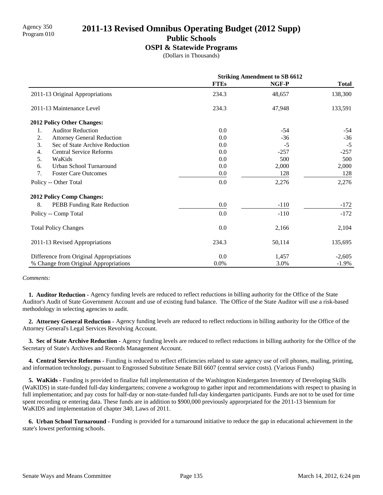**Public Schools**

#### **OSPI & Statewide Programs**

(Dollars in Thousands)

|                                         | <b>Striking Amendment to SB 6612</b> |        |              |
|-----------------------------------------|--------------------------------------|--------|--------------|
|                                         | <b>FTEs</b>                          | NGF-P  | <b>Total</b> |
| 2011-13 Original Appropriations         | 234.3                                | 48,657 | 138,300      |
| 2011-13 Maintenance Level               | 234.3                                | 47,948 | 133,591      |
| 2012 Policy Other Changes:              |                                      |        |              |
| <b>Auditor Reduction</b><br>1.          | 0.0                                  | $-54$  | $-54$        |
| 2.<br><b>Attorney General Reduction</b> | 0.0                                  | $-36$  | $-36$        |
| 3.<br>Sec of State Archive Reduction    | 0.0                                  | $-5$   | $-5$         |
| <b>Central Service Reforms</b><br>4.    | 0.0                                  | $-257$ | $-257$       |
| 5.<br>WaKids                            | 0.0                                  | 500    | 500          |
| Urban School Turnaround<br>6.           | 0.0                                  | 2,000  | 2,000        |
| 7.<br><b>Foster Care Outcomes</b>       | 0.0                                  | 128    | 128          |
| Policy -- Other Total                   | 0.0                                  | 2,276  | 2,276        |
| <b>2012 Policy Comp Changes:</b>        |                                      |        |              |
| 8.<br>PEBB Funding Rate Reduction       | 0.0                                  | $-110$ | $-172$       |
| Policy -- Comp Total                    | 0.0                                  | $-110$ | $-172$       |
| <b>Total Policy Changes</b>             | 0.0                                  | 2,166  | 2,104        |
| 2011-13 Revised Appropriations          | 234.3                                | 50,114 | 135,695      |
| Difference from Original Appropriations | 0.0                                  | 1,457  | $-2,605$     |
| % Change from Original Appropriations   | 0.0%                                 | 3.0%   | $-1.9\%$     |

#### *Comments:*

 **1. Auditor Reduction -** Agency funding levels are reduced to reflect reductions in billing authority for the Office of the State Auditor's Audit of State Government Account and use of existing fund balance. The Office of the State Auditor will use a risk-based methodology in selecting agencies to audit.

 **2. Attorney General Reduction -** Agency funding levels are reduced to reflect reductions in billing authority for the Office of the Attorney General's Legal Services Revolving Account.

 **3. Sec of State Archive Reduction -** Agency funding levels are reduced to reflect reductions in billing authority for the Office of the Secretary of State's Archives and Records Management Account.

 **4. Central Service Reforms -** Funding is reduced to reflect efficiencies related to state agency use of cell phones, mailing, printing, and information technology, pursuant to Engrossed Substitute Senate Bill 6607 (central service costs). (Various Funds)

 **5. WaKids -** Funding is provided to finalize full implementation of the Washington Kindergarten Inventory of Developing Skills (WaKIDS) in state-funded full-day kindergartens; convene a workgroup to gather input and recommendations with respect to phasing in full implementation; and pay costs for half-day or non-state-funded full-day kindergarten participants. Funds are not to be used for time spent recording or entering data. These funds are in addition to \$900,000 previously approrpriated for the 2011-13 biennium for WaKIDS and implementation of chapter 340, Laws of 2011.

 **6. Urban School Turnaround -** Funding is provided for a turnaround initiative to reduce the gap in educational achievement in the state's lowest performing schools.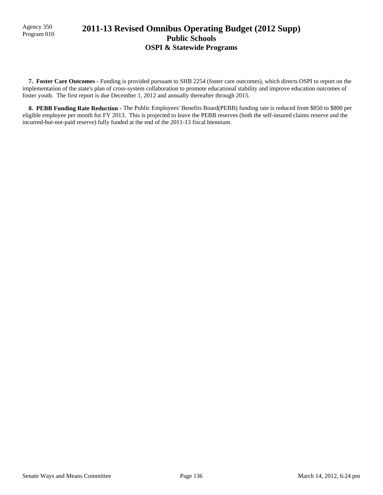## 2011-13 Revised Omnibus Operating Budget (2012 Supp) **Public Schools OSPI & Statewide Programs**

 **7. Foster Care Outcomes -** Funding is provided pursuant to SHB 2254 (foster care outcomes), which directs OSPI to report on the implementation of the state's plan of cross-system collaboration to promote educational stability and improve education outcomes of foster youth. The first report is due December 1, 2012 and annually thereafter through 2015.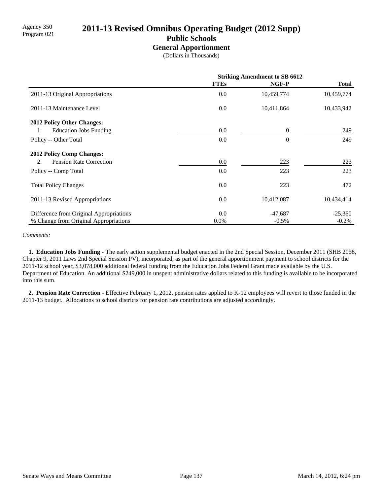# 2011-13 Revised Omnibus Operating Budget (2012 Supp)

### **Public Schools**

#### **General Apportionment**

(Dollars in Thousands)

|                                         | <b>Striking Amendment to SB 6612</b> |                |              |
|-----------------------------------------|--------------------------------------|----------------|--------------|
|                                         | <b>FTEs</b>                          | NGF-P          | <b>Total</b> |
| 2011-13 Original Appropriations         | 0.0                                  | 10,459,774     | 10,459,774   |
| 2011-13 Maintenance Level               | $0.0\,$                              | 10,411,864     | 10,433,942   |
| <b>2012 Policy Other Changes:</b>       |                                      |                |              |
| <b>Education Jobs Funding</b><br>1.     | $0.0\,$                              | $\overline{0}$ | 249          |
| Policy -- Other Total                   | 0.0                                  | $\theta$       | 249          |
| <b>2012 Policy Comp Changes:</b>        |                                      |                |              |
| <b>Pension Rate Correction</b><br>2.    | 0.0                                  | 223            | 223          |
| Policy -- Comp Total                    | 0.0                                  | 223            | 223          |
| <b>Total Policy Changes</b>             | 0.0                                  | 223            | 472          |
| 2011-13 Revised Appropriations          | $0.0\,$                              | 10,412,087     | 10,434,414   |
| Difference from Original Appropriations | 0.0                                  | $-47,687$      | $-25,360$    |
| % Change from Original Appropriations   | $0.0\%$                              | $-0.5%$        | $-0.2\%$     |

#### *Comments:*

 **1. Education Jobs Funding -** The early action supplemental budget enacted in the 2nd Special Session, December 2011 (SHB 2058, Chapter 9, 2011 Laws 2nd Special Session PV), incorporated, as part of the general apportionment payment to school districts for the 2011-12 school year, \$3,078,000 additional federal funding from the Education Jobs Federal Grant made available by the U.S. Department of Education. An additional \$249,000 in unspent administrative dollars related to this funding is available to be incorporated into this sum.

 **2. Pension Rate Correction -** Effective February 1, 2012, pension rates applied to K-12 employees will revert to those funded in the 2011-13 budget. Allocations to school districts for pension rate contributions are adjusted accordingly.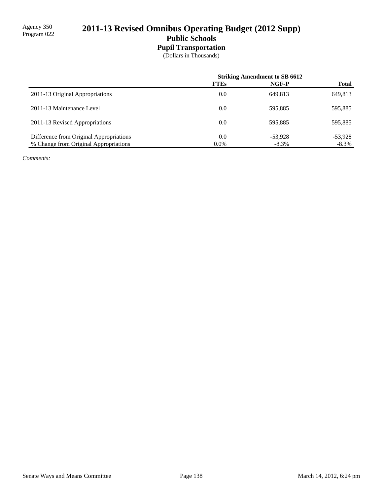# 2011-13 Revised Omnibus Operating Budget (2012 Supp) **Public Schools**

# **Pupil Transportation**

(Dollars in Thousands)

|                                         | <b>Striking Amendment to SB 6612</b> |           |              |
|-----------------------------------------|--------------------------------------|-----------|--------------|
|                                         | <b>FTEs</b>                          | NGF-P     | <b>Total</b> |
| 2011-13 Original Appropriations         | 0.0                                  | 649.813   | 649,813      |
| 2011-13 Maintenance Level               | 0.0                                  | 595.885   | 595,885      |
| 2011-13 Revised Appropriations          | 0.0                                  | 595.885   | 595,885      |
| Difference from Original Appropriations | 0.0                                  | $-53.928$ | $-53,928$    |
| % Change from Original Appropriations   | $0.0\%$                              | $-8.3%$   | $-8.3\%$     |

*Comments:*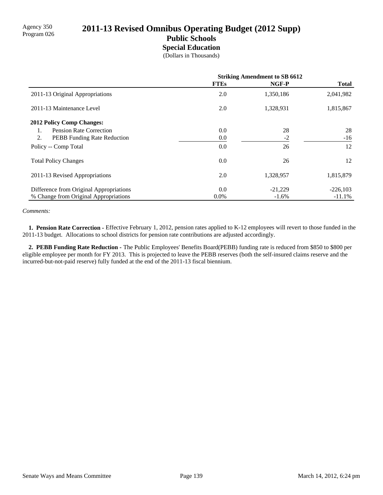# Agency 350<br>Program 026 **2011-13 Revised Omnibus Operating Budget (2012 Supp)**

### **Public Schools Special Education**

(Dollars in Thousands)

|                                         | <b>Striking Amendment to SB 6612</b> |           |              |
|-----------------------------------------|--------------------------------------|-----------|--------------|
|                                         | <b>FTEs</b>                          | NGF-P     | <b>Total</b> |
| 2011-13 Original Appropriations         | 2.0                                  | 1,350,186 | 2,041,982    |
| 2011-13 Maintenance Level               | 2.0                                  | 1,328,931 | 1,815,867    |
| <b>2012 Policy Comp Changes:</b>        |                                      |           |              |
| <b>Pension Rate Correction</b><br>1.    | 0.0                                  | 28        | 28           |
| 2.<br>PEBB Funding Rate Reduction       | 0.0                                  | $-2$      | $-16$        |
| Policy -- Comp Total                    | 0.0                                  | 26        | 12           |
| <b>Total Policy Changes</b>             | 0.0                                  | 26        | 12           |
| 2011-13 Revised Appropriations          | 2.0                                  | 1,328,957 | 1,815,879    |
| Difference from Original Appropriations | 0.0                                  | $-21,229$ | $-226,103$   |
| % Change from Original Appropriations   | $0.0\%$                              | $-1.6\%$  | $-11.1%$     |

#### *Comments:*

 **1. Pension Rate Correction -** Effective February 1, 2012, pension rates applied to K-12 employees will revert to those funded in the 2011-13 budget. Allocations to school districts for pension rate contributions are adjusted accordingly.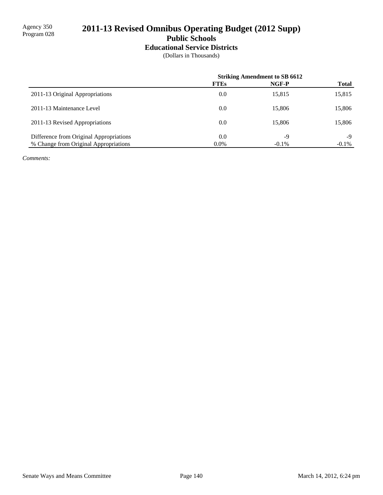# 2011-13 Revised Omnibus Operating Budget (2012 Supp)

# **Public Schools**

# **Educational Service Districts**

(Dollars in Thousands)

|                                         | <b>Striking Amendment to SB 6612</b> |          |              |
|-----------------------------------------|--------------------------------------|----------|--------------|
|                                         | <b>FTEs</b>                          | NGF-P    | <b>Total</b> |
| 2011-13 Original Appropriations         | 0.0                                  | 15,815   | 15,815       |
| 2011-13 Maintenance Level               | 0.0                                  | 15,806   | 15,806       |
| 2011-13 Revised Appropriations          | 0.0                                  | 15,806   | 15,806       |
| Difference from Original Appropriations | 0.0                                  | $-9$     | -9           |
| % Change from Original Appropriations   | $0.0\%$                              | $-0.1\%$ | $-0.1\%$     |

*Comments:*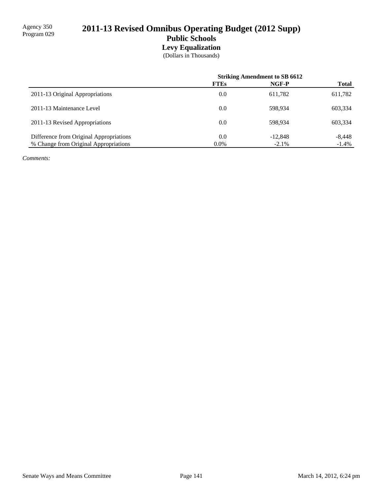# 2011-13 Revised Omnibus Operating Budget (2012 Supp) **Public Schools Levy Equalization**

(Dollars in Thousands)

|                                         | <b>Striking Amendment to SB 6612</b> |           |              |
|-----------------------------------------|--------------------------------------|-----------|--------------|
|                                         | <b>FTEs</b>                          | NGF-P     | <b>Total</b> |
| 2011-13 Original Appropriations         | 0.0                                  | 611,782   | 611,782      |
| 2011-13 Maintenance Level               | 0.0                                  | 598.934   | 603,334      |
| 2011-13 Revised Appropriations          | 0.0                                  | 598.934   | 603,334      |
| Difference from Original Appropriations | 0.0                                  | $-12,848$ | $-8,448$     |
| % Change from Original Appropriations   | $0.0\%$                              | $-2.1%$   | $-1.4\%$     |

*Comments:*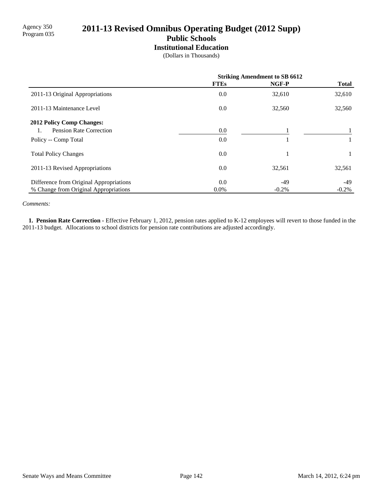# 2011-13 Revised Omnibus Operating Budget (2012 Supp)

# **Public Schools**

**Institutional Education**

(Dollars in Thousands)

|                                         | <b>Striking Amendment to SB 6612</b> |          |              |
|-----------------------------------------|--------------------------------------|----------|--------------|
|                                         | <b>FTEs</b>                          | NGF-P    | <b>Total</b> |
| 2011-13 Original Appropriations         | 0.0                                  | 32,610   | 32,610       |
| 2011-13 Maintenance Level               | 0.0                                  | 32,560   | 32,560       |
| <b>2012 Policy Comp Changes:</b>        |                                      |          |              |
| Pension Rate Correction                 | 0.0                                  |          |              |
| Policy -- Comp Total                    | 0.0                                  |          |              |
| <b>Total Policy Changes</b>             | 0.0                                  |          |              |
| 2011-13 Revised Appropriations          | 0.0                                  | 32,561   | 32,561       |
| Difference from Original Appropriations | 0.0                                  | -49      | -49          |
| % Change from Original Appropriations   | $0.0\%$                              | $-0.2\%$ | $-0.2\%$     |

*Comments:*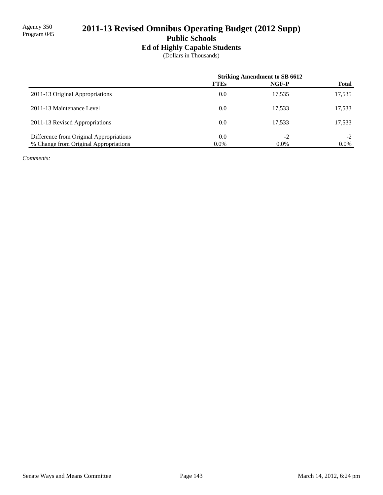# 2011-13 Revised Omnibus Operating Budget (2012 Supp)

**Public Schools**

# **Ed of Highly Capable Students**

(Dollars in Thousands)

|                                         | <b>Striking Amendment to SB 6612</b> |         |              |
|-----------------------------------------|--------------------------------------|---------|--------------|
|                                         | <b>FTEs</b>                          | NGF-P   | <b>Total</b> |
| 2011-13 Original Appropriations         | 0.0                                  | 17,535  | 17,535       |
| 2011-13 Maintenance Level               | 0.0                                  | 17,533  | 17,533       |
| 2011-13 Revised Appropriations          | 0.0                                  | 17.533  | 17,533       |
| Difference from Original Appropriations | 0.0                                  | $-2$    | $-2$         |
| % Change from Original Appropriations   | $0.0\%$                              | $0.0\%$ | $0.0\%$      |

*Comments:*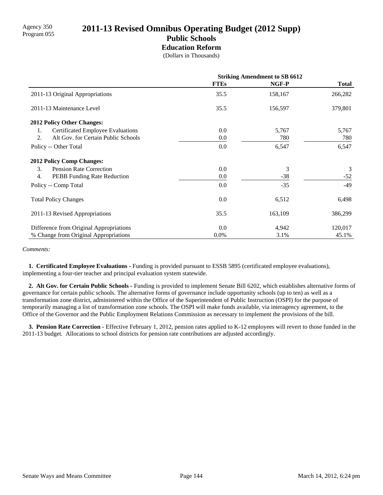## Agency 350<br>Program 055 **2011-13 Revised Omnibus Operating Budget (2012 Supp) Public Schools**

### **Education Reform**

(Dollars in Thousands)

|                                           | <b>Striking Amendment to SB 6612</b> |         |              |
|-------------------------------------------|--------------------------------------|---------|--------------|
|                                           | <b>FTEs</b>                          | NGF-P   | <b>Total</b> |
| 2011-13 Original Appropriations           | 35.5                                 | 158,167 | 266,282      |
| 2011-13 Maintenance Level                 | 35.5                                 | 156,597 | 379,801      |
| 2012 Policy Other Changes:                |                                      |         |              |
| Certificated Employee Evaluations<br>1.   | 0.0                                  | 5,767   | 5,767        |
| Alt Gov. for Certain Public Schools<br>2. | 0.0                                  | 780     | 780          |
| Policy -- Other Total                     | 0.0                                  | 6,547   | 6,547        |
| <b>2012 Policy Comp Changes:</b>          |                                      |         |              |
| 3.<br><b>Pension Rate Correction</b>      | 0.0                                  | 3       | 3            |
| 4.<br>PEBB Funding Rate Reduction         | $0.0\,$                              | $-38$   | $-52$        |
| Policy -- Comp Total                      | 0.0                                  | $-35$   | $-49$        |
| <b>Total Policy Changes</b>               | 0.0                                  | 6,512   | 6,498        |
| 2011-13 Revised Appropriations            | 35.5                                 | 163,109 | 386,299      |
| Difference from Original Appropriations   | 0.0                                  | 4,942   | 120,017      |
| % Change from Original Appropriations     | $0.0\%$                              | 3.1%    | 45.1%        |

#### *Comments:*

 **1. Certificated Employee Evaluations -** Funding is provided pursuant to ESSB 5895 (certificated employee evaluations), implementing a four-tier teacher and principal evaluation system statewide.

 **2. Alt Gov. for Certain Public Schools -** Funding is provided to implement Senate Bill 6202, which establishes alternative forms of governance for certain public schools. The alternative forms of governance include opportunity schools (up to ten) as well as a transformation zone district, administered within the Office of the Superintendent of Public Instruction (OSPI) for the purpose of temporarily managing a list of transformation zone schools. The OSPI will make funds available, via interagency agreement, to the Office of the Governor and the Public Employment Relations Commission as necessary to implement the provisions of the bill.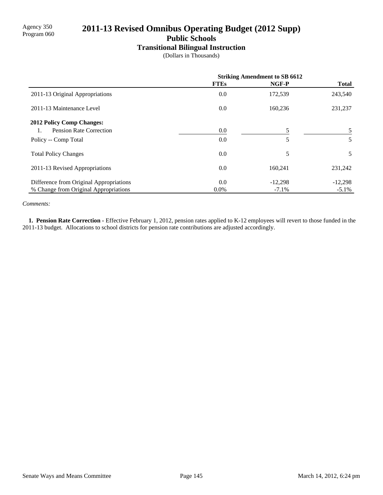# 2011-13 Revised Omnibus Operating Budget (2012 Supp)

**Public Schools**

#### **Transitional Bilingual Instruction**

(Dollars in Thousands)

|                                         | <b>Striking Amendment to SB 6612</b> |           |              |
|-----------------------------------------|--------------------------------------|-----------|--------------|
|                                         | <b>FTEs</b>                          | NGF-P     | <b>Total</b> |
| 2011-13 Original Appropriations         | 0.0                                  | 172,539   | 243,540      |
| 2011-13 Maintenance Level               | 0.0                                  | 160,236   | 231,237      |
| 2012 Policy Comp Changes:               |                                      |           |              |
| Pension Rate Correction                 | 0.0                                  | 5         |              |
| Policy -- Comp Total                    | 0.0                                  | 5         | 5            |
| <b>Total Policy Changes</b>             | 0.0                                  | 5         | 5            |
| 2011-13 Revised Appropriations          | 0.0                                  | 160,241   | 231,242      |
| Difference from Original Appropriations | 0.0                                  | $-12,298$ | $-12,298$    |
| % Change from Original Appropriations   | $0.0\%$                              | $-7.1\%$  | $-5.1\%$     |

*Comments:*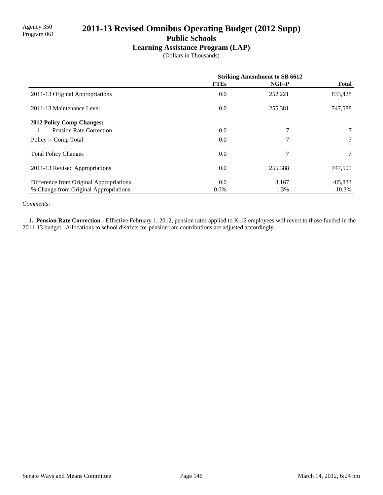# 2011-13 Revised Omnibus Operating Budget (2012 Supp)

**Public Schools**

### **Learning Assistance Program (LAP)**

(Dollars in Thousands)

|                                         | <b>Striking Amendment to SB 6612</b> |               |                 |
|-----------------------------------------|--------------------------------------|---------------|-----------------|
|                                         | <b>FTEs</b>                          | NGF-P         | <b>Total</b>    |
| 2011-13 Original Appropriations         | 0.0                                  | 252,221       | 833,428         |
| 2011-13 Maintenance Level               | 0.0                                  | 255,381       | 747,588         |
| <b>2012 Policy Comp Changes:</b>        |                                      |               |                 |
| Pension Rate Correction                 | 0.0                                  |               |                 |
| Policy -- Comp Total                    | 0.0                                  | $\mathcal{I}$ | 7               |
| <b>Total Policy Changes</b>             | 0.0                                  | 7             | $7\phantom{.0}$ |
| 2011-13 Revised Appropriations          | 0.0                                  | 255,388       | 747,595         |
| Difference from Original Appropriations | 0.0                                  | 3,167         | $-85,833$       |
| % Change from Original Appropriations   | $0.0\%$                              | 1.3%          | $-10.3%$        |

*Comments:*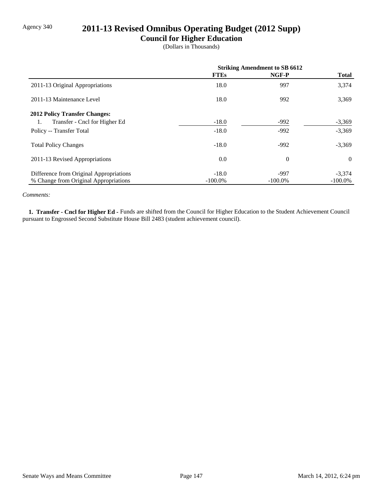# Agency 340 **2011-13 Revised Omnibus Operating Budget (2012 Supp)**

### **Council for Higher Education**

(Dollars in Thousands)

|                                         | <b>Striking Amendment to SB 6612</b> |            |              |
|-----------------------------------------|--------------------------------------|------------|--------------|
|                                         | <b>FTEs</b>                          | NGF-P      | <b>Total</b> |
| 2011-13 Original Appropriations         | 18.0                                 | 997        | 3,374        |
| 2011-13 Maintenance Level               | 18.0                                 | 992        | 3,369        |
| <b>2012 Policy Transfer Changes:</b>    |                                      |            |              |
| Transfer - Cncl for Higher Ed<br>1.     | $-18.0$                              | $-992$     | $-3,369$     |
| Policy -- Transfer Total                | $-18.0$                              | $-992$     | $-3,369$     |
| <b>Total Policy Changes</b>             | $-18.0$                              | $-992$     | $-3,369$     |
| 2011-13 Revised Appropriations          | 0.0                                  | $\theta$   | $\theta$     |
| Difference from Original Appropriations | $-18.0$                              | $-997$     | $-3,374$     |
| % Change from Original Appropriations   | $-100.0\%$                           | $-100.0\%$ | $-100.0\%$   |

#### *Comments:*

 **1. Transfer - Cncl for Higher Ed -** Funds are shifted from the Council for Higher Education to the Student Achievement Council pursuant to Engrossed Second Substitute House Bill 2483 (student achievement council).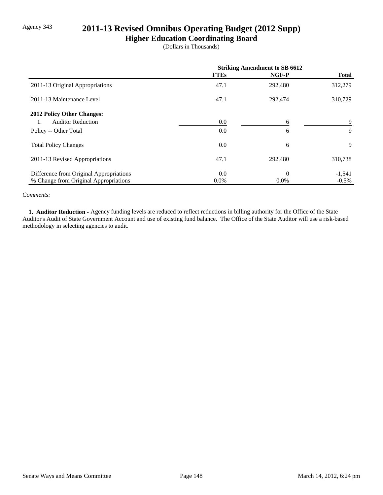# Agency 343 **2011-13 Revised Omnibus Operating Budget (2012 Supp)**

**Higher Education Coordinating Board**

(Dollars in Thousands)

|                                         | <b>Striking Amendment to SB 6612</b> |          |              |
|-----------------------------------------|--------------------------------------|----------|--------------|
|                                         | <b>FTEs</b>                          | NGF-P    | <b>Total</b> |
| 2011-13 Original Appropriations         | 47.1                                 | 292,480  | 312,279      |
| 2011-13 Maintenance Level               | 47.1                                 | 292,474  | 310,729      |
| 2012 Policy Other Changes:              |                                      |          |              |
| <b>Auditor Reduction</b>                | 0.0                                  | 6        | 9            |
| Policy -- Other Total                   | 0.0                                  | 6        | 9            |
| <b>Total Policy Changes</b>             | 0.0                                  | 6        | 9            |
| 2011-13 Revised Appropriations          | 47.1                                 | 292,480  | 310,738      |
| Difference from Original Appropriations | 0.0                                  | $\theta$ | $-1,541$     |
| % Change from Original Appropriations   | $0.0\%$                              | $0.0\%$  | $-0.5\%$     |

#### *Comments:*

 **1. Auditor Reduction -** Agency funding levels are reduced to reflect reductions in billing authority for the Office of the State Auditor's Audit of State Government Account and use of existing fund balance. The Office of the State Auditor will use a risk-based methodology in selecting agencies to audit.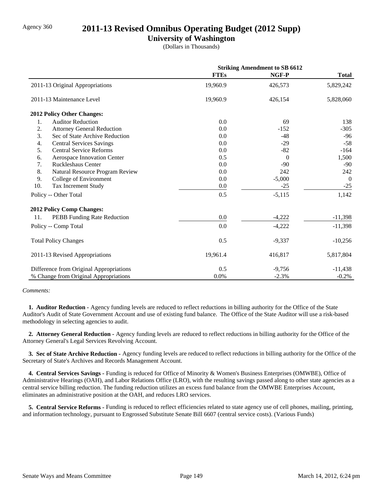## Agency 360 **2011-13 Revised Omnibus Operating Budget (2012 Supp)**

### **University of Washington**

(Dollars in Thousands)

|                                         | <b>Striking Amendment to SB 6612</b> |          |              |
|-----------------------------------------|--------------------------------------|----------|--------------|
|                                         | <b>FTEs</b>                          | NGF-P    | <b>Total</b> |
| 2011-13 Original Appropriations         | 19,960.9                             | 426,573  | 5,829,242    |
| 2011-13 Maintenance Level               | 19,960.9                             | 426,154  | 5,828,060    |
| 2012 Policy Other Changes:              |                                      |          |              |
| <b>Auditor Reduction</b><br>1.          | 0.0                                  | 69       | 138          |
| 2.<br><b>Attorney General Reduction</b> | 0.0                                  | $-152$   | $-305$       |
| 3.<br>Sec of State Archive Reduction    | 0.0                                  | $-48$    | $-96$        |
| 4.<br><b>Central Services Savings</b>   | 0.0                                  | $-29$    | $-58$        |
| 5.<br><b>Central Service Reforms</b>    | 0.0                                  | $-82$    | $-164$       |
| 6.<br>Aerospace Innovation Center       | 0.5                                  | $\theta$ | 1,500        |
| <b>Ruckleshaus Center</b><br>7.         | 0.0                                  | $-90$    | $-90$        |
| 8.<br>Natural Resource Program Review   | 0.0                                  | 242      | 242          |
| College of Environment<br>9.            | 0.0                                  | $-5,000$ | $\theta$     |
| 10.<br>Tax Increment Study              | 0.0                                  | $-25$    | $-25$        |
| Policy -- Other Total                   | 0.5                                  | $-5,115$ | 1,142        |
| <b>2012 Policy Comp Changes:</b>        |                                      |          |              |
| 11.<br>PEBB Funding Rate Reduction      | 0.0                                  | $-4,222$ | $-11,398$    |
| Policy -- Comp Total                    | 0.0                                  | $-4,222$ | $-11,398$    |
| <b>Total Policy Changes</b>             | 0.5                                  | $-9,337$ | $-10,256$    |
| 2011-13 Revised Appropriations          | 19,961.4                             | 416,817  | 5,817,804    |
| Difference from Original Appropriations | 0.5                                  | $-9,756$ | $-11,438$    |
| % Change from Original Appropriations   | 0.0%                                 | $-2.3%$  | $-0.2%$      |

#### *Comments:*

 **1. Auditor Reduction -** Agency funding levels are reduced to reflect reductions in billing authority for the Office of the State Auditor's Audit of State Government Account and use of existing fund balance. The Office of the State Auditor will use a risk-based methodology in selecting agencies to audit.

 **2. Attorney General Reduction -** Agency funding levels are reduced to reflect reductions in billing authority for the Office of the Attorney General's Legal Services Revolving Account.

 **3. Sec of State Archive Reduction -** Agency funding levels are reduced to reflect reductions in billing authority for the Office of the Secretary of State's Archives and Records Management Account.

 **4. Central Services Savings -** Funding is reduced for Office of Minority & Women's Business Enterprises (OMWBE), Office of Administrative Hearings (OAH), and Labor Relations Office (LRO), with the resulting savings passed along to other state agencies as a central service billing reduction. The funding reduction utilizes an excess fund balance from the OMWBE Enterprises Account, eliminates an administrative position at the OAH, and reduces LRO services.

 **5. Central Service Reforms -** Funding is reduced to reflect efficiencies related to state agency use of cell phones, mailing, printing, and information technology, pursuant to Engrossed Substitute Senate Bill 6607 (central service costs). (Various Funds)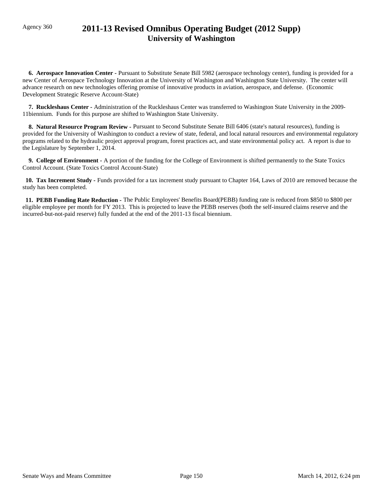# Agency 360 **2011-13 Revised Omnibus Operating Budget (2012 Supp) University of Washington**

 **6. Aerospace Innovation Center -** Pursuant to Substitute Senate Bill 5982 (aerospace technology center), funding is provided for a new Center of Aerospace Technology Innovation at the University of Washington and Washington State University. The center will advance research on new technologies offering promise of innovative products in aviation, aerospace, and defense. (Economic Development Strategic Reserve Account-State)

 **7. Ruckleshaus Center -** Administration of the Ruckleshaus Center was transferred to Washington State University in the 2009- 11biennium. Funds for this purpose are shifted to Washington State University.

 **8. Natural Resource Program Review -** Pursuant to Second Substitute Senate Bill 6406 (state's natural resources), funding is provided for the University of Washington to conduct a review of state, federal, and local natural resources and environmental regulatory programs related to the hydraulic project approval program, forest practices act, and state environmental policy act. A report is due to the Legislature by September 1, 2014.

 **9. College of Environment -** A portion of the funding for the College of Environment is shifted permanently to the State Toxics Control Account. (State Toxics Control Account-State)

 **10. Tax Increment Study -** Funds provided for a tax increment study pursuant to Chapter 164, Laws of 2010 are removed because the study has been completed.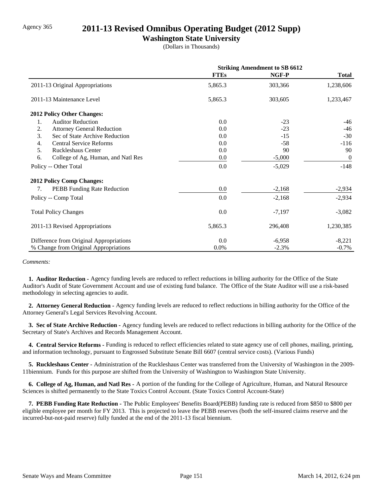## Agency 365 **2011-13 Revised Omnibus Operating Budget (2012 Supp)**

### **Washington State University**

(Dollars in Thousands)

|                                          | <b>Striking Amendment to SB 6612</b> |          |                |
|------------------------------------------|--------------------------------------|----------|----------------|
|                                          | <b>FTEs</b>                          | NGF-P    | <b>Total</b>   |
| 2011-13 Original Appropriations          | 5,865.3                              | 303,366  | 1,238,606      |
| 2011-13 Maintenance Level                | 5,865.3                              | 303,605  | 1,233,467      |
| <b>2012 Policy Other Changes:</b>        |                                      |          |                |
| 1.<br><b>Auditor Reduction</b>           | 0.0                                  | $-23$    | $-46$          |
| 2.<br><b>Attorney General Reduction</b>  | 0.0                                  | $-23$    | $-46$          |
| 3.<br>Sec of State Archive Reduction     | 0.0                                  | $-15$    | $-30$          |
| <b>Central Service Reforms</b><br>4.     | 0.0                                  | -58      | $-116$         |
| 5.<br><b>Ruckleshaus Center</b>          | 0.0                                  | 90       | 90             |
| 6.<br>College of Ag, Human, and Natl Res | 0.0                                  | $-5,000$ | $\overline{0}$ |
| Policy -- Other Total                    | 0.0                                  | $-5,029$ | $-148$         |
| <b>2012 Policy Comp Changes:</b>         |                                      |          |                |
| <b>PEBB</b> Funding Rate Reduction<br>7. | 0.0                                  | $-2,168$ | $-2,934$       |
| Policy -- Comp Total                     | 0.0                                  | $-2,168$ | $-2,934$       |
| <b>Total Policy Changes</b>              | 0.0                                  | $-7,197$ | $-3,082$       |
| 2011-13 Revised Appropriations           | 5,865.3                              | 296,408  | 1,230,385      |
| Difference from Original Appropriations  | 0.0                                  | $-6,958$ | $-8,221$       |
| % Change from Original Appropriations    | 0.0%                                 | $-2.3%$  | $-0.7\%$       |

*Comments:*

 **1. Auditor Reduction -** Agency funding levels are reduced to reflect reductions in billing authority for the Office of the State Auditor's Audit of State Government Account and use of existing fund balance. The Office of the State Auditor will use a risk-based methodology in selecting agencies to audit.

 **2. Attorney General Reduction -** Agency funding levels are reduced to reflect reductions in billing authority for the Office of the Attorney General's Legal Services Revolving Account.

 **3. Sec of State Archive Reduction -** Agency funding levels are reduced to reflect reductions in billing authority for the Office of the Secretary of State's Archives and Records Management Account.

 **4. Central Service Reforms -** Funding is reduced to reflect efficiencies related to state agency use of cell phones, mailing, printing, and information technology, pursuant to Engrossed Substitute Senate Bill 6607 (central service costs). (Various Funds)

 **5. Ruckleshaus Center -** Administration of the Ruckleshaus Center was transferred from the University of Washington in the 2009- 11biennium. Funds for this purpose are shifted from the University of Washington to Washington State University.

 **6. College of Ag, Human, and Natl Res -** A portion of the funding for the College of Agriculture, Human, and Natural Resource Sciences is shifted permanently to the State Toxics Control Account. (State Toxics Control Account-State)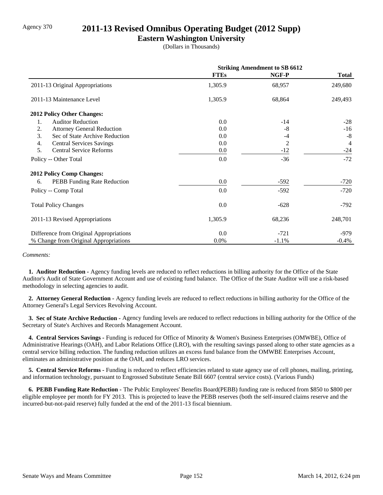# Agency 370 **2011-13 Revised Omnibus Operating Budget (2012 Supp)**

### **Eastern Washington University**

(Dollars in Thousands)

|                                         | <b>Striking Amendment to SB 6612</b> |         |                |
|-----------------------------------------|--------------------------------------|---------|----------------|
|                                         | <b>FTEs</b>                          | NGF-P   | <b>Total</b>   |
| 2011-13 Original Appropriations         | 1,305.9                              | 68,957  | 249,680        |
| 2011-13 Maintenance Level               | 1,305.9                              | 68,864  | 249,493        |
| 2012 Policy Other Changes:              |                                      |         |                |
| <b>Auditor Reduction</b><br>1.          | 0.0                                  | $-14$   | $-28$          |
| 2.<br><b>Attorney General Reduction</b> | 0.0                                  | -8      | $-16$          |
| 3.<br>Sec of State Archive Reduction    | 0.0                                  | $-4$    | $-8$           |
| <b>Central Services Savings</b><br>4.   | 0.0                                  | 2       | $\overline{4}$ |
| <b>Central Service Reforms</b><br>5.    | 0.0                                  | $-12$   | $-24$          |
| Policy -- Other Total                   | 0.0                                  | $-36$   | $-72$          |
| <b>2012 Policy Comp Changes:</b>        |                                      |         |                |
| PEBB Funding Rate Reduction<br>6.       | 0.0                                  | $-592$  | $-720$         |
| Policy -- Comp Total                    | 0.0                                  | $-592$  | $-720$         |
| <b>Total Policy Changes</b>             | 0.0                                  | $-628$  | -792           |
| 2011-13 Revised Appropriations          | 1,305.9                              | 68,236  | 248,701        |
| Difference from Original Appropriations | 0.0                                  | $-721$  | $-979$         |
| % Change from Original Appropriations   | $0.0\%$                              | $-1.1%$ | $-0.4%$        |

#### *Comments:*

 **1. Auditor Reduction -** Agency funding levels are reduced to reflect reductions in billing authority for the Office of the State Auditor's Audit of State Government Account and use of existing fund balance. The Office of the State Auditor will use a risk-based methodology in selecting agencies to audit.

 **2. Attorney General Reduction -** Agency funding levels are reduced to reflect reductions in billing authority for the Office of the Attorney General's Legal Services Revolving Account.

 **3. Sec of State Archive Reduction -** Agency funding levels are reduced to reflect reductions in billing authority for the Office of the Secretary of State's Archives and Records Management Account.

 **4. Central Services Savings -** Funding is reduced for Office of Minority & Women's Business Enterprises (OMWBE), Office of Administrative Hearings (OAH), and Labor Relations Office (LRO), with the resulting savings passed along to other state agencies as a central service billing reduction. The funding reduction utilizes an excess fund balance from the OMWBE Enterprises Account, eliminates an administrative position at the OAH, and reduces LRO services.

 **5. Central Service Reforms -** Funding is reduced to reflect efficiencies related to state agency use of cell phones, mailing, printing, and information technology, pursuant to Engrossed Substitute Senate Bill 6607 (central service costs). (Various Funds)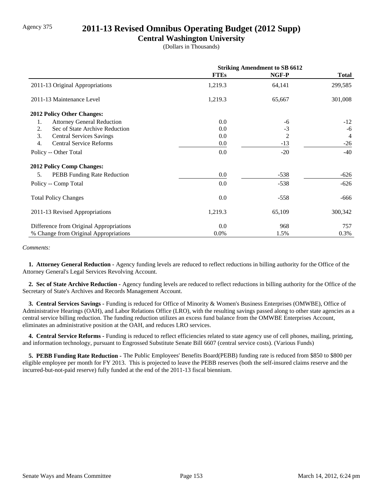# Agency 375 **2011-13 Revised Omnibus Operating Budget (2012 Supp)**

### **Central Washington University**

(Dollars in Thousands)

|                                          | <b>Striking Amendment to SB 6612</b> |                |                |
|------------------------------------------|--------------------------------------|----------------|----------------|
|                                          | <b>FTEs</b>                          | NGF-P          | <b>Total</b>   |
| 2011-13 Original Appropriations          | 1,219.3                              | 64,141         | 299,585        |
| 2011-13 Maintenance Level                | 1,219.3                              | 65,667         | 301,008        |
| 2012 Policy Other Changes:               |                                      |                |                |
| <b>Attorney General Reduction</b><br>1.  | 0.0                                  | -6             | $-12$          |
| Sec of State Archive Reduction<br>2.     | 0.0                                  | $-3$           | -6             |
| 3.<br><b>Central Services Savings</b>    | $0.0\,$                              | $\overline{c}$ | $\overline{4}$ |
| <b>Central Service Reforms</b><br>4.     | $0.0\,$                              | $-13$          | $-26$          |
| Policy -- Other Total                    | $0.0\,$                              | $-20$          | $-40$          |
| 2012 Policy Comp Changes:                |                                      |                |                |
| 5.<br><b>PEBB</b> Funding Rate Reduction | $0.0\,$                              | $-538$         | $-626$         |
| Policy -- Comp Total                     | 0.0                                  | $-538$         | $-626$         |
| <b>Total Policy Changes</b>              | $0.0\,$                              | $-558$         | -666           |
| 2011-13 Revised Appropriations           | 1,219.3                              | 65,109         | 300,342        |
| Difference from Original Appropriations  | $0.0\,$                              | 968            | 757            |
| % Change from Original Appropriations    | 0.0%                                 | 1.5%           | 0.3%           |

#### *Comments:*

 **1. Attorney General Reduction -** Agency funding levels are reduced to reflect reductions in billing authority for the Office of the Attorney General's Legal Services Revolving Account.

 **2. Sec of State Archive Reduction -** Agency funding levels are reduced to reflect reductions in billing authority for the Office of the Secretary of State's Archives and Records Management Account.

 **3. Central Services Savings -** Funding is reduced for Office of Minority & Women's Business Enterprises (OMWBE), Office of Administrative Hearings (OAH), and Labor Relations Office (LRO), with the resulting savings passed along to other state agencies as a central service billing reduction. The funding reduction utilizes an excess fund balance from the OMWBE Enterprises Account, eliminates an administrative position at the OAH, and reduces LRO services.

 **4. Central Service Reforms -** Funding is reduced to reflect efficiencies related to state agency use of cell phones, mailing, printing, and information technology, pursuant to Engrossed Substitute Senate Bill 6607 (central service costs). (Various Funds)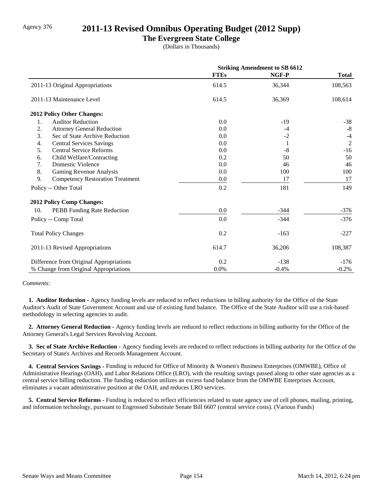## Agency 376 **2011-13 Revised Omnibus Operating Budget (2012 Supp)**

### **The Evergreen State College**

(Dollars in Thousands)

|                                               | <b>Striking Amendment to SB 6612</b> |         |                |
|-----------------------------------------------|--------------------------------------|---------|----------------|
|                                               | <b>FTEs</b>                          | NGF-P   | <b>Total</b>   |
| 2011-13 Original Appropriations               | 614.5                                | 36,344  | 108,563        |
| 2011-13 Maintenance Level                     | 614.5                                | 36,369  | 108,614        |
| 2012 Policy Other Changes:                    |                                      |         |                |
| <b>Auditor Reduction</b><br>1.                | 0.0                                  | $-19$   | $-38$          |
| 2.<br><b>Attorney General Reduction</b>       | 0.0                                  | $-4$    | $-8$           |
| 3.<br>Sec of State Archive Reduction          | 0.0                                  | $-2$    | $-4$           |
| <b>Central Services Savings</b><br>4.         | 0.0                                  | 1       | $\overline{2}$ |
| 5.<br><b>Central Service Reforms</b>          | 0.0                                  | $-8$    | $-16$          |
| Child Welfare/Contracting<br>6.               | 0.2                                  | 50      | 50             |
| 7.<br>Domestic Violence                       | 0.0                                  | 46      | 46             |
| 8.<br>Gaming Revenue Analysis                 | 0.0                                  | 100     | 100            |
| 9.<br><b>Competency Restoration Treatment</b> | 0.0                                  | 17      | 17             |
| Policy -- Other Total                         | 0.2                                  | 181     | 149            |
| <b>2012 Policy Comp Changes:</b>              |                                      |         |                |
| 10.<br>PEBB Funding Rate Reduction            | 0.0                                  | $-344$  | $-376$         |
| Policy -- Comp Total                          | 0.0                                  | $-344$  | $-376$         |
| <b>Total Policy Changes</b>                   | 0.2                                  | $-163$  | $-227$         |
| 2011-13 Revised Appropriations                | 614.7                                | 36,206  | 108,387        |
| Difference from Original Appropriations       | 0.2                                  | $-138$  | $-176$         |
| % Change from Original Appropriations         | 0.0%                                 | $-0.4%$ | $-0.2%$        |

#### *Comments:*

 **1. Auditor Reduction -** Agency funding levels are reduced to reflect reductions in billing authority for the Office of the State Auditor's Audit of State Government Account and use of existing fund balance. The Office of the State Auditor will use a risk-based methodology in selecting agencies to audit.

 **2. Attorney General Reduction -** Agency funding levels are reduced to reflect reductions in billing authority for the Office of the Attorney General's Legal Services Revolving Account.

 **3. Sec of State Archive Reduction -** Agency funding levels are reduced to reflect reductions in billing authority for the Office of the Secretary of State's Archives and Records Management Account.

 **4. Central Services Savings -** Funding is reduced for Office of Minority & Women's Business Enterprises (OMWBE), Office of Administrative Hearings (OAH), and Labor Relations Office (LRO), with the resulting savings passed along to other state agencies as a central service billing reduction. The funding reduction utilizes an excess fund balance from the OMWBE Enterprises Account, eliminates a vacant administrative position at the OAH, and reduces LRO services.

 **5. Central Service Reforms -** Funding is reduced to reflect efficiencies related to state agency use of cell phones, mailing, printing, and information technology, pursuant to Engrossed Substitute Senate Bill 6607 (central service costs). (Various Funds)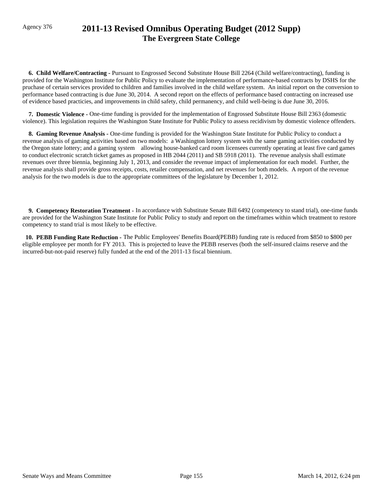# Agency 376 **2011-13 Revised Omnibus Operating Budget (2012 Supp) The Evergreen State College**

 **6. Child Welfare/Contracting -** Pursuant to Engrossed Second Substitute House Bill 2264 (Child welfare/contracting), funding is provided for the Washington Institute for Public Policy to evaluate the implementation of performance-based contracts by DSHS for the pruchase of certain services provided to children and families involved in the child welfare system. An initial report on the conversion to performance based contracting is due June 30, 2014. A second report on the effects of performance based contracting on increased use of evidence based practicies, and improvements in child safety, child permanency, and child well-being is due June 30, 2016.

 **7. Domestic Violence -** One-time funding is provided for the implementation of Engrossed Substitute House Bill 2363 (domestic violence). This legislation requires the Washington State Institute for Public Policy to assess recidivism by domestic violence offenders.

 **8. Gaming Revenue Analysis -** One-time funding is provided for the Washington State Institute for Public Policy to conduct a revenue analysis of gaming activities based on two models: a Washington lottery system with the same gaming activities conducted by the Oregon state lottery; and a gaming system allowing house-banked card room licensees currently operating at least five card games to conduct electronic scratch ticket games as proposed in HB 2044 (2011) and SB 5918 (2011). The revenue analysis shall estimate revenues over three biennia, beginning July 1, 2013, and consider the revenue impact of implementation for each model. Further, the revenue analysis shall provide gross receipts, costs, retailer compensation, and net revenues for both models. A report of the revenue analysis for the two models is due to the appropriate committees of the legislature by December 1, 2012.

 **9. Competency Restoration Treatment -** In accordance with Substitute Senate Bill 6492 (competency to stand trial), one-time funds are provided for the Washington State Institute for Public Policy to study and report on the timeframes within which treatment to restore competency to stand trial is most likely to be effective.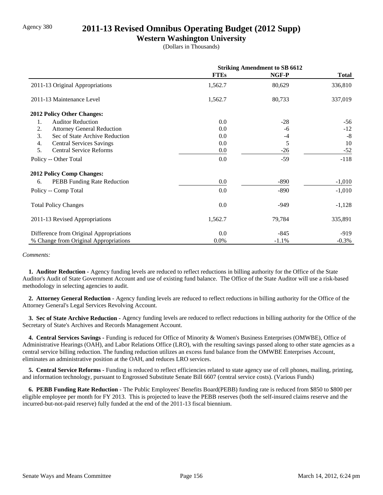## Agency 380 **2011-13 Revised Omnibus Operating Budget (2012 Supp)**

### **Western Washington University**

(Dollars in Thousands)

|                                         | <b>Striking Amendment to SB 6612</b> |         |              |
|-----------------------------------------|--------------------------------------|---------|--------------|
|                                         | <b>FTEs</b>                          | NGF-P   | <b>Total</b> |
| 2011-13 Original Appropriations         | 1,562.7                              | 80,629  | 336,810      |
| 2011-13 Maintenance Level               | 1,562.7                              | 80,733  | 337,019      |
| 2012 Policy Other Changes:              |                                      |         |              |
| <b>Auditor Reduction</b><br>1.          | 0.0                                  | $-28$   | $-56$        |
| 2.<br><b>Attorney General Reduction</b> | 0.0                                  | -6      | $-12$        |
| 3.<br>Sec of State Archive Reduction    | 0.0                                  | $-4$    | $-8$         |
| <b>Central Services Savings</b><br>4.   | 0.0                                  | 5       | 10           |
| <b>Central Service Reforms</b><br>5.    | $0.0\,$                              | $-26$   | $-52$        |
| Policy -- Other Total                   | 0.0                                  | $-59$   | $-118$       |
| <b>2012 Policy Comp Changes:</b>        |                                      |         |              |
| PEBB Funding Rate Reduction<br>6.       | 0.0                                  | $-890$  | $-1,010$     |
| Policy -- Comp Total                    | 0.0                                  | $-890$  | $-1,010$     |
| <b>Total Policy Changes</b>             | 0.0                                  | $-949$  | $-1,128$     |
| 2011-13 Revised Appropriations          | 1,562.7                              | 79,784  | 335,891      |
| Difference from Original Appropriations | 0.0                                  | $-845$  | $-919$       |
| % Change from Original Appropriations   | $0.0\%$                              | $-1.1%$ | $-0.3%$      |

#### *Comments:*

 **1. Auditor Reduction -** Agency funding levels are reduced to reflect reductions in billing authority for the Office of the State Auditor's Audit of State Government Account and use of existing fund balance. The Office of the State Auditor will use a risk-based methodology in selecting agencies to audit.

 **2. Attorney General Reduction -** Agency funding levels are reduced to reflect reductions in billing authority for the Office of the Attorney General's Legal Services Revolving Account.

 **3. Sec of State Archive Reduction -** Agency funding levels are reduced to reflect reductions in billing authority for the Office of the Secretary of State's Archives and Records Management Account.

 **4. Central Services Savings -** Funding is reduced for Office of Minority & Women's Business Enterprises (OMWBE), Office of Administrative Hearings (OAH), and Labor Relations Office (LRO), with the resulting savings passed along to other state agencies as a central service billing reduction. The funding reduction utilizes an excess fund balance from the OMWBE Enterprises Account, eliminates an administrative position at the OAH, and reduces LRO services.

 **5. Central Service Reforms -** Funding is reduced to reflect efficiencies related to state agency use of cell phones, mailing, printing, and information technology, pursuant to Engrossed Substitute Senate Bill 6607 (central service costs). (Various Funds)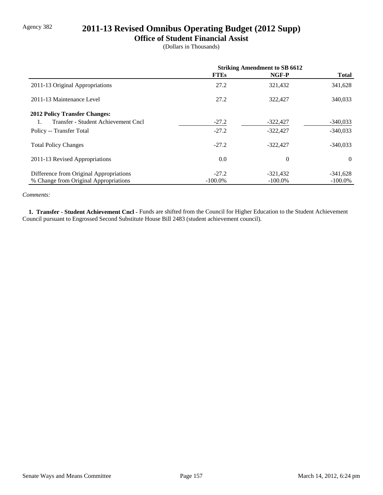# Agency 382 **2011-13 Revised Omnibus Operating Budget (2012 Supp)**

#### **Office of Student Financial Assist**

(Dollars in Thousands)

|                                           | <b>Striking Amendment to SB 6612</b> |                |              |
|-------------------------------------------|--------------------------------------|----------------|--------------|
|                                           | <b>FTEs</b>                          | NGF-P          | <b>Total</b> |
| 2011-13 Original Appropriations           | 27.2                                 | 321,432        | 341,628      |
| 2011-13 Maintenance Level                 | 27.2                                 | 322,427        | 340,033      |
| <b>2012 Policy Transfer Changes:</b>      |                                      |                |              |
| Transfer - Student Achievement Cncl<br>1. | $-27.2$                              | $-322,427$     | $-340,033$   |
| Policy -- Transfer Total                  | $-27.2$                              | $-322,427$     | $-340,033$   |
| <b>Total Policy Changes</b>               | $-27.2$                              | $-322.427$     | $-340,033$   |
| 2011-13 Revised Appropriations            | 0.0                                  | $\overline{0}$ | $\theta$     |
| Difference from Original Appropriations   | $-27.2$                              | $-321,432$     | $-341,628$   |
| % Change from Original Appropriations     | $-100.0\%$                           | $-100.0\%$     | $-100.0\%$   |

#### *Comments:*

 **1. Transfer - Student Achievement Cncl -** Funds are shifted from the Council for Higher Education to the Student Achievement Council pursuant to Engrossed Second Substitute House Bill 2483 (student achievement council).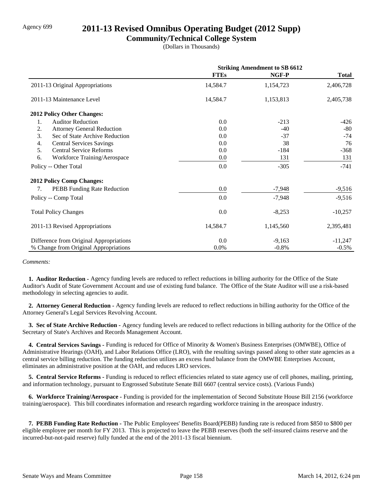# Agency 699 **2011-13 Revised Omnibus Operating Budget (2012 Supp)**

### **Community/Technical College System**

(Dollars in Thousands)

|                                         | <b>Striking Amendment to SB 6612</b> |           |              |
|-----------------------------------------|--------------------------------------|-----------|--------------|
|                                         | <b>FTEs</b>                          | NGF-P     | <b>Total</b> |
| 2011-13 Original Appropriations         | 14,584.7                             | 1,154,723 | 2,406,728    |
| 2011-13 Maintenance Level               | 14,584.7                             | 1,153,813 | 2,405,738    |
| <b>2012 Policy Other Changes:</b>       |                                      |           |              |
| 1.<br><b>Auditor Reduction</b>          | 0.0                                  | $-213$    | $-426$       |
| 2.<br><b>Attorney General Reduction</b> | 0.0                                  | $-40$     | $-80$        |
| 3.<br>Sec of State Archive Reduction    | 0.0                                  | $-37$     | $-74$        |
| 4.<br><b>Central Services Savings</b>   | 0.0                                  | 38        | 76           |
| 5.<br><b>Central Service Reforms</b>    | 0.0                                  | $-184$    | $-368$       |
| 6.<br>Workforce Training/Aerospace      | $0.0\,$                              | 131       | 131          |
| Policy -- Other Total                   | 0.0                                  | $-305$    | $-741$       |
| <b>2012 Policy Comp Changes:</b>        |                                      |           |              |
| PEBB Funding Rate Reduction<br>7.       | 0.0                                  | $-7,948$  | $-9,516$     |
| Policy -- Comp Total                    | 0.0                                  | $-7,948$  | $-9,516$     |
| <b>Total Policy Changes</b>             | 0.0                                  | $-8,253$  | $-10,257$    |
| 2011-13 Revised Appropriations          | 14,584.7                             | 1,145,560 | 2,395,481    |
| Difference from Original Appropriations | 0.0                                  | $-9,163$  | $-11,247$    |
| % Change from Original Appropriations   | 0.0%                                 | $-0.8%$   | $-0.5\%$     |

*Comments:*

 **1. Auditor Reduction -** Agency funding levels are reduced to reflect reductions in billing authority for the Office of the State Auditor's Audit of State Government Account and use of existing fund balance. The Office of the State Auditor will use a risk-based methodology in selecting agencies to audit.

 **2. Attorney General Reduction -** Agency funding levels are reduced to reflect reductions in billing authority for the Office of the Attorney General's Legal Services Revolving Account.

 **3. Sec of State Archive Reduction -** Agency funding levels are reduced to reflect reductions in billing authority for the Office of the Secretary of State's Archives and Records Management Account.

 **4. Central Services Savings -** Funding is reduced for Office of Minority & Women's Business Enterprises (OMWBE), Office of Administrative Hearings (OAH), and Labor Relations Office (LRO), with the resulting savings passed along to other state agencies as a central service billing reduction. The funding reduction utilizes an excess fund balance from the OMWBE Enterprises Account, eliminates an administrative position at the OAH, and reduces LRO services.

 **5. Central Service Reforms -** Funding is reduced to reflect efficiencies related to state agency use of cell phones, mailing, printing, and information technology, pursuant to Engrossed Substitute Senate Bill 6607 (central service costs). (Various Funds)

 **6. Workforce Training/Aerospace -** Funding is provided for the implementation of Second Substitute House Bill 2156 (workforce training/aerospace). This bill coordinates information and research regarding workforce training in the areospace industry.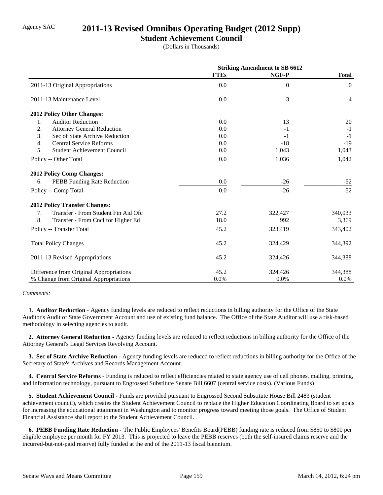# Agency SAC **2011-13 Revised Omnibus Operating Budget (2012 Supp)**

### **Student Achievement Council**

(Dollars in Thousands)

|                                           | <b>Striking Amendment to SB 6612</b> |          |                  |
|-------------------------------------------|--------------------------------------|----------|------------------|
|                                           | <b>FTEs</b>                          | NGF-P    | <b>Total</b>     |
| 2011-13 Original Appropriations           | 0.0                                  | $\Omega$ | $\boldsymbol{0}$ |
| 2011-13 Maintenance Level                 | 0.0                                  | $-3$     | $-4$             |
| 2012 Policy Other Changes:                |                                      |          |                  |
| <b>Auditor Reduction</b><br>1.            | 0.0                                  | 13       | 20               |
| 2.<br><b>Attorney General Reduction</b>   | 0.0                                  | $-1$     | $-1$             |
| 3.<br>Sec of State Archive Reduction      | 0.0                                  | $-1$     | $-1$             |
| 4.<br><b>Central Service Reforms</b>      | 0.0                                  | $-18$    | $-19$            |
| 5.<br><b>Student Achievement Council</b>  | 0.0                                  | 1,043    | 1,043            |
| Policy -- Other Total                     | 0.0                                  | 1,036    | 1,042            |
| <b>2012 Policy Comp Changes:</b>          |                                      |          |                  |
| PEBB Funding Rate Reduction<br>6.         | 0.0                                  | $-26$    | $-52$            |
| Policy -- Comp Total                      | 0.0                                  | $-26$    | $-52$            |
| <b>2012 Policy Transfer Changes:</b>      |                                      |          |                  |
| Transfer - From Student Fin Aid Ofc<br>7. | 27.2                                 | 322,427  | 340,033          |
| 8.<br>Transfer - From Cncl for Higher Ed  | 18.0                                 | 992      | 3,369            |
| Policy -- Transfer Total                  | 45.2                                 | 323,419  | 343,402          |
| <b>Total Policy Changes</b>               | 45.2                                 | 324,429  | 344,392          |
| 2011-13 Revised Appropriations            | 45.2                                 | 324,426  | 344,388          |
| Difference from Original Appropriations   | 45.2                                 | 324,426  | 344,388          |
| % Change from Original Appropriations     | 0.0%                                 | 0.0%     | 0.0%             |

#### *Comments:*

 **1. Auditor Reduction -** Agency funding levels are reduced to reflect reductions in billing authority for the Office of the State Auditor's Audit of State Government Account and use of existing fund balance. The Office of the State Auditor will use a risk-based methodology in selecting agencies to audit.

 **2. Attorney General Reduction -** Agency funding levels are reduced to reflect reductions in billing authority for the Office of the Attorney General's Legal Services Revolving Account.

 **3. Sec of State Archive Reduction -** Agency funding levels are reduced to reflect reductions in billing authority for the Office of the Secretary of State's Archives and Records Management Account.

 **4. Central Service Reforms -** Funding is reduced to reflect efficiencies related to state agency use of cell phones, mailing, printing, and information technology, pursuant to Engrossed Substitute Senate Bill 6607 (central service costs). (Various Funds)

 **5. Student Achievement Council -** Funds are provided pursuant to Engrossed Second Substitute House Bill 2483 (student achievement council), which creates the Student Achievement Council to replace the Higher Education Coordinating Board to set goals for increasing the educational attainment in Washington and to monitor progress toward meeting those goals. The Office of Student Financial Assistance shall report to the Student Achievement Council.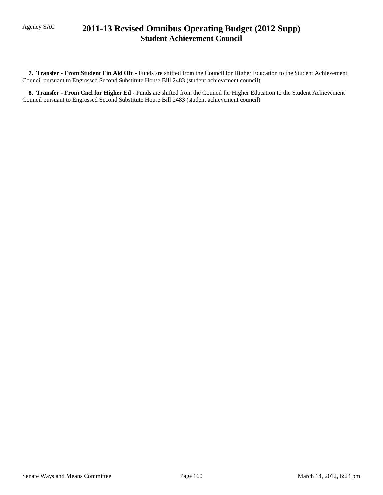# Agency SAC **2011-13 Revised Omnibus Operating Budget (2012 Supp) Student Achievement Council**

 **7. Transfer - From Student Fin Aid Ofc -** Funds are shifted from the Council for Higher Education to the Student Achievement Council pursuant to Engrossed Second Substitute House Bill 2483 (student achievement council).

 **8. Transfer - From Cncl for Higher Ed -** Funds are shifted from the Council for Higher Education to the Student Achievement Council pursuant to Engrossed Second Substitute House Bill 2483 (student achievement council).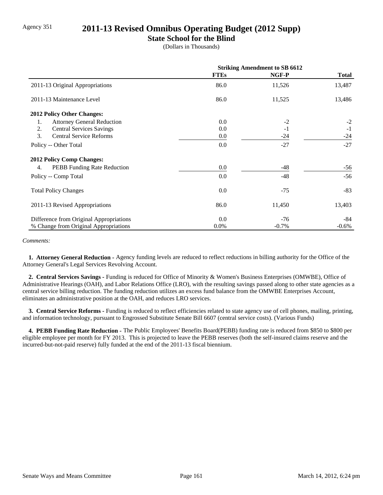# Agency 351 **2011-13 Revised Omnibus Operating Budget (2012 Supp)**

### **State School for the Blind**

(Dollars in Thousands)

|                                          | <b>Striking Amendment to SB 6612</b> |          |              |
|------------------------------------------|--------------------------------------|----------|--------------|
|                                          | <b>FTEs</b>                          | NGF-P    | <b>Total</b> |
| 2011-13 Original Appropriations          | 86.0                                 | 11,526   | 13,487       |
| 2011-13 Maintenance Level                | 86.0                                 | 11,525   | 13,486       |
| <b>2012 Policy Other Changes:</b>        |                                      |          |              |
| <b>Attorney General Reduction</b><br>1.  | 0.0                                  | $-2$     | $-2$         |
| 2.<br><b>Central Services Savings</b>    | 0.0                                  | $-1$     | $-1$         |
| 3.<br><b>Central Service Reforms</b>     | 0.0                                  | $-24$    | $-24$        |
| Policy -- Other Total                    | 0.0                                  | $-27$    | $-27$        |
| 2012 Policy Comp Changes:                |                                      |          |              |
| <b>PEBB</b> Funding Rate Reduction<br>4. | 0.0                                  | -48      | -56          |
| Policy -- Comp Total                     | 0.0                                  | $-48$    | $-56$        |
| <b>Total Policy Changes</b>              | 0.0                                  | $-75$    | $-83$        |
| 2011-13 Revised Appropriations           | 86.0                                 | 11,450   | 13,403       |
| Difference from Original Appropriations  | 0.0                                  | $-76$    | -84          |
| % Change from Original Appropriations    | $0.0\%$                              | $-0.7\%$ | $-0.6\%$     |

#### *Comments:*

 **1. Attorney General Reduction -** Agency funding levels are reduced to reflect reductions in billing authority for the Office of the Attorney General's Legal Services Revolving Account.

 **2. Central Services Savings -** Funding is reduced for Office of Minority & Women's Business Enterprises (OMWBE), Office of Administrative Hearings (OAH), and Labor Relations Office (LRO), with the resulting savings passed along to other state agencies as a central service billing reduction. The funding reduction utilizes an excess fund balance from the OMWBE Enterprises Account, eliminates an administrative position at the OAH, and reduces LRO services.

 **3. Central Service Reforms -** Funding is reduced to reflect efficiencies related to state agency use of cell phones, mailing, printing, and information technology, pursuant to Engrossed Substitute Senate Bill 6607 (central service costs). (Various Funds)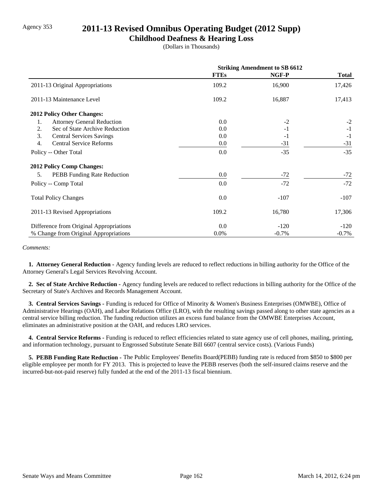# Agency 353 **2011-13 Revised Omnibus Operating Budget (2012 Supp)**

#### **Childhood Deafness & Hearing Loss**

(Dollars in Thousands)

|                                          | <b>Striking Amendment to SB 6612</b> |          |              |
|------------------------------------------|--------------------------------------|----------|--------------|
|                                          | <b>FTEs</b>                          | NGF-P    | <b>Total</b> |
| 2011-13 Original Appropriations          | 109.2                                | 16,900   | 17,426       |
| 2011-13 Maintenance Level                | 109.2                                | 16,887   | 17,413       |
| <b>2012 Policy Other Changes:</b>        |                                      |          |              |
| <b>Attorney General Reduction</b><br>1.  | $0.0\,$                              | $-2$     | $-2$         |
| Sec of State Archive Reduction<br>2.     | $0.0\,$                              | $-1$     | $-1$         |
| 3.<br><b>Central Services Savings</b>    | 0.0                                  | $-1$     | $-1$         |
| 4.<br><b>Central Service Reforms</b>     | $0.0\,$                              | $-31$    | $-31$        |
| Policy -- Other Total                    | 0.0                                  | $-35$    | $-35$        |
| <b>2012 Policy Comp Changes:</b>         |                                      |          |              |
| <b>PEBB</b> Funding Rate Reduction<br>5. | $0.0\,$                              | $-72$    | $-72$        |
| Policy -- Comp Total                     | 0.0                                  | $-72$    | $-72$        |
| <b>Total Policy Changes</b>              | $0.0\,$                              | $-107$   | $-107$       |
| 2011-13 Revised Appropriations           | 109.2                                | 16,780   | 17,306       |
| Difference from Original Appropriations  | $0.0\,$                              | $-120$   | $-120$       |
| % Change from Original Appropriations    | 0.0%                                 | $-0.7\%$ | $-0.7\%$     |

#### *Comments:*

 **1. Attorney General Reduction -** Agency funding levels are reduced to reflect reductions in billing authority for the Office of the Attorney General's Legal Services Revolving Account.

 **2. Sec of State Archive Reduction -** Agency funding levels are reduced to reflect reductions in billing authority for the Office of the Secretary of State's Archives and Records Management Account.

 **3. Central Services Savings -** Funding is reduced for Office of Minority & Women's Business Enterprises (OMWBE), Office of Administrative Hearings (OAH), and Labor Relations Office (LRO), with the resulting savings passed along to other state agencies as a central service billing reduction. The funding reduction utilizes an excess fund balance from the OMWBE Enterprises Account, eliminates an administrative position at the OAH, and reduces LRO services.

 **4. Central Service Reforms -** Funding is reduced to reflect efficiencies related to state agency use of cell phones, mailing, printing, and information technology, pursuant to Engrossed Substitute Senate Bill 6607 (central service costs). (Various Funds)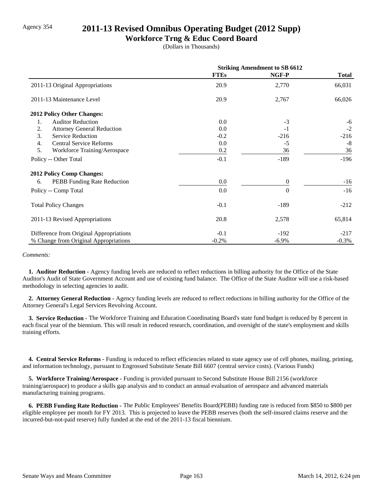# Agency 354 **2011-13 Revised Omnibus Operating Budget (2012 Supp)**

### **Workforce Trng & Educ Coord Board**

(Dollars in Thousands)

|                                          | <b>Striking Amendment to SB 6612</b> |              |              |
|------------------------------------------|--------------------------------------|--------------|--------------|
|                                          | <b>FTEs</b>                          | NGF-P        | <b>Total</b> |
| 2011-13 Original Appropriations          | 20.9                                 | 2,770        | 66,031       |
| 2011-13 Maintenance Level                | 20.9                                 | 2,767        | 66,026       |
| <b>2012 Policy Other Changes:</b>        |                                      |              |              |
| <b>Auditor Reduction</b><br>1.           | 0.0                                  | $-3$         | $-6$         |
| 2.<br><b>Attorney General Reduction</b>  | 0.0                                  | $-1$         | $-2$         |
| 3.<br><b>Service Reduction</b>           | $-0.2$                               | $-216$       | $-216$       |
| <b>Central Service Reforms</b><br>4.     | 0.0                                  | $-5$         | $-8$         |
| 5.<br>Workforce Training/Aerospace       | 0.2                                  | 36           | 36           |
| Policy -- Other Total                    | $-0.1$                               | $-189$       | $-196$       |
| <b>2012 Policy Comp Changes:</b>         |                                      |              |              |
| <b>PEBB</b> Funding Rate Reduction<br>6. | 0.0                                  | $\mathbf{0}$ | $-16$        |
| Policy -- Comp Total                     | 0.0                                  | $\Omega$     | $-16$        |
| <b>Total Policy Changes</b>              | $-0.1$                               | $-189$       | $-212$       |
| 2011-13 Revised Appropriations           | 20.8                                 | 2,578        | 65,814       |
| Difference from Original Appropriations  | $-0.1$                               | $-192$       | $-217$       |
| % Change from Original Appropriations    | $-0.2%$                              | $-6.9\%$     | $-0.3%$      |

#### *Comments:*

 **1. Auditor Reduction -** Agency funding levels are reduced to reflect reductions in billing authority for the Office of the State Auditor's Audit of State Government Account and use of existing fund balance. The Office of the State Auditor will use a risk-based methodology in selecting agencies to audit.

 **2. Attorney General Reduction -** Agency funding levels are reduced to reflect reductions in billing authority for the Office of the Attorney General's Legal Services Revolving Account.

**3. Service Reduction -** The Workforce Training and Education Coordinating Board's state fund budget is reduced by 8 percent in each fiscal year of the biennium. This will result in reduced research, coordination, and oversight of the state's employment and skills training efforts.

 **4. Central Service Reforms -** Funding is reduced to reflect efficiencies related to state agency use of cell phones, mailing, printing, and information technology, pursuant to Engrossed Substitute Senate Bill 6607 (central service costs). (Various Funds)

 **5. Workforce Training/Aerospace -** Funding is provided pursuant to Second Substitute House Bill 2156 (workforce training/aerospace) to produce a skills gap analysis and to conduct an annual evaluation of aerospace and advanced materials manufacturing training programs.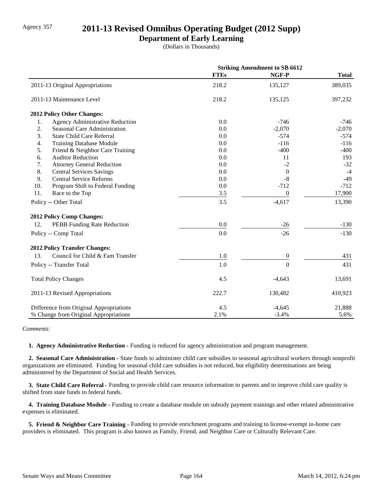# Agency 357 **2011-13 Revised Omnibus Operating Budget (2012 Supp)**

### **Department of Early Learning**

(Dollars in Thousands)

|                                              | <b>Striking Amendment to SB 6612</b> |                  |              |
|----------------------------------------------|--------------------------------------|------------------|--------------|
|                                              | <b>FTEs</b>                          | NGF-P            | <b>Total</b> |
| 2011-13 Original Appropriations              | 218.2                                | 135,127          | 389,035      |
| 2011-13 Maintenance Level                    | 218.2                                | 135,125          | 397,232      |
| 2012 Policy Other Changes:                   |                                      |                  |              |
| <b>Agency Administrative Reduction</b><br>1. | 0.0                                  | $-746$           | -746         |
| 2.<br>Seasonal Care Administration           | 0.0                                  | $-2,070$         | $-2,070$     |
| 3.<br><b>State Child Care Referral</b>       | 0.0                                  | $-574$           | $-574$       |
| 4.<br><b>Training Database Module</b>        | 0.0                                  | $-116$           | $-116$       |
| 5.<br>Friend & Neighbor Care Training        | 0.0                                  | $-400$           | $-400$       |
| 6.<br><b>Auditor Reduction</b>               | 0.0                                  | 11               | 193          |
| 7.<br><b>Attorney General Reduction</b>      | 0.0                                  | $-2$             | $-32$        |
| 8.<br><b>Central Services Savings</b>        | 0.0                                  | $\theta$         | $-4$         |
| 9.<br><b>Central Service Reforms</b>         | 0.0                                  | $-8$             | $-49$        |
| 10.<br>Program Shift to Federal Funding      | 0.0                                  | $-712$           | $-712$       |
| 11.<br>Race to the Top                       | 3.5                                  | $\boldsymbol{0}$ | 17,900       |
| Policy -- Other Total                        | 3.5                                  | $-4,617$         | 13,390       |
| 2012 Policy Comp Changes:                    |                                      |                  |              |
| 12.<br>PEBB Funding Rate Reduction           | 0.0                                  | $-26$            | $-130$       |
| Policy -- Comp Total                         | 0.0                                  | $-26$            | $-130$       |
| <b>2012 Policy Transfer Changes:</b>         |                                      |                  |              |
| Council for Child & Fam Transfer<br>13.      | 1.0                                  | $\overline{0}$   | 431          |
| Policy -- Transfer Total                     | 1.0                                  | $\overline{0}$   | 431          |
| <b>Total Policy Changes</b>                  | 4.5                                  | $-4,643$         | 13,691       |
| 2011-13 Revised Appropriations               | 222.7                                | 130,482          | 410,923      |
| Difference from Original Appropriations      | 4.5                                  | $-4,645$         | 21,888       |
| % Change from Original Appropriations        | 2.1%                                 | $-3.4%$          | 5.6%         |

#### *Comments:*

 **1. Agency Administrative Reduction -** Funding is reduced for agency administration and program management.

 **2. Seasonal Care Administration -** State funds to administer child care subsidies to seasonal agricultural workers through nonprofit organizations are eliminated. Funding for seasonal child care subsidies is not reduced, but eligibility determinations are being administered by the Department of Social and Health Services.

 **3. State Child Care Referral -** Funding to provide child care resource information to parents and to improve child care quality is shifted from state funds to federal funds.

 **4. Training Database Module -** Funding to create a database module on subsidy payment trainings and other related administrative expenses is eliminated.

 **5. Friend & Neighbor Care Training -** Funding to provide enrichment programs and training to license-exempt in-home care providers is eliminated. This program is also known as Family, Friend, and Neighbor Care or Culturally Relevant Care.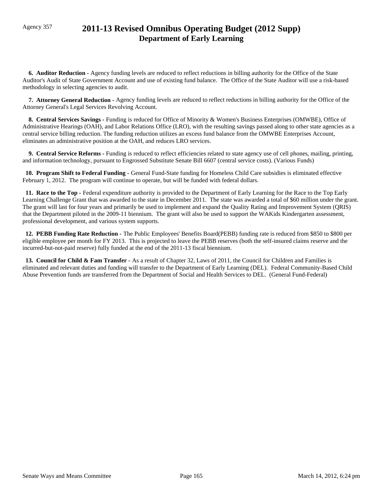# Agency 357 **2011-13 Revised Omnibus Operating Budget (2012 Supp) Department of Early Learning**

 **6. Auditor Reduction -** Agency funding levels are reduced to reflect reductions in billing authority for the Office of the State Auditor's Audit of State Government Account and use of existing fund balance. The Office of the State Auditor will use a risk-based methodology in selecting agencies to audit.

 **7. Attorney General Reduction -** Agency funding levels are reduced to reflect reductions in billing authority for the Office of the Attorney General's Legal Services Revolving Account.

 **8. Central Services Savings -** Funding is reduced for Office of Minority & Women's Business Enterprises (OMWBE), Office of Administrative Hearings (OAH), and Labor Relations Office (LRO), with the resulting savings passed along to other state agencies as a central service billing reduction. The funding reduction utilizes an excess fund balance from the OMWBE Enterprises Account, eliminates an administrative position at the OAH, and reduces LRO services.

 **9. Central Service Reforms -** Funding is reduced to reflect efficiencies related to state agency use of cell phones, mailing, printing, and information technology, pursuant to Engrossed Substitute Senate Bill 6607 (central service costs). (Various Funds)

 **10. Program Shift to Federal Funding -** General Fund-State funding for Homeless Child Care subsidies is eliminated effective February 1, 2012. The program will continue to operate, but will be funded with federal dollars.

 **11. Race to the Top -** Federal expenditure authority is provided to the Department of Early Learning for the Race to the Top Early Learning Challenge Grant that was awarded to the state in December 2011. The state was awarded a total of \$60 million under the grant. The grant will last for four years and primarily be used to implement and expand the Quality Rating and Improvement System (QRIS) that the Department piloted in the 2009-11 biennium. The grant will also be used to support the WAKids Kindergarten assessment, professional development, and various system supports.

 **12. PEBB Funding Rate Reduction -** The Public Employees' Benefits Board(PEBB) funding rate is reduced from \$850 to \$800 per eligible employee per month for FY 2013. This is projected to leave the PEBB reserves (both the self-insured claims reserve and the incurred-but-not-paid reserve) fully funded at the end of the 2011-13 fiscal biennium.

 **13. Council for Child & Fam Transfer -** As a result of Chapter 32, Laws of 2011, the Council for Children and Families is eliminated and relevant duties and funding will transfer to the Department of Early Learning (DEL). Federal Community-Based Child Abuse Prevention funds are transferred from the Department of Social and Health Services to DEL. (General Fund-Federal)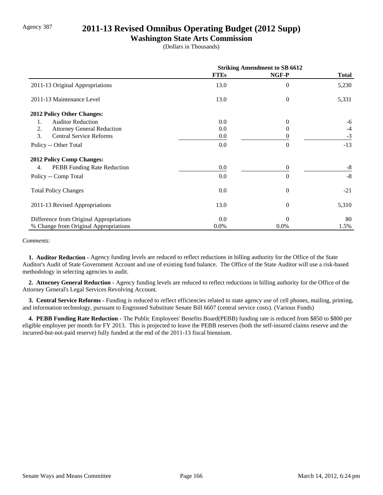## Agency 387 **2011-13 Revised Omnibus Operating Budget (2012 Supp)**

### **Washington State Arts Commission**

(Dollars in Thousands)

|                                          | <b>Striking Amendment to SB 6612</b> |                |              |
|------------------------------------------|--------------------------------------|----------------|--------------|
|                                          | <b>FTEs</b>                          | NGF-P          | <b>Total</b> |
| 2011-13 Original Appropriations          | 13.0                                 | $\theta$       | 5,230        |
| 2011-13 Maintenance Level                | 13.0                                 | $\theta$       | 5,331        |
| 2012 Policy Other Changes:               |                                      |                |              |
| <b>Auditor Reduction</b><br>1.           | 0.0                                  | $\Omega$       | -6           |
| 2.<br><b>Attorney General Reduction</b>  | 0.0                                  | 0              | $-4$         |
| 3.<br><b>Central Service Reforms</b>     | 0.0                                  | $\theta$       | $-3$         |
| Policy -- Other Total                    | 0.0                                  | $\Omega$       | $-13$        |
| <b>2012 Policy Comp Changes:</b>         |                                      |                |              |
| <b>PEBB</b> Funding Rate Reduction<br>4. | 0.0                                  | $\overline{0}$ | $-8$         |
| Policy -- Comp Total                     | 0.0                                  | $\Omega$       | $-8$         |
| <b>Total Policy Changes</b>              | 0.0                                  | $\theta$       | $-21$        |
| 2011-13 Revised Appropriations           | 13.0                                 | $\theta$       | 5,310        |
| Difference from Original Appropriations  | 0.0                                  | $\Omega$       | 80           |
| % Change from Original Appropriations    | $0.0\%$                              | 0.0%           | 1.5%         |

*Comments:*

 **1. Auditor Reduction -** Agency funding levels are reduced to reflect reductions in billing authority for the Office of the State Auditor's Audit of State Government Account and use of existing fund balance. The Office of the State Auditor will use a risk-based methodology in selecting agencies to audit.

 **2. Attorney General Reduction -** Agency funding levels are reduced to reflect reductions in billing authority for the Office of the Attorney General's Legal Services Revolving Account.

 **3. Central Service Reforms -** Funding is reduced to reflect efficiencies related to state agency use of cell phones, mailing, printing, and information technology, pursuant to Engrossed Substitute Senate Bill 6607 (central service costs). (Various Funds)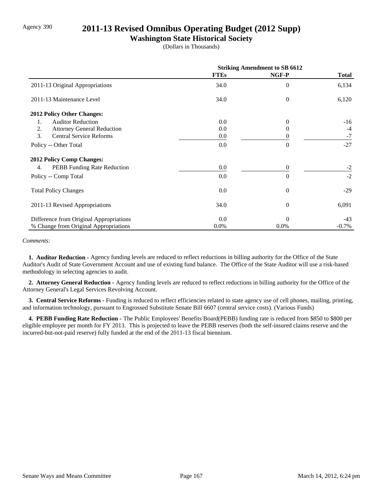## Agency 390 **2011-13 Revised Omnibus Operating Budget (2012 Supp)**

### **Washington State Historical Society**

(Dollars in Thousands)

|                                         | <b>Striking Amendment to SB 6612</b> |                |              |
|-----------------------------------------|--------------------------------------|----------------|--------------|
|                                         | <b>FTEs</b>                          | NGF-P          | <b>Total</b> |
| 2011-13 Original Appropriations         | 34.0                                 | $\Omega$       | 6,134        |
| 2011-13 Maintenance Level               | 34.0                                 | $\theta$       | 6,120        |
| 2012 Policy Other Changes:              |                                      |                |              |
| <b>Auditor Reduction</b><br>1.          | 0.0                                  | $\Omega$       | $-16$        |
| 2.<br><b>Attorney General Reduction</b> | 0.0                                  | $\theta$       | $-4$         |
| 3.<br><b>Central Service Reforms</b>    | 0.0                                  | 0              | $-7$         |
| Policy -- Other Total                   | 0.0                                  | $\Omega$       | $-27$        |
| <b>2012 Policy Comp Changes:</b>        |                                      |                |              |
| PEBB Funding Rate Reduction<br>4.       | 0.0                                  | $\overline{0}$ | $-2$         |
| Policy -- Comp Total                    | 0.0                                  | $\Omega$       | $-2$         |
| <b>Total Policy Changes</b>             | 0.0                                  | $\theta$       | $-29$        |
| 2011-13 Revised Appropriations          | 34.0                                 | $\theta$       | 6,091        |
| Difference from Original Appropriations | 0.0                                  | $\Omega$       | $-43$        |
| % Change from Original Appropriations   | $0.0\%$                              | $0.0\%$        | $-0.7\%$     |

*Comments:*

 **1. Auditor Reduction -** Agency funding levels are reduced to reflect reductions in billing authority for the Office of the State Auditor's Audit of State Government Account and use of existing fund balance. The Office of the State Auditor will use a risk-based methodology in selecting agencies to audit.

 **2. Attorney General Reduction -** Agency funding levels are reduced to reflect reductions in billing authority for the Office of the Attorney General's Legal Services Revolving Account.

 **3. Central Service Reforms -** Funding is reduced to reflect efficiencies related to state agency use of cell phones, mailing, printing, and information technology, pursuant to Engrossed Substitute Senate Bill 6607 (central service costs). (Various Funds)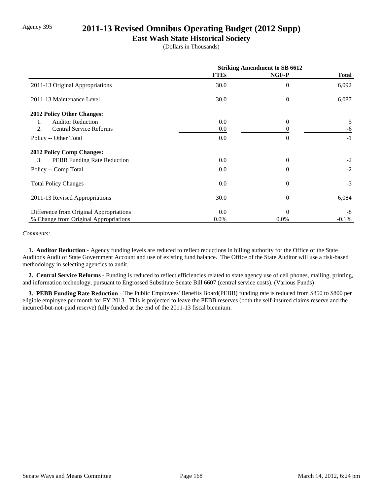# Agency 395 **2011-13 Revised Omnibus Operating Budget (2012 Supp)**

### **East Wash State Historical Society**

(Dollars in Thousands)

|                                         | <b>Striking Amendment to SB 6612</b> |          |              |
|-----------------------------------------|--------------------------------------|----------|--------------|
|                                         | <b>FTEs</b>                          | NGF-P    | <b>Total</b> |
| 2011-13 Original Appropriations         | 30.0                                 | $\theta$ | 6,092        |
| 2011-13 Maintenance Level               | 30.0                                 | $\theta$ | 6,087        |
| <b>2012 Policy Other Changes:</b>       |                                      |          |              |
| <b>Auditor Reduction</b><br>1.          | 0.0                                  | $\theta$ | 5            |
| <b>Central Service Reforms</b><br>2.    | 0.0                                  |          | -6           |
| Policy -- Other Total                   | 0.0                                  | $\Omega$ | $-1$         |
| <b>2012 Policy Comp Changes:</b>        |                                      |          |              |
| 3.<br>PEBB Funding Rate Reduction       | 0.0                                  | $\Omega$ | $-2$         |
| Policy -- Comp Total                    | 0.0                                  | $\Omega$ | $-2$         |
| <b>Total Policy Changes</b>             | 0.0                                  | $\theta$ | $-3$         |
| 2011-13 Revised Appropriations          | 30.0                                 | $\theta$ | 6,084        |
| Difference from Original Appropriations | 0.0                                  | $\Omega$ | -8           |
| % Change from Original Appropriations   | 0.0%                                 | 0.0%     | $-0.1%$      |

#### *Comments:*

 **1. Auditor Reduction -** Agency funding levels are reduced to reflect reductions in billing authority for the Office of the State Auditor's Audit of State Government Account and use of existing fund balance. The Office of the State Auditor will use a risk-based methodology in selecting agencies to audit.

 **2. Central Service Reforms -** Funding is reduced to reflect efficiencies related to state agency use of cell phones, mailing, printing, and information technology, pursuant to Engrossed Substitute Senate Bill 6607 (central service costs). (Various Funds)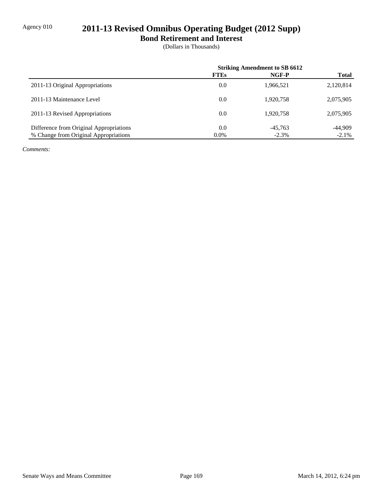# Agency 010 **2011-13 Revised Omnibus Operating Budget (2012 Supp)**

**Bond Retirement and Interest**

(Dollars in Thousands)

|                                         | <b>Striking Amendment to SB 6612</b> |           |              |
|-----------------------------------------|--------------------------------------|-----------|--------------|
|                                         | <b>FTEs</b>                          | NGF-P     | <b>Total</b> |
| 2011-13 Original Appropriations         | 0.0                                  | 1,966,521 | 2,120,814    |
| 2011-13 Maintenance Level               | 0.0                                  | 1.920.758 | 2,075,905    |
| 2011-13 Revised Appropriations          | 0.0                                  | 1.920.758 | 2,075,905    |
| Difference from Original Appropriations | 0.0                                  | $-45,763$ | $-44.909$    |
| % Change from Original Appropriations   | $0.0\%$                              | $-2.3%$   | $-2.1\%$     |

*Comments:*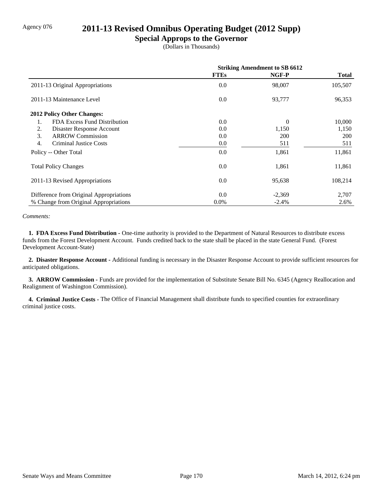# Agency 076 **2011-13 Revised Omnibus Operating Budget (2012 Supp)**

### **Special Approps to the Governor**

(Dollars in Thousands)

|                                         | <b>Striking Amendment to SB 6612</b> |            |              |
|-----------------------------------------|--------------------------------------|------------|--------------|
|                                         | <b>FTEs</b>                          | NGF-P      | <b>Total</b> |
| 2011-13 Original Appropriations         | 0.0                                  | 98,007     | 105,507      |
| 2011-13 Maintenance Level               | 0.0                                  | 93,777     | 96,353       |
| 2012 Policy Other Changes:              |                                      |            |              |
| FDA Excess Fund Distribution<br>1.      | 0.0                                  | $\Omega$   | 10,000       |
| 2.<br>Disaster Response Account         | 0.0                                  | 1,150      | 1,150        |
| 3.<br><b>ARROW Commission</b>           | 0.0                                  | <b>200</b> | <b>200</b>   |
| <b>Criminal Justice Costs</b><br>4.     | 0.0                                  | 511        | 511          |
| Policy -- Other Total                   | 0.0                                  | 1,861      | 11,861       |
| <b>Total Policy Changes</b>             | 0.0                                  | 1,861      | 11,861       |
| 2011-13 Revised Appropriations          | 0.0                                  | 95,638     | 108,214      |
| Difference from Original Appropriations | 0.0                                  | $-2,369$   | 2,707        |
| % Change from Original Appropriations   | $0.0\%$                              | $-2.4%$    | 2.6%         |

#### *Comments:*

 **1. FDA Excess Fund Distribution -** One-time authority is provided to the Department of Natural Resources to distribute excess funds from the Forest Development Account. Funds credited back to the state shall be placed in the state General Fund. (Forest Development Account-State)

 **2. Disaster Response Account -** Additional funding is necessary in the Disaster Response Account to provide sufficient resources for anticipated obligations.

 **3. ARROW Commission -** Funds are provided for the implementation of Substitute Senate Bill No. 6345 (Agency Reallocation and Realignment of Washington Commission).

 **4. Criminal Justice Costs -** The Office of Financial Management shall distribute funds to specified counties for extraordinary criminal justice costs.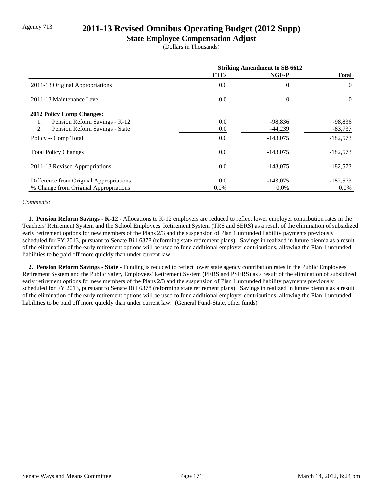# Agency 713 **2011-13 Revised Omnibus Operating Budget (2012 Supp)**

### **State Employee Compensation Adjust**

(Dollars in Thousands)

|                                         | <b>Striking Amendment to SB 6612</b> |                |              |
|-----------------------------------------|--------------------------------------|----------------|--------------|
|                                         | <b>FTEs</b>                          | NGF-P          | <b>Total</b> |
| 2011-13 Original Appropriations         | 0.0                                  | $\overline{0}$ | $\theta$     |
| 2011-13 Maintenance Level               | 0.0                                  | $\overline{0}$ | $\Omega$     |
| <b>2012 Policy Comp Changes:</b>        |                                      |                |              |
| Pension Reform Savings - K-12<br>1.     | 0.0                                  | -98,836        | $-98,836$    |
| 2.<br>Pension Reform Savings - State    | 0.0                                  | $-44,239$      | $-83,737$    |
| Policy -- Comp Total                    | 0.0                                  | $-143,075$     | $-182,573$   |
| <b>Total Policy Changes</b>             | 0.0                                  | $-143,075$     | $-182,573$   |
| 2011-13 Revised Appropriations          | 0.0                                  | $-143,075$     | $-182,573$   |
| Difference from Original Appropriations | 0.0                                  | $-143.075$     | $-182,573$   |
| % Change from Original Appropriations   | $0.0\%$                              | $0.0\%$        | $0.0\%$      |

#### *Comments:*

 **1. Pension Reform Savings - K-12 -** Allocations to K-12 employers are reduced to reflect lower employer contribution rates in the Teachers' Retirement System and the School Employees' Retirement System (TRS and SERS) as a result of the elimination of subsidized early retirement options for new members of the Plans 2/3 and the suspension of Plan 1 unfunded liability payments previously scheduled for FY 2013, pursuant to Senate Bill 6378 (reforming state retirement plans). Savings in realized in future biennia as a result of the elimination of the early retirement options will be used to fund additional employer contributions, allowing the Plan 1 unfunded liabilities to be paid off more quickly than under current law.

 **2. Pension Reform Savings - State -** Funding is reduced to reflect lower state agency contribution rates in the Public Employees' Retirement System and the Public Safety Employees' Retirement System (PERS and PSERS) as a result of the elimination of subsidized early retirement options for new members of the Plans 2/3 and the suspension of Plan 1 unfunded liability payments previously scheduled for FY 2013, pursuant to Senate Bill 6378 (reforming state retirement plans). Savings in realized in future biennia as a result of the elimination of the early retirement options will be used to fund additional employer contributions, allowing the Plan 1 unfunded liabilities to be paid off more quickly than under current law. (General Fund-State, other funds)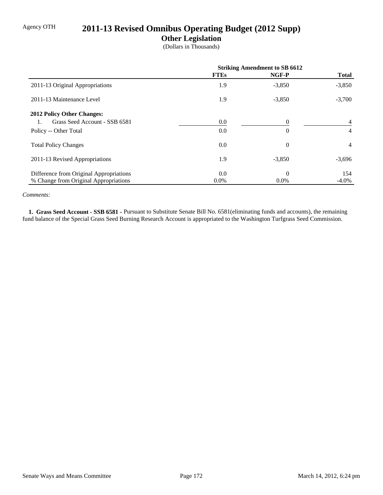# Agency OTH **2011-13 Revised Omnibus Operating Budget (2012 Supp)**

### **Other Legislation**

(Dollars in Thousands)

|                                         | <b>Striking Amendment to SB 6612</b> |          |                |
|-----------------------------------------|--------------------------------------|----------|----------------|
|                                         | <b>FTEs</b>                          | NGF-P    | <b>Total</b>   |
| 2011-13 Original Appropriations         | 1.9                                  | $-3,850$ | $-3,850$       |
| 2011-13 Maintenance Level               | 1.9                                  | $-3,850$ | $-3,700$       |
| <b>2012 Policy Other Changes:</b>       |                                      |          |                |
| Grass Seed Account - SSB 6581           | 0.0                                  | $\Omega$ | $\overline{4}$ |
| Policy -- Other Total                   | 0.0                                  | $\theta$ | 4              |
| <b>Total Policy Changes</b>             | 0.0                                  | $\theta$ | 4              |
| 2011-13 Revised Appropriations          | 1.9                                  | $-3,850$ | $-3,696$       |
| Difference from Original Appropriations | 0.0                                  | $\theta$ | 154            |
| % Change from Original Appropriations   | $0.0\%$                              | $0.0\%$  | $-4.0\%$       |

#### *Comments:*

 **1. Grass Seed Account - SSB 6581 -** Pursuant to Substitute Senate Bill No. 6581(eliminating funds and accounts), the remaining fund balance of the Special Grass Seed Burning Research Account is appropriated to the Washington Turfgrass Seed Commission.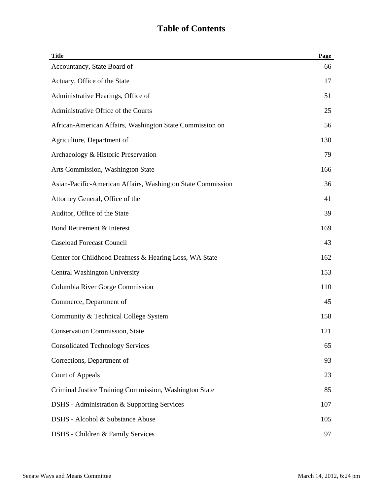# **Table of Contents**

| <b>Title</b>                                                | Page |
|-------------------------------------------------------------|------|
| Accountancy, State Board of                                 | 66   |
| Actuary, Office of the State                                | 17   |
| Administrative Hearings, Office of                          | 51   |
| Administrative Office of the Courts                         | 25   |
| African-American Affairs, Washington State Commission on    | 56   |
| Agriculture, Department of                                  | 130  |
| Archaeology & Historic Preservation                         | 79   |
| Arts Commission, Washington State                           | 166  |
| Asian-Pacific-American Affairs, Washington State Commission | 36   |
| Attorney General, Office of the                             | 41   |
| Auditor, Office of the State                                | 39   |
| Bond Retirement & Interest                                  | 169  |
| <b>Caseload Forecast Council</b>                            | 43   |
| Center for Childhood Deafness & Hearing Loss, WA State      | 162  |
| Central Washington University                               | 153  |
| Columbia River Gorge Commission                             | 110  |
| Commerce, Department of                                     | 45   |
| Community & Technical College System                        | 158  |
| <b>Conservation Commission, State</b>                       | 121  |
| <b>Consolidated Technology Services</b>                     | 65   |
| Corrections, Department of                                  | 93   |
| <b>Court of Appeals</b>                                     | 23   |
| Criminal Justice Training Commission, Washington State      | 85   |
| DSHS - Administration & Supporting Services                 | 107  |
| DSHS - Alcohol & Substance Abuse                            | 105  |
| DSHS - Children & Family Services                           | 97   |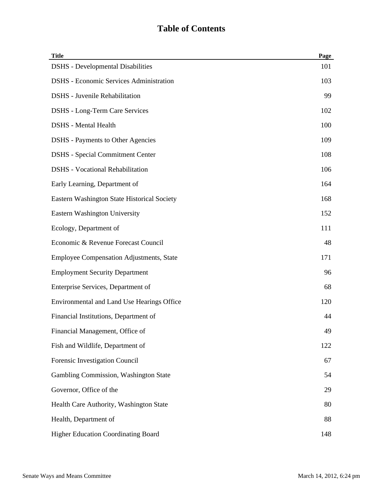# **Table of Contents**

| <b>Title</b>                                    | Page |
|-------------------------------------------------|------|
| <b>DSHS</b> - Developmental Disabilities        | 101  |
| <b>DSHS</b> - Economic Services Administration  | 103  |
| <b>DSHS</b> - Juvenile Rehabilitation           | 99   |
| <b>DSHS</b> - Long-Term Care Services           | 102  |
| <b>DSHS</b> - Mental Health                     | 100  |
| <b>DSHS</b> - Payments to Other Agencies        | 109  |
| <b>DSHS</b> - Special Commitment Center         | 108  |
| <b>DSHS</b> - Vocational Rehabilitation         | 106  |
| Early Learning, Department of                   | 164  |
| Eastern Washington State Historical Society     | 168  |
| <b>Eastern Washington University</b>            | 152  |
| Ecology, Department of                          | 111  |
| Economic & Revenue Forecast Council             | 48   |
| <b>Employee Compensation Adjustments, State</b> | 171  |
| <b>Employment Security Department</b>           | 96   |
| Enterprise Services, Department of              | 68   |
| Environmental and Land Use Hearings Office      | 120  |
| Financial Institutions, Department of           | 44   |
| Financial Management, Office of                 | 49   |
| Fish and Wildlife, Department of                | 122  |
| Forensic Investigation Council                  | 67   |
| Gambling Commission, Washington State           | 54   |
| Governor, Office of the                         | 29   |
| Health Care Authority, Washington State         | 80   |
| Health, Department of                           | 88   |
| <b>Higher Education Coordinating Board</b>      | 148  |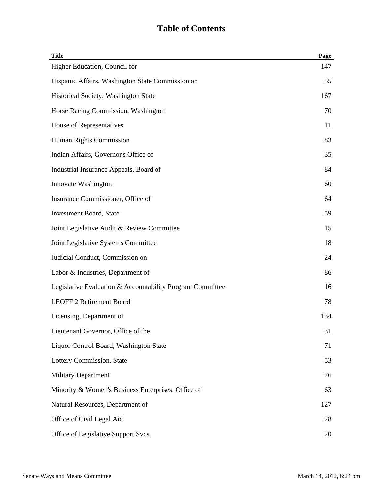## **Table of Contents**

| <b>Title</b>                                              | Page |
|-----------------------------------------------------------|------|
| Higher Education, Council for                             | 147  |
| Hispanic Affairs, Washington State Commission on          | 55   |
| Historical Society, Washington State                      | 167  |
| Horse Racing Commission, Washington                       | 70   |
| House of Representatives                                  | 11   |
| Human Rights Commission                                   | 83   |
| Indian Affairs, Governor's Office of                      | 35   |
| Industrial Insurance Appeals, Board of                    | 84   |
| Innovate Washington                                       | 60   |
| Insurance Commissioner, Office of                         | 64   |
| <b>Investment Board, State</b>                            | 59   |
| Joint Legislative Audit & Review Committee                | 15   |
| Joint Legislative Systems Committee                       | 18   |
| Judicial Conduct, Commission on                           | 24   |
| Labor & Industries, Department of                         | 86   |
| Legislative Evaluation & Accountability Program Committee | 16   |
| <b>LEOFF 2 Retirement Board</b>                           | 78   |
| Licensing, Department of                                  | 134  |
| Lieutenant Governor, Office of the                        | 31   |
| Liquor Control Board, Washington State                    | 71   |
| Lottery Commission, State                                 | 53   |
| <b>Military Department</b>                                | 76   |
| Minority & Women's Business Enterprises, Office of        | 63   |
| Natural Resources, Department of                          | 127  |
| Office of Civil Legal Aid                                 | 28   |
| Office of Legislative Support Svcs                        | 20   |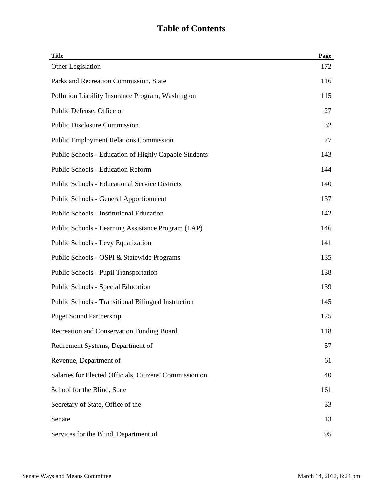## **Table of Contents**

| <b>Title</b>                                               | Page |
|------------------------------------------------------------|------|
| Other Legislation                                          | 172  |
| Parks and Recreation Commission, State                     | 116  |
| Pollution Liability Insurance Program, Washington          | 115  |
| Public Defense, Office of                                  | 27   |
| <b>Public Disclosure Commission</b>                        | 32   |
| <b>Public Employment Relations Commission</b>              | 77   |
| Public Schools - Education of Highly Capable Students      | 143  |
| <b>Public Schools - Education Reform</b>                   | 144  |
| <b>Public Schools - Educational Service Districts</b>      | 140  |
| <b>Public Schools - General Apportionment</b>              | 137  |
| <b>Public Schools - Institutional Education</b>            | 142  |
| Public Schools - Learning Assistance Program (LAP)         | 146  |
| Public Schools - Levy Equalization                         | 141  |
| Public Schools - OSPI & Statewide Programs                 | 135  |
| <b>Public Schools - Pupil Transportation</b>               | 138  |
| Public Schools - Special Education                         | 139  |
| <b>Public Schools - Transitional Bilingual Instruction</b> | 145  |
| <b>Puget Sound Partnership</b>                             | 125  |
| Recreation and Conservation Funding Board                  | 118  |
| Retirement Systems, Department of                          | 57   |
| Revenue, Department of                                     | 61   |
| Salaries for Elected Officials, Citizens' Commission on    | 40   |
| School for the Blind, State                                | 161  |
| Secretary of State, Office of the                          | 33   |
| Senate                                                     | 13   |
| Services for the Blind, Department of                      | 95   |